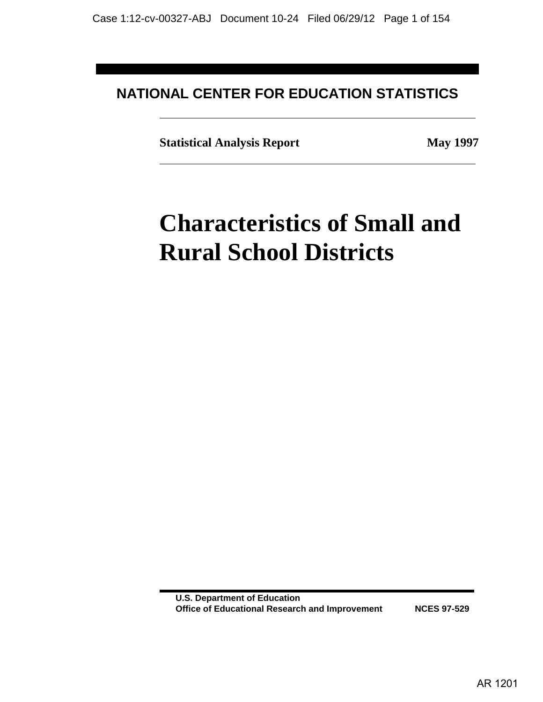# **NATIONAL CENTER FOR EDUCATION STATISTICS**

**Statistical Analysis Report May 1997**

# **Characteristics of Small and Rural School Districts**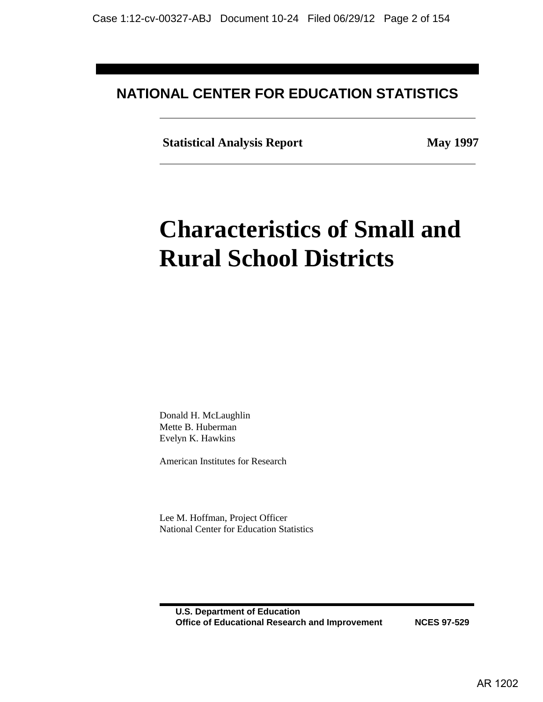# **NATIONAL CENTER FOR EDUCATION STATISTICS**

 **Statistical Analysis Report May 1997** 

# **Characteristics of Small and Rural School Districts**

Donald H. McLaughlin Mette B. Huberman Evelyn K. Hawkins

American Institutes for Research

Lee M. Hoffman, Project Officer National Center for Education Statistics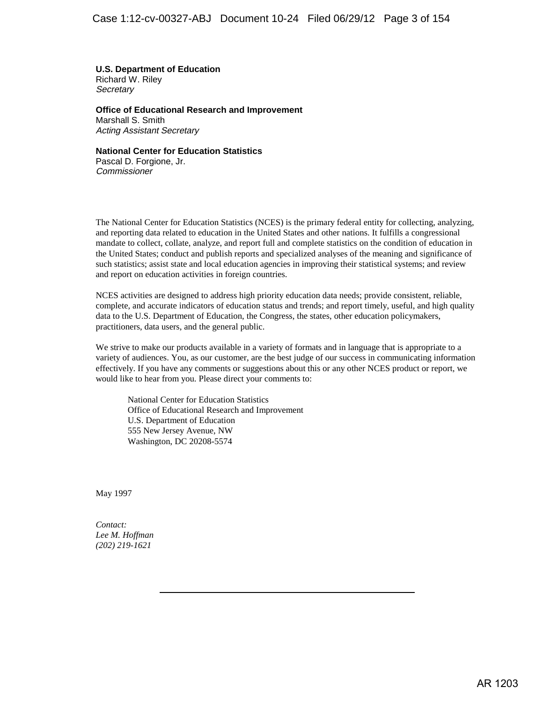**U.S. Department of Education** Richard W. Riley **Secretary** 

**Office of Educational Research and Improvement** Marshall S. Smith Acting Assistant Secretary

**National Center for Education Statistics** Pascal D. Forgione, Jr.

**Commissioner** 

The National Center for Education Statistics (NCES) is the primary federal entity for collecting, analyzing, and reporting data related to education in the United States and other nations. It fulfills a congressional mandate to collect, collate, analyze, and report full and complete statistics on the condition of education in the United States; conduct and publish reports and specialized analyses of the meaning and significance of such statistics; assist state and local education agencies in improving their statistical systems; and review and report on education activities in foreign countries.

NCES activities are designed to address high priority education data needs; provide consistent, reliable, complete, and accurate indicators of education status and trends; and report timely, useful, and high quality data to the U.S. Department of Education, the Congress, the states, other education policymakers, practitioners, data users, and the general public.

We strive to make our products available in a variety of formats and in language that is appropriate to a variety of audiences. You, as our customer, are the best judge of our success in communicating information effectively. If you have any comments or suggestions about this or any other NCES product or report, we would like to hear from you. Please direct your comments to:

National Center for Education Statistics Office of Educational Research and Improvement U.S. Department of Education 555 New Jersey Avenue, NW Washington, DC 20208-5574

May 1997

*Contact: Lee M. Hoffman (202) 219-1621*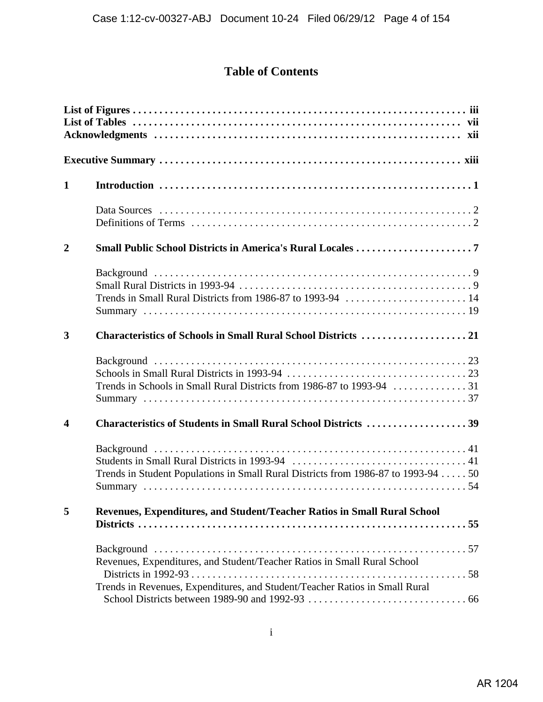# **Table of Contents**

| $\mathbf{1}$            |                                                                                   |  |  |  |
|-------------------------|-----------------------------------------------------------------------------------|--|--|--|
|                         |                                                                                   |  |  |  |
| $\overline{2}$          |                                                                                   |  |  |  |
|                         |                                                                                   |  |  |  |
| 3                       |                                                                                   |  |  |  |
|                         |                                                                                   |  |  |  |
| $\overline{\mathbf{4}}$ | Characteristics of Students in Small Rural School Districts 39                    |  |  |  |
|                         | Trends in Student Populations in Small Rural Districts from 1986-87 to 1993-94 50 |  |  |  |
| 5                       | Revenues, Expenditures, and Student/Teacher Ratios in Small Rural School          |  |  |  |
|                         | Revenues, Expenditures, and Student/Teacher Ratios in Small Rural School          |  |  |  |
|                         | Trends in Revenues, Expenditures, and Student/Teacher Ratios in Small Rural       |  |  |  |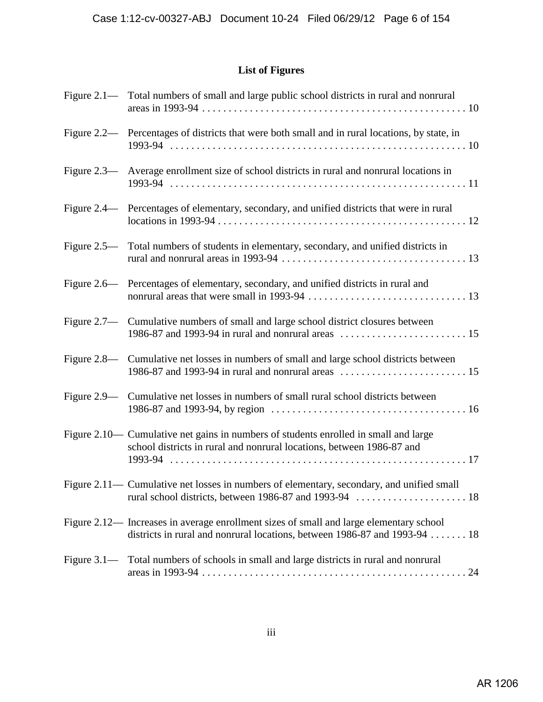## **List of Figures**

|                | Figure 2.1— Total numbers of small and large public school districts in rural and nonrural                                                                            |
|----------------|-----------------------------------------------------------------------------------------------------------------------------------------------------------------------|
|                | Figure 2.2— Percentages of districts that were both small and in rural locations, by state, in                                                                        |
|                | Figure 2.3— Average enrollment size of school districts in rural and nonrural locations in                                                                            |
|                | Figure 2.4— Percentages of elementary, secondary, and unified districts that were in rural                                                                            |
|                | Figure 2.5— Total numbers of students in elementary, secondary, and unified districts in                                                                              |
|                | Figure 2.6— Percentages of elementary, secondary, and unified districts in rural and                                                                                  |
|                | Figure 2.7— Cumulative numbers of small and large school district closures between                                                                                    |
|                | Figure 2.8— Cumulative net losses in numbers of small and large school districts between                                                                              |
|                | Figure 2.9— Cumulative net losses in numbers of small rural school districts between                                                                                  |
|                | Figure 2.10— Cumulative net gains in numbers of students enrolled in small and large<br>school districts in rural and nonrural locations, between 1986-87 and         |
|                | Figure 2.11— Cumulative net losses in numbers of elementary, secondary, and unified small                                                                             |
|                | Figure 2.12— Increases in average enrollment sizes of small and large elementary school<br>districts in rural and nonrural locations, between 1986-87 and 1993-94  18 |
| Figure $3.1$ — | Total numbers of schools in small and large districts in rural and nonrural                                                                                           |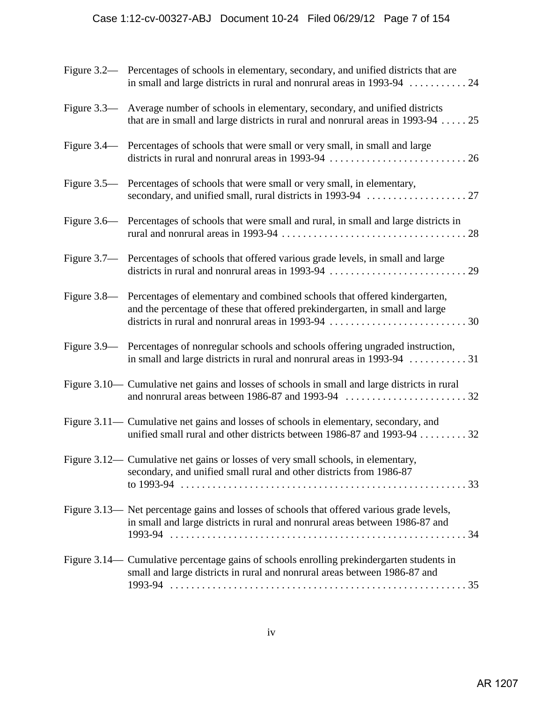| Figure 3.2— Percentages of schools in elementary, secondary, and unified districts that are<br>in small and large districts in rural and nonrural areas in 1993-94  24       |
|------------------------------------------------------------------------------------------------------------------------------------------------------------------------------|
| Figure 3.3— Average number of schools in elementary, secondary, and unified districts<br>that are in small and large districts in rural and nonrural areas in $1993-94$ $25$ |
| Figure 3.4— Percentages of schools that were small or very small, in small and large                                                                                         |
| Figure 3.5— Percentages of schools that were small or very small, in elementary,                                                                                             |
| Figure 3.6— Percentages of schools that were small and rural, in small and large districts in                                                                                |
| Figure 3.7— Percentages of schools that offered various grade levels, in small and large                                                                                     |
| Figure 3.8— Percentages of elementary and combined schools that offered kindergarten,<br>and the percentage of these that offered prekindergarten, in small and large        |
| Figure 3.9— Percentages of nonregular schools and schools offering ungraded instruction,<br>in small and large districts in rural and nonrural areas in 1993-94 31           |
| Figure 3.10— Cumulative net gains and losses of schools in small and large districts in rural                                                                                |
| Figure 3.11— Cumulative net gains and losses of schools in elementary, secondary, and<br>unified small rural and other districts between 1986-87 and 1993-94 32              |
| Figure 3.12— Cumulative net gains or losses of very small schools, in elementary,<br>secondary, and unified small rural and other districts from 1986-87                     |
| Figure 3.13— Net percentage gains and losses of schools that offered various grade levels,<br>in small and large districts in rural and nonrural areas between 1986-87 and   |
| Figure 3.14— Cumulative percentage gains of schools enrolling prekindergarten students in<br>small and large districts in rural and nonrural areas between 1986-87 and       |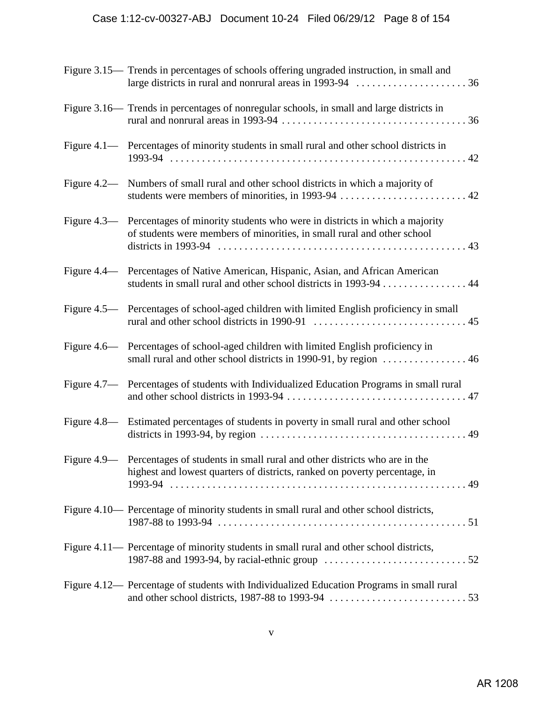| Figure 3.15— Trends in percentages of schools offering ungraded instruction, in small and                                                                                                                         |
|-------------------------------------------------------------------------------------------------------------------------------------------------------------------------------------------------------------------|
| Figure 3.16— Trends in percentages of nonregular schools, in small and large districts in                                                                                                                         |
| Figure 4.1— Percentages of minority students in small rural and other school districts in                                                                                                                         |
| Figure 4.2— Numbers of small rural and other school districts in which a majority of                                                                                                                              |
| Figure 4.3— Percentages of minority students who were in districts in which a majority<br>of students were members of minorities, in small rural and other school                                                 |
| Figure 4.4— Percentages of Native American, Hispanic, Asian, and African American<br>students in small rural and other school districts in 1993-94 44                                                             |
| Figure 4.5— Percentages of school-aged children with limited English proficiency in small                                                                                                                         |
| Figure 4.6— Percentages of school-aged children with limited English proficiency in<br>small rural and other school districts in 1990-91, by region  46                                                           |
| Figure 4.7— Percentages of students with Individualized Education Programs in small rural                                                                                                                         |
| Figure 4.8— Estimated percentages of students in poverty in small rural and other school<br>districts in 1993-94, by region $\ldots \ldots \ldots \ldots \ldots \ldots \ldots \ldots \ldots \ldots \ldots \ldots$ |
| Figure 4.9— Percentages of students in small rural and other districts who are in the<br>highest and lowest quarters of districts, ranked on poverty percentage, in                                               |
| Figure 4.10— Percentage of minority students in small rural and other school districts,                                                                                                                           |
| Figure 4.11— Percentage of minority students in small rural and other school districts,                                                                                                                           |
| Figure 4.12— Percentage of students with Individualized Education Programs in small rural                                                                                                                         |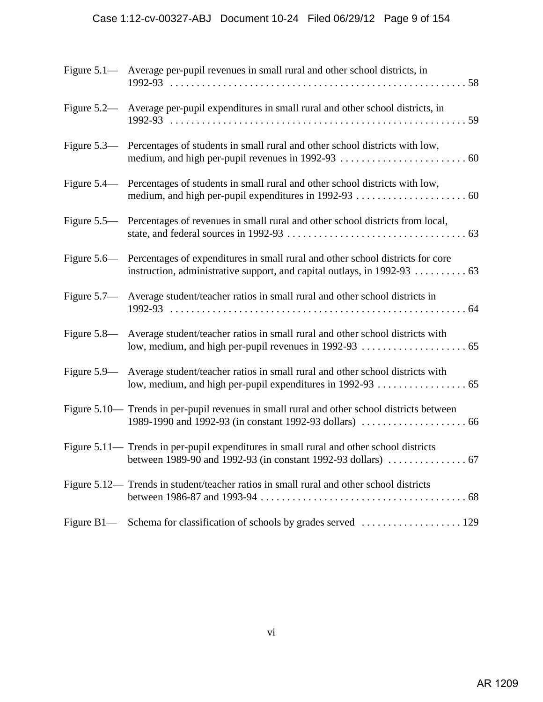## Case 1:12-cv-00327-ABJ Document 10-24 Filed 06/29/12 Page 9 of 154

| Figure 5.1— Average per-pupil revenues in small rural and other school districts, in                                                                    |
|---------------------------------------------------------------------------------------------------------------------------------------------------------|
| Figure 5.2— Average per-pupil expenditures in small rural and other school districts, in                                                                |
| Figure 5.3— Percentages of students in small rural and other school districts with low,                                                                 |
| Figure 5.4— Percentages of students in small rural and other school districts with low,                                                                 |
| Figure 5.5— Percentages of revenues in small rural and other school districts from local,                                                               |
| Figure 5.6— Percentages of expenditures in small rural and other school districts for core                                                              |
| Figure 5.7— Average student/teacher ratios in small rural and other school districts in                                                                 |
| Figure 5.8— Average student/teacher ratios in small rural and other school districts with                                                               |
| Figure 5.9— Average student/teacher ratios in small rural and other school districts with<br>low, medium, and high per-pupil expenditures in 1992-93 65 |
| Figure 5.10— Trends in per-pupil revenues in small rural and other school districts between                                                             |
| Figure 5.11— Trends in per-pupil expenditures in small rural and other school districts                                                                 |
| Figure 5.12— Trends in student/teacher ratios in small rural and other school districts                                                                 |
|                                                                                                                                                         |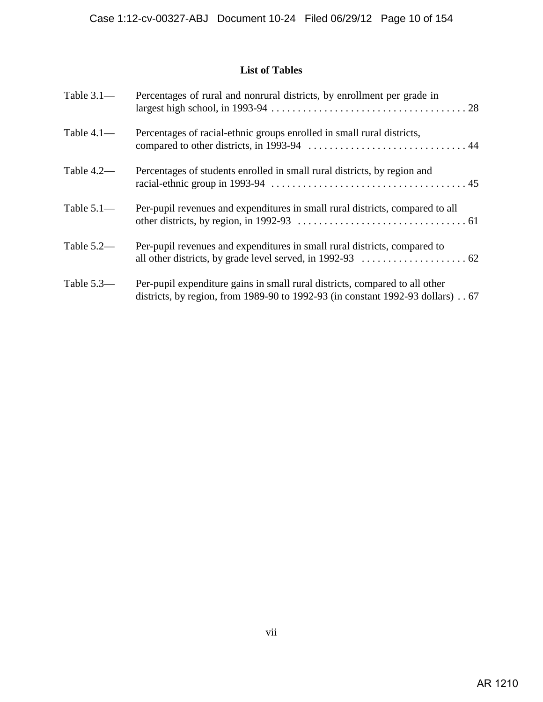## **List of Tables**

| Table $3.1-$ | Percentages of rural and nonrural districts, by enrollment per grade in                                                                                          |
|--------------|------------------------------------------------------------------------------------------------------------------------------------------------------------------|
| Table $4.1-$ | Percentages of racial-ethnic groups enrolled in small rural districts,                                                                                           |
| Table $4.2-$ | Percentages of students enrolled in small rural districts, by region and                                                                                         |
| Table $5.1-$ | Per-pupil revenues and expenditures in small rural districts, compared to all                                                                                    |
| Table $5.2-$ | Per-pupil revenues and expenditures in small rural districts, compared to                                                                                        |
| Table $5.3-$ | Per-pupil expenditure gains in small rural districts, compared to all other<br>districts, by region, from 1989-90 to 1992-93 (in constant 1992-93 dollars) $.67$ |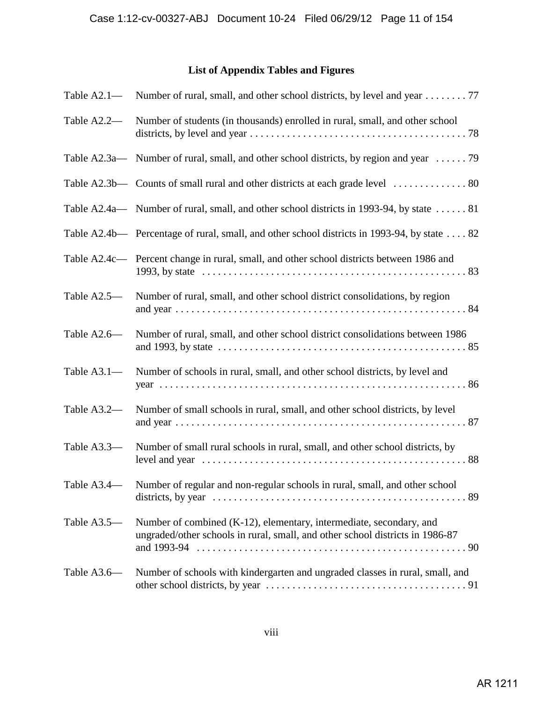## **List of Appendix Tables and Figures**

| Table $A2.1-$ | Number of rural, small, and other school districts, by level and year 77                                                                             |
|---------------|------------------------------------------------------------------------------------------------------------------------------------------------------|
| Table A2.2-   | Number of students (in thousands) enrolled in rural, small, and other school                                                                         |
| Table A2.3a-  | Number of rural, small, and other school districts, by region and year  79                                                                           |
|               |                                                                                                                                                      |
|               | Table A2.4a— Number of rural, small, and other school districts in 1993-94, by state  81                                                             |
|               | Table A2.4b— Percentage of rural, small, and other school districts in 1993-94, by state 82                                                          |
|               | Table A2.4c— Percent change in rural, small, and other school districts between 1986 and                                                             |
| Table A2.5-   | Number of rural, small, and other school district consolidations, by region                                                                          |
| Table A2.6-   | Number of rural, small, and other school district consolidations between 1986                                                                        |
| Table A3.1-   | Number of schools in rural, small, and other school districts, by level and                                                                          |
| Table A3.2-   | Number of small schools in rural, small, and other school districts, by level                                                                        |
| Table A3.3-   | Number of small rural schools in rural, small, and other school districts, by                                                                        |
|               | Table A3.4— Number of regular and non-regular schools in rural, small, and other school                                                              |
| Table A3.5-   | Number of combined (K-12), elementary, intermediate, secondary, and<br>ungraded/other schools in rural, small, and other school districts in 1986-87 |
| Table A3.6-   | Number of schools with kindergarten and ungraded classes in rural, small, and                                                                        |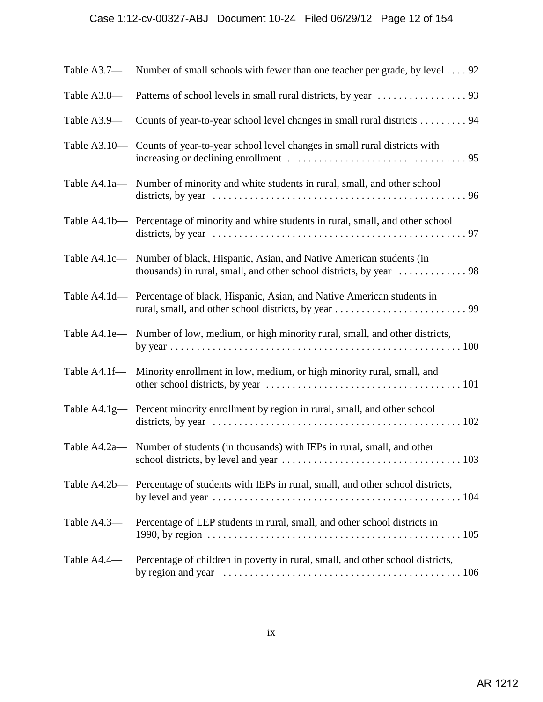# Case 1:12-cv-00327-ABJ Document 10-24 Filed 06/29/12 Page 12 of 154

| Table A3.7- | Number of small schools with fewer than one teacher per grade, by level 92                 |
|-------------|--------------------------------------------------------------------------------------------|
| Table A3.8- |                                                                                            |
| Table A3.9- | Counts of year-to-year school level changes in small rural districts 94                    |
|             | Table A3.10— Counts of year-to-year school level changes in small rural districts with     |
|             | Table A4.1a— Number of minority and white students in rural, small, and other school       |
|             | Table A4.1b— Percentage of minority and white students in rural, small, and other school   |
|             | Table A4.1c— Number of black, Hispanic, Asian, and Native American students (in            |
|             | Table A4.1d— Percentage of black, Hispanic, Asian, and Native American students in         |
|             | Table A4.1e— Number of low, medium, or high minority rural, small, and other districts,    |
|             | Table A4.1f— Minority enrollment in low, medium, or high minority rural, small, and        |
|             | Table A4.1g— Percent minority enrollment by region in rural, small, and other school       |
|             | Table A4.2a— Number of students (in thousands) with IEPs in rural, small, and other<br>103 |
|             | Table A4.2b— Percentage of students with IEPs in rural, small, and other school districts, |
| Table A4.3- | Percentage of LEP students in rural, small, and other school districts in                  |
| Table A4.4- | Percentage of children in poverty in rural, small, and other school districts,             |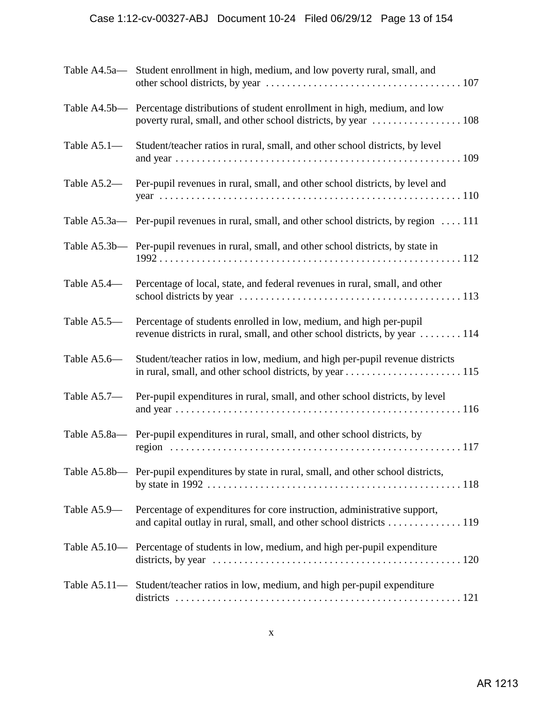# Case 1:12-cv-00327-ABJ Document 10-24 Filed 06/29/12 Page 13 of 154

|             | Table A4.5a— Student enrollment in high, medium, and low poverty rural, small, and                                                                |
|-------------|---------------------------------------------------------------------------------------------------------------------------------------------------|
|             | Table A4.5b— Percentage distributions of student enrollment in high, medium, and low                                                              |
| Table A5.1- | Student/teacher ratios in rural, small, and other school districts, by level                                                                      |
| Table A5.2— | Per-pupil revenues in rural, small, and other school districts, by level and                                                                      |
|             | Table A5.3a— Per-pupil revenues in rural, small, and other school districts, by region  111                                                       |
|             | Table A5.3b— Per-pupil revenues in rural, small, and other school districts, by state in                                                          |
| Table A5.4— | Percentage of local, state, and federal revenues in rural, small, and other                                                                       |
| Table A5.5- | Percentage of students enrolled in low, medium, and high per-pupil<br>revenue districts in rural, small, and other school districts, by year  114 |
| Table A5.6- | Student/teacher ratios in low, medium, and high per-pupil revenue districts                                                                       |
| Table A5.7- | Per-pupil expenditures in rural, small, and other school districts, by level                                                                      |
|             | Table A5.8a— Per-pupil expenditures in rural, small, and other school districts, by                                                               |
|             | Table A5.8b— Per-pupil expenditures by state in rural, small, and other school districts,                                                         |
| Table A5.9— | Percentage of expenditures for core instruction, administrative support,<br>and capital outlay in rural, small, and other school districts 119    |
|             | Table A5.10— Percentage of students in low, medium, and high per-pupil expenditure                                                                |
|             | Table A5.11— Student/teacher ratios in low, medium, and high per-pupil expenditure                                                                |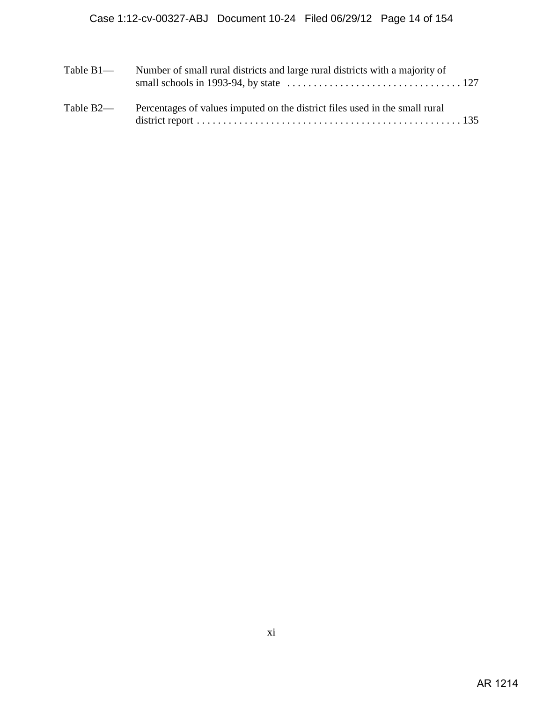| Table $B1$ — | Number of small rural districts and large rural districts with a majority of |
|--------------|------------------------------------------------------------------------------|
| Table B2-    | Percentages of values imputed on the district files used in the small rural  |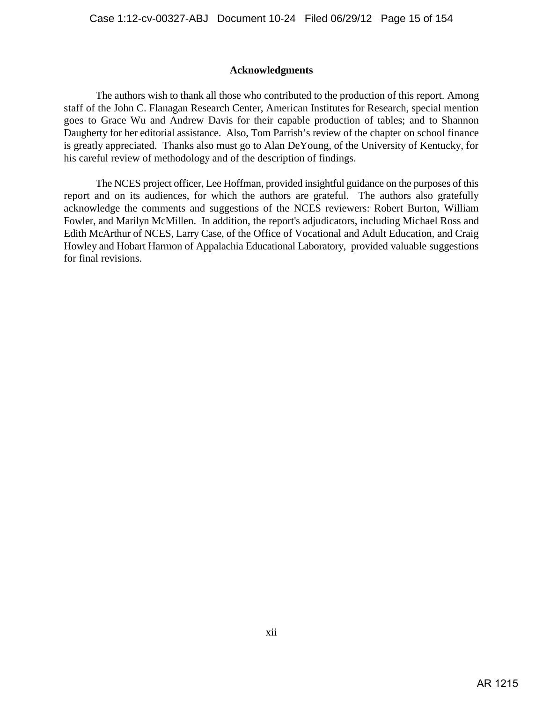## **Acknowledgments**

The authors wish to thank all those who contributed to the production of this report. Among staff of the John C. Flanagan Research Center, American Institutes for Research, special mention goes to Grace Wu and Andrew Davis for their capable production of tables; and to Shannon Daugherty for her editorial assistance. Also, Tom Parrish's review of the chapter on school finance is greatly appreciated. Thanks also must go to Alan DeYoung, of the University of Kentucky, for his careful review of methodology and of the description of findings.

The NCES project officer, Lee Hoffman, provided insightful guidance on the purposes of this report and on its audiences, for which the authors are grateful. The authors also gratefully acknowledge the comments and suggestions of the NCES reviewers: Robert Burton, William Fowler, and Marilyn McMillen. In addition, the report's adjudicators, including Michael Ross and Edith McArthur of NCES, Larry Case, of the Office of Vocational and Adult Education, and Craig Howley and Hobart Harmon of Appalachia Educational Laboratory, provided valuable suggestions for final revisions.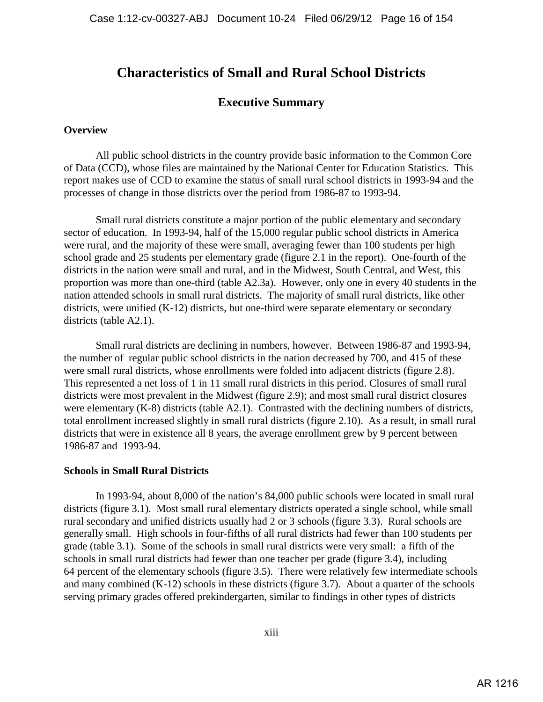# **Characteristics of Small and Rural School Districts**

## **Executive Summary**

## **Overview**

All public school districts in the country provide basic information to the Common Core of Data (CCD), whose files are maintained by the National Center for Education Statistics. This report makes use of CCD to examine the status of small rural school districts in 1993-94 and the processes of change in those districts over the period from 1986-87 to 1993-94.

Small rural districts constitute a major portion of the public elementary and secondary sector of education. In 1993-94, half of the 15,000 regular public school districts in America were rural, and the majority of these were small, averaging fewer than 100 students per high school grade and 25 students per elementary grade (figure 2.1 in the report). One-fourth of the districts in the nation were small and rural, and in the Midwest, South Central, and West, this proportion was more than one-third (table A2.3a). However, only one in every 40 students in the nation attended schools in small rural districts. The majority of small rural districts, like other districts, were unified (K-12) districts, but one-third were separate elementary or secondary districts (table A2.1).

Small rural districts are declining in numbers, however. Between 1986-87 and 1993-94, the number of regular public school districts in the nation decreased by 700, and 415 of these were small rural districts, whose enrollments were folded into adjacent districts (figure 2.8). This represented a net loss of 1 in 11 small rural districts in this period. Closures of small rural districts were most prevalent in the Midwest (figure 2.9); and most small rural district closures were elementary (K-8) districts (table A2.1). Contrasted with the declining numbers of districts, total enrollment increased slightly in small rural districts (figure 2.10). As a result, in small rural districts that were in existence all 8 years, the average enrollment grew by 9 percent between 1986-87 and 1993-94.

#### **Schools in Small Rural Districts**

In 1993-94, about 8,000 of the nation's 84,000 public schools were located in small rural districts (figure 3.1). Most small rural elementary districts operated a single school, while small rural secondary and unified districts usually had 2 or 3 schools (figure 3.3). Rural schools are generally small. High schools in four-fifths of all rural districts had fewer than 100 students per grade (table 3.1). Some of the schools in small rural districts were very small: a fifth of the schools in small rural districts had fewer than one teacher per grade (figure 3.4), including 64 percent of the elementary schools (figure 3.5). There were relatively few intermediate schools and many combined (K-12) schools in these districts (figure 3.7). About a quarter of the schools serving primary grades offered prekindergarten, similar to findings in other types of districts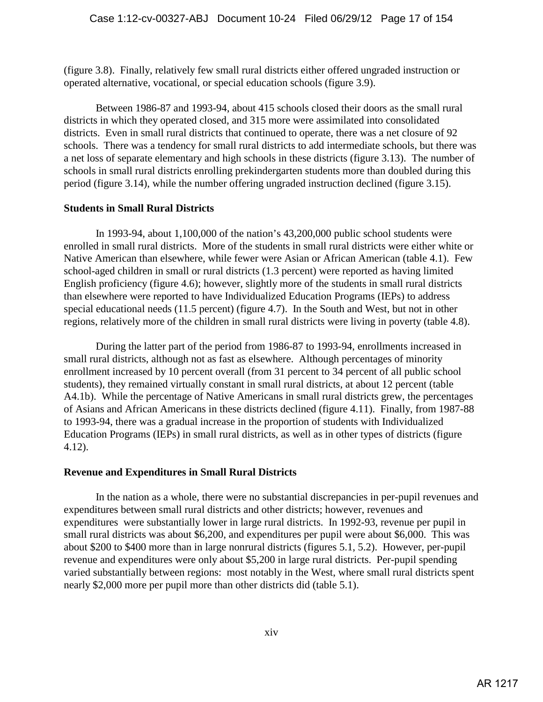(figure 3.8). Finally, relatively few small rural districts either offered ungraded instruction or operated alternative, vocational, or special education schools (figure 3.9).

Between 1986-87 and 1993-94, about 415 schools closed their doors as the small rural districts in which they operated closed, and 315 more were assimilated into consolidated districts. Even in small rural districts that continued to operate, there was a net closure of 92 schools. There was a tendency for small rural districts to add intermediate schools, but there was a net loss of separate elementary and high schools in these districts (figure 3.13). The number of schools in small rural districts enrolling prekindergarten students more than doubled during this period (figure 3.14), while the number offering ungraded instruction declined (figure 3.15).

## **Students in Small Rural Districts**

In 1993-94, about 1,100,000 of the nation's 43,200,000 public school students were enrolled in small rural districts. More of the students in small rural districts were either white or Native American than elsewhere, while fewer were Asian or African American (table 4.1). Few school-aged children in small or rural districts (1.3 percent) were reported as having limited English proficiency (figure 4.6); however, slightly more of the students in small rural districts than elsewhere were reported to have Individualized Education Programs (IEPs) to address special educational needs (11.5 percent) (figure 4.7). In the South and West, but not in other regions, relatively more of the children in small rural districts were living in poverty (table 4.8).

During the latter part of the period from 1986-87 to 1993-94, enrollments increased in small rural districts, although not as fast as elsewhere. Although percentages of minority enrollment increased by 10 percent overall (from 31 percent to 34 percent of all public school students), they remained virtually constant in small rural districts, at about 12 percent (table A4.1b). While the percentage of Native Americans in small rural districts grew, the percentages of Asians and African Americans in these districts declined (figure 4.11). Finally, from 1987-88 to 1993-94, there was a gradual increase in the proportion of students with Individualized Education Programs (IEPs) in small rural districts, as well as in other types of districts (figure 4.12).

## **Revenue and Expenditures in Small Rural Districts**

In the nation as a whole, there were no substantial discrepancies in per-pupil revenues and expenditures between small rural districts and other districts; however, revenues and expenditures were substantially lower in large rural districts. In 1992-93, revenue per pupil in small rural districts was about \$6,200, and expenditures per pupil were about \$6,000. This was about \$200 to \$400 more than in large nonrural districts (figures 5.1, 5.2). However, per-pupil revenue and expenditures were only about \$5,200 in large rural districts. Per-pupil spending varied substantially between regions: most notably in the West, where small rural districts spent nearly \$2,000 more per pupil more than other districts did (table 5.1).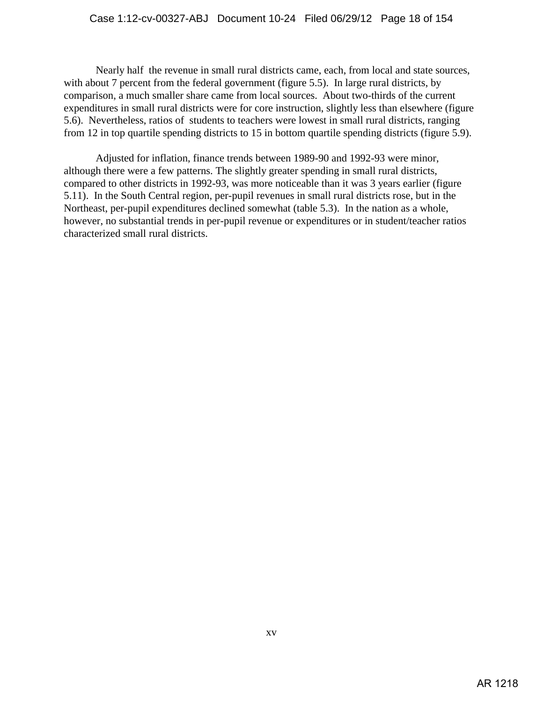Nearly half the revenue in small rural districts came, each, from local and state sources, with about 7 percent from the federal government (figure 5.5). In large rural districts, by comparison, a much smaller share came from local sources. About two-thirds of the current expenditures in small rural districts were for core instruction, slightly less than elsewhere (figure 5.6). Nevertheless, ratios of students to teachers were lowest in small rural districts, ranging from 12 in top quartile spending districts to 15 in bottom quartile spending districts (figure 5.9).

Adjusted for inflation, finance trends between 1989-90 and 1992-93 were minor, although there were a few patterns. The slightly greater spending in small rural districts, compared to other districts in 1992-93, was more noticeable than it was 3 years earlier (figure 5.11). In the South Central region, per-pupil revenues in small rural districts rose, but in the Northeast, per-pupil expenditures declined somewhat (table 5.3). In the nation as a whole, however, no substantial trends in per-pupil revenue or expenditures or in student/teacher ratios characterized small rural districts.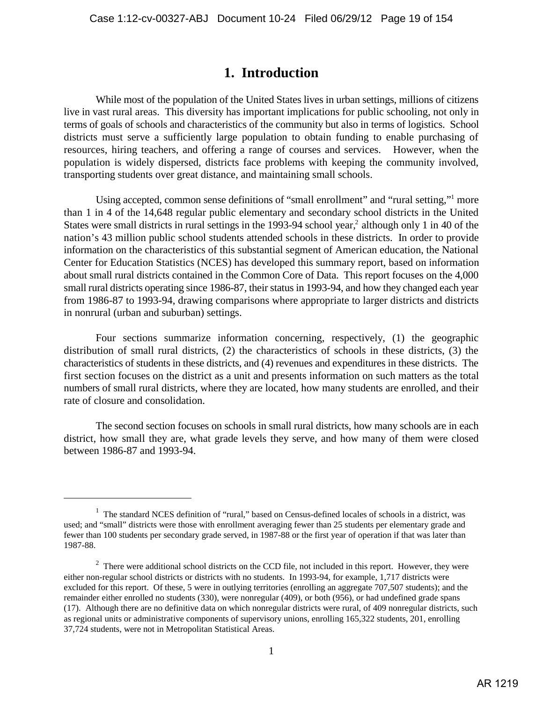# **1. Introduction**

While most of the population of the United States lives in urban settings, millions of citizens live in vast rural areas. This diversity has important implications for public schooling, not only in terms of goals of schools and characteristics of the community but also in terms of logistics. School districts must serve a sufficiently large population to obtain funding to enable purchasing of resources, hiring teachers, and offering a range of courses and services. However, when the population is widely dispersed, districts face problems with keeping the community involved, transporting students over great distance, and maintaining small schools.

Using accepted, common sense definitions of "small enrollment" and "rural setting," more than 1 in 4 of the 14,648 regular public elementary and secondary school districts in the United States were small districts in rural settings in the 1993-94 school year, $\frac{2}{3}$  although only 1 in 40 of the nation's 43 million public school students attended schools in these districts. In order to provide information on the characteristics of this substantial segment of American education, the National Center for Education Statistics (NCES) has developed this summary report, based on information about small rural districts contained in the Common Core of Data. This report focuses on the 4,000 small rural districts operating since 1986-87, their status in 1993-94, and how they changed each year from 1986-87 to 1993-94, drawing comparisons where appropriate to larger districts and districts in nonrural (urban and suburban) settings.

Four sections summarize information concerning, respectively, (1) the geographic distribution of small rural districts, (2) the characteristics of schools in these districts, (3) the characteristics of students in these districts, and (4) revenues and expenditures in these districts. The first section focuses on the district as a unit and presents information on such matters as the total numbers of small rural districts, where they are located, how many students are enrolled, and their rate of closure and consolidation.

The second section focuses on schools in small rural districts, how many schools are in each district, how small they are, what grade levels they serve, and how many of them were closed between 1986-87 and 1993-94.

 $1$  The standard NCES definition of "rural," based on Census-defined locales of schools in a district, was used; and "small" districts were those with enrollment averaging fewer than 25 students per elementary grade and fewer than 100 students per secondary grade served, in 1987-88 or the first year of operation if that was later than 1987-88.

 $2$  There were additional school districts on the CCD file, not included in this report. However, they were either non-regular school districts or districts with no students. In 1993-94, for example, 1,717 districts were excluded for this report. Of these, 5 were in outlying territories (enrolling an aggregate 707,507 students); and the remainder either enrolled no students (330), were nonregular (409), or both (956), or had undefined grade spans (17). Although there are no definitive data on which nonregular districts were rural, of 409 nonregular districts, such as regional units or administrative components of supervisory unions, enrolling 165,322 students, 201, enrolling 37,724 students, were not in Metropolitan Statistical Areas.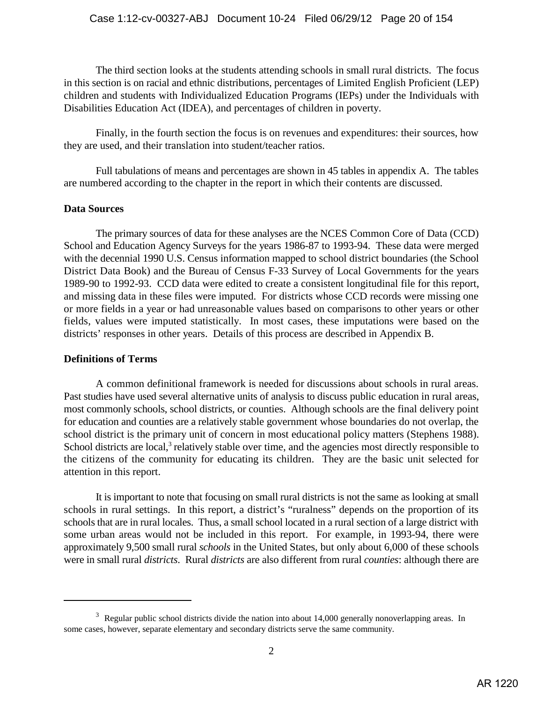The third section looks at the students attending schools in small rural districts. The focus in this section is on racial and ethnic distributions, percentages of Limited English Proficient (LEP) children and students with Individualized Education Programs (IEPs) under the Individuals with Disabilities Education Act (IDEA), and percentages of children in poverty.

Finally, in the fourth section the focus is on revenues and expenditures: their sources, how they are used, and their translation into student/teacher ratios.

Full tabulations of means and percentages are shown in 45 tables in appendix A. The tables are numbered according to the chapter in the report in which their contents are discussed.

## **Data Sources**

The primary sources of data for these analyses are the NCES Common Core of Data (CCD) School and Education Agency Surveys for the years 1986-87 to 1993-94. These data were merged with the decennial 1990 U.S. Census information mapped to school district boundaries (the School District Data Book) and the Bureau of Census F-33 Survey of Local Governments for the years 1989-90 to 1992-93. CCD data were edited to create a consistent longitudinal file for this report, and missing data in these files were imputed. For districts whose CCD records were missing one or more fields in a year or had unreasonable values based on comparisons to other years or other fields, values were imputed statistically. In most cases, these imputations were based on the districts' responses in other years. Details of this process are described in Appendix B.

## **Definitions of Terms**

A common definitional framework is needed for discussions about schools in rural areas. Past studies have used several alternative units of analysis to discuss public education in rural areas, most commonly schools, school districts, or counties. Although schools are the final delivery point for education and counties are a relatively stable government whose boundaries do not overlap, the school district is the primary unit of concern in most educational policy matters (Stephens 1988). School districts are local, $3$  relatively stable over time, and the agencies most directly responsible to the citizens of the community for educating its children. They are the basic unit selected for attention in this report.

It is important to note that focusing on small rural districts is not the same as looking at small schools in rural settings. In this report, a district's "ruralness" depends on the proportion of its schools that are in rural locales. Thus, a small school located in a rural section of a large district with some urban areas would not be included in this report. For example, in 1993-94, there were approximately 9,500 small rural *schools* in the United States, but only about 6,000 of these schools were in small rural *districts*. Rural *districts* are also different from rural *counties*: although there are

 $3\text{}$  Regular public school districts divide the nation into about 14,000 generally nonoverlapping areas. In some cases, however, separate elementary and secondary districts serve the same community.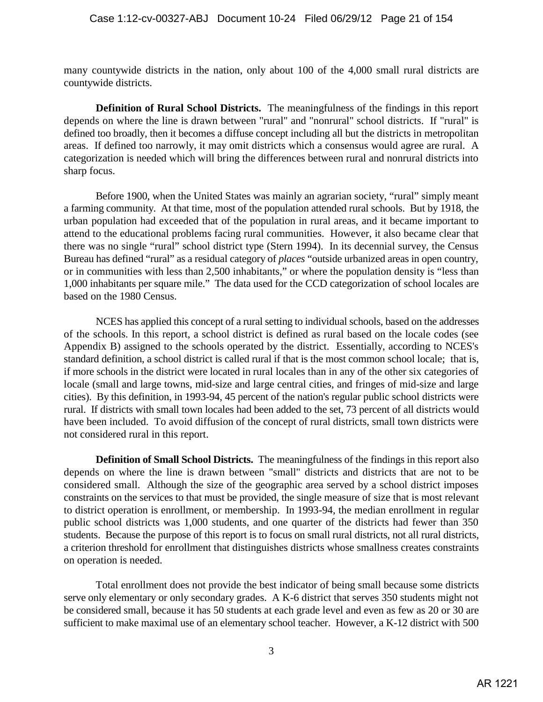many countywide districts in the nation, only about 100 of the 4,000 small rural districts are countywide districts.

**Definition of Rural School Districts.** The meaningfulness of the findings in this report depends on where the line is drawn between "rural" and "nonrural" school districts. If "rural" is defined too broadly, then it becomes a diffuse concept including all but the districts in metropolitan areas. If defined too narrowly, it may omit districts which a consensus would agree are rural. A categorization is needed which will bring the differences between rural and nonrural districts into sharp focus.

Before 1900, when the United States was mainly an agrarian society, "rural" simply meant a farming community. At that time, most of the population attended rural schools. But by 1918, the urban population had exceeded that of the population in rural areas, and it became important to attend to the educational problems facing rural communities. However, it also became clear that there was no single "rural" school district type (Stern 1994). In its decennial survey, the Census Bureau has defined "rural" as a residual category of *places* "outside urbanized areas in open country, or in communities with less than 2,500 inhabitants," or where the population density is "less than 1,000 inhabitants per square mile." The data used for the CCD categorization of school locales are based on the 1980 Census.

NCES has applied this concept of a rural setting to individual schools, based on the addresses of the schools. In this report, a school district is defined as rural based on the locale codes (see Appendix B) assigned to the schools operated by the district. Essentially, according to NCES's standard definition, a school district is called rural if that is the most common school locale; that is, if more schools in the district were located in rural locales than in any of the other six categories of locale (small and large towns, mid-size and large central cities, and fringes of mid-size and large cities). By this definition, in 1993-94, 45 percent of the nation's regular public school districts were rural. If districts with small town locales had been added to the set, 73 percent of all districts would have been included. To avoid diffusion of the concept of rural districts, small town districts were not considered rural in this report.

**Definition of Small School Districts.** The meaningfulness of the findings in this report also depends on where the line is drawn between "small" districts and districts that are not to be considered small. Although the size of the geographic area served by a school district imposes constraints on the services to that must be provided, the single measure of size that is most relevant to district operation is enrollment, or membership. In 1993-94, the median enrollment in regular public school districts was 1,000 students, and one quarter of the districts had fewer than 350 students. Because the purpose of this report is to focus on small rural districts, not all rural districts, a criterion threshold for enrollment that distinguishes districts whose smallness creates constraints on operation is needed.

Total enrollment does not provide the best indicator of being small because some districts serve only elementary or only secondary grades. A K-6 district that serves 350 students might not be considered small, because it has 50 students at each grade level and even as few as 20 or 30 are sufficient to make maximal use of an elementary school teacher. However, a K-12 district with 500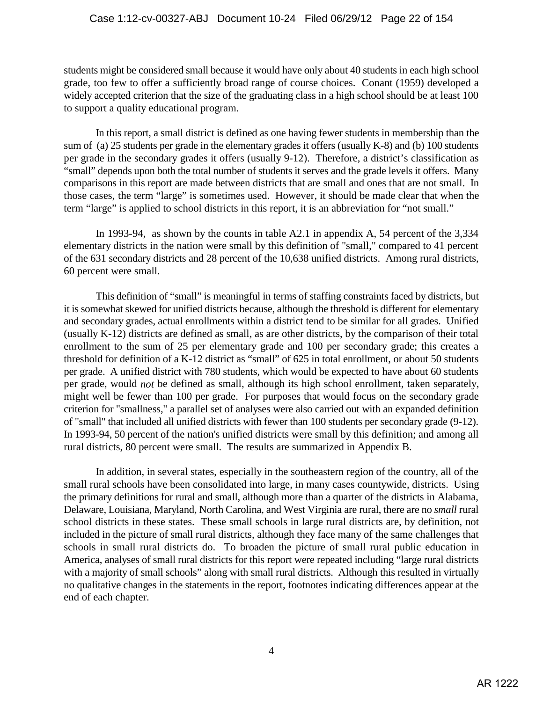students might be considered small because it would have only about 40 students in each high school grade, too few to offer a sufficiently broad range of course choices. Conant (1959) developed a widely accepted criterion that the size of the graduating class in a high school should be at least 100 to support a quality educational program.

In this report, a small district is defined as one having fewer students in membership than the sum of (a) 25 students per grade in the elementary grades it offers (usually K-8) and (b) 100 students per grade in the secondary grades it offers (usually 9-12). Therefore, a district's classification as "small" depends upon both the total number of students it serves and the grade levels it offers. Many comparisons in this report are made between districts that are small and ones that are not small. In those cases, the term "large" is sometimes used. However, it should be made clear that when the term "large" is applied to school districts in this report, it is an abbreviation for "not small."

In 1993-94, as shown by the counts in table A2.1 in appendix A, 54 percent of the 3,334 elementary districts in the nation were small by this definition of "small," compared to 41 percent of the 631 secondary districts and 28 percent of the 10,638 unified districts. Among rural districts, 60 percent were small.

This definition of "small" is meaningful in terms of staffing constraints faced by districts, but it is somewhat skewed for unified districts because, although the threshold is different for elementary and secondary grades, actual enrollments within a district tend to be similar for all grades. Unified (usually K-12) districts are defined as small, as are other districts, by the comparison of their total enrollment to the sum of 25 per elementary grade and 100 per secondary grade; this creates a threshold for definition of a K-12 district as "small" of 625 in total enrollment, or about 50 students per grade. A unified district with 780 students, which would be expected to have about 60 students per grade, would *not* be defined as small, although its high school enrollment, taken separately, might well be fewer than 100 per grade. For purposes that would focus on the secondary grade criterion for "smallness," a parallel set of analyses were also carried out with an expanded definition of "small" that included all unified districts with fewer than 100 students per secondary grade (9-12). In 1993-94, 50 percent of the nation's unified districts were small by this definition; and among all rural districts, 80 percent were small. The results are summarized in Appendix B.

In addition, in several states, especially in the southeastern region of the country, all of the small rural schools have been consolidated into large, in many cases countywide, districts. Using the primary definitions for rural and small, although more than a quarter of the districts in Alabama, Delaware, Louisiana, Maryland, North Carolina, and West Virginia are rural, there are no *small* rural school districts in these states. These small schools in large rural districts are, by definition, not included in the picture of small rural districts, although they face many of the same challenges that schools in small rural districts do. To broaden the picture of small rural public education in America, analyses of small rural districts for this report were repeated including "large rural districts with a majority of small schools" along with small rural districts. Although this resulted in virtually no qualitative changes in the statements in the report, footnotes indicating differences appear at the end of each chapter.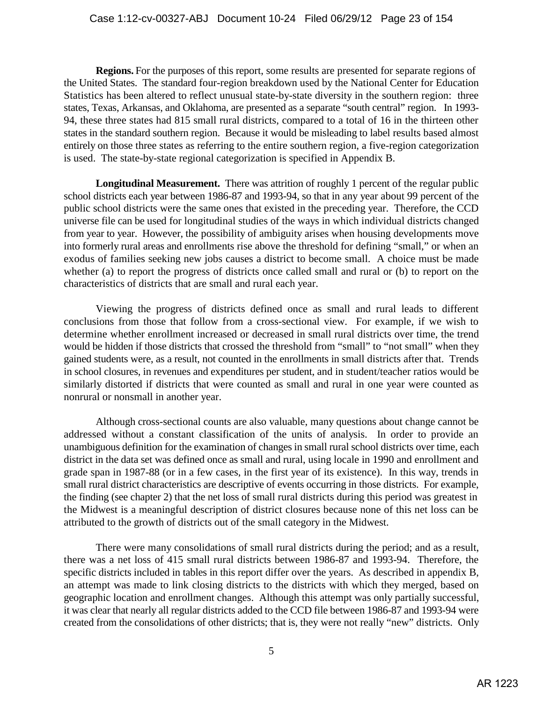**Regions.** For the purposes of this report, some results are presented for separate regions of the United States. The standard four-region breakdown used by the National Center for Education Statistics has been altered to reflect unusual state-by-state diversity in the southern region: three states, Texas, Arkansas, and Oklahoma, are presented as a separate "south central" region. In 1993- 94, these three states had 815 small rural districts, compared to a total of 16 in the thirteen other states in the standard southern region. Because it would be misleading to label results based almost entirely on those three states as referring to the entire southern region, a five-region categorization is used. The state-by-state regional categorization is specified in Appendix B.

**Longitudinal Measurement.** There was attrition of roughly 1 percent of the regular public school districts each year between 1986-87 and 1993-94, so that in any year about 99 percent of the public school districts were the same ones that existed in the preceding year. Therefore, the CCD universe file can be used for longitudinal studies of the ways in which individual districts changed from year to year. However, the possibility of ambiguity arises when housing developments move into formerly rural areas and enrollments rise above the threshold for defining "small," or when an exodus of families seeking new jobs causes a district to become small. A choice must be made whether (a) to report the progress of districts once called small and rural or (b) to report on the characteristics of districts that are small and rural each year.

Viewing the progress of districts defined once as small and rural leads to different conclusions from those that follow from a cross-sectional view. For example, if we wish to determine whether enrollment increased or decreased in small rural districts over time, the trend would be hidden if those districts that crossed the threshold from "small" to "not small" when they gained students were, as a result, not counted in the enrollments in small districts after that. Trends in school closures, in revenues and expenditures per student, and in student/teacher ratios would be similarly distorted if districts that were counted as small and rural in one year were counted as nonrural or nonsmall in another year.

Although cross-sectional counts are also valuable, many questions about change cannot be addressed without a constant classification of the units of analysis. In order to provide an unambiguous definition for the examination of changes in small rural school districts over time, each district in the data set was defined once as small and rural, using locale in 1990 and enrollment and grade span in 1987-88 (or in a few cases, in the first year of its existence). In this way, trends in small rural district characteristics are descriptive of events occurring in those districts. For example, the finding (see chapter 2) that the net loss of small rural districts during this period was greatest in the Midwest is a meaningful description of district closures because none of this net loss can be attributed to the growth of districts out of the small category in the Midwest.

There were many consolidations of small rural districts during the period; and as a result, there was a net loss of 415 small rural districts between 1986-87 and 1993-94. Therefore, the specific districts included in tables in this report differ over the years. As described in appendix B, an attempt was made to link closing districts to the districts with which they merged, based on geographic location and enrollment changes. Although this attempt was only partially successful, it was clear that nearly all regular districts added to the CCD file between 1986-87 and 1993-94 were created from the consolidations of other districts; that is, they were not really "new" districts. Only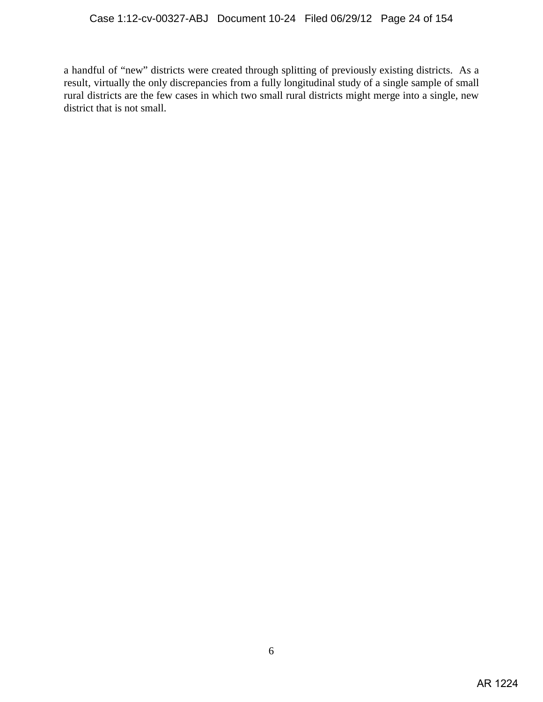a handful of "new" districts were created through splitting of previously existing districts. As a result, virtually the only discrepancies from a fully longitudinal study of a single sample of small rural districts are the few cases in which two small rural districts might merge into a single, new district that is not small.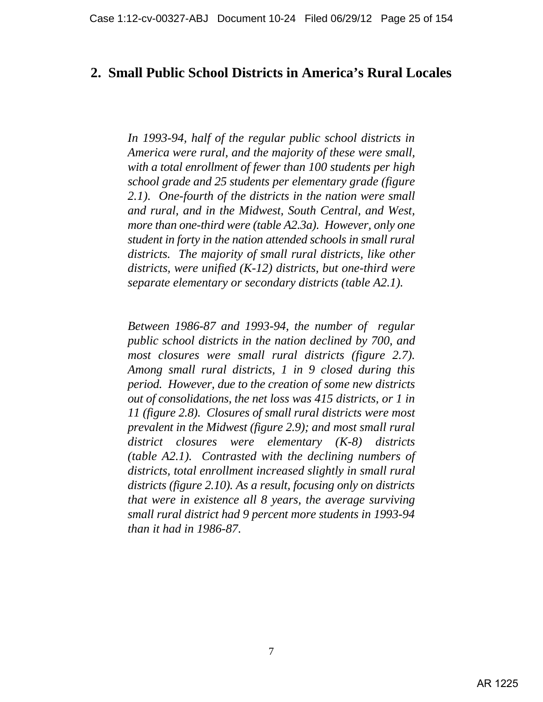# **2. Small Public School Districts in America's Rural Locales**

*In 1993-94, half of the regular public school districts in America were rural, and the majority of these were small, with a total enrollment of fewer than 100 students per high school grade and 25 students per elementary grade (figure 2.1). One-fourth of the districts in the nation were small and rural, and in the Midwest, South Central, and West, more than one-third were (table A2.3a). However, only one student in forty in the nation attended schools in small rural districts. The majority of small rural districts, like other districts, were unified (K-12) districts, but one-third were separate elementary or secondary districts (table A2.1).*

*Between 1986-87 and 1993-94, the number of regular public school districts in the nation declined by 700, and most closures were small rural districts (figure 2.7). Among small rural districts, 1 in 9 closed during this period. However, due to the creation of some new districts out of consolidations, the net loss was 415 districts, or 1 in 11 (figure 2.8). Closures of small rural districts were most prevalent in the Midwest (figure 2.9); and most small rural district closures were elementary (K-8) districts (table A2.1). Contrasted with the declining numbers of districts, total enrollment increased slightly in small rural districts (figure 2.10). As a result, focusing only on districts that were in existence all 8 years, the average surviving small rural district had 9 percent more students in 1993-94 than it had in 1986-87*.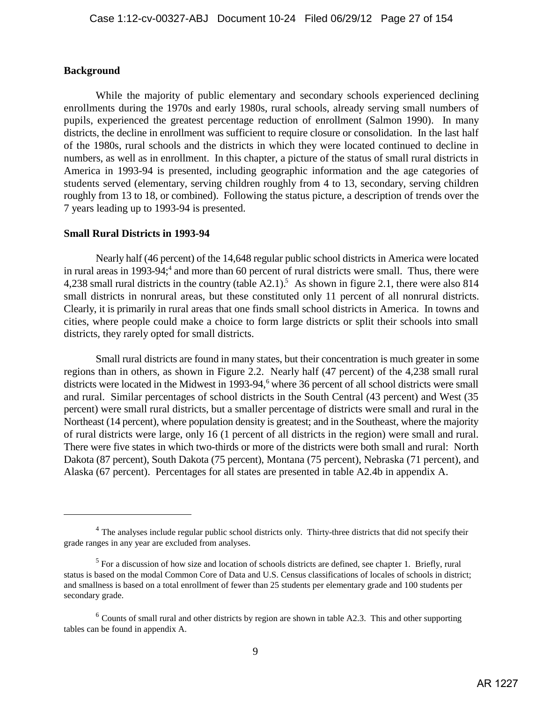#### **Background**

While the majority of public elementary and secondary schools experienced declining enrollments during the 1970s and early 1980s, rural schools, already serving small numbers of pupils, experienced the greatest percentage reduction of enrollment (Salmon 1990). In many districts, the decline in enrollment was sufficient to require closure or consolidation. In the last half of the 1980s, rural schools and the districts in which they were located continued to decline in numbers, as well as in enrollment. In this chapter, a picture of the status of small rural districts in America in 1993-94 is presented, including geographic information and the age categories of students served (elementary, serving children roughly from 4 to 13, secondary, serving children roughly from 13 to 18, or combined). Following the status picture, a description of trends over the 7 years leading up to 1993-94 is presented.

#### **Small Rural Districts in 1993-94**

Nearly half (46 percent) of the 14,648 regular public school districts in America were located in rural areas in 1993-94;<sup>4</sup> and more than 60 percent of rural districts were small. Thus, there were 4,238 small rural districts in the country (table A2.1).<sup>5</sup> As shown in figure 2.1, there were also 814 small districts in nonrural areas, but these constituted only 11 percent of all nonrural districts. Clearly, it is primarily in rural areas that one finds small school districts in America. In towns and cities, where people could make a choice to form large districts or split their schools into small districts, they rarely opted for small districts.

Small rural districts are found in many states, but their concentration is much greater in some regions than in others, as shown in Figure 2.2. Nearly half (47 percent) of the 4,238 small rural districts were located in the Midwest in 1993-94, $\degree$  where 36 percent of all school districts were small and rural. Similar percentages of school districts in the South Central (43 percent) and West (35 percent) were small rural districts, but a smaller percentage of districts were small and rural in the Northeast (14 percent), where population density is greatest; and in the Southeast, where the majority of rural districts were large, only 16 (1 percent of all districts in the region) were small and rural. There were five states in which two-thirds or more of the districts were both small and rural: North Dakota (87 percent), South Dakota (75 percent), Montana (75 percent), Nebraska (71 percent), and Alaska (67 percent). Percentages for all states are presented in table A2.4b in appendix A.

<sup>&</sup>lt;sup>4</sup> The analyses include regular public school districts only. Thirty-three districts that did not specify their grade ranges in any year are excluded from analyses.

 $5$  For a discussion of how size and location of schools districts are defined, see chapter 1. Briefly, rural status is based on the modal Common Core of Data and U.S. Census classifications of locales of schools in district; and smallness is based on a total enrollment of fewer than 25 students per elementary grade and 100 students per secondary grade.

 $6$  Counts of small rural and other districts by region are shown in table A2.3. This and other supporting tables can be found in appendix A.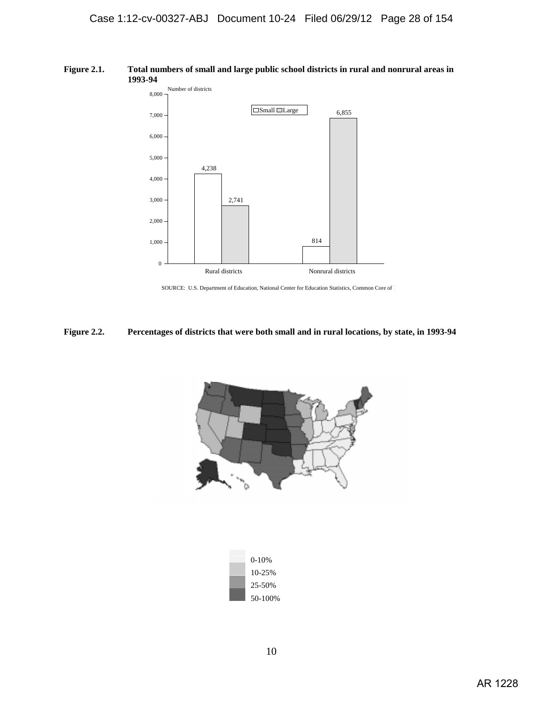#### **Figure 2.1. Total numbers of small and large public school districts in rural and nonrural areas in 1993-94**



SOURCE: U.S. Department of Education, National Center for Education Statistics, Common Core of D

#### **Figure 2.2. Percentages of districts that were both small and in rural locations, by state, in 1993-94**



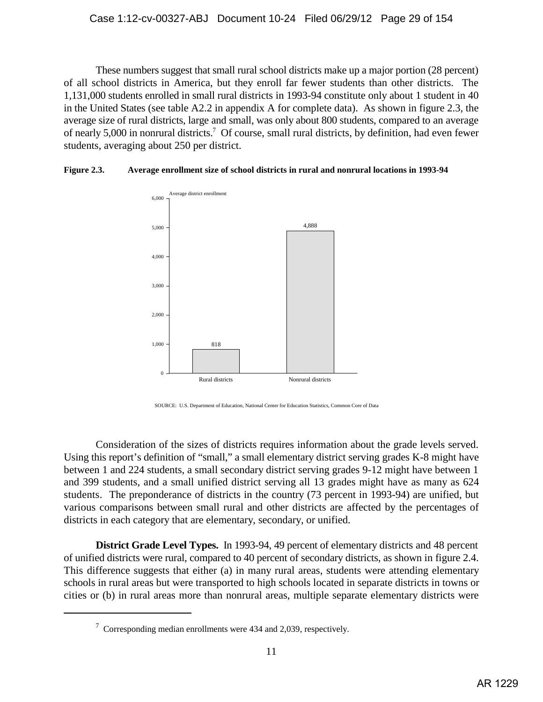These numbers suggest that small rural school districts make up a major portion (28 percent) of all school districts in America, but they enroll far fewer students than other districts. The 1,131,000 students enrolled in small rural districts in 1993-94 constitute only about 1 student in 40 in the United States (see table A2.2 in appendix A for complete data). As shown in figure 2.3, the average size of rural districts, large and small, was only about 800 students, compared to an average of nearly 5,000 in nonrural districts.<sup>7</sup> Of course, small rural districts, by definition, had even fewer students, averaging about 250 per district.

## **Figure 2.3. Average enrollment size of school districts in rural and nonrural locations in 1993-94**



SOURCE: U.S. Department of Education, National Center for Education Statistics, Common Core of Data

Consideration of the sizes of districts requires information about the grade levels served. Using this report's definition of "small," a small elementary district serving grades K-8 might have between 1 and 224 students, a small secondary district serving grades 9-12 might have between 1 and 399 students, and a small unified district serving all 13 grades might have as many as 624 students. The preponderance of districts in the country (73 percent in 1993-94) are unified, but various comparisons between small rural and other districts are affected by the percentages of districts in each category that are elementary, secondary, or unified.

**District Grade Level Types.** In 1993-94, 49 percent of elementary districts and 48 percent of unified districts were rural, compared to 40 percent of secondary districts, as shown in figure 2.4. This difference suggests that either (a) in many rural areas, students were attending elementary schools in rural areas but were transported to high schools located in separate districts in towns or cities or (b) in rural areas more than nonrural areas, multiple separate elementary districts were

 $\frac{7}{1}$  Corresponding median enrollments were 434 and 2,039, respectively.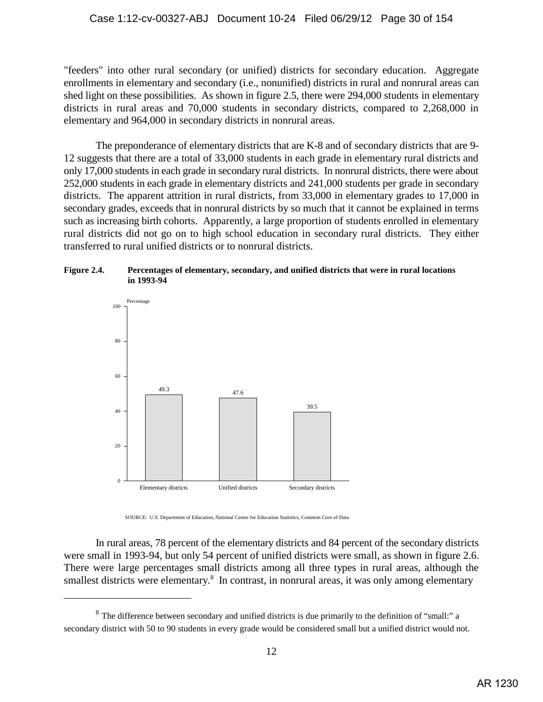"feeders" into other rural secondary (or unified) districts for secondary education. Aggregate enrollments in elementary and secondary (i.e., nonunified) districts in rural and nonrural areas can shed light on these possibilities. As shown in figure 2.5, there were 294,000 students in elementary districts in rural areas and 70,000 students in secondary districts, compared to 2,268,000 in elementary and 964,000 in secondary districts in nonrural areas.

The preponderance of elementary districts that are K-8 and of secondary districts that are 9- 12 suggests that there are a total of 33,000 students in each grade in elementary rural districts and only 17,000 students in each grade in secondary rural districts. In nonrural districts, there were about 252,000 students in each grade in elementary districts and 241,000 students per grade in secondary districts. The apparent attrition in rural districts, from 33,000 in elementary grades to 17,000 in secondary grades, exceeds that in nonrural districts by so much that it cannot be explained in terms such as increasing birth cohorts. Apparently, a large proportion of students enrolled in elementary rural districts did not go on to high school education in secondary rural districts. They either transferred to rural unified districts or to nonrural districts.





SOURCE: U.S. Department of Education, National Center for Education Statistics, Common Core of Data

In rural areas, 78 percent of the elementary districts and 84 percent of the secondary districts were small in 1993-94, but only 54 percent of unified districts were small, as shown in figure 2.6. There were large percentages small districts among all three types in rural areas, although the smallest districts were elementary.<sup>8</sup> In contrast, in nonrural areas, it was only among elementary

 $8$  The difference between secondary and unified districts is due primarily to the definition of "small:" a secondary district with 50 to 90 students in every grade would be considered small but a unified district would not.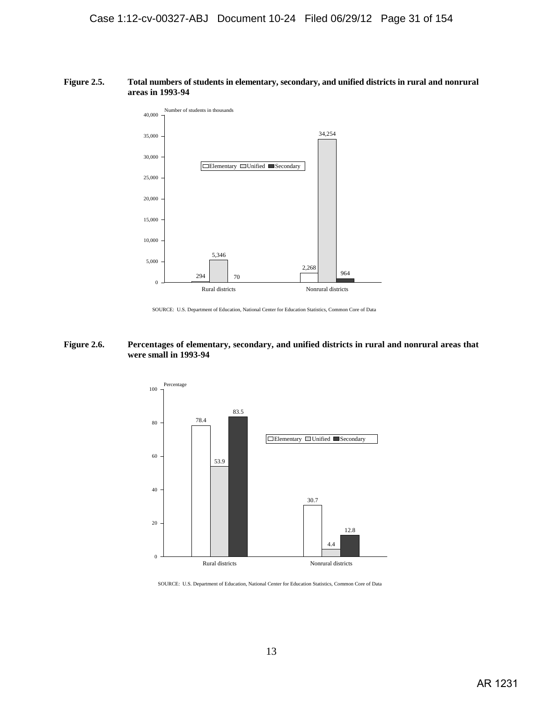#### **Figure 2.5. Total numbers of students in elementary, secondary, and unified districts in rural and nonrural areas in 1993-94**



SOURCE: U.S. Department of Education, National Center for Education Statistics, Common Core of Data

#### **Figure 2.6. Percentages of elementary, secondary, and unified districts in rural and nonrural areas that were small in 1993-94**



SOURCE: U.S. Department of Education, National Center for Education Statistics, Common Core of Data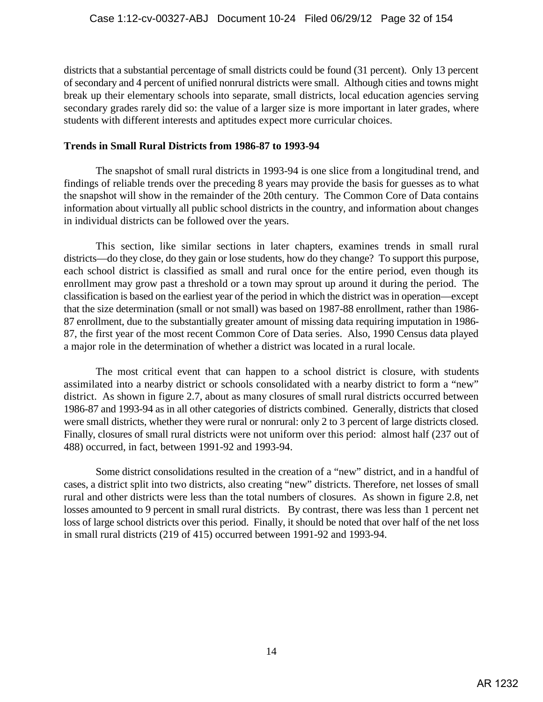districts that a substantial percentage of small districts could be found (31 percent). Only 13 percent of secondary and 4 percent of unified nonrural districts were small. Although cities and towns might break up their elementary schools into separate, small districts, local education agencies serving secondary grades rarely did so: the value of a larger size is more important in later grades, where students with different interests and aptitudes expect more curricular choices.

## **Trends in Small Rural Districts from 1986-87 to 1993-94**

The snapshot of small rural districts in 1993-94 is one slice from a longitudinal trend, and findings of reliable trends over the preceding 8 years may provide the basis for guesses as to what the snapshot will show in the remainder of the 20th century. The Common Core of Data contains information about virtually all public school districts in the country, and information about changes in individual districts can be followed over the years.

This section, like similar sections in later chapters, examines trends in small rural districts—do they close, do they gain or lose students, how do they change? To support this purpose, each school district is classified as small and rural once for the entire period, even though its enrollment may grow past a threshold or a town may sprout up around it during the period. The classification is based on the earliest year of the period in which the district was in operation—except that the size determination (small or not small) was based on 1987-88 enrollment, rather than 1986- 87 enrollment, due to the substantially greater amount of missing data requiring imputation in 1986- 87, the first year of the most recent Common Core of Data series. Also, 1990 Census data played a major role in the determination of whether a district was located in a rural locale.

The most critical event that can happen to a school district is closure, with students assimilated into a nearby district or schools consolidated with a nearby district to form a "new" district. As shown in figure 2.7, about as many closures of small rural districts occurred between 1986-87 and 1993-94 as in all other categories of districts combined. Generally, districts that closed were small districts, whether they were rural or nonrural: only 2 to 3 percent of large districts closed. Finally, closures of small rural districts were not uniform over this period: almost half (237 out of 488) occurred, in fact, between 1991-92 and 1993-94.

Some district consolidations resulted in the creation of a "new" district, and in a handful of cases, a district split into two districts, also creating "new" districts. Therefore, net losses of small rural and other districts were less than the total numbers of closures. As shown in figure 2.8, net losses amounted to 9 percent in small rural districts. By contrast, there was less than 1 percent net loss of large school districts over this period. Finally, it should be noted that over half of the net loss in small rural districts (219 of 415) occurred between 1991-92 and 1993-94.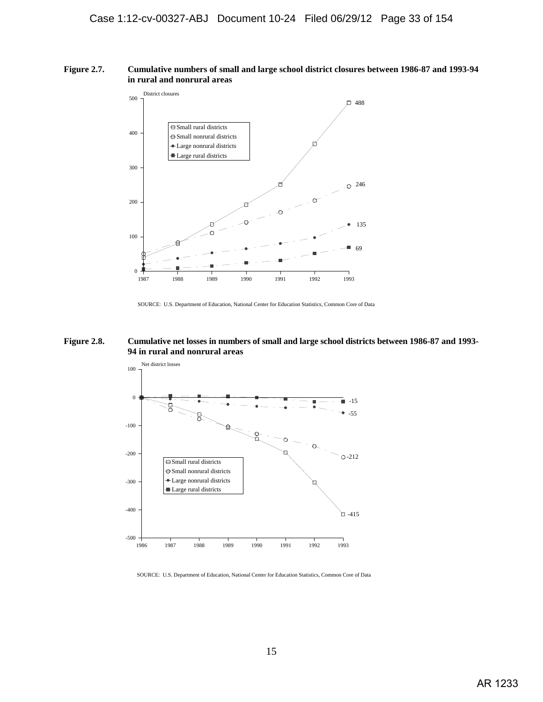#### **Figure 2.7. Cumulative numbers of small and large school district closures between 1986-87 and 1993-94 in rural and nonrural areas**



SOURCE: U.S. Department of Education, National Center for Education Statistics, Common Core of Data

#### **Figure 2.8. Cumulative net losses in numbers of small and large school districts between 1986-87 and 1993- 94 in rural and nonrural areas**



SOURCE: U.S. Department of Education, National Center for Education Statistics, Common Core of Data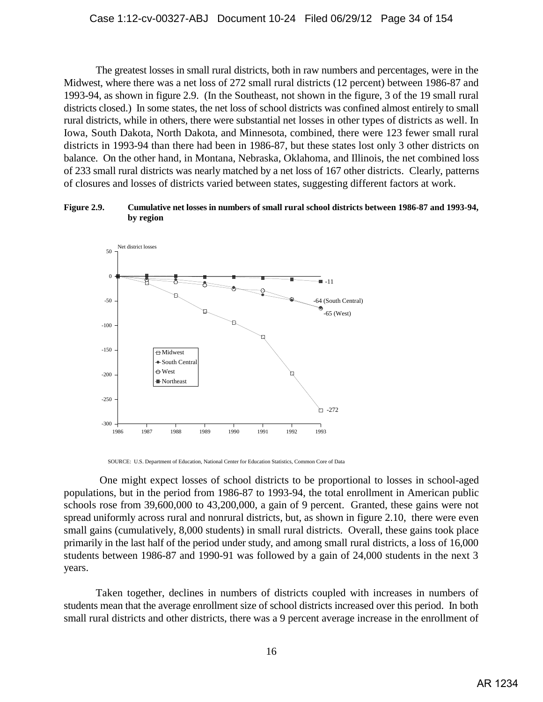The greatest losses in small rural districts, both in raw numbers and percentages, were in the Midwest, where there was a net loss of 272 small rural districts (12 percent) between 1986-87 and 1993-94, as shown in figure 2.9. (In the Southeast, not shown in the figure, 3 of the 19 small rural districts closed.) In some states, the net loss of school districts was confined almost entirely to small rural districts, while in others, there were substantial net losses in other types of districts as well. In Iowa, South Dakota, North Dakota, and Minnesota, combined, there were 123 fewer small rural districts in 1993-94 than there had been in 1986-87, but these states lost only 3 other districts on balance. On the other hand, in Montana, Nebraska, Oklahoma, and Illinois, the net combined loss of 233 small rural districts was nearly matched by a net loss of 167 other districts. Clearly, patterns of closures and losses of districts varied between states, suggesting different factors at work.

#### **Figure 2.9. Cumulative net losses in numbers of small rural school districts between 1986-87 and 1993-94, by region**



SOURCE: U.S. Department of Education, National Center for Education Statistics, Common Core of Data

 One might expect losses of school districts to be proportional to losses in school-aged populations, but in the period from 1986-87 to 1993-94, the total enrollment in American public schools rose from 39,600,000 to 43,200,000, a gain of 9 percent. Granted, these gains were not spread uniformly across rural and nonrural districts, but, as shown in figure 2.10, there were even small gains (cumulatively, 8,000 students) in small rural districts. Overall, these gains took place primarily in the last half of the period under study, and among small rural districts, a loss of 16,000 students between 1986-87 and 1990-91 was followed by a gain of 24,000 students in the next 3 years.

Taken together, declines in numbers of districts coupled with increases in numbers of students mean that the average enrollment size of school districts increased over this period. In both small rural districts and other districts, there was a 9 percent average increase in the enrollment of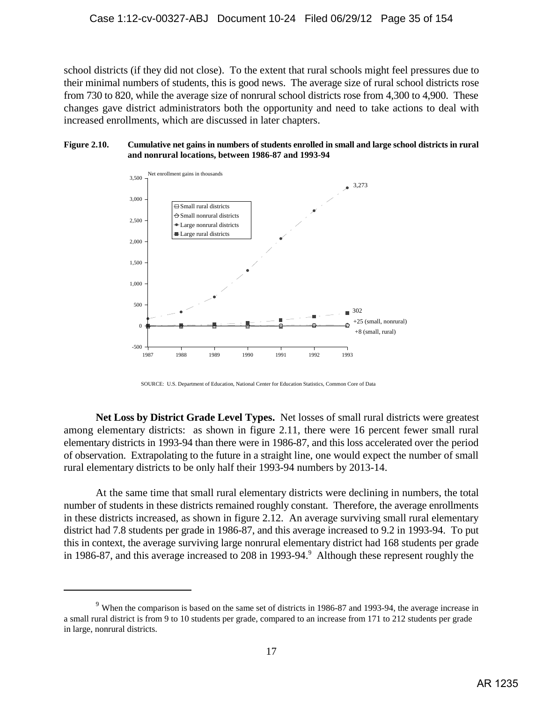school districts (if they did not close). To the extent that rural schools might feel pressures due to their minimal numbers of students, this is good news. The average size of rural school districts rose from 730 to 820, while the average size of nonrural school districts rose from 4,300 to 4,900. These changes gave district administrators both the opportunity and need to take actions to deal with increased enrollments, which are discussed in later chapters.

#### **Figure 2.10. Cumulative net gains in numbers of students enrolled in small and large school districts in rural and nonrural locations, between 1986-87 and 1993-94**



SOURCE: U.S. Department of Education, National Center for Education Statistics, Common Core of Data

**Net Loss by District Grade Level Types.** Net losses of small rural districts were greatest among elementary districts: as shown in figure 2.11, there were 16 percent fewer small rural elementary districts in 1993-94 than there were in 1986-87, and this loss accelerated over the period of observation. Extrapolating to the future in a straight line, one would expect the number of small rural elementary districts to be only half their 1993-94 numbers by 2013-14.

At the same time that small rural elementary districts were declining in numbers, the total number of students in these districts remained roughly constant. Therefore, the average enrollments in these districts increased, as shown in figure 2.12. An average surviving small rural elementary district had 7.8 students per grade in 1986-87, and this average increased to 9.2 in 1993-94. To put this in context, the average surviving large nonrural elementary district had 168 students per grade in 1986-87, and this average increased to 208 in 1993-94.<sup>9</sup> Although these represent roughly the

 $9$  When the comparison is based on the same set of districts in 1986-87 and 1993-94, the average increase in a small rural district is from 9 to 10 students per grade, compared to an increase from 171 to 212 students per grade in large, nonrural districts.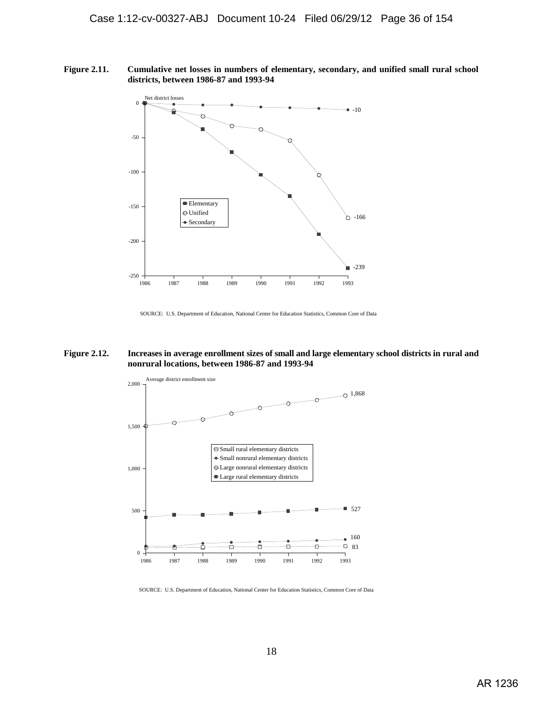**Figure 2.11. Cumulative net losses in numbers of elementary, secondary, and unified small rural school districts, between 1986-87 and 1993-94**



SOURCE: U.S. Department of Education, National Center for Education Statistics, Common Core of Data

#### **Figure 2.12. Increases in average enrollment sizes of small and large elementary school districts in rural and nonrural locations, between 1986-87 and 1993-94**



SOURCE: U.S. Department of Education, National Center for Education Statistics, Common Core of Data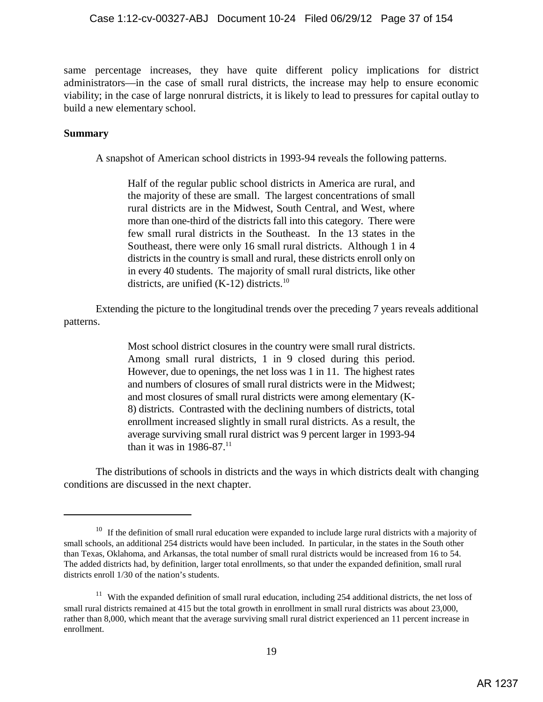same percentage increases, they have quite different policy implications for district administrators—in the case of small rural districts, the increase may help to ensure economic viability; in the case of large nonrural districts, it is likely to lead to pressures for capital outlay to build a new elementary school.

# **Summary**

A snapshot of American school districts in 1993-94 reveals the following patterns.

Half of the regular public school districts in America are rural, and the majority of these are small. The largest concentrations of small rural districts are in the Midwest, South Central, and West, where more than one-third of the districts fall into this category. There were few small rural districts in the Southeast. In the 13 states in the Southeast, there were only 16 small rural districts. Although 1 in 4 districts in the country is small and rural, these districts enroll only on in every 40 students. The majority of small rural districts, like other districts, are unified  $(K-12)$  districts.<sup>10</sup>

Extending the picture to the longitudinal trends over the preceding 7 years reveals additional patterns.

> Most school district closures in the country were small rural districts. Among small rural districts, 1 in 9 closed during this period. However, due to openings, the net loss was 1 in 11. The highest rates and numbers of closures of small rural districts were in the Midwest; and most closures of small rural districts were among elementary (K-8) districts. Contrasted with the declining numbers of districts, total enrollment increased slightly in small rural districts. As a result, the average surviving small rural district was 9 percent larger in 1993-94 than it was in  $1986 - 87$ .<sup>11</sup>

The distributions of schools in districts and the ways in which districts dealt with changing conditions are discussed in the next chapter.

 $10$  If the definition of small rural education were expanded to include large rural districts with a majority of small schools, an additional 254 districts would have been included. In particular, in the states in the South other than Texas, Oklahoma, and Arkansas, the total number of small rural districts would be increased from 16 to 54. The added districts had, by definition, larger total enrollments, so that under the expanded definition, small rural districts enroll 1/30 of the nation's students.

 $11$  With the expanded definition of small rural education, including 254 additional districts, the net loss of small rural districts remained at 415 but the total growth in enrollment in small rural districts was about 23,000, rather than 8,000, which meant that the average surviving small rural district experienced an 11 percent increase in enrollment.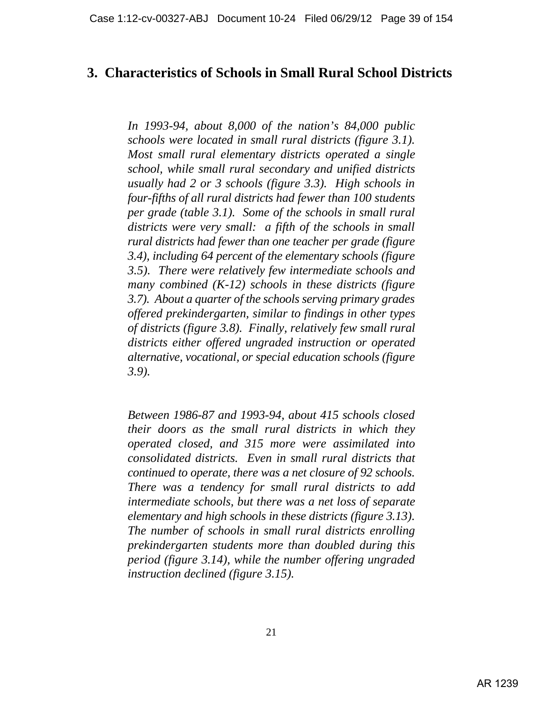# **3. Characteristics of Schools in Small Rural School Districts**

*In 1993-94, about 8,000 of the nation's 84,000 public schools were located in small rural districts (figure 3.1). Most small rural elementary districts operated a single school, while small rural secondary and unified districts usually had 2 or 3 schools (figure 3.3). High schools in four-fifths of all rural districts had fewer than 100 students per grade (table 3.1). Some of the schools in small rural districts were very small: a fifth of the schools in small rural districts had fewer than one teacher per grade (figure 3.4), including 64 percent of the elementary schools (figure 3.5). There were relatively few intermediate schools and many combined (K-12) schools in these districts (figure 3.7). About a quarter of the schools serving primary grades offered prekindergarten, similar to findings in other types of districts (figure 3.8). Finally, relatively few small rural districts either offered ungraded instruction or operated alternative, vocational, or special education schools (figure 3.9).* 

*Between 1986-87 and 1993-94, about 415 schools closed their doors as the small rural districts in which they operated closed, and 315 more were assimilated into consolidated districts. Even in small rural districts that continued to operate, there was a net closure of 92 schools. There was a tendency for small rural districts to add intermediate schools, but there was a net loss of separate elementary and high schools in these districts (figure 3.13). The number of schools in small rural districts enrolling prekindergarten students more than doubled during this period (figure 3.14), while the number offering ungraded instruction declined (figure 3.15).*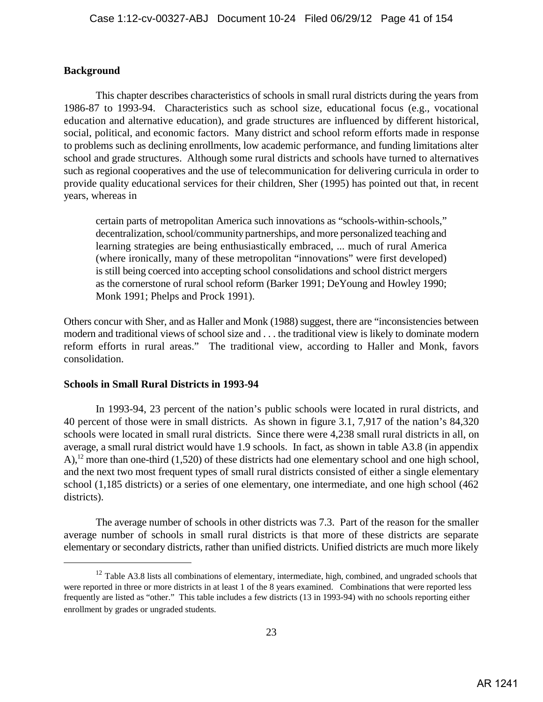# **Background**

This chapter describes characteristics of schools in small rural districts during the years from 1986-87 to 1993-94. Characteristics such as school size, educational focus (e.g., vocational education and alternative education), and grade structures are influenced by different historical, social, political, and economic factors. Many district and school reform efforts made in response to problems such as declining enrollments, low academic performance, and funding limitations alter school and grade structures. Although some rural districts and schools have turned to alternatives such as regional cooperatives and the use of telecommunication for delivering curricula in order to provide quality educational services for their children, Sher (1995) has pointed out that, in recent years, whereas in

certain parts of metropolitan America such innovations as "schools-within-schools," decentralization, school/community partnerships, and more personalized teaching and learning strategies are being enthusiastically embraced, ... much of rural America (where ironically, many of these metropolitan "innovations" were first developed) is still being coerced into accepting school consolidations and school district mergers as the cornerstone of rural school reform (Barker 1991; DeYoung and Howley 1990; Monk 1991; Phelps and Prock 1991).

Others concur with Sher, and as Haller and Monk (1988) suggest, there are "inconsistencies between modern and traditional views of school size and . . . the traditional view is likely to dominate modern reform efforts in rural areas." The traditional view, according to Haller and Monk, favors consolidation.

# **Schools in Small Rural Districts in 1993-94**

In 1993-94, 23 percent of the nation's public schools were located in rural districts, and 40 percent of those were in small districts. As shown in figure 3.1, 7,917 of the nation's 84,320 schools were located in small rural districts. Since there were 4,238 small rural districts in all, on average, a small rural district would have 1.9 schools. In fact, as shown in table A3.8 (in appendix A), <sup>12</sup> more than one-third (1,520) of these districts had one elementary school and one high school, and the next two most frequent types of small rural districts consisted of either a single elementary school (1,185 districts) or a series of one elementary, one intermediate, and one high school (462 districts).

The average number of schools in other districts was 7.3. Part of the reason for the smaller average number of schools in small rural districts is that more of these districts are separate elementary or secondary districts, rather than unified districts. Unified districts are much more likely

 $12$  Table A3.8 lists all combinations of elementary, intermediate, high, combined, and ungraded schools that were reported in three or more districts in at least 1 of the 8 years examined. Combinations that were reported less frequently are listed as "other." This table includes a few districts (13 in 1993-94) with no schools reporting either enrollment by grades or ungraded students.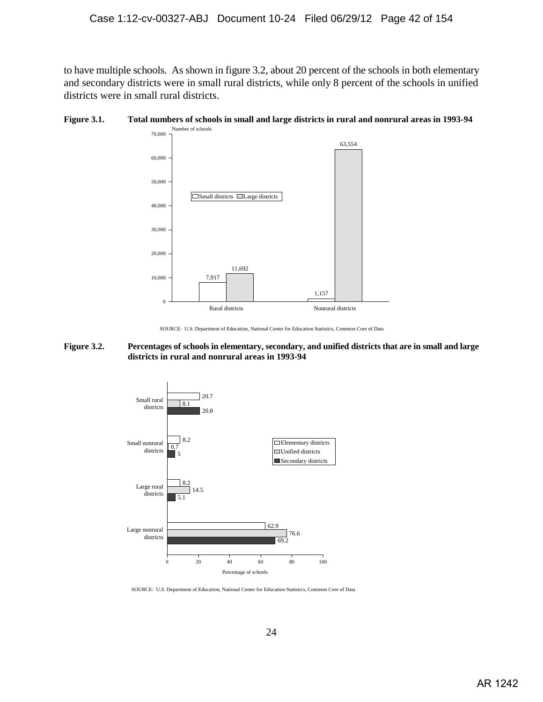to have multiple schools. As shown in figure 3.2, about 20 percent of the schools in both elementary and secondary districts were in small rural districts, while only 8 percent of the schools in unified districts were in small rural districts.





SOURCE: U.S. Department of Education, National Center for Education Statistics, Common Core of Data

#### **Figure 3.2. Percentages of schools in elementary, secondary, and unified districts that are in small and large districts in rural and nonrural areas in 1993-94**



SOURCE: U.S. Department of Education, National Center for Education Statistics, Common Core of Data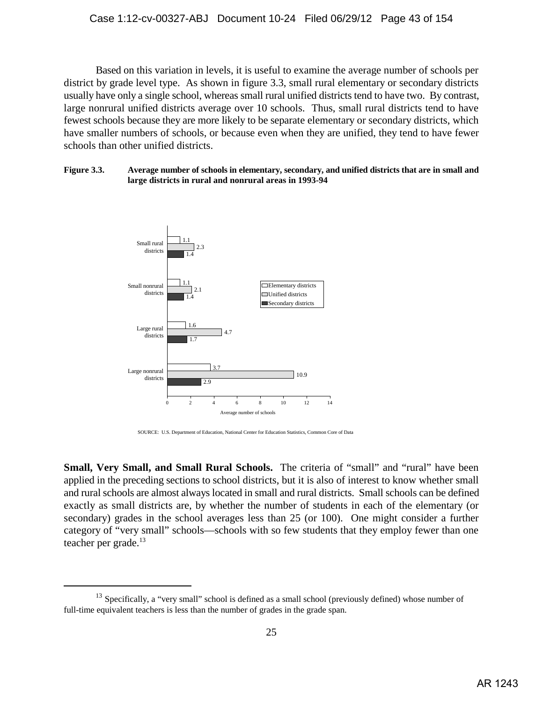Based on this variation in levels, it is useful to examine the average number of schools per district by grade level type. As shown in figure 3.3, small rural elementary or secondary districts usually have only a single school, whereas small rural unified districts tend to have two. By contrast, large nonrural unified districts average over 10 schools. Thus, small rural districts tend to have fewest schools because they are more likely to be separate elementary or secondary districts, which have smaller numbers of schools, or because even when they are unified, they tend to have fewer schools than other unified districts.

### **Figure 3.3. Average number of schools in elementary, secondary, and unified districts that are in small and large districts in rural and nonrural areas in 1993-94**



SOURCE: U.S. Department of Education, National Center for Education Statistics, Common Core of Data

**Small, Very Small, and Small Rural Schools.** The criteria of "small" and "rural" have been applied in the preceding sections to school districts, but it is also of interest to know whether small and rural schools are almost always located in small and rural districts. Small schools can be defined exactly as small districts are, by whether the number of students in each of the elementary (or secondary) grades in the school averages less than 25 (or 100). One might consider a further category of "very small" schools—schools with so few students that they employ fewer than one teacher per grade.<sup>13</sup>

 $13$  Specifically, a "very small" school is defined as a small school (previously defined) whose number of full-time equivalent teachers is less than the number of grades in the grade span.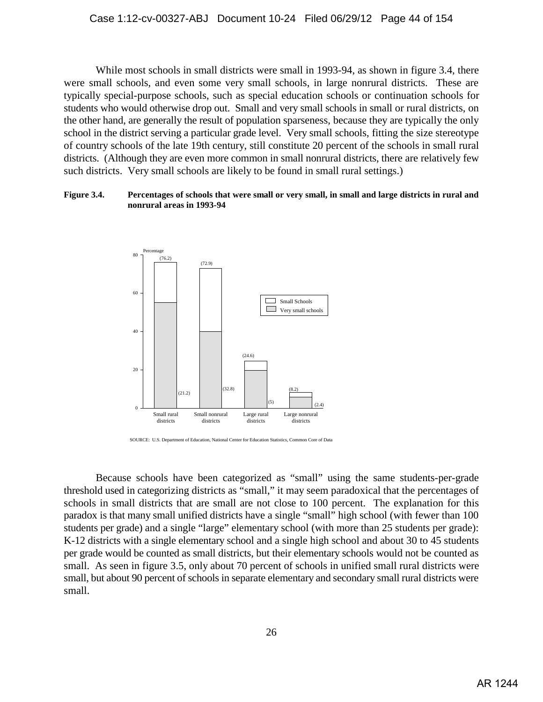While most schools in small districts were small in 1993-94, as shown in figure 3.4, there were small schools, and even some very small schools, in large nonrural districts. These are typically special-purpose schools, such as special education schools or continuation schools for students who would otherwise drop out. Small and very small schools in small or rural districts, on the other hand, are generally the result of population sparseness, because they are typically the only school in the district serving a particular grade level. Very small schools, fitting the size stereotype of country schools of the late 19th century, still constitute 20 percent of the schools in small rural districts. (Although they are even more common in small nonrural districts, there are relatively few such districts. Very small schools are likely to be found in small rural settings.)

# **Figure 3.4. Percentages of schools that were small or very small, in small and large districts in rural and nonrural areas in 1993-94**



SOURCE: U.S. Department of Education, National Center for Education Statistics, Common Core of Data

Because schools have been categorized as "small" using the same students-per-grade threshold used in categorizing districts as "small," it may seem paradoxical that the percentages of schools in small districts that are small are not close to 100 percent. The explanation for this paradox is that many small unified districts have a single "small" high school (with fewer than 100 students per grade) and a single "large" elementary school (with more than 25 students per grade): K-12 districts with a single elementary school and a single high school and about 30 to 45 students per grade would be counted as small districts, but their elementary schools would not be counted as small. As seen in figure 3.5, only about 70 percent of schools in unified small rural districts were small, but about 90 percent of schools in separate elementary and secondary small rural districts were small.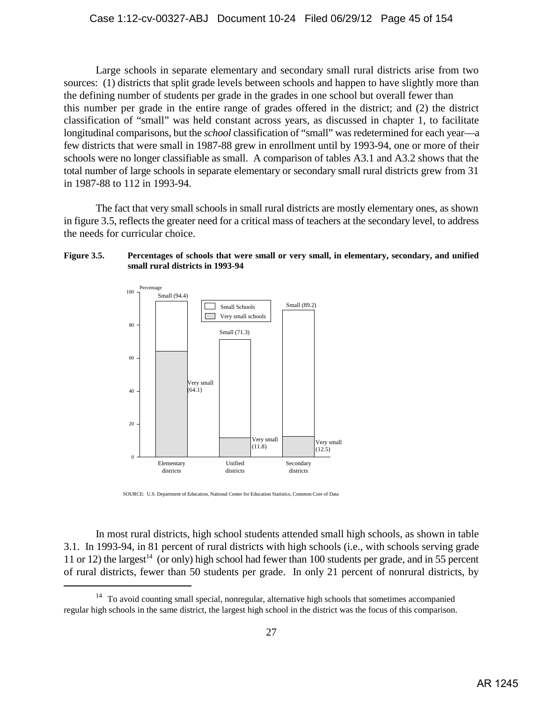Large schools in separate elementary and secondary small rural districts arise from two sources: (1) districts that split grade levels between schools and happen to have slightly more than the defining number of students per grade in the grades in one school but overall fewer than this number per grade in the entire range of grades offered in the district; and (2) the district classification of "small" was held constant across years, as discussed in chapter 1, to facilitate longitudinal comparisons, but the *school* classification of "small" was redetermined for each year—a few districts that were small in 1987-88 grew in enrollment until by 1993-94, one or more of their schools were no longer classifiable as small. A comparison of tables A3.1 and A3.2 shows that the total number of large schools in separate elementary or secondary small rural districts grew from 31 in 1987-88 to 112 in 1993-94.

The fact that very small schools in small rural districts are mostly elementary ones, as shown in figure 3.5, reflects the greater need for a critical mass of teachers at the secondary level, to address the needs for curricular choice.

### **Figure 3.5. Percentages of schools that were small or very small, in elementary, secondary, and unified small rural districts in 1993-94**



SOURCE: U.S. Department of Education, National Center for Education Statistics, Common Core of Data

In most rural districts, high school students attended small high schools, as shown in table 3.1. In 1993-94, in 81 percent of rural districts with high schools (i.e., with schools serving grade 11 or 12) the largest<sup>14</sup> (or only) high school had fewer than 100 students per grade, and in 55 percent of rural districts, fewer than 50 students per grade. In only 21 percent of nonrural districts, by

 $14$  To avoid counting small special, nonregular, alternative high schools that sometimes accompanied regular high schools in the same district, the largest high school in the district was the focus of this comparison.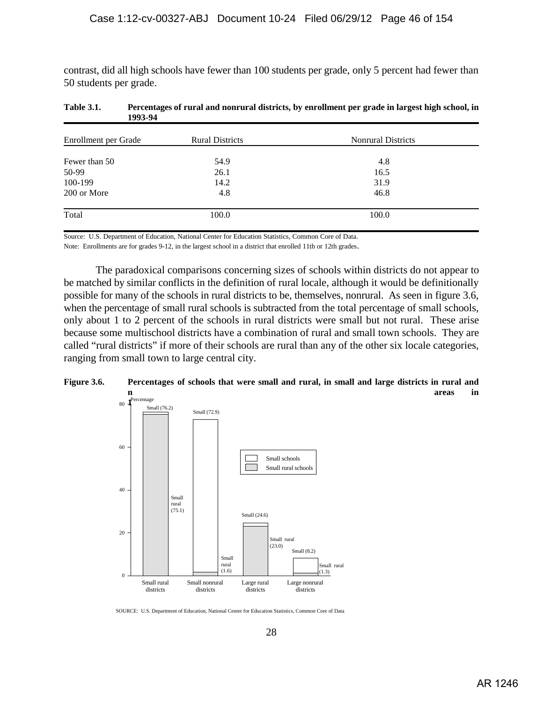contrast, did all high schools have fewer than 100 students per grade, only 5 percent had fewer than 50 students per grade.

| Enrollment per Grade | <b>Rural Districts</b> | <b>Nonrural Districts</b> |  |
|----------------------|------------------------|---------------------------|--|
| Fewer than 50        | 54.9                   | 4.8                       |  |
| 50-99                | 26.1                   | 16.5                      |  |
| 100-199              | 14.2                   | 31.9                      |  |
| 200 or More          | 4.8                    | 46.8                      |  |
| Total                | 100.0                  | 100.0                     |  |

| <b>Table 3.1.</b> | Percentages of rural and nonrural districts, by enrollment per grade in largest high school, in |
|-------------------|-------------------------------------------------------------------------------------------------|
|                   | 1993-94                                                                                         |

Source: U.S. Department of Education, National Center for Education Statistics, Common Core of Data.

Note: Enrollments are for grades 9-12, in the largest school in a district that enrolled 11th or 12th grades.

 The paradoxical comparisons concerning sizes of schools within districts do not appear to be matched by similar conflicts in the definition of rural locale, although it would be definitionally possible for many of the schools in rural districts to be, themselves, nonrural. As seen in figure 3.6, when the percentage of small rural schools is subtracted from the total percentage of small schools, only about 1 to 2 percent of the schools in rural districts were small but not rural. These arise because some multischool districts have a combination of rural and small town schools. They are called "rural districts" if more of their schools are rural than any of the other six locale categories, ranging from small town to large central city.





SOURCE: U.S. Department of Education, National Center for Education Statistics, Common Core of Data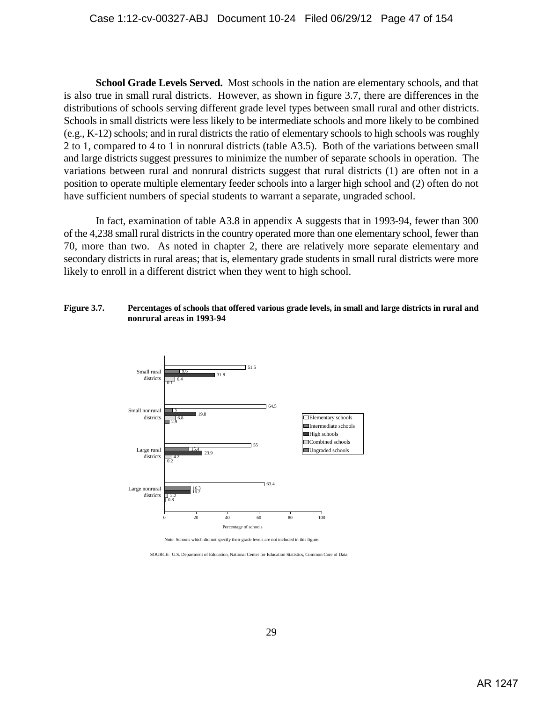**School Grade Levels Served.** Most schools in the nation are elementary schools, and that is also true in small rural districts. However, as shown in figure 3.7, there are differences in the distributions of schools serving different grade level types between small rural and other districts. Schools in small districts were less likely to be intermediate schools and more likely to be combined (e.g., K-12) schools; and in rural districts the ratio of elementary schools to high schools was roughly 2 to 1, compared to 4 to 1 in nonrural districts (table A3.5). Both of the variations between small and large districts suggest pressures to minimize the number of separate schools in operation. The variations between rural and nonrural districts suggest that rural districts (1) are often not in a position to operate multiple elementary feeder schools into a larger high school and (2) often do not have sufficient numbers of special students to warrant a separate, ungraded school.

In fact, examination of table A3.8 in appendix A suggests that in 1993-94, fewer than 300 of the 4,238 small rural districts in the country operated more than one elementary school, fewer than 70, more than two. As noted in chapter 2, there are relatively more separate elementary and secondary districts in rural areas; that is, elementary grade students in small rural districts were more likely to enroll in a different district when they went to high school.

### **Figure 3.7. Percentages of schools that offered various grade levels, in small and large districts in rural and nonrural areas in 1993-94**



Note: Schools which did not specify their grade levels are not included in this figure.

SOURCE: U.S. Department of Education, National Center for Education Statistics, Common Core of Data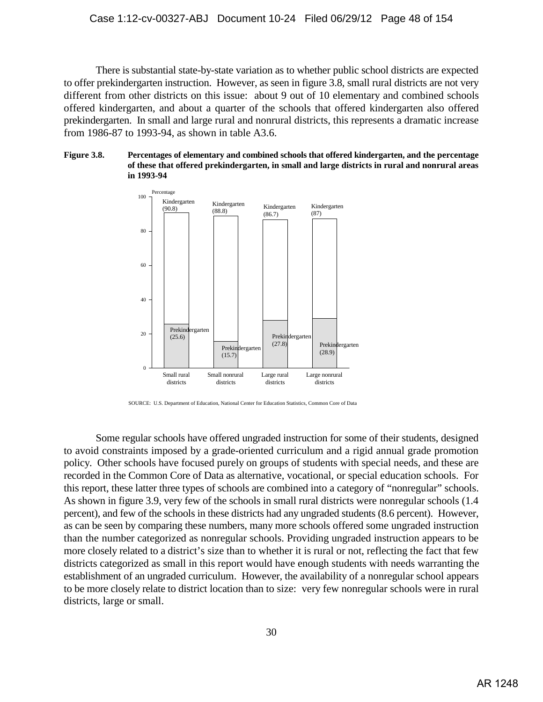There is substantial state-by-state variation as to whether public school districts are expected to offer prekindergarten instruction. However, as seen in figure 3.8, small rural districts are not very different from other districts on this issue: about 9 out of 10 elementary and combined schools offered kindergarten, and about a quarter of the schools that offered kindergarten also offered prekindergarten. In small and large rural and nonrural districts, this represents a dramatic increase from 1986-87 to 1993-94, as shown in table A3.6.





SOURCE: U.S. Department of Education, National Center for Education Statistics, Common Core of Data

Some regular schools have offered ungraded instruction for some of their students, designed to avoid constraints imposed by a grade-oriented curriculum and a rigid annual grade promotion policy. Other schools have focused purely on groups of students with special needs, and these are recorded in the Common Core of Data as alternative, vocational, or special education schools. For this report, these latter three types of schools are combined into a category of "nonregular" schools. As shown in figure 3.9, very few of the schools in small rural districts were nonregular schools (1.4 percent), and few of the schools in these districts had any ungraded students (8.6 percent). However, as can be seen by comparing these numbers, many more schools offered some ungraded instruction than the number categorized as nonregular schools. Providing ungraded instruction appears to be more closely related to a district's size than to whether it is rural or not, reflecting the fact that few districts categorized as small in this report would have enough students with needs warranting the establishment of an ungraded curriculum. However, the availability of a nonregular school appears to be more closely relate to district location than to size: very few nonregular schools were in rural districts, large or small.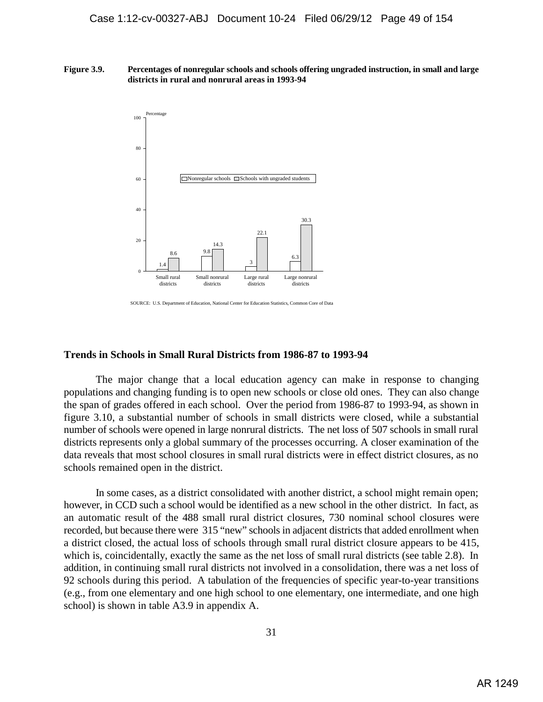#### **Figure 3.9. Percentages of nonregular schools and schools offering ungraded instruction, in small and large districts in rural and nonrural areas in 1993-94**



SOURCE: U.S. Department of Education, National Center for Education Statistics, Common Core of Data

# **Trends in Schools in Small Rural Districts from 1986-87 to 1993-94**

The major change that a local education agency can make in response to changing populations and changing funding is to open new schools or close old ones. They can also change the span of grades offered in each school. Over the period from 1986-87 to 1993-94, as shown in figure 3.10, a substantial number of schools in small districts were closed, while a substantial number of schools were opened in large nonrural districts. The net loss of 507 schools in small rural districts represents only a global summary of the processes occurring. A closer examination of the data reveals that most school closures in small rural districts were in effect district closures, as no schools remained open in the district.

In some cases, as a district consolidated with another district, a school might remain open; however, in CCD such a school would be identified as a new school in the other district. In fact, as an automatic result of the 488 small rural district closures, 730 nominal school closures were recorded, but because there were 315 "new" schools in adjacent districts that added enrollment when a district closed, the actual loss of schools through small rural district closure appears to be 415, which is, coincidentally, exactly the same as the net loss of small rural districts (see table 2.8). In addition, in continuing small rural districts not involved in a consolidation, there was a net loss of 92 schools during this period. A tabulation of the frequencies of specific year-to-year transitions (e.g., from one elementary and one high school to one elementary, one intermediate, and one high school) is shown in table A3.9 in appendix A.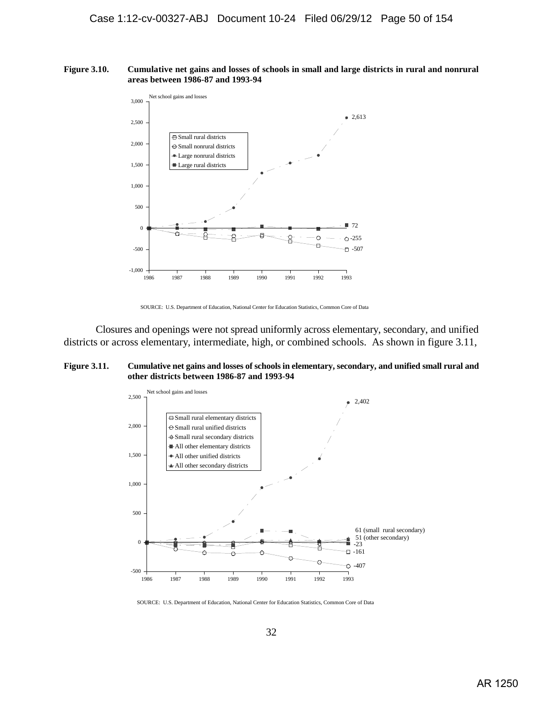#### **Figure 3.10. Cumulative net gains and losses of schools in small and large districts in rural and nonrural areas between 1986-87 and 1993-94**



SOURCE: U.S. Department of Education, National Center for Education Statistics, Common Core of Data

Closures and openings were not spread uniformly across elementary, secondary, and unified districts or across elementary, intermediate, high, or combined schools. As shown in figure 3.11,

### **Figure 3.11. Cumulative net gains and losses of schools in elementary, secondary, and unified small rural and other districts between 1986-87 and 1993-94**



SOURCE: U.S. Department of Education, National Center for Education Statistics, Common Core of Data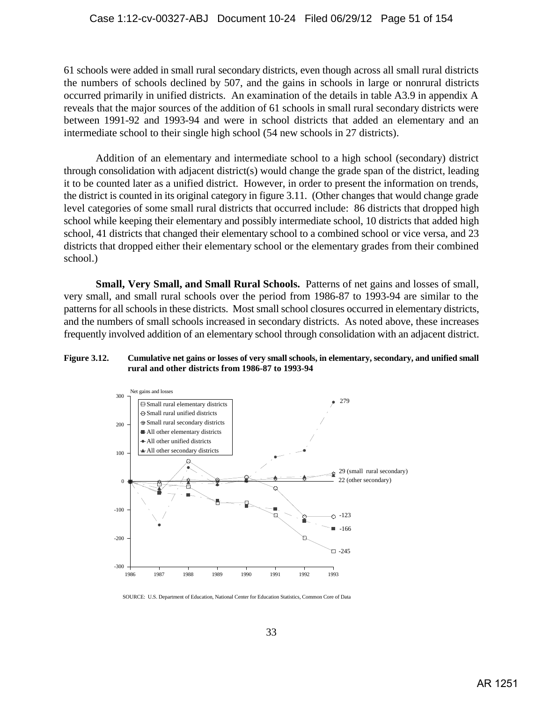61 schools were added in small rural secondary districts, even though across all small rural districts the numbers of schools declined by 507, and the gains in schools in large or nonrural districts occurred primarily in unified districts. An examination of the details in table A3.9 in appendix A reveals that the major sources of the addition of 61 schools in small rural secondary districts were between 1991-92 and 1993-94 and were in school districts that added an elementary and an intermediate school to their single high school (54 new schools in 27 districts).

Addition of an elementary and intermediate school to a high school (secondary) district through consolidation with adjacent district(s) would change the grade span of the district, leading it to be counted later as a unified district. However, in order to present the information on trends, the district is counted in its original category in figure 3.11. (Other changes that would change grade level categories of some small rural districts that occurred include: 86 districts that dropped high school while keeping their elementary and possibly intermediate school, 10 districts that added high school, 41 districts that changed their elementary school to a combined school or vice versa, and 23 districts that dropped either their elementary school or the elementary grades from their combined school.)

**Small, Very Small, and Small Rural Schools.** Patterns of net gains and losses of small, very small, and small rural schools over the period from 1986-87 to 1993-94 are similar to the patterns for all schools in these districts. Most small school closures occurred in elementary districts, and the numbers of small schools increased in secondary districts. As noted above, these increases frequently involved addition of an elementary school through consolidation with an adjacent district.

### **Figure 3.12. Cumulative net gains or losses of very small schools, in elementary, secondary, and unified small rural and other districts from 1986-87 to 1993-94**



SOURCE: U.S. Department of Education, National Center for Education Statistics, Common Core of Data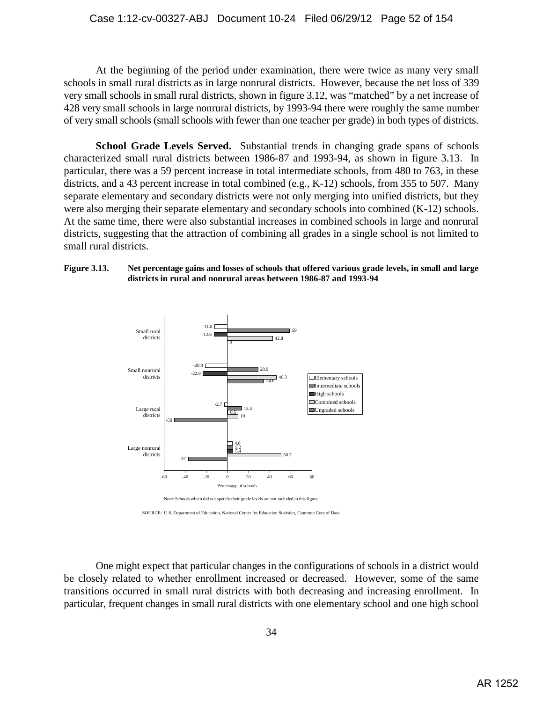At the beginning of the period under examination, there were twice as many very small schools in small rural districts as in large nonrural districts. However, because the net loss of 339 very small schools in small rural districts, shown in figure 3.12, was "matched" by a net increase of 428 very small schools in large nonrural districts, by 1993-94 there were roughly the same number of very small schools (small schools with fewer than one teacher per grade) in both types of districts.

**School Grade Levels Served.** Substantial trends in changing grade spans of schools characterized small rural districts between 1986-87 and 1993-94, as shown in figure 3.13. In particular, there was a 59 percent increase in total intermediate schools, from 480 to 763, in these districts, and a 43 percent increase in total combined (e.g., K-12) schools, from 355 to 507. Many separate elementary and secondary districts were not only merging into unified districts, but they were also merging their separate elementary and secondary schools into combined  $(K-12)$  schools. At the same time, there were also substantial increases in combined schools in large and nonrural districts, suggesting that the attraction of combining all grades in a single school is not limited to small rural districts.

## **Figure 3.13. Net percentage gains and losses of schools that offered various grade levels, in small and large districts in rural and nonrural areas between 1986-87 and 1993-94**



SOURCE: U.S. Department of Education, National Center for Education Statistics, Common Core of Data

One might expect that particular changes in the configurations of schools in a district would be closely related to whether enrollment increased or decreased. However, some of the same transitions occurred in small rural districts with both decreasing and increasing enrollment. In particular, frequent changes in small rural districts with one elementary school and one high school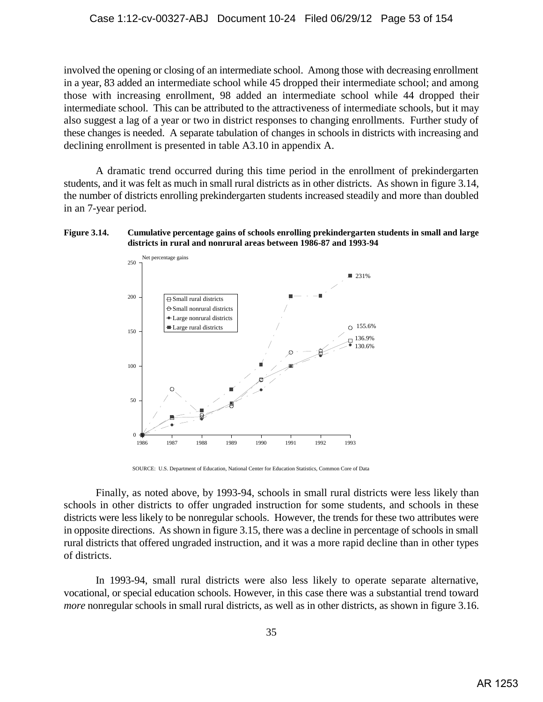involved the opening or closing of an intermediate school. Among those with decreasing enrollment in a year, 83 added an intermediate school while 45 dropped their intermediate school; and among those with increasing enrollment, 98 added an intermediate school while 44 dropped their intermediate school. This can be attributed to the attractiveness of intermediate schools, but it may also suggest a lag of a year or two in district responses to changing enrollments. Further study of these changes is needed. A separate tabulation of changes in schools in districts with increasing and declining enrollment is presented in table A3.10 in appendix A.

A dramatic trend occurred during this time period in the enrollment of prekindergarten students, and it was felt as much in small rural districts as in other districts. As shown in figure 3.14, the number of districts enrolling prekindergarten students increased steadily and more than doubled in an 7-year period.

### **Figure 3.14. Cumulative percentage gains of schools enrolling prekindergarten students in small and large districts in rural and nonrural areas between 1986-87 and 1993-94**



SOURCE: U.S. Department of Education, National Center for Education Statistics, Common Core of Data

Finally, as noted above, by 1993-94, schools in small rural districts were less likely than schools in other districts to offer ungraded instruction for some students, and schools in these districts were less likely to be nonregular schools. However, the trends for these two attributes were in opposite directions. As shown in figure 3.15, there was a decline in percentage of schools in small rural districts that offered ungraded instruction, and it was a more rapid decline than in other types of districts.

In 1993-94, small rural districts were also less likely to operate separate alternative, vocational, or special education schools. However, in this case there was a substantial trend toward *more* nonregular schools in small rural districts, as well as in other districts, as shown in figure 3.16.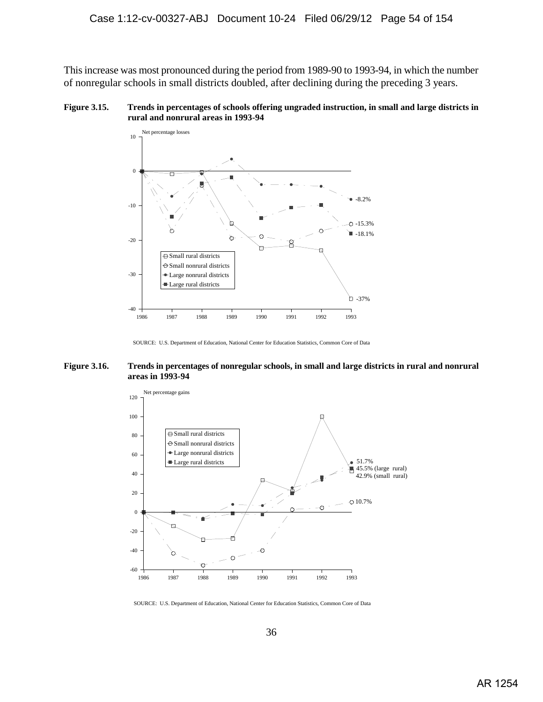This increase was most pronounced during the period from 1989-90 to 1993-94, in which the number of nonregular schools in small districts doubled, after declining during the preceding 3 years.

**Figure 3.15. Trends in percentages of schools offering ungraded instruction, in small and large districts in rural and nonrural areas in 1993-94**



SOURCE: U.S. Department of Education, National Center for Education Statistics, Common Core of Data

#### **Figure 3.16. Trends in percentages of nonregular schools, in small and large districts in rural and nonrural areas in 1993-94**



SOURCE: U.S. Department of Education, National Center for Education Statistics, Common Core of Data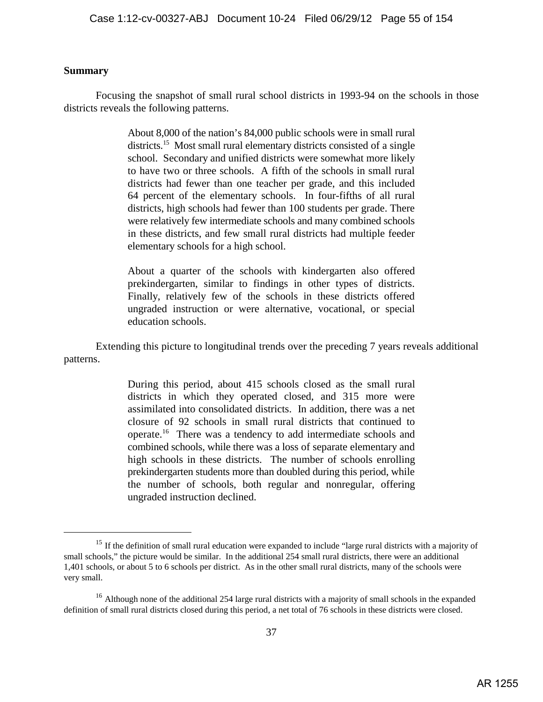# **Summary**

Focusing the snapshot of small rural school districts in 1993-94 on the schools in those districts reveals the following patterns.

> About 8,000 of the nation's 84,000 public schools were in small rural districts.<sup>15</sup> Most small rural elementary districts consisted of a single school. Secondary and unified districts were somewhat more likely to have two or three schools. A fifth of the schools in small rural districts had fewer than one teacher per grade, and this included 64 percent of the elementary schools. In four-fifths of all rural districts, high schools had fewer than 100 students per grade. There were relatively few intermediate schools and many combined schools in these districts, and few small rural districts had multiple feeder elementary schools for a high school.

> About a quarter of the schools with kindergarten also offered prekindergarten, similar to findings in other types of districts. Finally, relatively few of the schools in these districts offered ungraded instruction or were alternative, vocational, or special education schools.

Extending this picture to longitudinal trends over the preceding 7 years reveals additional patterns.

> During this period, about 415 schools closed as the small rural districts in which they operated closed, and 315 more were assimilated into consolidated districts. In addition, there was a net closure of 92 schools in small rural districts that continued to operate.<sup>16</sup> There was a tendency to add intermediate schools and combined schools, while there was a loss of separate elementary and high schools in these districts. The number of schools enrolling prekindergarten students more than doubled during this period, while the number of schools, both regular and nonregular, offering ungraded instruction declined.

 $15$  If the definition of small rural education were expanded to include "large rural districts with a majority of small schools," the picture would be similar. In the additional 254 small rural districts, there were an additional 1,401 schools, or about 5 to 6 schools per district. As in the other small rural districts, many of the schools were very small.

<sup>&</sup>lt;sup>16</sup> Although none of the additional 254 large rural districts with a majority of small schools in the expanded definition of small rural districts closed during this period, a net total of 76 schools in these districts were closed.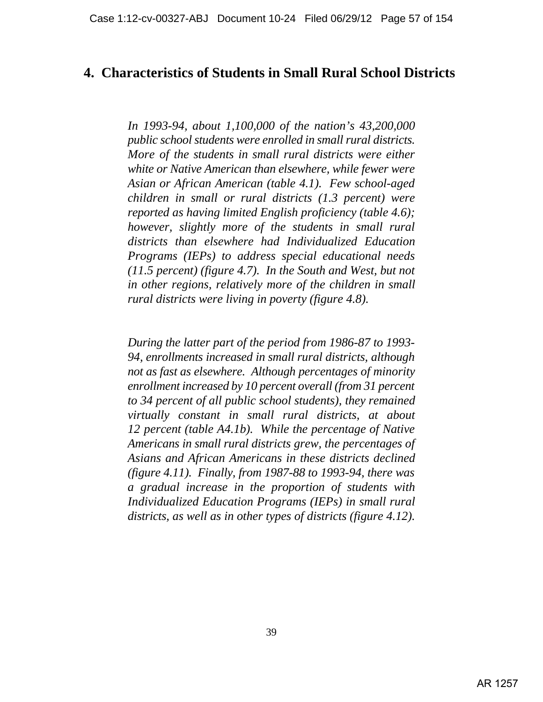# **4. Characteristics of Students in Small Rural School Districts**

*In 1993-94, about 1,100,000 of the nation's 43,200,000 public school students were enrolled in small rural districts. More of the students in small rural districts were either white or Native American than elsewhere, while fewer were Asian or African American (table 4.1). Few school-aged children in small or rural districts (1.3 percent) were reported as having limited English proficiency (table 4.6); however, slightly more of the students in small rural districts than elsewhere had Individualized Education Programs (IEPs) to address special educational needs (11.5 percent) (figure 4.7). In the South and West, but not in other regions, relatively more of the children in small rural districts were living in poverty (figure 4.8).* 

*During the latter part of the period from 1986-87 to 1993- 94, enrollments increased in small rural districts, although not as fast as elsewhere. Although percentages of minority enrollment increased by 10 percent overall (from 31 percent to 34 percent of all public school students), they remained virtually constant in small rural districts, at about 12 percent (table A4.1b). While the percentage of Native Americans in small rural districts grew, the percentages of Asians and African Americans in these districts declined (figure 4.11). Finally, from 1987-88 to 1993-94, there was a gradual increase in the proportion of students with Individualized Education Programs (IEPs) in small rural districts, as well as in other types of districts (figure 4.12).*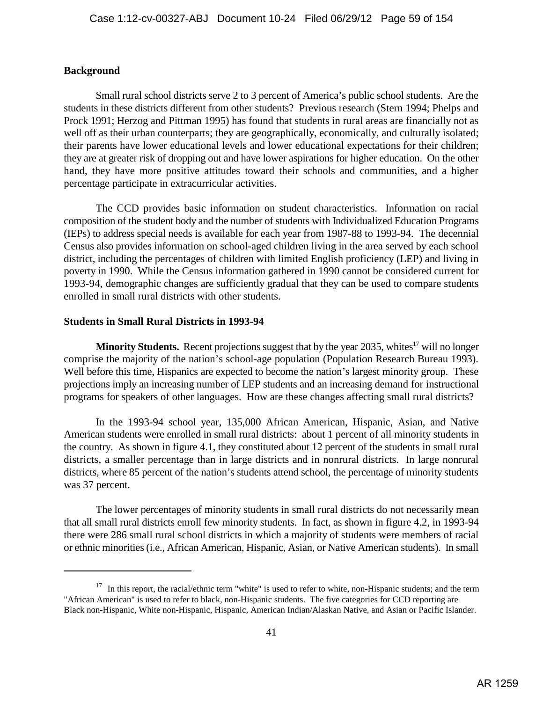# **Background**

Small rural school districts serve 2 to 3 percent of America's public school students. Are the students in these districts different from other students? Previous research (Stern 1994; Phelps and Prock 1991; Herzog and Pittman 1995) has found that students in rural areas are financially not as well off as their urban counterparts; they are geographically, economically, and culturally isolated; their parents have lower educational levels and lower educational expectations for their children; they are at greater risk of dropping out and have lower aspirations for higher education. On the other hand, they have more positive attitudes toward their schools and communities, and a higher percentage participate in extracurricular activities.

The CCD provides basic information on student characteristics. Information on racial composition of the student body and the number of students with Individualized Education Programs (IEPs) to address special needs is available for each year from 1987-88 to 1993-94. The decennial Census also provides information on school-aged children living in the area served by each school district, including the percentages of children with limited English proficiency (LEP) and living in poverty in 1990. While the Census information gathered in 1990 cannot be considered current for 1993-94, demographic changes are sufficiently gradual that they can be used to compare students enrolled in small rural districts with other students.

# **Students in Small Rural Districts in 1993-94**

**Minority Students.** Recent projections suggest that by the year 2035, whites<sup>17</sup> will no longer comprise the majority of the nation's school-age population (Population Research Bureau 1993). Well before this time, Hispanics are expected to become the nation's largest minority group. These projections imply an increasing number of LEP students and an increasing demand for instructional programs for speakers of other languages. How are these changes affecting small rural districts?

In the 1993-94 school year, 135,000 African American, Hispanic, Asian, and Native American students were enrolled in small rural districts: about 1 percent of all minority students in the country. As shown in figure 4.1, they constituted about 12 percent of the students in small rural districts, a smaller percentage than in large districts and in nonrural districts. In large nonrural districts, where 85 percent of the nation's students attend school, the percentage of minority students was 37 percent.

The lower percentages of minority students in small rural districts do not necessarily mean that all small rural districts enroll few minority students. In fact, as shown in figure 4.2, in 1993-94 there were 286 small rural school districts in which a majority of students were members of racial or ethnic minorities (i.e., African American, Hispanic, Asian, or Native American students). In small

 $17$  In this report, the racial/ethnic term "white" is used to refer to white, non-Hispanic students; and the term "African American" is used to refer to black, non-Hispanic students. The five categories for CCD reporting are Black non-Hispanic, White non-Hispanic, Hispanic, American Indian/Alaskan Native, and Asian or Pacific Islander.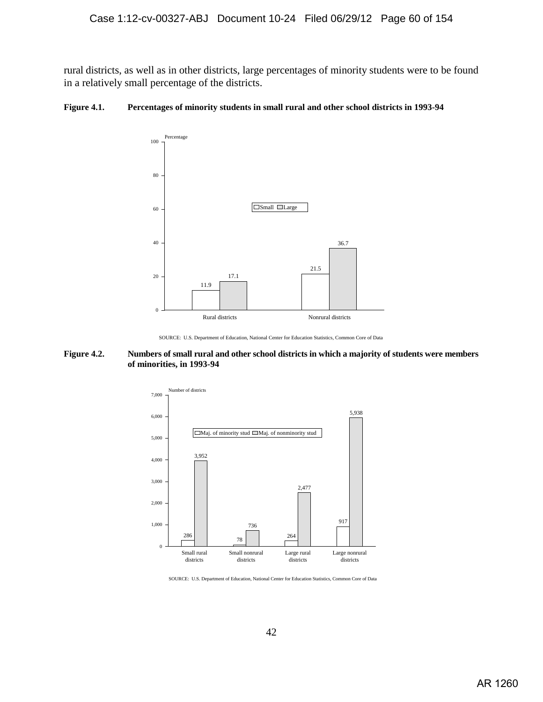rural districts, as well as in other districts, large percentages of minority students were to be found in a relatively small percentage of the districts.

## **Figure 4.1. Percentages of minority students in small rural and other school districts in 1993-94**



SOURCE: U.S. Department of Education, National Center for Education Statistics, Common Core of Data

### **Figure 4.2. Numbers of small rural and other school districts in which a majority of students were members of minorities, in 1993-94**



SOURCE: U.S. Department of Education, National Center for Education Statistics, Common Core of Data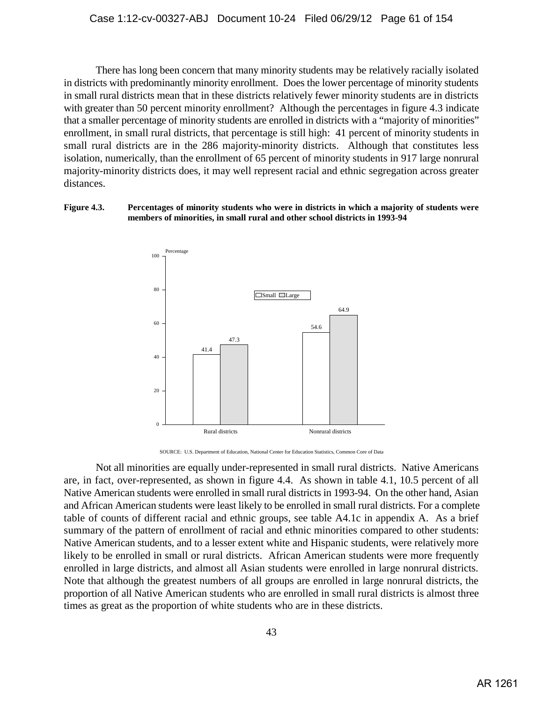There has long been concern that many minority students may be relatively racially isolated in districts with predominantly minority enrollment. Does the lower percentage of minority students in small rural districts mean that in these districts relatively fewer minority students are in districts with greater than 50 percent minority enrollment? Although the percentages in figure 4.3 indicate that a smaller percentage of minority students are enrolled in districts with a "majority of minorities" enrollment, in small rural districts, that percentage is still high: 41 percent of minority students in small rural districts are in the 286 majority-minority districts. Although that constitutes less isolation, numerically, than the enrollment of 65 percent of minority students in 917 large nonrural majority-minority districts does, it may well represent racial and ethnic segregation across greater distances.

### **Figure 4.3. Percentages of minority students who were in districts in which a majority of students were members of minorities, in small rural and other school districts in 1993-94**



SOURCE: U.S. Department of Education, National Center for Education Statistics, Common Core of Data

Not all minorities are equally under-represented in small rural districts. Native Americans are, in fact, over-represented, as shown in figure 4.4. As shown in table 4.1, 10.5 percent of all Native American students were enrolled in small rural districts in 1993-94. On the other hand, Asian and African American students were least likely to be enrolled in small rural districts. For a complete table of counts of different racial and ethnic groups, see table A4.1c in appendix A. As a brief summary of the pattern of enrollment of racial and ethnic minorities compared to other students: Native American students, and to a lesser extent white and Hispanic students, were relatively more likely to be enrolled in small or rural districts. African American students were more frequently enrolled in large districts, and almost all Asian students were enrolled in large nonrural districts. Note that although the greatest numbers of all groups are enrolled in large nonrural districts, the proportion of all Native American students who are enrolled in small rural districts is almost three times as great as the proportion of white students who are in these districts.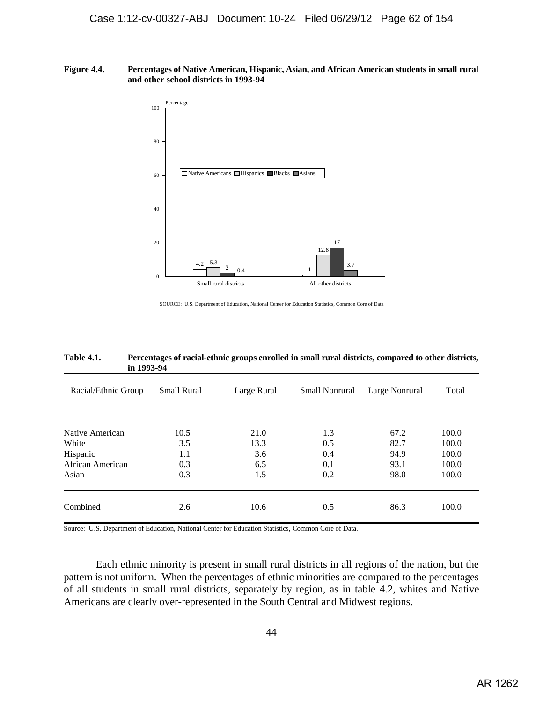**Figure 4.4. Percentages of Native American, Hispanic, Asian, and African American students in small rural and other school districts in 1993-94**



SOURCE: U.S. Department of Education, National Center for Education Statistics, Common Core of Data

| Racial/Ethnic Group | <b>Small Rural</b> | Large Rural | <b>Small Nonrural</b> | Large Nonrural | Total |
|---------------------|--------------------|-------------|-----------------------|----------------|-------|
| Native American     | 10.5               | 21.0        | 1.3                   | 67.2           | 100.0 |
| White               | 3.5                | 13.3        | 0.5                   | 82.7           | 100.0 |
| Hispanic            | 1.1                | 3.6         | 0.4                   | 94.9           | 100.0 |
| African American    | 0.3                | 6.5         | 0.1                   | 93.1           | 100.0 |
| Asian               | 0.3                | 1.5         | 0.2                   | 98.0           | 100.0 |
| Combined            | 2.6                | 10.6        | 0.5                   | 86.3           | 100.0 |

**Table 4.1. Percentages of racial-ethnic groups enrolled in small rural districts, compared to other districts, in 1993-94**

Source: U.S. Department of Education, National Center for Education Statistics, Common Core of Data.

Each ethnic minority is present in small rural districts in all regions of the nation, but the pattern is not uniform. When the percentages of ethnic minorities are compared to the percentages of all students in small rural districts, separately by region, as in table 4.2, whites and Native Americans are clearly over-represented in the South Central and Midwest regions.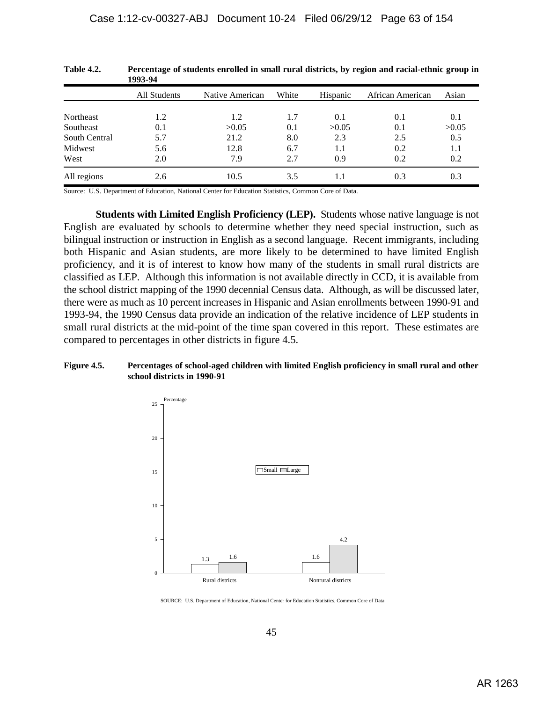|               | 1993-94      |                 |       |          |                  |       |
|---------------|--------------|-----------------|-------|----------|------------------|-------|
|               | All Students | Native American | White | Hispanic | African American | Asian |
| Northeast     | 1.2          | 1.2             | 1.7   | 0.1      | 0.1              | 0.1   |
| Southeast     | 0.1          | >0.05           | 0.1   | >0.05    | 0.1              | >0.05 |
| South Central | 5.7          | 21.2            | 8.0   | 2.3      | 2.5              | 0.5   |
| Midwest       | 5.6          | 12.8            | 6.7   | $1.1\,$  | 0.2              | 1.1   |
| West          | 2.0          | 7.9             | 2.7   | 0.9      | 0.2              | 0.2   |
| All regions   | 2.6          | 10.5            | 3.5   | 1.1      | 0.3              | 0.3   |

**Table 4.2. Percentage of students enrolled in small rural districts, by region and racial-ethnic group in 1993-94**

Source: U.S. Department of Education, National Center for Education Statistics, Common Core of Data.

**Students with Limited English Proficiency (LEP).** Students whose native language is not English are evaluated by schools to determine whether they need special instruction, such as bilingual instruction or instruction in English as a second language. Recent immigrants, including both Hispanic and Asian students, are more likely to be determined to have limited English proficiency, and it is of interest to know how many of the students in small rural districts are classified as LEP. Although this information is not available directly in CCD, it is available from the school district mapping of the 1990 decennial Census data. Although, as will be discussed later, there were as much as 10 percent increases in Hispanic and Asian enrollments between 1990-91 and 1993-94, the 1990 Census data provide an indication of the relative incidence of LEP students in small rural districts at the mid-point of the time span covered in this report. These estimates are compared to percentages in other districts in figure 4.5.

# **Figure 4.5. Percentages of school-aged children with limited English proficiency in small rural and other school districts in 1990-91**



SOURCE: U.S. Department of Education, National Center for Education Statistics, Common Core of Data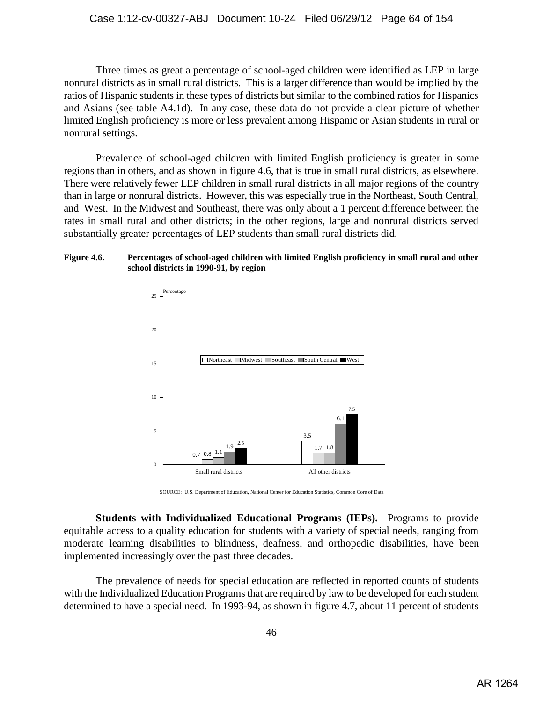Three times as great a percentage of school-aged children were identified as LEP in large nonrural districts as in small rural districts. This is a larger difference than would be implied by the ratios of Hispanic students in these types of districts but similar to the combined ratios for Hispanics and Asians (see table A4.1d). In any case, these data do not provide a clear picture of whether limited English proficiency is more or less prevalent among Hispanic or Asian students in rural or nonrural settings.

Prevalence of school-aged children with limited English proficiency is greater in some regions than in others, and as shown in figure 4.6, that is true in small rural districts, as elsewhere. There were relatively fewer LEP children in small rural districts in all major regions of the country than in large or nonrural districts. However, this was especially true in the Northeast, South Central, and West. In the Midwest and Southeast, there was only about a 1 percent difference between the rates in small rural and other districts; in the other regions, large and nonrural districts served substantially greater percentages of LEP students than small rural districts did.

## **Figure 4.6. Percentages of school-aged children with limited English proficiency in small rural and other school districts in 1990-91, by region**



SOURCE: U.S. Department of Education, National Center for Education Statistics, Common Core of Data

**Students with Individualized Educational Programs (IEPs).** Programs to provide equitable access to a quality education for students with a variety of special needs, ranging from moderate learning disabilities to blindness, deafness, and orthopedic disabilities, have been implemented increasingly over the past three decades.

The prevalence of needs for special education are reflected in reported counts of students with the Individualized Education Programs that are required by law to be developed for each student determined to have a special need. In 1993-94, as shown in figure 4.7, about 11 percent of students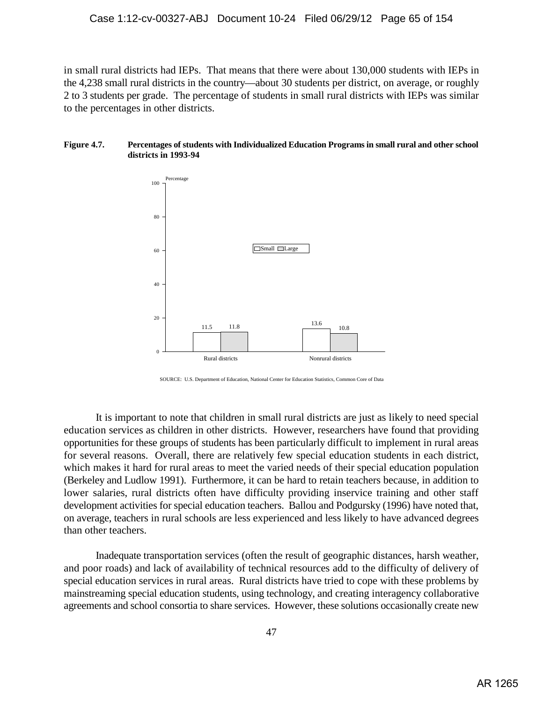in small rural districts had IEPs. That means that there were about 130,000 students with IEPs in the 4,238 small rural districts in the country—about 30 students per district, on average, or roughly 2 to 3 students per grade. The percentage of students in small rural districts with IEPs was similar to the percentages in other districts.

### **Figure 4.7. Percentages of students with Individualized Education Programs in small rural and other school districts in 1993-94**



SOURCE: U.S. Department of Education, National Center for Education Statistics, Common Core of Data

It is important to note that children in small rural districts are just as likely to need special education services as children in other districts. However, researchers have found that providing opportunities for these groups of students has been particularly difficult to implement in rural areas for several reasons. Overall, there are relatively few special education students in each district, which makes it hard for rural areas to meet the varied needs of their special education population (Berkeley and Ludlow 1991). Furthermore, it can be hard to retain teachers because, in addition to lower salaries, rural districts often have difficulty providing inservice training and other staff development activities for special education teachers. Ballou and Podgursky (1996) have noted that, on average, teachers in rural schools are less experienced and less likely to have advanced degrees than other teachers.

Inadequate transportation services (often the result of geographic distances, harsh weather, and poor roads) and lack of availability of technical resources add to the difficulty of delivery of special education services in rural areas. Rural districts have tried to cope with these problems by mainstreaming special education students, using technology, and creating interagency collaborative agreements and school consortia to share services. However, these solutions occasionally create new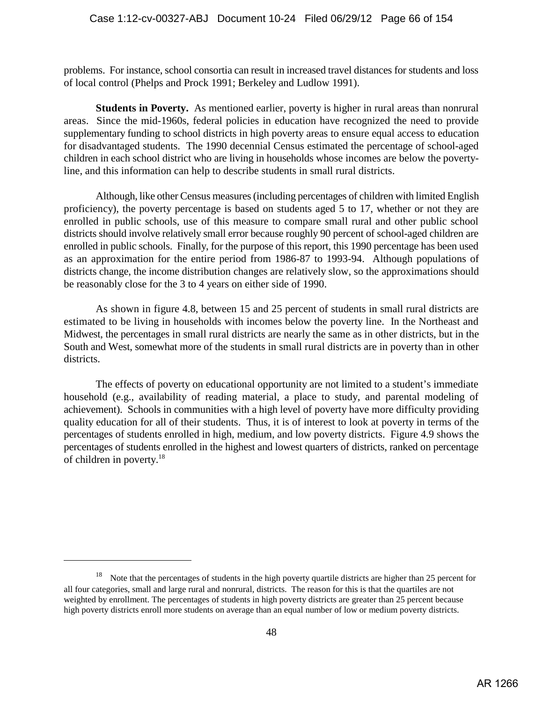problems. For instance, school consortia can result in increased travel distances for students and loss of local control (Phelps and Prock 1991; Berkeley and Ludlow 1991).

**Students in Poverty.** As mentioned earlier, poverty is higher in rural areas than nonrural areas. Since the mid-1960s, federal policies in education have recognized the need to provide supplementary funding to school districts in high poverty areas to ensure equal access to education for disadvantaged students. The 1990 decennial Census estimated the percentage of school-aged children in each school district who are living in households whose incomes are below the povertyline, and this information can help to describe students in small rural districts.

Although, like other Census measures (including percentages of children with limited English proficiency), the poverty percentage is based on students aged 5 to 17, whether or not they are enrolled in public schools, use of this measure to compare small rural and other public school districts should involve relatively small error because roughly 90 percent of school-aged children are enrolled in public schools. Finally, for the purpose of this report, this 1990 percentage has been used as an approximation for the entire period from 1986-87 to 1993-94. Although populations of districts change, the income distribution changes are relatively slow, so the approximations should be reasonably close for the 3 to 4 years on either side of 1990.

As shown in figure 4.8, between 15 and 25 percent of students in small rural districts are estimated to be living in households with incomes below the poverty line. In the Northeast and Midwest, the percentages in small rural districts are nearly the same as in other districts, but in the South and West, somewhat more of the students in small rural districts are in poverty than in other districts.

The effects of poverty on educational opportunity are not limited to a student's immediate household (e.g., availability of reading material, a place to study, and parental modeling of achievement). Schools in communities with a high level of poverty have more difficulty providing quality education for all of their students. Thus, it is of interest to look at poverty in terms of the percentages of students enrolled in high, medium, and low poverty districts. Figure 4.9 shows the percentages of students enrolled in the highest and lowest quarters of districts, ranked on percentage of children in poverty.<sup>18</sup>

 $18$  Note that the percentages of students in the high poverty quartile districts are higher than 25 percent for all four categories, small and large rural and nonrural, districts. The reason for this is that the quartiles are not weighted by enrollment. The percentages of students in high poverty districts are greater than 25 percent because high poverty districts enroll more students on average than an equal number of low or medium poverty districts.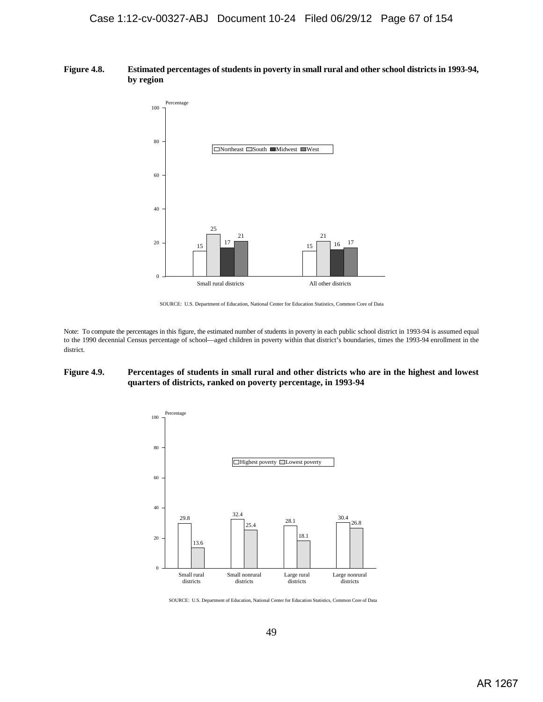#### **Figure 4.8. Estimated percentages of students in poverty in small rural and other school districts in 1993-94, by region**



SOURCE: U.S. Department of Education, National Center for Education Statistics, Common Core of Data

Note: To compute the percentages in this figure, the estimated number of students in poverty in each public school district in 1993-94 is assumed equal to the 1990 decennial Census percentage of school—aged children in poverty within that district's boundaries, times the 1993-94 enrollment in the district.

#### **Figure 4.9. Percentages of students in small rural and other districts who are in the highest and lowest quarters of districts, ranked on poverty percentage, in 1993-94**



SOURCE: U.S. Department of Education, National Center for Education Statistics, Common Core of Data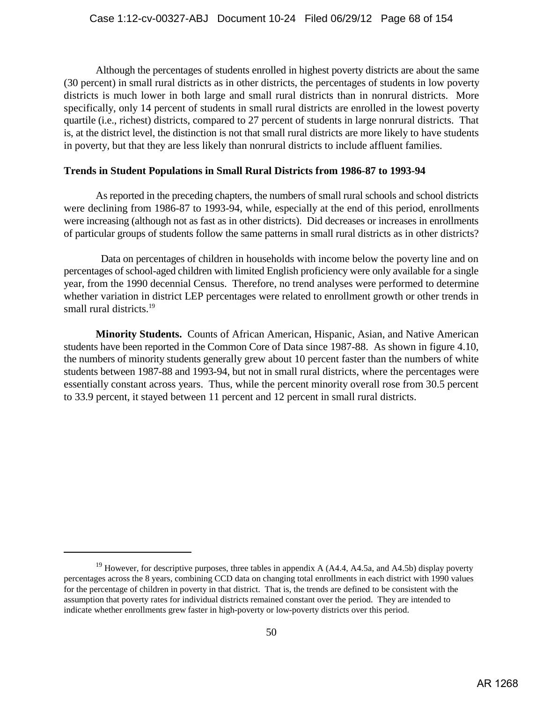Although the percentages of students enrolled in highest poverty districts are about the same (30 percent) in small rural districts as in other districts, the percentages of students in low poverty districts is much lower in both large and small rural districts than in nonrural districts. More specifically, only 14 percent of students in small rural districts are enrolled in the lowest poverty quartile (i.e., richest) districts, compared to 27 percent of students in large nonrural districts. That is, at the district level, the distinction is not that small rural districts are more likely to have students in poverty, but that they are less likely than nonrural districts to include affluent families.

# **Trends in Student Populations in Small Rural Districts from 1986-87 to 1993-94**

As reported in the preceding chapters, the numbers of small rural schools and school districts were declining from 1986-87 to 1993-94, while, especially at the end of this period, enrollments were increasing (although not as fast as in other districts). Did decreases or increases in enrollments of particular groups of students follow the same patterns in small rural districts as in other districts?

 Data on percentages of children in households with income below the poverty line and on percentages of school-aged children with limited English proficiency were only available for a single year, from the 1990 decennial Census. Therefore, no trend analyses were performed to determine whether variation in district LEP percentages were related to enrollment growth or other trends in small rural districts.<sup>19</sup>

**Minority Students.** Counts of African American, Hispanic, Asian, and Native American students have been reported in the Common Core of Data since 1987-88. As shown in figure 4.10, the numbers of minority students generally grew about 10 percent faster than the numbers of white students between 1987-88 and 1993-94, but not in small rural districts, where the percentages were essentially constant across years. Thus, while the percent minority overall rose from 30.5 percent to 33.9 percent, it stayed between 11 percent and 12 percent in small rural districts.

<sup>&</sup>lt;sup>19</sup> However, for descriptive purposes, three tables in appendix A (A4.4, A4.5a, and A4.5b) display poverty percentages across the 8 years, combining CCD data on changing total enrollments in each district with 1990 values for the percentage of children in poverty in that district. That is, the trends are defined to be consistent with the assumption that poverty rates for individual districts remained constant over the period. They are intended to indicate whether enrollments grew faster in high-poverty or low-poverty districts over this period.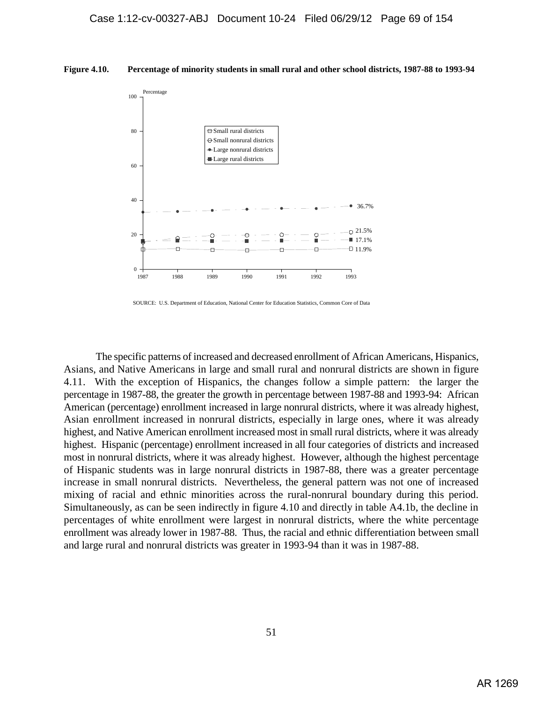



SOURCE: U.S. Department of Education, National Center for Education Statistics, Common Core of Data

The specific patterns of increased and decreased enrollment of African Americans, Hispanics, Asians, and Native Americans in large and small rural and nonrural districts are shown in figure 4.11. With the exception of Hispanics, the changes follow a simple pattern: the larger the percentage in 1987-88, the greater the growth in percentage between 1987-88 and 1993-94: African American (percentage) enrollment increased in large nonrural districts, where it was already highest, Asian enrollment increased in nonrural districts, especially in large ones, where it was already highest, and Native American enrollment increased most in small rural districts, where it was already highest. Hispanic (percentage) enrollment increased in all four categories of districts and increased most in nonrural districts, where it was already highest. However, although the highest percentage of Hispanic students was in large nonrural districts in 1987-88, there was a greater percentage increase in small nonrural districts. Nevertheless, the general pattern was not one of increased mixing of racial and ethnic minorities across the rural-nonrural boundary during this period. Simultaneously, as can be seen indirectly in figure 4.10 and directly in table A4.1b, the decline in percentages of white enrollment were largest in nonrural districts, where the white percentage enrollment was already lower in 1987-88. Thus, the racial and ethnic differentiation between small and large rural and nonrural districts was greater in 1993-94 than it was in 1987-88.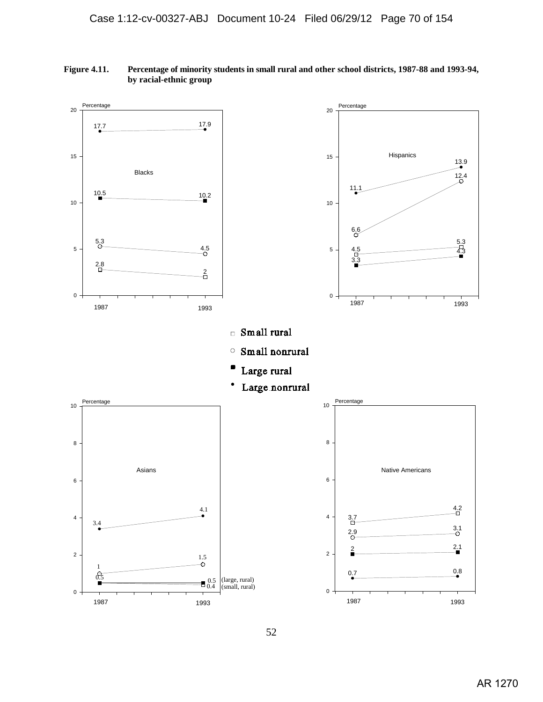

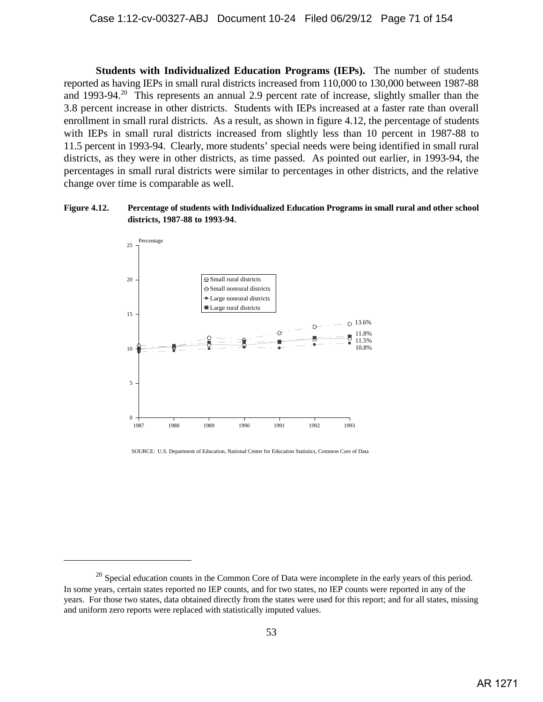**Students with Individualized Education Programs (IEPs).** The number of students reported as having IEPs in small rural districts increased from 110,000 to 130,000 between 1987-88 and 1993-94.<sup>20</sup> This represents an annual 2.9 percent rate of increase, slightly smaller than the 3.8 percent increase in other districts. Students with IEPs increased at a faster rate than overall enrollment in small rural districts. As a result, as shown in figure 4.12, the percentage of students with IEPs in small rural districts increased from slightly less than 10 percent in 1987-88 to 11.5 percent in 1993-94. Clearly, more students' special needs were being identified in small rural districts, as they were in other districts, as time passed. As pointed out earlier, in 1993-94, the percentages in small rural districts were similar to percentages in other districts, and the relative change over time is comparable as well.

## **Figure 4.12. Percentage of students with Individualized Education Programs in small rural and other school districts, 1987-88 to 1993-94**.



SOURCE: U.S. Department of Education, National Center for Education Statistics, Common Core of Data

 $^{20}$  Special education counts in the Common Core of Data were incomplete in the early years of this period. In some years, certain states reported no IEP counts, and for two states, no IEP counts were reported in any of the years. For those two states, data obtained directly from the states were used for this report; and for all states, missing and uniform zero reports were replaced with statistically imputed values.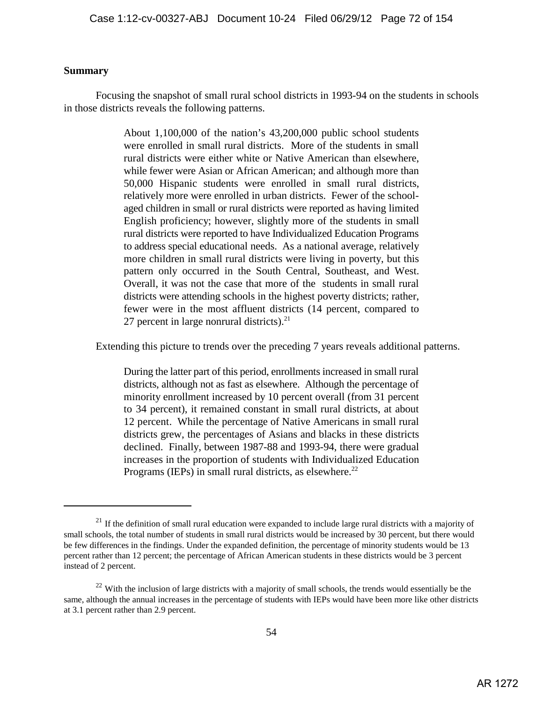# **Summary**

Focusing the snapshot of small rural school districts in 1993-94 on the students in schools in those districts reveals the following patterns.

> About 1,100,000 of the nation's 43,200,000 public school students were enrolled in small rural districts. More of the students in small rural districts were either white or Native American than elsewhere, while fewer were Asian or African American; and although more than 50,000 Hispanic students were enrolled in small rural districts, relatively more were enrolled in urban districts. Fewer of the schoolaged children in small or rural districts were reported as having limited English proficiency; however, slightly more of the students in small rural districts were reported to have Individualized Education Programs to address special educational needs. As a national average, relatively more children in small rural districts were living in poverty, but this pattern only occurred in the South Central, Southeast, and West. Overall, it was not the case that more of the students in small rural districts were attending schools in the highest poverty districts; rather, fewer were in the most affluent districts (14 percent, compared to 27 percent in large nonrural districts). $21$

Extending this picture to trends over the preceding 7 years reveals additional patterns.

During the latter part of this period, enrollments increased in small rural districts, although not as fast as elsewhere. Although the percentage of minority enrollment increased by 10 percent overall (from 31 percent to 34 percent), it remained constant in small rural districts, at about 12 percent. While the percentage of Native Americans in small rural districts grew, the percentages of Asians and blacks in these districts declined. Finally, between 1987-88 and 1993-94, there were gradual increases in the proportion of students with Individualized Education Programs (IEPs) in small rural districts, as elsewhere.<sup>22</sup>

 $1<sup>21</sup>$  If the definition of small rural education were expanded to include large rural districts with a majority of small schools, the total number of students in small rural districts would be increased by 30 percent, but there would be few differences in the findings. Under the expanded definition, the percentage of minority students would be 13 percent rather than 12 percent; the percentage of African American students in these districts would be 3 percent instead of 2 percent.

 $22$  With the inclusion of large districts with a majority of small schools, the trends would essentially be the same, although the annual increases in the percentage of students with IEPs would have been more like other districts at 3.1 percent rather than 2.9 percent.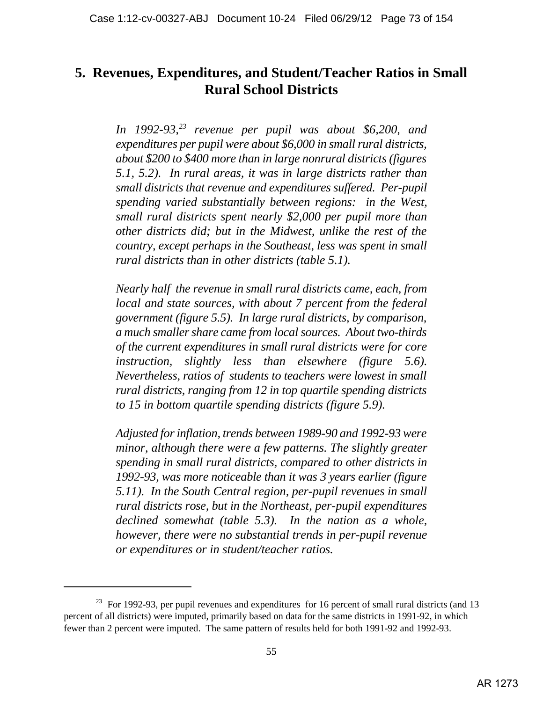# **5. Revenues, Expenditures, and Student/Teacher Ratios in Small Rural School Districts**

*In 1992-93,<sup>23</sup> revenue per pupil was about \$6,200, and expenditures per pupil were about \$6,000 in small rural districts, about \$200 to \$400 more than in large nonrural districts (figures 5.1, 5.2). In rural areas, it was in large districts rather than small districts that revenue and expenditures suffered. Per-pupil spending varied substantially between regions: in the West, small rural districts spent nearly \$2,000 per pupil more than other districts did; but in the Midwest, unlike the rest of the country, except perhaps in the Southeast, less was spent in small rural districts than in other districts (table 5.1).* 

*Nearly half the revenue in small rural districts came, each, from local and state sources, with about 7 percent from the federal government (figure 5.5). In large rural districts, by comparison, a much smaller share came from local sources. About two-thirds of the current expenditures in small rural districts were for core instruction, slightly less than elsewhere (figure 5.6). Nevertheless, ratios of students to teachers were lowest in small rural districts, ranging from 12 in top quartile spending districts to 15 in bottom quartile spending districts (figure 5.9).*

*Adjusted for inflation, trends between 1989-90 and 1992-93 were minor, although there were a few patterns. The slightly greater spending in small rural districts, compared to other districts in 1992-93, was more noticeable than it was 3 years earlier (figure 5.11). In the South Central region, per-pupil revenues in small rural districts rose, but in the Northeast, per-pupil expenditures declined somewhat (table 5.3). In the nation as a whole, however, there were no substantial trends in per-pupil revenue or expenditures or in student/teacher ratios.*

 $^{23}$  For 1992-93, per pupil revenues and expenditures for 16 percent of small rural districts (and 13 percent of all districts) were imputed, primarily based on data for the same districts in 1991-92, in which fewer than 2 percent were imputed. The same pattern of results held for both 1991-92 and 1992-93.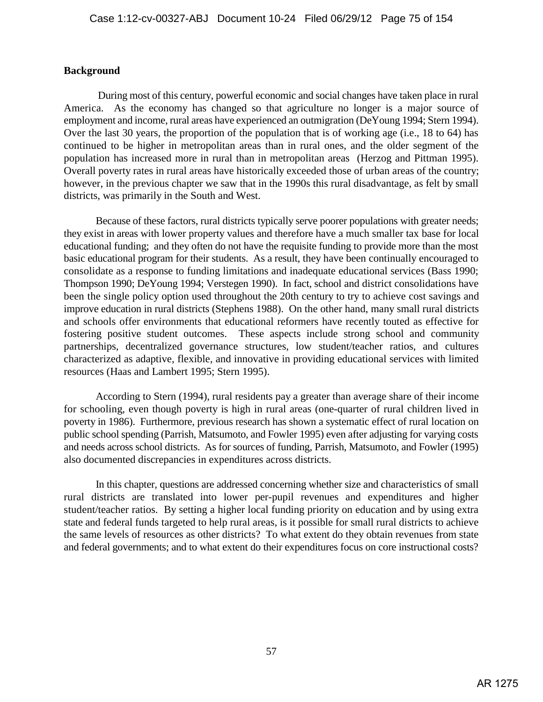## **Background**

 During most of this century, powerful economic and social changes have taken place in rural America. As the economy has changed so that agriculture no longer is a major source of employment and income, rural areas have experienced an outmigration (DeYoung 1994; Stern 1994). Over the last 30 years, the proportion of the population that is of working age (i.e., 18 to 64) has continued to be higher in metropolitan areas than in rural ones, and the older segment of the population has increased more in rural than in metropolitan areas (Herzog and Pittman 1995). Overall poverty rates in rural areas have historically exceeded those of urban areas of the country; however, in the previous chapter we saw that in the 1990s this rural disadvantage, as felt by small districts, was primarily in the South and West.

Because of these factors, rural districts typically serve poorer populations with greater needs; they exist in areas with lower property values and therefore have a much smaller tax base for local educational funding; and they often do not have the requisite funding to provide more than the most basic educational program for their students. As a result, they have been continually encouraged to consolidate as a response to funding limitations and inadequate educational services (Bass 1990; Thompson 1990; DeYoung 1994; Verstegen 1990). In fact, school and district consolidations have been the single policy option used throughout the 20th century to try to achieve cost savings and improve education in rural districts (Stephens 1988). On the other hand, many small rural districts and schools offer environments that educational reformers have recently touted as effective for fostering positive student outcomes. These aspects include strong school and community partnerships, decentralized governance structures, low student/teacher ratios, and cultures characterized as adaptive, flexible, and innovative in providing educational services with limited resources (Haas and Lambert 1995; Stern 1995).

According to Stern (1994), rural residents pay a greater than average share of their income for schooling, even though poverty is high in rural areas (one-quarter of rural children lived in poverty in 1986). Furthermore, previous research has shown a systematic effect of rural location on public school spending (Parrish, Matsumoto, and Fowler 1995) even after adjusting for varying costs and needs across school districts. As for sources of funding, Parrish, Matsumoto, and Fowler (1995) also documented discrepancies in expenditures across districts.

In this chapter, questions are addressed concerning whether size and characteristics of small rural districts are translated into lower per-pupil revenues and expenditures and higher student/teacher ratios. By setting a higher local funding priority on education and by using extra state and federal funds targeted to help rural areas, is it possible for small rural districts to achieve the same levels of resources as other districts? To what extent do they obtain revenues from state and federal governments; and to what extent do their expenditures focus on core instructional costs?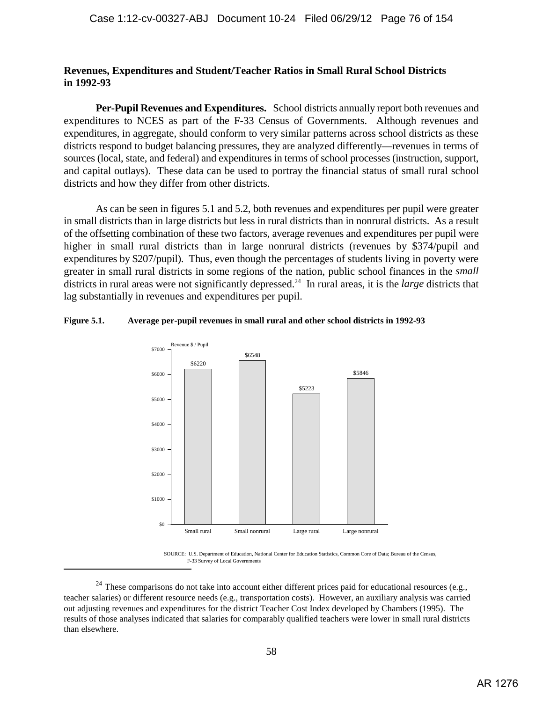## **Revenues, Expenditures and Student/Teacher Ratios in Small Rural School Districts in 1992-93**

**Per-Pupil Revenues and Expenditures.** School districts annually report both revenues and expenditures to NCES as part of the F-33 Census of Governments. Although revenues and expenditures, in aggregate, should conform to very similar patterns across school districts as these districts respond to budget balancing pressures, they are analyzed differently—revenues in terms of sources (local, state, and federal) and expenditures in terms of school processes (instruction, support, and capital outlays). These data can be used to portray the financial status of small rural school districts and how they differ from other districts.

As can be seen in figures 5.1 and 5.2, both revenues and expenditures per pupil were greater in small districts than in large districts but less in rural districts than in nonrural districts. As a result of the offsetting combination of these two factors, average revenues and expenditures per pupil were higher in small rural districts than in large nonrural districts (revenues by \$374/pupil and expenditures by \$207/pupil). Thus, even though the percentages of students living in poverty were greater in small rural districts in some regions of the nation, public school finances in the *small* districts in rural areas were not significantly depressed.<sup>24</sup> In rural areas, it is the *large* districts that lag substantially in revenues and expenditures per pupil.

## **Figure 5.1. Average per-pupil revenues in small rural and other school districts in 1992-93**



SOURCE: U.S. Department of Education, National Center for Education Statistics, Common Core of Data; Bureau of the Census, F-33 Survey of Local Governments

 $24$  These comparisons do not take into account either different prices paid for educational resources (e.g., teacher salaries) or different resource needs (e.g., transportation costs). However, an auxiliary analysis was carried out adjusting revenues and expenditures for the district Teacher Cost Index developed by Chambers (1995). The results of those analyses indicated that salaries for comparably qualified teachers were lower in small rural districts than elsewhere.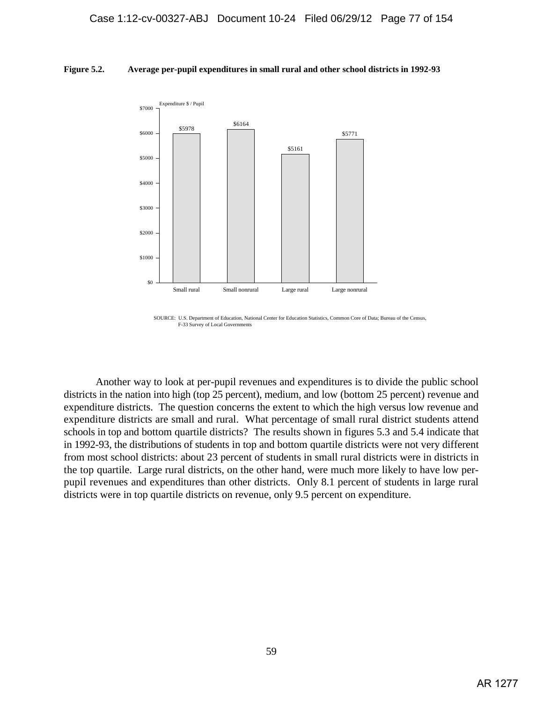#### **Figure 5.2. Average per-pupil expenditures in small rural and other school districts in 1992-93**



SOURCE: U.S. Department of Education, National Center for Education Statistics, Common Core of Data; Bureau of the Census, F-33 Survey of Local Governments

Another way to look at per-pupil revenues and expenditures is to divide the public school districts in the nation into high (top 25 percent), medium, and low (bottom 25 percent) revenue and expenditure districts. The question concerns the extent to which the high versus low revenue and expenditure districts are small and rural. What percentage of small rural district students attend schools in top and bottom quartile districts? The results shown in figures 5.3 and 5.4 indicate that in 1992-93, the distributions of students in top and bottom quartile districts were not very different from most school districts: about 23 percent of students in small rural districts were in districts in the top quartile. Large rural districts, on the other hand, were much more likely to have low perpupil revenues and expenditures than other districts. Only 8.1 percent of students in large rural districts were in top quartile districts on revenue, only 9.5 percent on expenditure.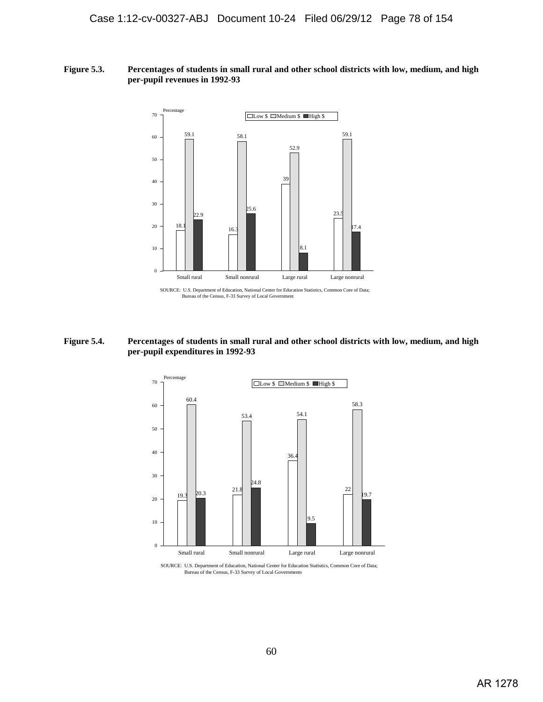#### **Figure 5.3. Percentages of students in small rural and other school districts with low, medium, and high per-pupil revenues in 1992-93**



**Figure 5.4. Percentages of students in small rural and other school districts with low, medium, and high per-pupil expenditures in 1992-93**



SOURCE: U.S. Department of Education, National Center for Education Statistics, Common Core of Data; Bureau of the Census, F-33 Survey of Local Governments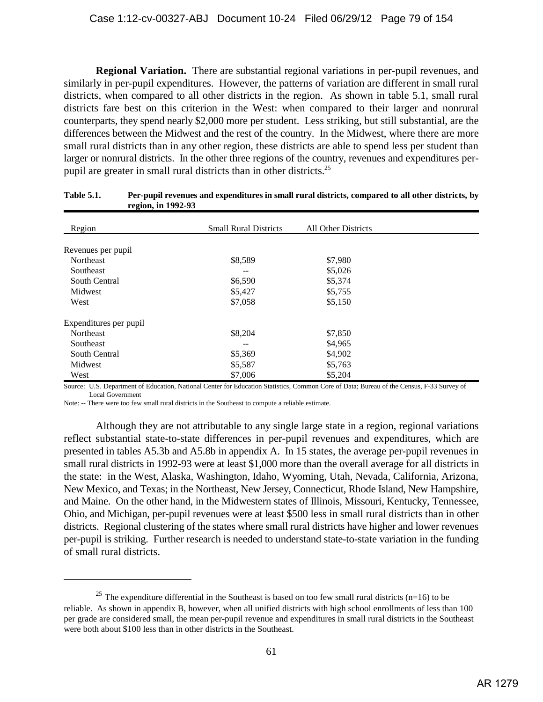**Regional Variation.** There are substantial regional variations in per-pupil revenues, and similarly in per-pupil expenditures. However, the patterns of variation are different in small rural districts, when compared to all other districts in the region. As shown in table 5.1, small rural districts fare best on this criterion in the West: when compared to their larger and nonrural counterparts, they spend nearly \$2,000 more per student. Less striking, but still substantial, are the differences between the Midwest and the rest of the country. In the Midwest, where there are more small rural districts than in any other region, these districts are able to spend less per student than larger or nonrural districts. In the other three regions of the country, revenues and expenditures perpupil are greater in small rural districts than in other districts. 25

| - - <del>a</del> -----, --- -- - |                              |                     |  |
|----------------------------------|------------------------------|---------------------|--|
| Region                           | <b>Small Rural Districts</b> | All Other Districts |  |
|                                  |                              |                     |  |
| Revenues per pupil               |                              |                     |  |
| Northeast                        | \$8,589                      | \$7,980             |  |
| Southeast                        |                              | \$5,026             |  |
| South Central                    | \$6,590                      | \$5,374             |  |
| Midwest                          | \$5,427                      | \$5,755             |  |
| West                             | \$7,058                      | \$5,150             |  |
| Expenditures per pupil           |                              |                     |  |
| Northeast                        | \$8,204                      | \$7,850             |  |
| Southeast                        |                              | \$4,965             |  |
| South Central                    | \$5,369                      | \$4,902             |  |
| Midwest                          | \$5,587                      | \$5,763             |  |
| West                             | \$7,006                      | \$5,204             |  |
|                                  |                              |                     |  |

### **Table 5.1. Per-pupil revenues and expenditures in small rural districts, compared to all other districts, by region, in 1992-93**

Source: U.S. Department of Education, National Center for Education Statistics, Common Core of Data; Bureau of the Census, F-33 Survey of Local Government

Note: -- There were too few small rural districts in the Southeast to compute a reliable estimate.

Although they are not attributable to any single large state in a region, regional variations reflect substantial state-to-state differences in per-pupil revenues and expenditures, which are presented in tables A5.3b and A5.8b in appendix A. In 15 states, the average per-pupil revenues in small rural districts in 1992-93 were at least \$1,000 more than the overall average for all districts in the state: in the West, Alaska, Washington, Idaho, Wyoming, Utah, Nevada, California, Arizona, New Mexico, and Texas; in the Northeast, New Jersey, Connecticut, Rhode Island, New Hampshire, and Maine. On the other hand, in the Midwestern states of Illinois, Missouri, Kentucky, Tennessee, Ohio, and Michigan, per-pupil revenues were at least \$500 less in small rural districts than in other districts. Regional clustering of the states where small rural districts have higher and lower revenues per-pupil is striking. Further research is needed to understand state-to-state variation in the funding of small rural districts.

<sup>&</sup>lt;sup>25</sup> The expenditure differential in the Southeast is based on too few small rural districts (n=16) to be reliable. As shown in appendix B, however, when all unified districts with high school enrollments of less than 100 per grade are considered small, the mean per-pupil revenue and expenditures in small rural districts in the Southeast were both about \$100 less than in other districts in the Southeast.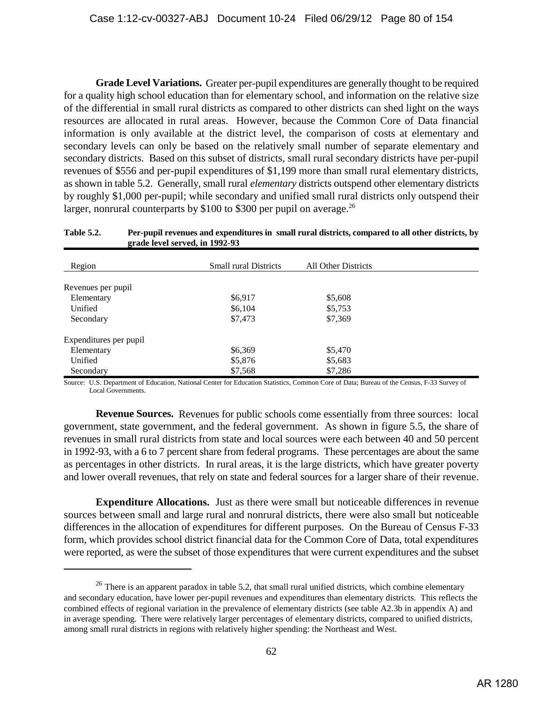**Grade Level Variations.** Greater per-pupil expenditures are generally thought to be required for a quality high school education than for elementary school, and information on the relative size of the differential in small rural districts as compared to other districts can shed light on the ways resources are allocated in rural areas. However, because the Common Core of Data financial information is only available at the district level, the comparison of costs at elementary and secondary levels can only be based on the relatively small number of separate elementary and secondary districts. Based on this subset of districts, small rural secondary districts have per-pupil revenues of \$556 and per-pupil expenditures of \$1,199 more than small rural elementary districts, as shown in table 5.2. Generally, small rural *elementary* districts outspend other elementary districts by roughly \$1,000 per-pupil; while secondary and unified small rural districts only outspend their larger, nonrural counterparts by  $$100$  to  $$300$  per pupil on average.<sup>26</sup>

#### **Table 5.2. Per-pupil revenues and expenditures in small rural districts, compared to all other districts, by grade level served, in 1992-93**

| Region                 | <b>Small rural Districts</b> | All Other Districts |  |
|------------------------|------------------------------|---------------------|--|
|                        |                              |                     |  |
| Revenues per pupil     |                              |                     |  |
| Elementary             | \$6,917                      | \$5,608             |  |
| Unified                | \$6,104                      | \$5,753             |  |
| Secondary              | \$7,473                      | \$7,369             |  |
| Expenditures per pupil |                              |                     |  |
| Elementary             | \$6,369                      | \$5,470             |  |
| Unified                | \$5,876                      | \$5,683             |  |
| Secondary              | \$7,568                      | \$7,286             |  |

Source: U.S. Department of Education, National Center for Education Statistics, Common Core of Data; Bureau of the Census, F-33 Survey of Local Governments.

**Revenue Sources.** Revenues for public schools come essentially from three sources: local government, state government, and the federal government. As shown in figure 5.5, the share of revenues in small rural districts from state and local sources were each between 40 and 50 percent in 1992-93, with a 6 to 7 percent share from federal programs. These percentages are about the same as percentages in other districts. In rural areas, it is the large districts, which have greater poverty and lower overall revenues, that rely on state and federal sources for a larger share of their revenue.

**Expenditure Allocations.** Just as there were small but noticeable differences in revenue sources between small and large rural and nonrural districts, there were also small but noticeable differences in the allocation of expenditures for different purposes. On the Bureau of Census F-33 form, which provides school district financial data for the Common Core of Data, total expenditures were reported, as were the subset of those expenditures that were current expenditures and the subset

<sup>&</sup>lt;sup>26</sup> There is an apparent paradox in table 5.2, that small rural unified districts, which combine elementary and secondary education, have lower per-pupil revenues and expenditures than elementary districts. This reflects the combined effects of regional variation in the prevalence of elementary districts (see table A2.3b in appendix A) and in average spending. There were relatively larger percentages of elementary districts, compared to unified districts, among small rural districts in regions with relatively higher spending: the Northeast and West.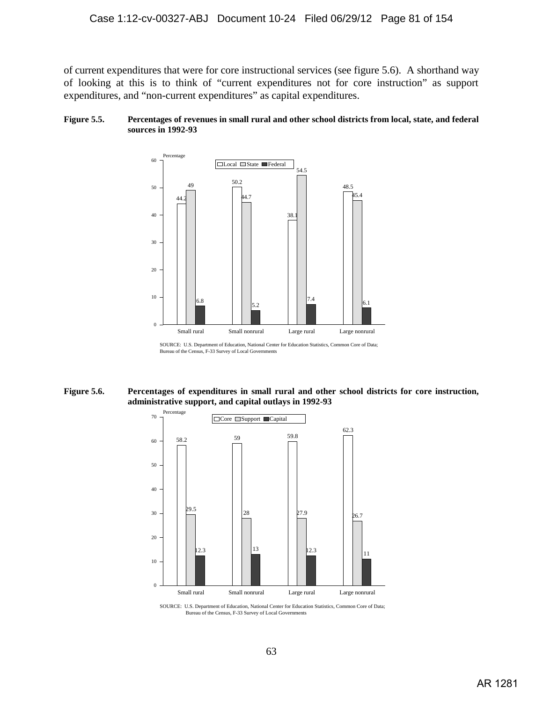of current expenditures that were for core instructional services (see figure 5.6). A shorthand way of looking at this is to think of "current expenditures not for core instruction" as support expenditures, and "non-current expenditures" as capital expenditures.

#### **Figure 5.5. Percentages of revenues in small rural and other school districts from local, state, and federal sources in 1992-93**



**Figure 5.6. Percentages of expenditures in small rural and other school districts for core instruction, administrative support, and capital outlays in 1992-93**



SOURCE: U.S. Department of Education, National Center for Education Statistics, Common Core of Data; Bureau of the Census, F-33 Survey of Local Governments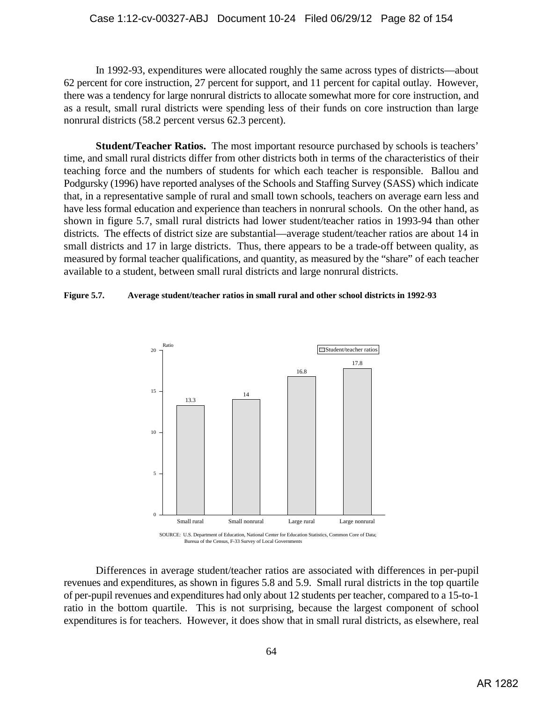In 1992-93, expenditures were allocated roughly the same across types of districts—about 62 percent for core instruction, 27 percent for support, and 11 percent for capital outlay. However, there was a tendency for large nonrural districts to allocate somewhat more for core instruction, and as a result, small rural districts were spending less of their funds on core instruction than large nonrural districts (58.2 percent versus 62.3 percent).

**Student/Teacher Ratios.** The most important resource purchased by schools is teachers' time, and small rural districts differ from other districts both in terms of the characteristics of their teaching force and the numbers of students for which each teacher is responsible. Ballou and Podgursky (1996) have reported analyses of the Schools and Staffing Survey (SASS) which indicate that, in a representative sample of rural and small town schools, teachers on average earn less and have less formal education and experience than teachers in nonrural schools. On the other hand, as shown in figure 5.7, small rural districts had lower student/teacher ratios in 1993-94 than other districts. The effects of district size are substantial—average student/teacher ratios are about 14 in small districts and 17 in large districts. Thus, there appears to be a trade-off between quality, as measured by formal teacher qualifications, and quantity, as measured by the "share" of each teacher available to a student, between small rural districts and large nonrural districts.

## **Figure 5.7. Average student/teacher ratios in small rural and other school districts in 1992-93**



Differences in average student/teacher ratios are associated with differences in per-pupil revenues and expenditures, as shown in figures 5.8 and 5.9. Small rural districts in the top quartile of per-pupil revenues and expenditures had only about 12 students per teacher, compared to a 15-to-1 ratio in the bottom quartile. This is not surprising, because the largest component of school expenditures is for teachers. However, it does show that in small rural districts, as elsewhere, real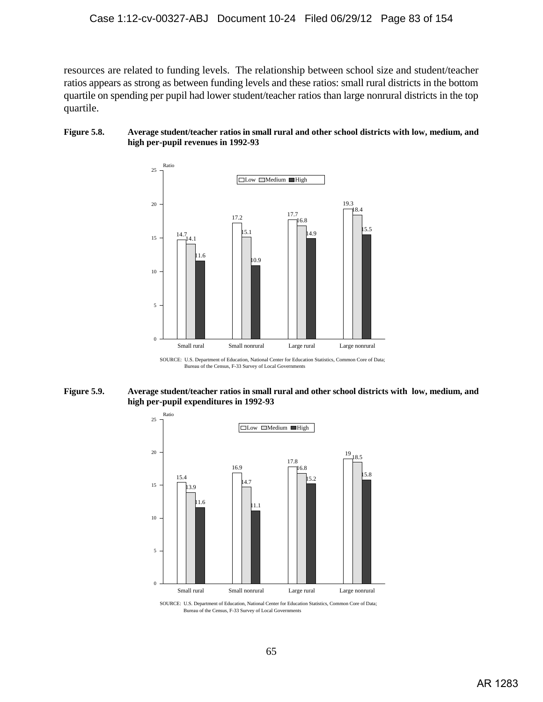resources are related to funding levels. The relationship between school size and student/teacher ratios appears as strong as between funding levels and these ratios: small rural districts in the bottom quartile on spending per pupil had lower student/teacher ratios than large nonrural districts in the top quartile.

### **Figure 5.8. Average student/teacher ratios in small rural and other school districts with low, medium, and high per-pupil revenues in 1992-93**



SOURCE: U.S. Department of Education, National Center for Education Statistics, Common Core of Data; Bureau of the Census, F-33 Survey of Local Governments

#### **Figure 5.9. Average student/teacher ratios in small rural and other school districts with low, medium, and high per-pupil expenditures in 1992-93**



SOURCE: U.S. Department of Education, National Center for Education Statistics, Common Core of Data; Bureau of the Census, F-33 Survey of Local Governments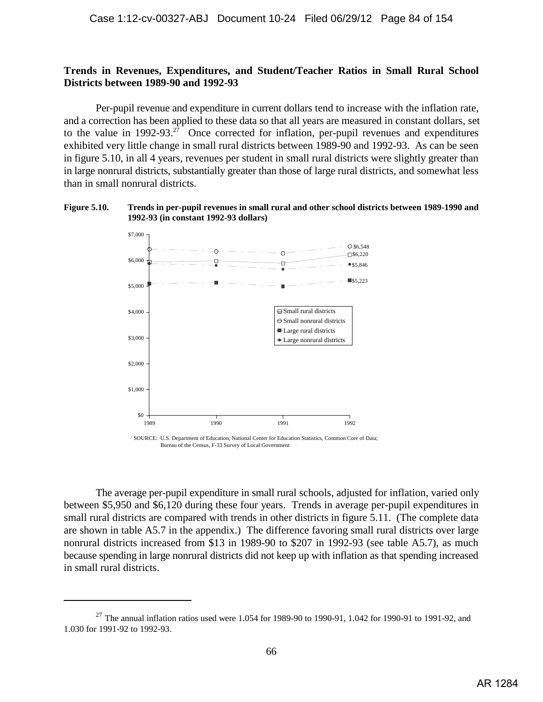## **Trends in Revenues, Expenditures, and Student/Teacher Ratios in Small Rural School Districts between 1989-90 and 1992-93**

Per-pupil revenue and expenditure in current dollars tend to increase with the inflation rate, and a correction has been applied to these data so that all years are measured in constant dollars, set to the value in  $1992-93.^{27}$  Once corrected for inflation, per-pupil revenues and expenditures exhibited very little change in small rural districts between 1989-90 and 1992-93. As can be seen in figure 5.10, in all 4 years, revenues per student in small rural districts were slightly greater than in large nonrural districts, substantially greater than those of large rural districts, and somewhat less than in small nonrural districts.

#### **Figure 5.10. Trends in per-pupil revenues in small rural and other school districts between 1989-1990 and 1992-93 (in constant 1992-93 dollars)**



Bureau of the Census, F-33 Survey of Local Government

The average per-pupil expenditure in small rural schools, adjusted for inflation, varied only between \$5,950 and \$6,120 during these four years. Trends in average per-pupil expenditures in small rural districts are compared with trends in other districts in figure 5.11. (The complete data are shown in table A5.7 in the appendix.) The difference favoring small rural districts over large nonrural districts increased from \$13 in 1989-90 to \$207 in 1992-93 (see table A5.7), as much because spending in large nonrural districts did not keep up with inflation as that spending increased in small rural districts.

<sup>&</sup>lt;sup>27</sup> The annual inflation ratios used were 1.054 for 1989-90 to 1990-91, 1.042 for 1990-91 to 1991-92, and 1.030 for 1991-92 to 1992-93.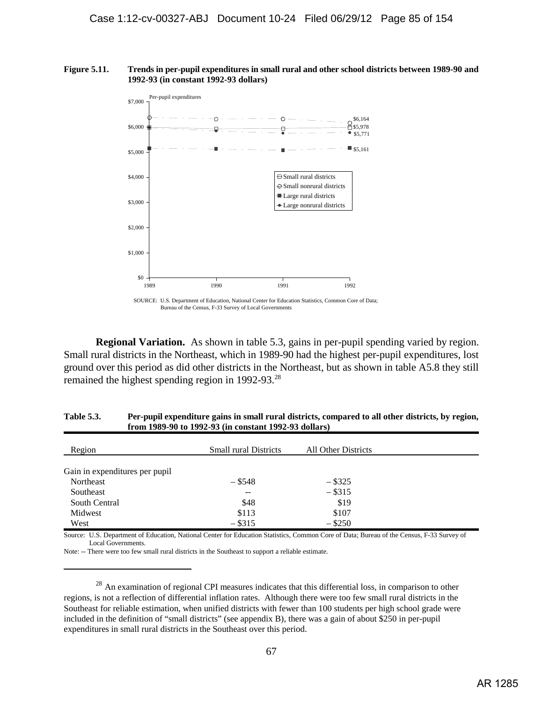#### **Figure 5.11. Trends in per-pupil expenditures in small rural and other school districts between 1989-90 and 1992-93 (in constant 1992-93 dollars)**



Bureau of the Census, F-33 Survey of Local Governments

**Regional Variation.** As shown in table 5.3, gains in per-pupil spending varied by region. Small rural districts in the Northeast, which in 1989-90 had the highest per-pupil expenditures, lost ground over this period as did other districts in the Northeast, but as shown in table A5.8 they still remained the highest spending region in 1992-93.<sup>28</sup>

| Region                         | <b>Small rural Districts</b> | All Other Districts |  |
|--------------------------------|------------------------------|---------------------|--|
| Gain in expenditures per pupil |                              |                     |  |
| Northeast                      | $-$ \$548                    | $-$ \$325           |  |
| Southeast                      | $- -$                        | $-$ \$315           |  |
| South Central                  | \$48                         | \$19                |  |
| Midwest                        | \$113                        | \$107               |  |
| West                           | $-$ \$315                    | $-$ \$250           |  |

**Table 5.3. Per-pupil expenditure gains in small rural districts, compared to all other districts, by region, from 1989-90 to 1992-93 (in constant 1992-93 dollars)**

Source: U.S. Department of Education, National Center for Education Statistics, Common Core of Data; Bureau of the Census, F-33 Survey of Local Governments.

Note: -- There were too few small rural districts in the Southeast to support a reliable estimate.

 $^{28}$  An examination of regional CPI measures indicates that this differential loss, in comparison to other regions, is not a reflection of differential inflation rates. Although there were too few small rural districts in the Southeast for reliable estimation, when unified districts with fewer than 100 students per high school grade were included in the definition of "small districts" (see appendix B), there was a gain of about \$250 in per-pupil expenditures in small rural districts in the Southeast over this period.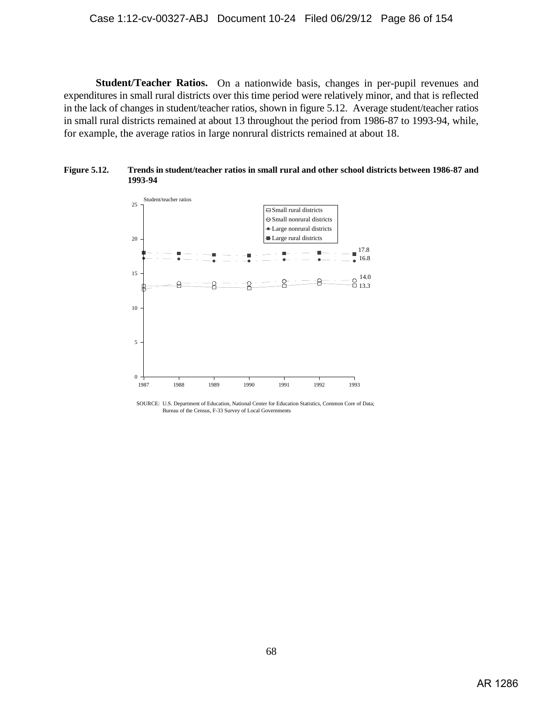**Student/Teacher Ratios.** On a nationwide basis, changes in per-pupil revenues and expenditures in small rural districts over this time period were relatively minor, and that is reflected in the lack of changes in student/teacher ratios, shown in figure 5.12. Average student/teacher ratios in small rural districts remained at about 13 throughout the period from 1986-87 to 1993-94, while, for example, the average ratios in large nonrural districts remained at about 18.





SOURCE: U.S. Department of Education, National Center for Education Statistics, Common Core of Data; Bureau of the Census, F-33 Survey of Local Governments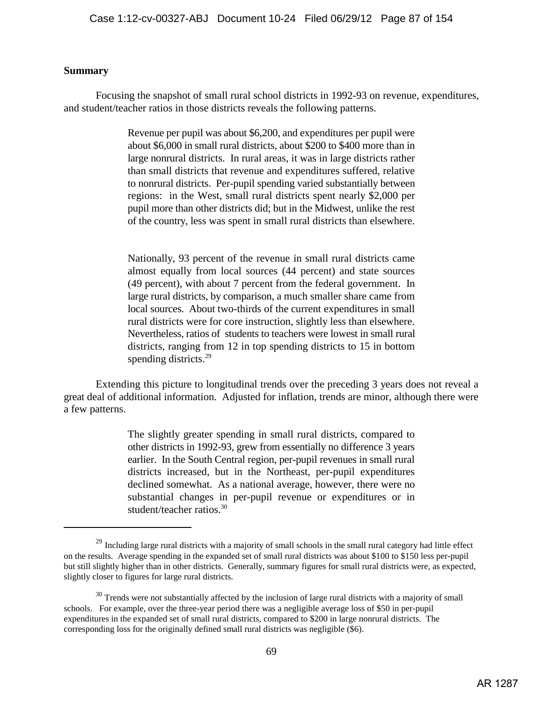## **Summary**

Focusing the snapshot of small rural school districts in 1992-93 on revenue, expenditures, and student/teacher ratios in those districts reveals the following patterns.

> Revenue per pupil was about \$6,200, and expenditures per pupil were about \$6,000 in small rural districts, about \$200 to \$400 more than in large nonrural districts. In rural areas, it was in large districts rather than small districts that revenue and expenditures suffered, relative to nonrural districts. Per-pupil spending varied substantially between regions: in the West, small rural districts spent nearly \$2,000 per pupil more than other districts did; but in the Midwest, unlike the rest of the country, less was spent in small rural districts than elsewhere.

> Nationally, 93 percent of the revenue in small rural districts came almost equally from local sources (44 percent) and state sources (49 percent), with about 7 percent from the federal government. In large rural districts, by comparison, a much smaller share came from local sources. About two-thirds of the current expenditures in small rural districts were for core instruction, slightly less than elsewhere. Nevertheless, ratios of students to teachers were lowest in small rural districts, ranging from 12 in top spending districts to 15 in bottom spending districts.<sup>29</sup>

Extending this picture to longitudinal trends over the preceding 3 years does not reveal a great deal of additional information. Adjusted for inflation, trends are minor, although there were a few patterns.

> The slightly greater spending in small rural districts, compared to other districts in 1992-93, grew from essentially no difference 3 years earlier. In the South Central region, per-pupil revenues in small rural districts increased, but in the Northeast, per-pupil expenditures declined somewhat. As a national average, however, there were no substantial changes in per-pupil revenue or expenditures or in student/teacher ratios.30

 $^{29}$  Including large rural districts with a majority of small schools in the small rural category had little effect on the results. Average spending in the expanded set of small rural districts was about \$100 to \$150 less per-pupil but still slightly higher than in other districts. Generally, summary figures for small rural districts were, as expected, slightly closer to figures for large rural districts.

 $30$  Trends were not substantially affected by the inclusion of large rural districts with a majority of small schools. For example, over the three-year period there was a negligible average loss of \$50 in per-pupil expenditures in the expanded set of small rural districts, compared to \$200 in large nonrural districts. The corresponding loss for the originally defined small rural districts was negligible (\$6).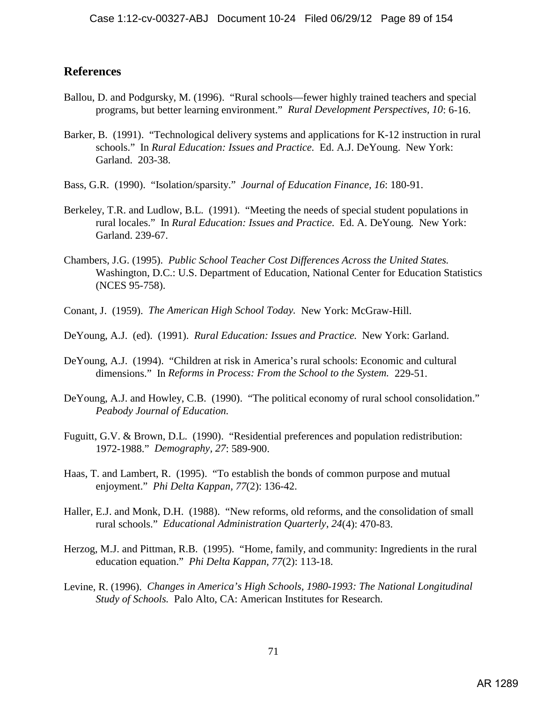## **References**

- Ballou, D. and Podgursky, M. (1996). "Rural schools—fewer highly trained teachers and special programs, but better learning environment." *Rural Development Perspectives, 10*: 6-16.
- Barker, B. (1991). "Technological delivery systems and applications for K-12 instruction in rural schools." In *Rural Education: Issues and Practice.* Ed. A.J. DeYoung. New York: Garland. 203-38.
- Bass, G.R. (1990). "Isolation/sparsity." *Journal of Education Finance, 16*: 180-91.
- Berkeley, T.R. and Ludlow, B.L. (1991). "Meeting the needs of special student populations in rural locales." In *Rural Education: Issues and Practice.* Ed. A. DeYoung*.* New York: Garland. 239-67.
- Chambers, J.G. (1995). *Public School Teacher Cost Differences Across the United States.* Washington, D.C.: U.S. Department of Education, National Center for Education Statistics (NCES 95-758).
- Conant, J. (1959). *The American High School Today.* New York: McGraw-Hill.
- DeYoung, A.J. (ed). (1991). *Rural Education: Issues and Practice.* New York: Garland.
- DeYoung, A.J. (1994). "Children at risk in America's rural schools: Economic and cultural dimensions." In *Reforms in Process: From the School to the System.* 229-51.
- DeYoung, A.J. and Howley, C.B. (1990). "The political economy of rural school consolidation." *Peabody Journal of Education.*
- Fuguitt, G.V. & Brown, D.L. (1990). "Residential preferences and population redistribution: 1972-1988." *Demography, 27*: 589-900.
- Haas, T. and Lambert, R. (1995). "To establish the bonds of common purpose and mutual enjoyment." *Phi Delta Kappan, 77*(2): 136-42.
- Haller, E.J. and Monk, D.H. (1988). "New reforms, old reforms, and the consolidation of small rural schools." *Educational Administration Quarterly, 24*(4): 470-83.
- Herzog, M.J. and Pittman, R.B. (1995). "Home, family, and community: Ingredients in the rural education equation." *Phi Delta Kappan, 77*(2): 113-18.
- Levine, R. (1996). *Changes in America's High Schools, 1980-1993: The National Longitudinal Study of Schools.* Palo Alto, CA: American Institutes for Research.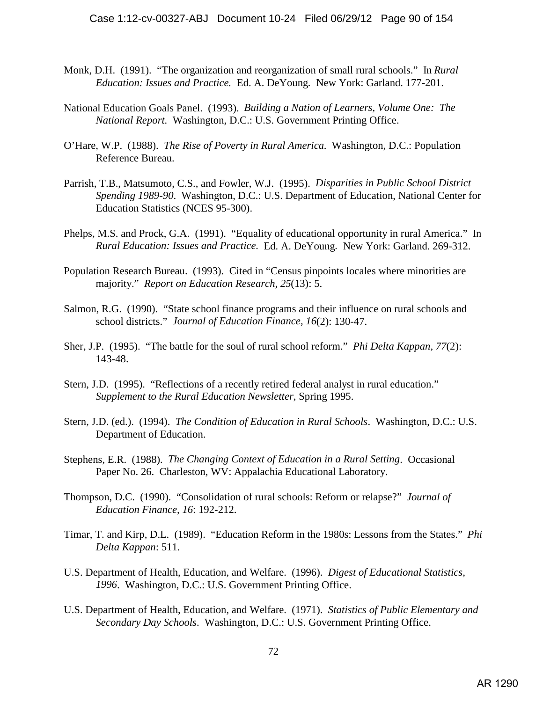- Monk, D.H. (1991). "The organization and reorganization of small rural schools." In *Rural Education: Issues and Practice.* Ed. A. DeYoung*.* New York: Garland. 177-201.
- National Education Goals Panel. (1993). *Building a Nation of Learners, Volume One: The National Report.* Washington, D.C.: U.S. Government Printing Office.
- O'Hare, W.P. (1988). *The Rise of Poverty in Rural America*. Washington, D.C.: Population Reference Bureau.
- Parrish, T.B., Matsumoto, C.S., and Fowler, W.J. (1995). *Disparities in Public School District Spending 1989-90*. Washington, D.C.: U.S. Department of Education, National Center for Education Statistics (NCES 95-300).
- Phelps, M.S. and Prock, G.A. (1991). "Equality of educational opportunity in rural America." In *Rural Education: Issues and Practice.* Ed. A. DeYoung*.* New York: Garland. 269-312.
- Population Research Bureau. (1993). Cited in "Census pinpoints locales where minorities are majority." *Report on Education Research, 25*(13): 5.
- Salmon, R.G. (1990). "State school finance programs and their influence on rural schools and school districts." *Journal of Education Finance, 16*(2): 130-47.
- Sher, J.P. (1995). "The battle for the soul of rural school reform." *Phi Delta Kappan, 77*(2): 143-48.
- Stern, J.D. (1995). "Reflections of a recently retired federal analyst in rural education." *Supplement to the Rural Education Newsletter*, Spring 1995.
- Stern, J.D. (ed.). (1994). *The Condition of Education in Rural Schools*. Washington, D.C.: U.S. Department of Education.
- Stephens, E.R. (1988). *The Changing Context of Education in a Rural Setting*. Occasional Paper No. 26. Charleston, WV: Appalachia Educational Laboratory.
- Thompson, D.C. (1990). "Consolidation of rural schools: Reform or relapse?" *Journal of Education Finance, 16*: 192-212.
- Timar, T. and Kirp, D.L. (1989). "Education Reform in the 1980s: Lessons from the States." *Phi Delta Kappan*: 511.
- U.S. Department of Health, Education, and Welfare. (1996). *Digest of Educational Statistics, 1996*. Washington, D.C.: U.S. Government Printing Office.
- U.S. Department of Health, Education, and Welfare. (1971). *Statistics of Public Elementary and Secondary Day Schools*. Washington, D.C.: U.S. Government Printing Office.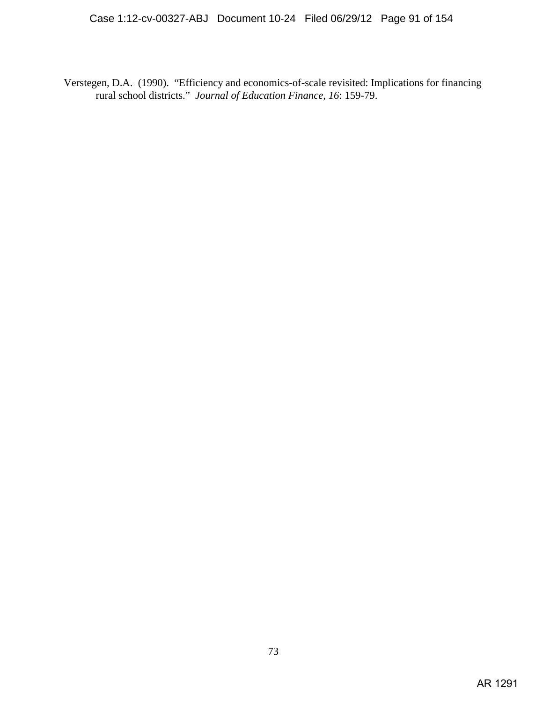Verstegen, D.A. (1990). "Efficiency and economics-of-scale revisited: Implications for financing rural school districts." *Journal of Education Finance, 16*: 159-79.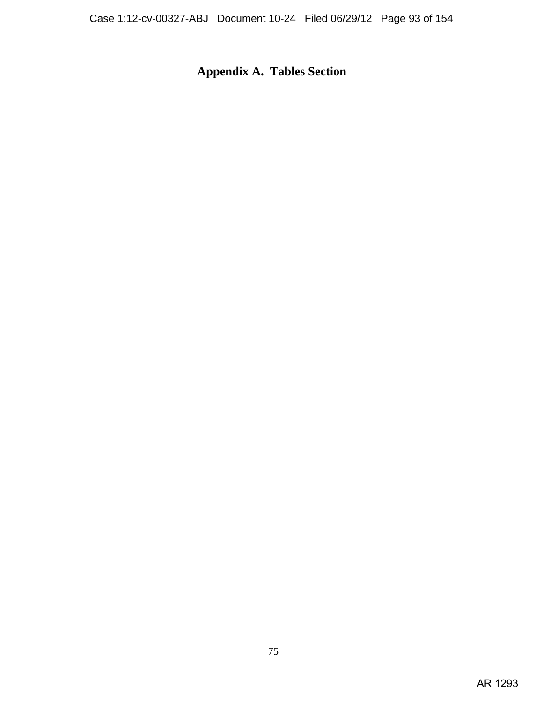# **Appendix A. Tables Section**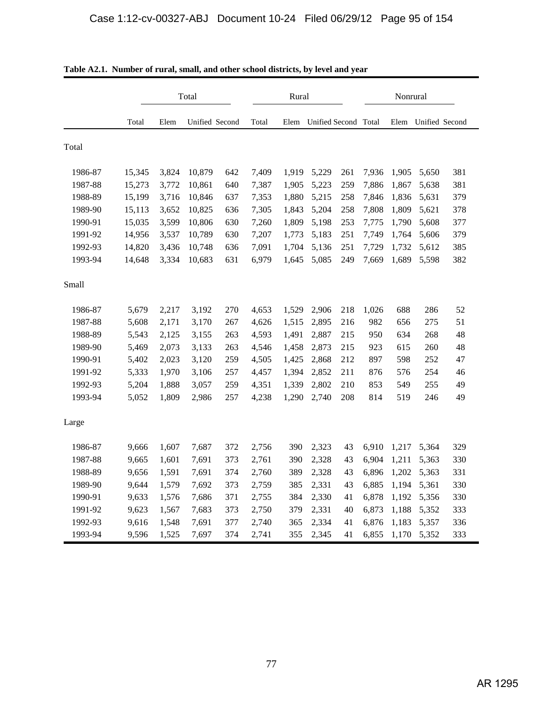|         |        | Total |                |     |       |       | Rural                |     |       |       |                | Nonrural |  |  |  |
|---------|--------|-------|----------------|-----|-------|-------|----------------------|-----|-------|-------|----------------|----------|--|--|--|
|         | Total  | Elem  | Unified Second |     | Total | Elem  | Unified Second Total |     |       | Elem  | Unified Second |          |  |  |  |
| Total   |        |       |                |     |       |       |                      |     |       |       |                |          |  |  |  |
| 1986-87 | 15,345 | 3,824 | 10,879         | 642 | 7,409 | 1,919 | 5,229                | 261 | 7,936 | 1,905 | 5,650          | 381      |  |  |  |
| 1987-88 | 15,273 | 3,772 | 10,861         | 640 | 7,387 | 1,905 | 5,223                | 259 | 7,886 | 1,867 | 5,638          | 381      |  |  |  |
| 1988-89 | 15,199 | 3,716 | 10,846         | 637 | 7,353 | 1,880 | 5,215                | 258 | 7,846 | 1,836 | 5,631          | 379      |  |  |  |
| 1989-90 | 15,113 | 3,652 | 10,825         | 636 | 7,305 | 1,843 | 5,204                | 258 | 7,808 | 1,809 | 5,621          | 378      |  |  |  |
| 1990-91 | 15,035 | 3,599 | 10,806         | 630 | 7,260 | 1,809 | 5,198                | 253 | 7,775 | 1,790 | 5,608          | 377      |  |  |  |
| 1991-92 | 14,956 | 3,537 | 10,789         | 630 | 7,207 | 1,773 | 5,183                | 251 | 7,749 | 1,764 | 5,606          | 379      |  |  |  |
| 1992-93 | 14,820 | 3,436 | 10,748         | 636 | 7,091 | 1,704 | 5,136                | 251 | 7,729 | 1,732 | 5,612          | 385      |  |  |  |
| 1993-94 | 14,648 | 3,334 | 10,683         | 631 | 6,979 | 1,645 | 5,085                | 249 | 7,669 | 1,689 | 5,598          | 382      |  |  |  |
| Small   |        |       |                |     |       |       |                      |     |       |       |                |          |  |  |  |
| 1986-87 | 5,679  | 2,217 | 3,192          | 270 | 4,653 | 1,529 | 2,906                | 218 | 1,026 | 688   | 286            | 52       |  |  |  |
| 1987-88 | 5,608  | 2,171 | 3,170          | 267 | 4,626 | 1,515 | 2,895                | 216 | 982   | 656   | 275            | 51       |  |  |  |
| 1988-89 | 5,543  | 2,125 | 3,155          | 263 | 4,593 | 1,491 | 2,887                | 215 | 950   | 634   | 268            | 48       |  |  |  |
| 1989-90 | 5,469  | 2,073 | 3,133          | 263 | 4,546 | 1,458 | 2,873                | 215 | 923   | 615   | 260            | 48       |  |  |  |
| 1990-91 | 5,402  | 2,023 | 3,120          | 259 | 4,505 | 1,425 | 2,868                | 212 | 897   | 598   | 252            | 47       |  |  |  |
| 1991-92 | 5,333  | 1,970 | 3,106          | 257 | 4,457 | 1,394 | 2,852                | 211 | 876   | 576   | 254            | 46       |  |  |  |
| 1992-93 | 5,204  | 1,888 | 3,057          | 259 | 4,351 | 1,339 | 2,802                | 210 | 853   | 549   | 255            | 49       |  |  |  |
| 1993-94 | 5,052  | 1,809 | 2,986          | 257 | 4,238 | 1,290 | 2,740                | 208 | 814   | 519   | 246            | 49       |  |  |  |
| Large   |        |       |                |     |       |       |                      |     |       |       |                |          |  |  |  |
| 1986-87 | 9,666  | 1,607 | 7,687          | 372 | 2,756 | 390   | 2,323                | 43  | 6,910 | 1,217 | 5,364          | 329      |  |  |  |
| 1987-88 | 9,665  | 1,601 | 7,691          | 373 | 2,761 | 390   | 2,328                | 43  | 6,904 | 1,211 | 5,363          | 330      |  |  |  |
| 1988-89 | 9,656  | 1,591 | 7,691          | 374 | 2,760 | 389   | 2,328                | 43  | 6,896 | 1,202 | 5,363          | 331      |  |  |  |
| 1989-90 | 9,644  | 1,579 | 7,692          | 373 | 2,759 | 385   | 2,331                | 43  | 6,885 | 1,194 | 5,361          | 330      |  |  |  |
| 1990-91 | 9,633  | 1,576 | 7,686          | 371 | 2,755 | 384   | 2,330                | 41  | 6,878 | 1,192 | 5,356          | 330      |  |  |  |
| 1991-92 | 9,623  | 1,567 | 7,683          | 373 | 2,750 | 379   | 2,331                | 40  | 6,873 | 1,188 | 5,352          | 333      |  |  |  |
| 1992-93 | 9,616  | 1,548 | 7,691          | 377 | 2,740 | 365   | 2,334                | 41  | 6,876 | 1,183 | 5,357          | 336      |  |  |  |
| 1993-94 | 9,596  | 1,525 | 7,697          | 374 | 2,741 | 355   | 2,345                | 41  | 6,855 |       | 1,170 5,352    | 333      |  |  |  |

**Table A2.1. Number of rural, small, and other school districts, by level and year**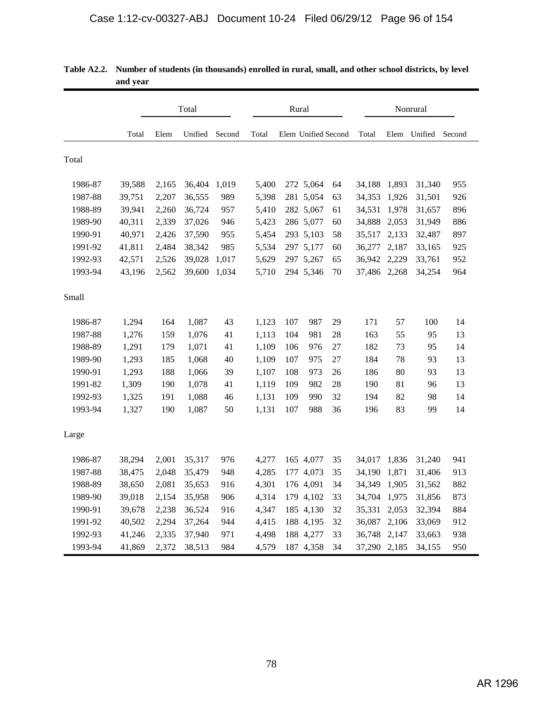|         |        |       | Total   |        |       | Rural |                     |    |              |       | Nonrural     |        |
|---------|--------|-------|---------|--------|-------|-------|---------------------|----|--------------|-------|--------------|--------|
|         | Total  | Elem  | Unified | Second | Total |       | Elem Unified Second |    | Total        |       | Elem Unified | Second |
| Total   |        |       |         |        |       |       |                     |    |              |       |              |        |
| 1986-87 | 39,588 | 2,165 | 36,404  | 1,019  | 5,400 |       | 272 5,064           | 64 | 34,188       | 1,893 | 31,340       | 955    |
| 1987-88 | 39,751 | 2,207 | 36,555  | 989    | 5,398 |       | 281 5,054           | 63 | 34,353       | 1,926 | 31,501       | 926    |
| 1988-89 | 39,941 | 2,260 | 36,724  | 957    | 5,410 |       | 282 5,067           | 61 | 34,531       | 1,978 | 31,657       | 896    |
| 1989-90 | 40,311 | 2,339 | 37,026  | 946    | 5,423 |       | 286 5,077           | 60 | 34,888       | 2,053 | 31,949       | 886    |
| 1990-91 | 40,971 | 2,426 | 37,590  | 955    | 5,454 |       | 293 5,103           | 58 | 35,517       | 2,133 | 32,487       | 897    |
| 1991-92 | 41,811 | 2,484 | 38,342  | 985    | 5,534 |       | 297 5,177           | 60 | 36,277       | 2,187 | 33,165       | 925    |
| 1992-93 | 42,571 | 2,526 | 39,028  | 1,017  | 5,629 |       | 297 5,267           | 65 | 36,942 2,229 |       | 33,761       | 952    |
| 1993-94 | 43,196 | 2,562 | 39,600  | 1,034  | 5,710 |       | 294 5,346           | 70 | 37,486 2,268 |       | 34,254       | 964    |
| Small   |        |       |         |        |       |       |                     |    |              |       |              |        |
| 1986-87 | 1,294  | 164   | 1,087   | 43     | 1,123 | 107   | 987                 | 29 | 171          | 57    | 100          | 14     |
| 1987-88 | 1,276  | 159   | 1,076   | 41     | 1,113 | 104   | 981                 | 28 | 163          | 55    | 95           | 13     |
| 1988-89 | 1,291  | 179   | 1,071   | 41     | 1,109 | 106   | 976                 | 27 | 182          | 73    | 95           | 14     |
| 1989-90 | 1,293  | 185   | 1,068   | 40     | 1,109 | 107   | 975                 | 27 | 184          | 78    | 93           | 13     |
| 1990-91 | 1,293  | 188   | 1,066   | 39     | 1,107 | 108   | 973                 | 26 | 186          | 80    | 93           | 13     |
| 1991-82 | 1,309  | 190   | 1,078   | 41     | 1,119 | 109   | 982                 | 28 | 190          | 81    | 96           | 13     |
| 1992-93 | 1,325  | 191   | 1,088   | 46     | 1,131 | 109   | 990                 | 32 | 194          | 82    | 98           | 14     |
| 1993-94 | 1,327  | 190   | 1,087   | 50     | 1,131 | 107   | 988                 | 36 | 196          | 83    | 99           | 14     |
| Large   |        |       |         |        |       |       |                     |    |              |       |              |        |
| 1986-87 | 38,294 | 2,001 | 35,317  | 976    | 4,277 |       | 165 4,077           | 35 | 34,017       | 1,836 | 31,240       | 941    |
| 1987-88 | 38,475 | 2,048 | 35,479  | 948    | 4,285 |       | 177 4,073           | 35 | 34,190 1,871 |       | 31,406       | 913    |
| 1988-89 | 38,650 | 2,081 | 35,653  | 916    | 4,301 |       | 176 4,091           | 34 | 34,349       | 1,905 | 31,562       | 882    |
| 1989-90 | 39,018 | 2,154 | 35,958  | 906    | 4,314 |       | 179 4,102           | 33 | 34,704       | 1,975 | 31,856       | 873    |
| 1990-91 | 39,678 | 2,238 | 36,524  | 916    | 4,347 |       | 185 4,130           | 32 | 35,331       | 2,053 | 32,394       | 884    |
| 1991-92 | 40,502 | 2,294 | 37,264  | 944    | 4,415 |       | 188 4,195           | 32 | 36,087       | 2,106 | 33,069       | 912    |
| 1992-93 | 41,246 | 2,335 | 37,940  | 971    | 4,498 |       | 188 4,277           | 33 | 36,748 2,147 |       | 33,663       | 938    |
| 1993-94 | 41,869 | 2,372 | 38,513  | 984    | 4,579 |       | 187 4,358           | 34 | 37,290 2,185 |       | 34,155       | 950    |

| Table A2.2. Number of students (in thousands) enrolled in rural, small, and other school districts, by level |
|--------------------------------------------------------------------------------------------------------------|
| and year                                                                                                     |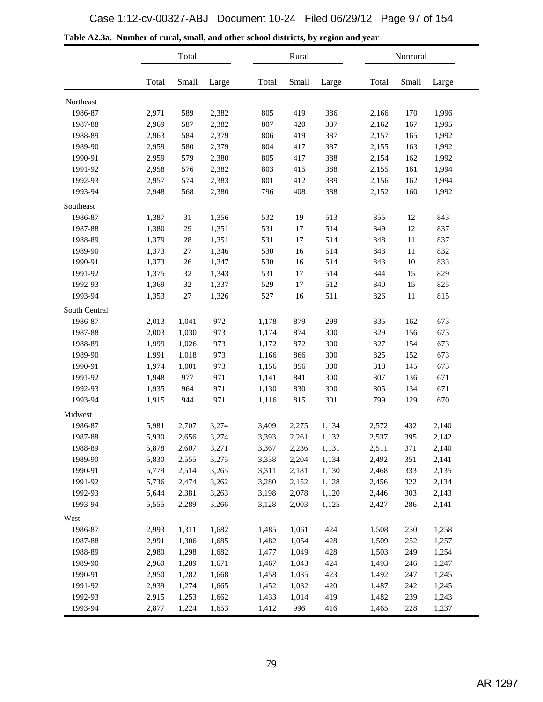|  |  |  |  | Table A2.3a. Number of rural, small, and other school districts, by region and year |
|--|--|--|--|-------------------------------------------------------------------------------------|
|--|--|--|--|-------------------------------------------------------------------------------------|

|               |       | Total  |       | Rural |       |       | Nonrural |       |       |
|---------------|-------|--------|-------|-------|-------|-------|----------|-------|-------|
|               | Total | Small  | Large | Total | Small | Large | Total    | Small | Large |
| Northeast     |       |        |       |       |       |       |          |       |       |
| 1986-87       | 2,971 | 589    | 2,382 | 805   | 419   | 386   | 2,166    | 170   | 1,996 |
| 1987-88       | 2,969 | 587    | 2,382 | 807   | 420   | 387   | 2,162    | 167   | 1,995 |
| 1988-89       | 2,963 | 584    | 2,379 | 806   | 419   | 387   | 2,157    | 165   | 1,992 |
| 1989-90       | 2,959 | 580    | 2,379 | 804   | 417   | 387   | 2,155    | 163   | 1,992 |
| 1990-91       | 2,959 | 579    | 2,380 | 805   | 417   | 388   | 2,154    | 162   | 1,992 |
| 1991-92       | 2,958 | 576    | 2,382 | 803   | 415   | 388   | 2,155    | 161   | 1,994 |
| 1992-93       | 2,957 | 574    | 2,383 | 801   | 412   | 389   | 2,156    | 162   | 1,994 |
| 1993-94       | 2,948 | 568    | 2,380 | 796   | 408   | 388   | 2,152    | 160   | 1,992 |
| Southeast     |       |        |       |       |       |       |          |       |       |
| 1986-87       | 1,387 | 31     | 1,356 | 532   | 19    | 513   | 855      | 12    | 843   |
| 1987-88       | 1,380 | 29     | 1,351 | 531   | 17    | 514   | 849      | 12    | 837   |
| 1988-89       | 1,379 | 28     | 1,351 | 531   | 17    | 514   | 848      | 11    | 837   |
| 1989-90       | 1,373 | $27\,$ | 1,346 | 530   | 16    | 514   | 843      | 11    | 832   |
| 1990-91       | 1,373 | 26     | 1,347 | 530   | 16    | 514   | 843      | 10    | 833   |
| 1991-92       | 1,375 | 32     | 1,343 | 531   | 17    | 514   | 844      | 15    | 829   |
| 1992-93       | 1,369 | 32     | 1,337 | 529   | 17    | 512   | 840      | 15    | 825   |
| 1993-94       | 1,353 | 27     | 1,326 | 527   | 16    | 511   | 826      | 11    | 815   |
| South Central |       |        |       |       |       |       |          |       |       |
| 1986-87       | 2,013 | 1,041  | 972   | 1,178 | 879   | 299   | 835      | 162   | 673   |
| 1987-88       | 2,003 | 1,030  | 973   | 1,174 | 874   | 300   | 829      | 156   | 673   |
| 1988-89       | 1,999 | 1,026  | 973   | 1,172 | 872   | 300   | 827      | 154   | 673   |
| 1989-90       | 1,991 | 1,018  | 973   | 1,166 | 866   | 300   | 825      | 152   | 673   |
| 1990-91       | 1,974 | 1,001  | 973   | 1,156 | 856   | 300   | 818      | 145   | 673   |
| 1991-92       | 1,948 | 977    | 971   | 1,141 | 841   | 300   | 807      | 136   | 671   |
| 1992-93       | 1,935 | 964    | 971   | 1,130 | 830   | 300   | 805      | 134   | 671   |
| 1993-94       | 1,915 | 944    | 971   | 1,116 | 815   | 301   | 799      | 129   | 670   |
| Midwest       |       |        |       |       |       |       |          |       |       |
| 1986-87       | 5,981 | 2,707  | 3,274 | 3,409 | 2,275 | 1,134 | 2,572    | 432   | 2,140 |
| 1987-88       | 5,930 | 2,656  | 3,274 | 3,393 | 2,261 | 1,132 | 2,537    | 395   | 2,142 |
| 1988-89       | 5,878 | 2,607  | 3,271 | 3,367 | 2,236 | 1,131 | 2,511    | 371   | 2,140 |
| 1989-90       | 5,830 | 2,555  | 3,275 | 3,338 | 2,204 | 1,134 | 2,492    | 351   | 2,141 |
| 1990-91       | 5,779 | 2,514  | 3,265 | 3,311 | 2,181 | 1,130 | 2,468    | 333   | 2,135 |
| 1991-92       | 5,736 | 2,474  | 3,262 | 3,280 | 2,152 | 1,128 | 2,456    | 322   | 2,134 |
| 1992-93       | 5,644 | 2,381  | 3,263 | 3,198 | 2,078 | 1,120 | 2,446    | 303   | 2,143 |
| 1993-94       | 5,555 | 2,289  | 3,266 | 3,128 | 2,003 | 1,125 | 2,427    | 286   | 2,141 |
| West          |       |        |       |       |       |       |          |       |       |
| 1986-87       | 2,993 | 1,311  | 1,682 | 1,485 | 1,061 | 424   | 1,508    | 250   | 1,258 |
| 1987-88       | 2,991 | 1,306  | 1,685 | 1,482 | 1,054 | 428   | 1,509    | 252   | 1,257 |
| 1988-89       | 2,980 | 1,298  | 1,682 | 1,477 | 1,049 | 428   | 1,503    | 249   | 1,254 |
| 1989-90       | 2,960 | 1,289  | 1,671 | 1,467 | 1,043 | 424   | 1,493    | 246   | 1,247 |
| 1990-91       | 2,950 | 1,282  | 1,668 | 1,458 | 1,035 | 423   | 1,492    | 247   | 1,245 |
| 1991-92       | 2,939 | 1,274  | 1,665 | 1,452 | 1,032 | 420   | 1,487    | 242   | 1,245 |
| 1992-93       | 2,915 | 1,253  | 1,662 | 1,433 | 1,014 | 419   | 1,482    | 239   | 1,243 |
| 1993-94       | 2,877 | 1,224  | 1,653 | 1,412 | 996   | 416   | 1,465    | 228   | 1,237 |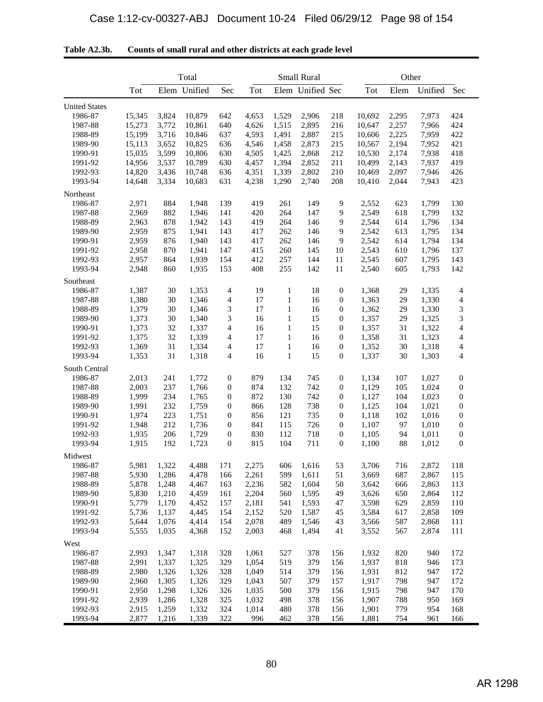|                      | Total          |       |              |                  |       |              | <b>Small Rural</b> |                                      |        | Other |                |                  |
|----------------------|----------------|-------|--------------|------------------|-------|--------------|--------------------|--------------------------------------|--------|-------|----------------|------------------|
|                      | Tot            |       | Elem Unified | Sec              | Tot   |              | Elem Unified Sec   |                                      | Tot    | Elem  | Unified Sec    |                  |
| <b>United States</b> |                |       |              |                  |       |              |                    |                                      |        |       |                |                  |
| 1986-87              | 15,345         | 3,824 | 10,879       | 642              | 4,653 | 1,529        | 2,906              | 218                                  | 10,692 | 2,295 | 7,973          | 424              |
| 1987-88              | 15,273         | 3,772 | 10,861       | 640              | 4,626 | 1,515        | 2,895              | 216                                  | 10,647 | 2,257 | 7,966          | 424              |
| 1988-89              | 15,199         | 3,716 | 10,846       | 637              | 4,593 | 1,491        | 2,887              | 215                                  | 10,606 | 2,225 | 7,959          | 422              |
| 1989-90              |                |       |              |                  |       |              | 2,873              |                                      |        |       |                | 421              |
|                      | 15,113         | 3,652 | 10,825       | 636              | 4,546 | 1,458        |                    | 215                                  | 10,567 | 2,194 | 7,952<br>7,938 |                  |
| 1990-91              | 15,035         | 3,599 | 10,806       | 630              | 4,505 | 1,425        | 2,868              | 212                                  | 10,530 | 2,174 |                | 418              |
| 1991-92              | 14,956         | 3,537 | 10,789       | 630              | 4,457 | 1,394        | 2,852              | 211                                  | 10,499 | 2,143 | 7,937          | 419              |
| 1992-93              | 14,820         | 3,436 | 10,748       | 636              | 4,351 | 1,339        | 2,802              | 210                                  | 10,469 | 2.097 | 7,946          | 426              |
| 1993-94              | 14,648         | 3,334 | 10,683       | 631              | 4,238 | 1,290        | 2,740              | 208                                  | 10,410 | 2,044 | 7,943          | 423              |
| Northeast            |                |       |              |                  |       |              |                    |                                      |        |       |                |                  |
| 1986-87              | 2,971          | 884   | 1,948        | 139              | 419   | 261          | 149                | 9                                    | 2,552  | 623   | 1,799          | 130              |
| 1987-88              | 2,969          | 882   | 1,946        | 141              | 420   | 264          | 147                | 9                                    | 2,549  | 618   | 1,799          | 132              |
| 1988-89              | 2,963          | 878   | 1,942        | 143              | 419   | 264          | 146                | 9                                    | 2,544  | 614   | 1,796          | 134              |
| 1989-90              | 2,959          | 875   | 1,941        | 143              | 417   | 262          | 146                | 9                                    | 2,542  | 613   | 1,795          | 134              |
| 1990-91              | 2,959          | 876   | 1,940        | 143              | 417   | 262          | 146                | 9                                    | 2,542  | 614   | 1,794          | 134              |
| 1991-92              | 2,958          | 870   | 1,941        | 147              | 415   | 260          | 145                | 10                                   | 2,543  | 610   | 1,796          | 137              |
| 1992-93              | 2,957          | 864   | 1,939        | 154              | 412   | 257          | 144                | 11                                   | 2,545  | 607   | 1,795          | 143              |
| 1993-94              | 2,948          | 860   | 1,935        | 153              | 408   | 255          | 142                | 11                                   | 2,540  | 605   | 1,793          | 142              |
| Southeast            |                |       |              |                  |       |              |                    |                                      |        |       |                |                  |
| 1986-87              | 1,387          | 30    | 1,353        | 4                | 19    | $\mathbf{1}$ | 18                 | $\boldsymbol{0}$                     | 1,368  | 29    | 1,335          | 4                |
| 1987-88              | 1,380          | 30    | 1,346        | 4                | 17    | $\mathbf{1}$ | 16                 | $\boldsymbol{0}$                     | 1,363  | 29    | 1,330          | 4                |
| 1988-89              | 1,379          | 30    | 1,346        | 3                | 17    | $\mathbf{1}$ | 16                 | $\boldsymbol{0}$                     | 1,362  | 29    | 1,330          | 3                |
| 1989-90              | 1,373          | 30    | 1,340        | 3                | 16    | $\mathbf{1}$ | 15                 | $\boldsymbol{0}$                     | 1,357  | 29    | 1,325          | 3                |
| 1990-91              | 1,373          | 32    | 1,337        | 4                | 16    | $\mathbf{1}$ | 15                 | $\boldsymbol{0}$                     | 1,357  | 31    | 1,322          | 4                |
| 1991-92              | 1,375          | 32    | 1,339        | 4                | 17    | $\mathbf{1}$ | 16                 | $\boldsymbol{0}$                     | 1,358  | 31    | 1,323          | 4                |
| 1992-93              | 1,369          | 31    | 1,334        | 4                | 17    | $\mathbf{1}$ | 16                 | $\boldsymbol{0}$                     | 1,352  | 30    | 1,318          | 4                |
| 1993-94              | 1,353          | 31    | 1,318        | 4                | 16    | $\mathbf{1}$ | 15                 | $\boldsymbol{0}$                     | 1,337  | 30    | 1,303          | 4                |
| South Central        |                |       |              |                  |       |              |                    |                                      |        |       |                |                  |
| 1986-87              | 2,013          | 241   | 1,772        | $\mathbf{0}$     | 879   | 134          | 745                | $\boldsymbol{0}$                     | 1,134  | 107   | 1,027          | $\boldsymbol{0}$ |
| 1987-88              |                | 237   |              | $\mathbf{0}$     | 874   |              | 742                |                                      |        | 105   | 1,024          |                  |
| 1988-89              | 2,003<br>1,999 | 234   | 1,766        | $\mathbf{0}$     | 872   | 132          | 742                | $\boldsymbol{0}$<br>$\boldsymbol{0}$ | 1,129  | 104   | 1,023          | $\boldsymbol{0}$ |
| 1989-90              |                |       | 1,765        | $\mathbf{0}$     |       | 130          |                    |                                      | 1,127  | 104   |                | $\boldsymbol{0}$ |
|                      | 1,991          | 232   | 1,759        |                  | 866   | 128          | 738                | $\boldsymbol{0}$                     | 1,125  |       | 1,021          | $\boldsymbol{0}$ |
| 1990-91              | 1,974          | 223   | 1,751        | $\boldsymbol{0}$ | 856   | 121          | 735                | $\boldsymbol{0}$                     | 1,118  | 102   | 1,016          | $\boldsymbol{0}$ |
| 1991-92              | 1,948          | 212   | 1,736        | $\mathbf{0}$     | 841   | 115          | 726                | $\boldsymbol{0}$                     | 1,107  | 97    | 1,010          | $\boldsymbol{0}$ |
| 1992-93              | 1,935          | 206   | 1,729        | $\boldsymbol{0}$ | 830   | 112          | 718                | $\boldsymbol{0}$                     | 1,105  | 94    | 1,011          | $\boldsymbol{0}$ |
| 1993-94              | 1,915          | 192   | 1,723        | $\boldsymbol{0}$ | 815   | 104          | 711                | $\boldsymbol{0}$                     | 1,100  | 88    | 1,012          | $\boldsymbol{0}$ |
| Midwest              |                |       |              |                  |       |              |                    |                                      |        |       |                |                  |
| 1986-87              | 5,981          | 1,322 | 4,488        | 171              | 2,275 | 606          | 1,616              | 53                                   | 3,706  | 716   | 2,872          | 118              |
| 1987-88              | 5,930          | 1,286 | 4,478        | 166              | 2,261 | 599          | 1,611              | 51                                   | 3,669  | 687   | 2,867          | 115              |
| 1988-89              | 5,878          | 1,248 | 4,467        | 163              | 2,236 | 582          | 1,604              | 50                                   | 3,642  | 666   | 2,863          | 113              |
| 1989-90              | 5,830          | 1,210 | 4,459        | 161              | 2,204 | 560          | 1,595              | 49                                   | 3,626  | 650   | 2,864          | 112              |
| 1990-91              | 5,779          | 1,170 | 4,452        | 157              | 2,181 | 541          | 1,593              | 47                                   | 3,598  | 629   | 2,859          | 110              |
| 1991-92              | 5,736          | 1,137 | 4,445        | 154              | 2,152 | 520          | 1,587              | 45                                   | 3,584  | 617   | 2,858          | 109              |
| 1992-93              | 5,644          | 1,076 | 4,414        | 154              | 2,078 | 489          | 1,546              | 43                                   | 3,566  | 587   | 2,868          | 111              |
| 1993-94              | 5,555          | 1,035 | 4,368        | 152              | 2,003 | 468          | 1,494              | 41                                   | 3,552  | 567   | 2,874          | 111              |
| West                 |                |       |              |                  |       |              |                    |                                      |        |       |                |                  |
| 1986-87              | 2,993          | 1,347 | 1,318        | 328              | 1,061 | 527          | 378                | 156                                  | 1,932  | 820   | 940            | 172              |
| 1987-88              | 2,991          | 1,337 | 1,325        | 329              | 1,054 | 519          | 379                | 156                                  | 1,937  | 818   | 946            | 173              |
| 1988-89              | 2,980          | 1,326 | 1,326        | 328              | 1,049 | 514          | 379                | 156                                  | 1,931  | 812   | 947            | 172              |
| 1989-90              | 2,960          | 1,305 | 1,326        | 329              | 1,043 | 507          | 379                | 157                                  | 1,917  | 798   | 947            | 172              |
| 1990-91              | 2,950          | 1,298 | 1,326        | 326              | 1,035 | 500          | 379                | 156                                  | 1,915  | 798   | 947            | 170              |
| 1991-92              | 2,939          | 1,286 | 1,328        | 325              | 1,032 | 498          | 378                | 156                                  | 1,907  | 788   | 950            | 169              |
| 1992-93              | 2,915          | 1,259 | 1,332        | 324              | 1,014 | 480          | 378                | 156                                  | 1,901  | 779   | 954            | 168              |
| 1993-94              | 2,877          | 1,216 | 1,339        | 322              | 996   | 462          | 378                | 156                                  | 1,881  | 754   | 961            | 166              |

| Table A2.3b. | Counts of small rural and other districts at each grade level |  |
|--------------|---------------------------------------------------------------|--|
|--------------|---------------------------------------------------------------|--|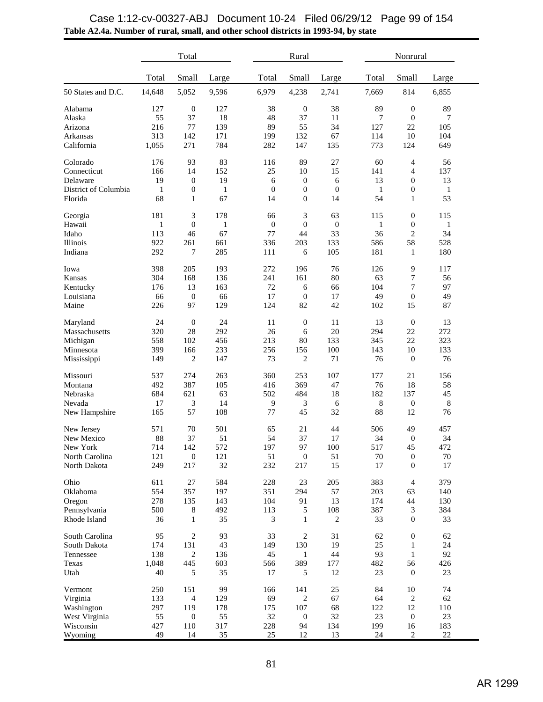|                      |              | Total            |              |       | Rural                        |                  |       | Nonrural         |              |  |  |
|----------------------|--------------|------------------|--------------|-------|------------------------------|------------------|-------|------------------|--------------|--|--|
|                      | Total        | Small            | Large        | Total | Small                        | Large            | Total | Small            | Large        |  |  |
| 50 States and D.C.   | 14,648       | 5,052            | 9,596        | 6,979 | 4,238                        | 2,741            | 7,669 | 814              | 6,855        |  |  |
| Alabama              | 127          | $\mathbf{0}$     | 127          | 38    | $\mathbf{0}$                 | 38               | 89    | $\boldsymbol{0}$ | 89           |  |  |
| Alaska               | 55           | 37               | 18           | 48    | 37                           | 11               | 7     | $\boldsymbol{0}$ | 7            |  |  |
| Arizona              | 216          | 77               | 139          | 89    | 55                           | 34               | 127   | 22               | 105          |  |  |
| Arkansas             | 313          | 142              | 171          | 199   | 132                          | 67               | 114   | 10               | 104          |  |  |
| California           | 1,055        | 271              | 784          | 282   | 147                          | 135              | 773   | 124              | 649          |  |  |
| Colorado             | 176          | 93               | 83           | 116   | 89                           | 27               | 60    | 4                | 56           |  |  |
| Connecticut          | 166          | 14               | 152          | 25    | 10                           | 15               | 141   | $\overline{4}$   | 137          |  |  |
| Delaware             | 19           | $\boldsymbol{0}$ | 19           |       | $\boldsymbol{0}$<br>6        | 6                | 13    | $\boldsymbol{0}$ | 13           |  |  |
| District of Columbia | $\mathbf{1}$ | $\boldsymbol{0}$ | $\mathbf{1}$ |       | $\mathbf{0}$<br>$\mathbf{0}$ | $\boldsymbol{0}$ | 1     | $\boldsymbol{0}$ | $\mathbf{1}$ |  |  |
| Florida              | 68           | 1                | 67           | 14    | $\overline{0}$               | 14               | 54    | $\mathbf{1}$     | 53           |  |  |
| Georgia              | 181          | 3                | 178          | 66    | 3                            | 63               | 115   | $\mathbf{0}$     | 115          |  |  |
| Hawaii               | $\mathbf{1}$ | $\boldsymbol{0}$ | $\mathbf{1}$ |       | $\mathbf{0}$<br>$\mathbf{0}$ | $\mathbf{0}$     | 1     | $\mathbf{0}$     | 1            |  |  |
| Idaho                | 113          | 46               | 67           | 77    | 44                           | 33               | 36    | $\overline{c}$   | 34           |  |  |
| Illinois             | 922          | 261              | 661          | 336   | 203                          | 133              | 586   | 58               | 528          |  |  |
| Indiana              | 292          | 7                | 285          | 111   | 6                            | 105              | 181   | $\mathbf{1}$     | 180          |  |  |
| Iowa                 | 398          | 205              | 193          | 272   | 196                          | 76               | 126   | 9                | 117          |  |  |
| Kansas               | 304          | 168              | 136          | 241   | 161                          | 80               | 63    | $\tau$           | 56           |  |  |
| Kentucky             | 176          | 13               | 163          | 72    | 6                            | 66               | 104   | 7                | 97           |  |  |
| Louisiana            | 66           | $\boldsymbol{0}$ | 66           | 17    | $\mathbf{0}$                 | 17               | 49    | $\mathbf{0}$     | 49           |  |  |
| Maine                | 226          | 97               | 129          | 124   | 82                           | 42               | 102   | 15               | 87           |  |  |
| Maryland             | 24           | $\mathbf{0}$     | 24           | 11    | $\mathbf{0}$                 | 11               | 13    | $\mathbf{0}$     | 13           |  |  |
| Massachusetts        | 320          | 28               | 292          | 26    | 6                            | 20               | 294   | 22               | 272          |  |  |
| Michigan             | 558          | 102              | 456          | 213   | 80                           | 133              | 345   | 22               | 323          |  |  |
| Minnesota            | 399          | 166              | 233          | 256   | 156                          | 100              | 143   | 10               | 133          |  |  |
| Mississippi          | 149          | $\overline{c}$   | 147          | 73    | 2                            | 71               | 76    | $\mathbf{0}$     | 76           |  |  |
| Missouri             | 537          | 274              | 263          | 360   | 253                          | 107              | 177   | 21               | 156          |  |  |
| Montana              | 492          | 387              | 105          | 416   | 369                          | 47               | 76    | 18               | 58           |  |  |
| Nebraska             | 684          | 621              | 63           | 502   | 484                          | 18               | 182   | 137              | 45           |  |  |
| Nevada               | 17           | 3                | 14           |       | 9<br>3                       | 6                | 8     | $\boldsymbol{0}$ | 8            |  |  |
| New Hampshire        | 165          | 57               | 108          | 77    | 45                           | 32               | 88    | 12               | 76           |  |  |
| New Jersey           | 571          | 70               | 501          | 65    | 21                           | 44               | 506   | 49               | 457          |  |  |
| New Mexico           | 88           | 37               | 51           | 54    | 37                           | 17               | 34    | $\mathbf{0}$     | 34           |  |  |
| New York             | 714          | 142              | 572          | 197   | 97                           | 100              | 517   | 45               | 472          |  |  |
| North Carolina       | 121          | $\boldsymbol{0}$ | 121          | 51    | $\boldsymbol{0}$             | 51               | 70    | $\mathbf{0}$     | 70           |  |  |
| North Dakota         | 249          | 217              | 32           | 232   | 217                          | 15               | 17    | $\mathbf{0}$     | 17           |  |  |
| Ohio                 | 611          | 27               | 584          | 228   | 23                           | 205              | 383   | $\overline{4}$   | 379          |  |  |
| Oklahoma             | 554          | 357              | 197          | 351   | 294                          | 57               | 203   | 63               | 140          |  |  |
| Oregon               | 278          | 135              | 143          | 104   | 91                           | 13               | 174   | 44               | 130          |  |  |
| Pennsylvania         | 500          | 8                | 492          | 113   | 5                            | 108              | 387   | 3                | 384          |  |  |
| Rhode Island         | 36           | 1                | 35           |       | 3<br>1                       | $\mathbf{2}$     | 33    | $\boldsymbol{0}$ | 33           |  |  |
| South Carolina       | 95           | $\overline{c}$   | 93           | 33    | $\overline{2}$               | 31               | 62    | $\boldsymbol{0}$ | 62           |  |  |
| South Dakota         | 174          | 131              | 43           | 149   | 130                          | 19               | 25    | 1                | 24           |  |  |
| Tennessee            | 138          | $\mathbf{2}$     | 136          | 45    | $\mathbf{1}$                 | 44               | 93    | $\mathbf{1}$     | 92           |  |  |
| Texas                | 1,048        | 445              | 603          | 566   | 389                          | 177              | 482   | 56               | 426          |  |  |
| Utah                 | 40           | 5                | 35           | 17    | 5                            | 12               | 23    | $\boldsymbol{0}$ | 23           |  |  |
| Vermont              | 250          | 151              | 99           | 166   | 141                          | 25               | 84    | 10               | 74           |  |  |
| Virginia             | 133          | $\overline{4}$   | 129          | 69    | $\mathbf{2}$                 | 67               | 64    | $\overline{c}$   | 62           |  |  |
| Washington           | 297          | 119              | 178          | 175   | 107                          | 68               | 122   | 12               | 110          |  |  |
| West Virginia        | 55           | $\boldsymbol{0}$ | 55           | 32    | $\mathbf{0}$                 | 32               | 23    | $\boldsymbol{0}$ | 23           |  |  |
| Wisconsin            | 427          | 110              | 317          | 228   | 94                           | 134              | 199   | 16               | 183          |  |  |
| Wyoming              | 49           | 14               | 35           | 25    | 12                           | 13               | 24    | 2                | 22           |  |  |

## **Table A2.4a. Number of rural, small, and other school districts in 1993-94, by state** Case 1:12-cv-00327-ABJ Document 10-24 Filed 06/29/12 Page 99 of 154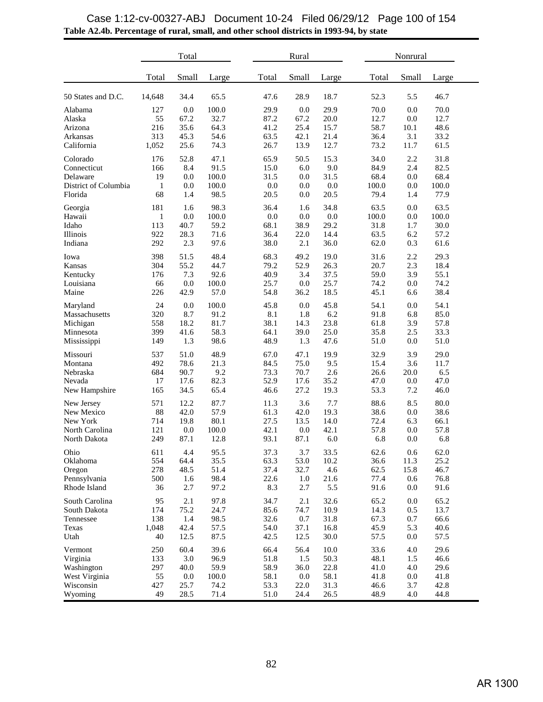|                                                                            | Total                                  |                                            |                                               |  | Rural                                        |                                            |                                              |  | Nonrural                                     |                                        |                                              |  |
|----------------------------------------------------------------------------|----------------------------------------|--------------------------------------------|-----------------------------------------------|--|----------------------------------------------|--------------------------------------------|----------------------------------------------|--|----------------------------------------------|----------------------------------------|----------------------------------------------|--|
|                                                                            | Total                                  | Small                                      | Large                                         |  | Total                                        | Small                                      | Large                                        |  | Total                                        | Small                                  | Large                                        |  |
| 50 States and D.C.                                                         | 14,648                                 | 34.4                                       | 65.5                                          |  | 47.6                                         | 28.9                                       | 18.7                                         |  | 52.3                                         | 5.5                                    | 46.7                                         |  |
| Alabama<br>Alaska<br>Arizona<br>Arkansas<br>California                     | 127<br>55<br>216<br>313<br>1,052       | 0.0<br>67.2<br>35.6<br>45.3<br>25.6        | 100.0<br>32.7<br>64.3<br>54.6<br>74.3         |  | 29.9<br>87.2<br>41.2<br>63.5<br>26.7         | 0.0<br>67.2<br>25.4<br>42.1<br>13.9        | 29.9<br>20.0<br>15.7<br>21.4<br>12.7         |  | 70.0<br>12.7<br>58.7<br>36.4<br>73.2         | 0.0<br>0.0<br>10.1<br>3.1<br>11.7      | 70.0<br>12.7<br>48.6<br>33.2<br>61.5         |  |
| Colorado<br>Connecticut<br>Delaware<br>District of Columbia<br>Florida     | 176<br>166<br>19<br>$\mathbf{1}$<br>68 | 52.8<br>8.4<br>0.0<br>0.0<br>1.4           | 47.1<br>91.5<br>100.0<br>100.0<br>98.5        |  | 65.9<br>15.0<br>31.5<br>0.0<br>20.5          | 50.5<br>$6.0\,$<br>0.0<br>0.0<br>0.0       | 15.3<br>9.0<br>31.5<br>0.0<br>20.5           |  | 34.0<br>84.9<br>68.4<br>100.0<br>79.4        | 2.2<br>2.4<br>0.0<br>0.0<br>1.4        | 31.8<br>82.5<br>68.4<br>100.0<br>77.9        |  |
| Georgia<br>Hawaii<br>Idaho<br>Illinois<br>Indiana                          | 181<br>1<br>113<br>922<br>292          | 1.6<br>0.0<br>40.7<br>28.3<br>2.3          | 98.3<br>100.0<br>59.2<br>71.6<br>97.6         |  | 36.4<br>0.0<br>68.1<br>36.4<br>38.0          | 1.6<br>0.0<br>38.9<br>22.0<br>2.1          | 34.8<br>0.0<br>29.2<br>14.4<br>36.0          |  | 63.5<br>100.0<br>31.8<br>63.5<br>62.0        | 0.0<br>0.0<br>1.7<br>6.2<br>0.3        | 63.5<br>100.0<br>30.0<br>57.2<br>61.6        |  |
| Iowa<br>Kansas<br>Kentucky<br>Louisiana<br>Maine                           | 398<br>304<br>176<br>66<br>226         | 51.5<br>55.2<br>7.3<br>0.0<br>42.9         | 48.4<br>44.7<br>92.6<br>100.0<br>57.0         |  | 68.3<br>79.2<br>40.9<br>25.7<br>54.8         | 49.2<br>52.9<br>3.4<br>0.0<br>36.2         | 19.0<br>26.3<br>37.5<br>25.7<br>18.5         |  | 31.6<br>20.7<br>59.0<br>74.2<br>45.1         | 2.2<br>2.3<br>3.9<br>0.0<br>6.6        | 29.3<br>18.4<br>55.1<br>74.2<br>38.4         |  |
| Maryland<br>Massachusetts<br>Michigan<br>Minnesota<br>Mississippi          | 24<br>320<br>558<br>399<br>149         | 0.0<br>8.7<br>18.2<br>41.6<br>1.3          | 100.0<br>91.2<br>81.7<br>58.3<br>98.6         |  | 45.8<br>8.1<br>38.1<br>64.1<br>48.9          | 0.0<br>1.8<br>14.3<br>39.0<br>1.3          | 45.8<br>6.2<br>23.8<br>25.0<br>47.6          |  | 54.1<br>91.8<br>61.8<br>35.8<br>51.0         | 0.0<br>6.8<br>3.9<br>2.5<br>0.0        | 54.1<br>85.0<br>57.8<br>33.3<br>51.0         |  |
| Missouri<br>Montana<br>Nebraska<br>Nevada<br>New Hampshire                 | 537<br>492<br>684<br>17<br>165         | 51.0<br>78.6<br>90.7<br>17.6<br>34.5       | 48.9<br>21.3<br>9.2<br>82.3<br>65.4           |  | 67.0<br>84.5<br>73.3<br>52.9<br>46.6         | 47.1<br>75.0<br>70.7<br>17.6<br>27.2       | 19.9<br>9.5<br>2.6<br>35.2<br>19.3           |  | 32.9<br>15.4<br>26.6<br>47.0<br>53.3         | 3.9<br>3.6<br>20.0<br>0.0<br>7.2       | 29.0<br>11.7<br>6.5<br>47.0<br>46.0          |  |
| New Jersey<br>New Mexico<br>New York<br>North Carolina<br>North Dakota     | 571<br>88<br>714<br>121<br>249         | 12.2<br>42.0<br>19.8<br>0.0<br>87.1        | 87.7<br>57.9<br>80.1<br>100.0<br>12.8         |  | 11.3<br>61.3<br>27.5<br>42.1<br>93.1         | 3.6<br>42.0<br>13.5<br>0.0<br>87.1         | 7.7<br>19.3<br>14.0<br>42.1<br>6.0           |  | 88.6<br>38.6<br>72.4<br>57.8<br>6.8          | 8.5<br>0.0<br>6.3<br>0.0<br>0.0        | 80.0<br>38.6<br>66.1<br>57.8<br>6.8          |  |
| Ohio<br>Oklahoma<br>Oregon<br>Pennsylvania<br>Rhode Island                 | 611<br>554<br>278<br>500<br>36         | 4.4<br>64.4<br>48.5<br>1.6<br>2.7          | 95.5<br>35.5<br>51.4<br>98.4<br>97.2          |  | 37.3<br>63.3<br>37.4<br>22.6<br>8.3          | 3.7<br>53.0<br>32.7<br>$1.0\,$<br>2.7      | 33.5<br>10.2<br>4.6<br>21.6<br>5.5           |  | 62.6<br>36.6<br>62.5<br>77.4<br>91.6         | 0.6<br>11.3<br>15.8<br>0.6<br>0.0      | 62.0<br>25.2<br>46.7<br>76.8<br>91.6         |  |
| South Carolina<br>South Dakota<br>Tennessee<br>Texas<br>Utah               | 95<br>174<br>138<br>1,048<br>40        | 2.1<br>75.2<br>1.4<br>42.4<br>12.5         | 97.8<br>24.7<br>98.5<br>57.5<br>87.5          |  | 34.7<br>85.6<br>32.6<br>54.0<br>42.5         | 2.1<br>74.7<br>0.7<br>37.1<br>12.5         | 32.6<br>10.9<br>31.8<br>16.8<br>30.0         |  | 65.2<br>14.3<br>67.3<br>45.9<br>57.5         | 0.0<br>0.5<br>0.7<br>5.3<br>0.0        | 65.2<br>13.7<br>66.6<br>40.6<br>57.5         |  |
| Vermont<br>Virginia<br>Washington<br>West Virginia<br>Wisconsin<br>Wyoming | 250<br>133<br>297<br>55<br>427<br>49   | 60.4<br>3.0<br>40.0<br>0.0<br>25.7<br>28.5 | 39.6<br>96.9<br>59.9<br>100.0<br>74.2<br>71.4 |  | 66.4<br>51.8<br>58.9<br>58.1<br>53.3<br>51.0 | 56.4<br>1.5<br>36.0<br>0.0<br>22.0<br>24.4 | 10.0<br>50.3<br>22.8<br>58.1<br>31.3<br>26.5 |  | 33.6<br>48.1<br>41.0<br>41.8<br>46.6<br>48.9 | 4.0<br>1.5<br>4.0<br>0.0<br>3.7<br>4.0 | 29.6<br>46.6<br>29.6<br>41.8<br>42.8<br>44.8 |  |

## **Table A2.4b. Percentage of rural, small, and other school districts in 1993-94, by state** Case 1:12-cv-00327-ABJ Document 10-24 Filed 06/29/12 Page 100 of 154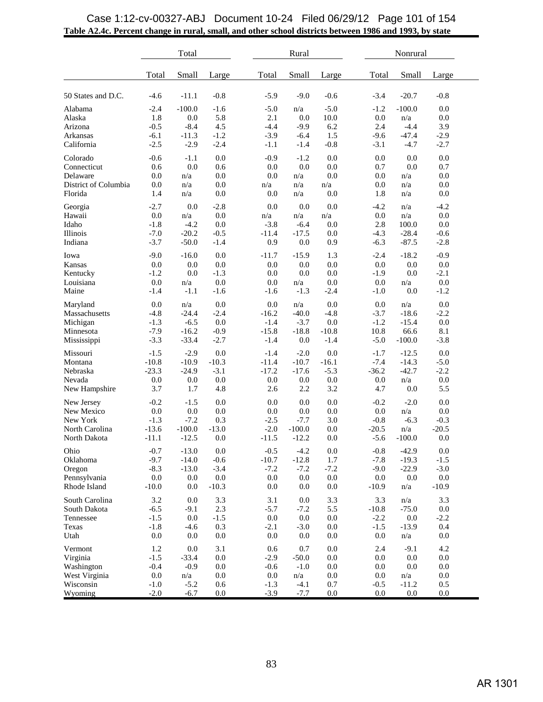|                                                                            |                                                    | Total                                               |                                               |                                                    | Rural                                               |                                             |                                              | Nonrural                                        |                                           |  |
|----------------------------------------------------------------------------|----------------------------------------------------|-----------------------------------------------------|-----------------------------------------------|----------------------------------------------------|-----------------------------------------------------|---------------------------------------------|----------------------------------------------|-------------------------------------------------|-------------------------------------------|--|
|                                                                            | Total                                              | Small                                               | Large                                         | Total                                              | Small                                               | Large                                       | Total                                        | Small                                           | Large                                     |  |
| 50 States and D.C.                                                         | $-4.6$                                             | $-11.1$                                             | $-0.8$                                        | $-5.9$                                             | $-9.0$                                              | $-0.6$                                      | $-3.4$                                       | $-20.7$                                         | $-0.8$                                    |  |
| Alabama<br>Alaska<br>Arizona<br>Arkansas<br>California                     | $-2.4$<br>1.8<br>$-0.5$<br>$-6.1$<br>$-2.5$        | $-100.0$<br>0.0<br>$-8.4$<br>$-11.3$<br>$-2.9$      | $-1.6$<br>5.8<br>4.5<br>$-1.2$<br>$-2.4$      | $-5.0$<br>2.1<br>$-4.4$<br>$-3.9$<br>$-1.1$        | n/a<br>0.0<br>$-9.9$<br>$-6.4$<br>$-1.4$            | $-5.0$<br>10.0<br>6.2<br>1.5<br>$-0.8$      | $-1.2$<br>0.0<br>2.4<br>$-9.6$<br>$-3.1$     | $-100.0$<br>n/a<br>$-4.4$<br>$-47.4$<br>$-4.7$  | 0.0<br>0.0<br>3.9<br>$-2.9$<br>$-2.7$     |  |
| Colorado<br>Connecticut<br>Delaware<br>District of Columbia<br>Florida     | $-0.6$<br>0.6<br>0.0<br>0.0<br>1.4                 | $-1.1$<br>0.0<br>n/a<br>n/a<br>n/a                  | 0.0<br>0.6<br>0.0<br>0.0<br>0.0               | $-0.9$<br>0.0<br>0.0<br>n/a<br>0.0                 | $-1.2$<br>0.0<br>n/a<br>n/a<br>n/a                  | 0.0<br>0.0<br>0.0<br>n/a<br>0.0             | 0.0<br>0.7<br>0.0<br>0.0<br>1.8              | 0.0<br>0.0<br>n/a<br>n/a<br>n/a                 | 0.0<br>0.7<br>0.0<br>0.0<br>0.0           |  |
| Georgia<br>Hawaii<br>Idaho<br>Illinois<br>Indiana                          | $-2.7$<br>0.0<br>$-1.8$<br>$-7.0$<br>$-3.7$        | 0.0<br>n/a<br>$-4.2$<br>$-20.2$<br>$-50.0$          | $-2.8$<br>0.0<br>0.0<br>$-0.5$<br>$-1.4$      | 0.0<br>n/a<br>$-3.8$<br>$-11.4$<br>0.9             | 0.0<br>n/a<br>$-6.4$<br>$-17.5$<br>0.0              | 0.0<br>n/a<br>0.0<br>0.0<br>0.9             | $-4.2$<br>0.0<br>2.8<br>$-4.3$<br>$-6.3$     | n/a<br>n/a<br>100.0<br>$-28.4$<br>$-87.5$       | $-4.2$<br>0.0<br>0.0<br>$-0.6$<br>$-2.8$  |  |
| Iowa<br>Kansas<br>Kentucky<br>Louisiana<br>Maine                           | $-9.0$<br>0.0<br>$-1.2$<br>0.0<br>$-1.4$           | $-16.0$<br>0.0<br>0.0<br>n/a<br>$-1.1$              | 0.0<br>0.0<br>$-1.3$<br>0.0<br>$-1.6$         | $-11.7$<br>0.0<br>0.0<br>0.0<br>$-1.6$             | $-15.9$<br>0.0<br>0.0<br>n/a<br>$-1.3$              | 1.3<br>0.0<br>0.0<br>0.0<br>$-2.4$          | $-2.4$<br>0.0<br>$-1.9$<br>0.0<br>$-1.0$     | $-18.2$<br>0.0<br>0.0<br>n/a<br>0.0             | $-0.9$<br>0.0<br>$-2.1$<br>0.0<br>$-1.2$  |  |
| Maryland<br>Massachusetts<br>Michigan<br>Minnesota<br>Mississippi          | 0.0<br>$-4.8$<br>$-1.3$<br>$-7.9$<br>$-3.3$        | n/a<br>$-24.4$<br>$-6.5$<br>$-16.2$<br>$-33.4$      | 0.0<br>$-2.4$<br>0.0<br>$-0.9$<br>$-2.7$      | 0.0<br>$-16.2$<br>$-1.4$<br>$-15.8$<br>$-1.4$      | n/a<br>$-40.0$<br>$-3.7$<br>$-18.8$<br>0.0          | 0.0<br>$-4.8$<br>0.0<br>$-10.8$<br>$-1.4$   | 0.0<br>$-3.7$<br>$-1.2$<br>10.8<br>$-5.0$    | n/a<br>$-18.6$<br>$-15.4$<br>66.6<br>$-100.0$   | 0.0<br>$-2.2$<br>0.0<br>8.1<br>$-3.8$     |  |
| Missouri<br>Montana<br>Nebraska<br>Nevada<br>New Hampshire                 | $-1.5$<br>$-10.8$<br>$-23.3$<br>0.0<br>3.7         | $-2.9$<br>$-10.9$<br>$-24.9$<br>0.0<br>1.7          | 0.0<br>$-10.3$<br>$-3.1$<br>0.0<br>4.8        | $-1.4$<br>$-11.4$<br>$-17.2$<br>0.0<br>2.6         | $-2.0$<br>$-10.7$<br>$-17.6$<br>0.0<br>2.2          | 0.0<br>$-16.1$<br>$-5.3$<br>0.0<br>3.2      | $-1.7$<br>$-7.4$<br>$-36.2$<br>0.0<br>4.7    | $-12.5$<br>$-14.3$<br>$-42.7$<br>n/a<br>0.0     | 0.0<br>$-5.0$<br>$-2.2$<br>0.0<br>5.5     |  |
| New Jersey<br>New Mexico<br>New York<br>North Carolina<br>North Dakota     | $-0.2$<br>0.0<br>$-1.3$<br>$-13.6$<br>$-11.1$      | $-1.5$<br>0.0<br>$-7.2$<br>$-100.0$<br>$-12.5$      | 0.0<br>0.0<br>0.3<br>$-13.0$<br>0.0           | 0.0<br>0.0<br>$-2.5$<br>$-2.0$<br>$-11.5$          | 0.0<br>0.0<br>$-7.7$<br>$-100.0$<br>$-12.2$         | 0.0<br>0.0<br>3.0<br>0.0<br>0.0             | $-0.2$<br>0.0<br>$-0.8$<br>$-20.5$<br>$-5.6$ | $-2.0$<br>n/a<br>$-6.3$<br>n/a<br>$-100.0$      | 0.0<br>0.0<br>$-0.3$<br>$-20.5$<br>0.0    |  |
| Ohio<br>Oklahoma<br>Oregon<br>Pennsylvania<br>Rhode Island                 | $-0.7$<br>$-9.7$<br>$-8.3$<br>0.0<br>$-10.0$       | $-13.0$<br>$-14.0$<br>$-13.0$<br>$0.0\,$<br>0.0     | 0.0<br>$-0.6$<br>$-3.4$<br>$0.0\,$<br>$-10.3$ | $-0.5$<br>$-10.7$<br>$-7.2$<br>0.0<br>0.0          | $-4.2$<br>$-12.8$<br>$-7.2$<br>0.0<br>$0.0\,$       | 0.0<br>1.7<br>$-7.2$<br>$0.0\,$<br>$0.0\,$  | $-0.8$<br>$-7.8$<br>$-9.0$<br>0.0<br>$-10.9$ | $-42.9$<br>$-19.3$<br>$-22.9$<br>$0.0\,$<br>n/a | 0.0<br>$-1.5$<br>$-3.0$<br>0.0<br>$-10.9$ |  |
| South Carolina<br>South Dakota<br>Tennessee<br>Texas<br>Utah               | 3.2<br>$-6.5$<br>$-1.5$<br>$-1.8$<br>$0.0\,$       | $0.0\,$<br>$-9.1$<br>0.0<br>$-4.6$<br>$0.0\,$       | 3.3<br>2.3<br>$-1.5$<br>0.3<br>$0.0\,$        | 3.1<br>$-5.7$<br>$0.0\,$<br>$-2.1$<br>$0.0\,$      | $0.0\,$<br>$-7.2$<br>$0.0\,$<br>$-3.0$<br>$0.0\,$   | 3.3<br>5.5<br>$0.0\,$<br>$0.0\,$<br>$0.0\,$ | 3.3<br>$-10.8$<br>$-2.2$<br>$-1.5$<br>0.0    | n/a<br>$-75.0$<br>$0.0\,$<br>$-13.9$<br>n/a     | 3.3<br>0.0<br>$-2.2$<br>0.4<br>$0.0\,$    |  |
| Vermont<br>Virginia<br>Washington<br>West Virginia<br>Wisconsin<br>Wyoming | 1.2<br>$-1.5$<br>$-0.4$<br>0.0<br>$-1.0$<br>$-2.0$ | 0.0<br>$-33.4$<br>$-0.9$<br>n/a<br>$-5.2$<br>$-6.7$ | 3.1<br>0.0<br>0.0<br>0.0<br>$0.6\,$<br>0.0    | 0.6<br>$-2.9$<br>$-0.6$<br>0.0<br>$-1.3$<br>$-3.9$ | 0.7<br>$-50.0$<br>$-1.0$<br>n/a<br>$-4.1$<br>$-7.7$ | 0.0<br>0.0<br>0.0<br>0.0<br>0.7<br>0.0      | 2.4<br>0.0<br>0.0<br>0.0<br>$-0.5$<br>0.0    | $-9.1$<br>0.0<br>0.0<br>n/a<br>$-11.2$<br>0.0   | 4.2<br>0.0<br>0.0<br>0.0<br>0.5<br>0.0    |  |

## **Table A2.4c. Percent change in rural, small, and other school districts between 1986 and 1993, by state** Case 1:12-cv-00327-ABJ Document 10-24 Filed 06/29/12 Page 101 of 154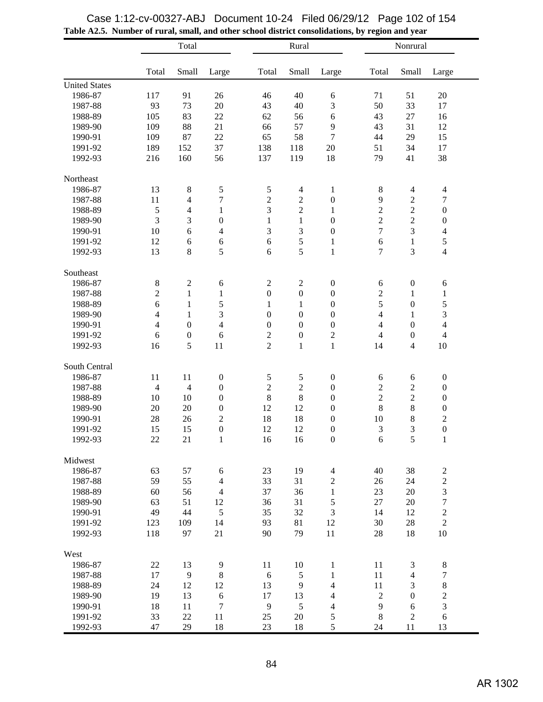|                      |                | Total            |                  |                  | Rural            |                  |                | Nonrural         |                         |  |
|----------------------|----------------|------------------|------------------|------------------|------------------|------------------|----------------|------------------|-------------------------|--|
|                      | Total          | Small            | Large            | Total            | Small            | Large            | Total          | Small            | Large                   |  |
| <b>United States</b> |                |                  |                  |                  |                  |                  |                |                  |                         |  |
| 1986-87              | 117            | 91               | 26               | 46               | 40               | $\sqrt{6}$       | 71             | 51               | 20                      |  |
| 1987-88              | 93             | 73               | 20               | 43               | 40               | 3                | 50             | 33               | 17                      |  |
| 1988-89              | 105            | 83               | 22               | 62               | 56               | $\sqrt{6}$       | 43             | 27               | 16                      |  |
| 1989-90              | 109            | 88               | 21               | 66               | 57               | 9                | 43             | 31               | 12                      |  |
| 1990-91              | 109            | 87               | 22               | 65               | 58               | $\boldsymbol{7}$ | 44             | 29               | 15                      |  |
| 1991-92              | 189            | 152              | 37               | 138              | 118              | 20               | 51             | 34               | 17                      |  |
| 1992-93              | 216            | 160              | 56               | 137              | 119              | 18               | 79             | 41               | 38                      |  |
| Northeast            |                |                  |                  |                  |                  |                  |                |                  |                         |  |
| 1986-87              | 13             | $\,$ 8 $\,$      | 5                | $\sqrt{5}$       | $\overline{4}$   | $\mathbf{1}$     | $8\,$          | $\overline{4}$   | $\overline{4}$          |  |
| 1987-88              | 11             | $\overline{4}$   | 7                | $\overline{c}$   | $\sqrt{2}$       | $\boldsymbol{0}$ | 9              | $\sqrt{2}$       | $\boldsymbol{7}$        |  |
| 1988-89              | 5              | 4                | $\mathbf{1}$     | 3                | $\overline{c}$   | $\mathbf{1}$     | $\overline{c}$ | $\overline{c}$   | $\boldsymbol{0}$        |  |
| 1989-90              | 3              | 3                | $\boldsymbol{0}$ | $\mathbf{1}$     | $\mathbf{1}$     | $\boldsymbol{0}$ | $\mathbf 2$    | $\overline{c}$   | $\boldsymbol{0}$        |  |
| 1990-91              | 10             | 6                | 4                | 3                | 3                | $\boldsymbol{0}$ | $\tau$         | 3                | $\overline{4}$          |  |
| 1991-92              | 12             | 6                | 6                | 6                | 5                | $\mathbf{1}$     | $\sqrt{6}$     | $\mathbf{1}$     | 5                       |  |
| 1992-93              | 13             | $8\,$            | 5                | 6                | 5                | $\mathbf 1$      | $\overline{7}$ | 3                | $\overline{4}$          |  |
| Southeast            |                |                  |                  |                  |                  |                  |                |                  |                         |  |
| 1986-87              | $\bf 8$        | $\mathfrak{2}$   | $\sqrt{6}$       | $\sqrt{2}$       | $\sqrt{2}$       | $\boldsymbol{0}$ | 6              | $\boldsymbol{0}$ | 6                       |  |
| 1987-88              | $\sqrt{2}$     | $\mathbf{1}$     | $\mathbf{1}$     | $\boldsymbol{0}$ | $\boldsymbol{0}$ | $\boldsymbol{0}$ | $\sqrt{2}$     | 1                | $\,1$                   |  |
| 1988-89              | 6              | $\mathbf{1}$     | 5                | $\mathbf{1}$     | $\mathbf{1}$     | $\boldsymbol{0}$ | 5              | $\boldsymbol{0}$ | 5                       |  |
| 1989-90              | $\overline{4}$ | $\mathbf{1}$     | 3                | $\boldsymbol{0}$ | $\boldsymbol{0}$ | $\boldsymbol{0}$ | $\overline{4}$ | 1                | 3                       |  |
| 1990-91              | $\overline{4}$ | $\boldsymbol{0}$ | $\overline{4}$   | $\boldsymbol{0}$ | $\boldsymbol{0}$ | $\boldsymbol{0}$ | $\overline{4}$ | $\boldsymbol{0}$ | $\overline{4}$          |  |
| 1991-92              | 6              | $\boldsymbol{0}$ | 6                | $\sqrt{2}$       | $\boldsymbol{0}$ | $\sqrt{2}$       | $\overline{4}$ | $\boldsymbol{0}$ | $\overline{4}$          |  |
| 1992-93              | 16             | 5                | 11               | $\overline{2}$   | $\,1\,$          | $\mathbf{1}$     | 14             | $\overline{4}$   | 10                      |  |
| South Central        |                |                  |                  |                  |                  |                  |                |                  |                         |  |
| 1986-87              | 11             | 11               | $\boldsymbol{0}$ | $\mathfrak s$    | 5                | $\boldsymbol{0}$ | $\sqrt{6}$     | 6                | $\boldsymbol{0}$        |  |
| 1987-88              | $\overline{4}$ | $\overline{4}$   | $\boldsymbol{0}$ | $\mathbf 2$      | $\sqrt{2}$       | $\boldsymbol{0}$ | $\sqrt{2}$     | $\sqrt{2}$       | $\boldsymbol{0}$        |  |
| 1988-89              | 10             | 10               | $\boldsymbol{0}$ | $8\,$            | 8                | $\boldsymbol{0}$ | $\overline{c}$ | $\sqrt{2}$       | $\boldsymbol{0}$        |  |
| 1989-90              | 20             | 20               | $\boldsymbol{0}$ | 12               | 12               | $\boldsymbol{0}$ | $8\,$          | $\,$ 8 $\,$      | $\boldsymbol{0}$        |  |
| 1990-91              | 28             | 26               | $\overline{c}$   | 18               | 18               | $\boldsymbol{0}$ | 10             | 8                | $\overline{c}$          |  |
| 1991-92              | 15             | 15               | $\mathbf{0}$     | 12               | 12               | $\boldsymbol{0}$ | 3              | 3                | $\mathbf{0}$            |  |
| 1992-93              | 22             | 21               | $\,1$            | 16               | 16               | $\boldsymbol{0}$ | $\sqrt{6}$     | $\sqrt{5}$       | $\,1$                   |  |
| Midwest              |                |                  |                  |                  |                  |                  |                |                  |                         |  |
| 1986-87              | 63             | 57               | 6                | 23               | 19               | $\overline{4}$   | 40             | 38               | $\overline{\mathbf{c}}$ |  |
| 1987-88              | 59             | 55               | $\overline{4}$   | 33               | 31               | $\sqrt{2}$       | 26             | 24               | $\overline{c}$          |  |
| 1988-89              | 60             | 56               | $\overline{4}$   | 37               | 36               | $\mathbf{1}$     | 23             | 20               | 3                       |  |
| 1989-90              | 63             | 51               | 12               | 36               | 31               | 5                | 27             | 20               | $\boldsymbol{7}$        |  |
| 1990-91              | 49             | 44               | $\sqrt{5}$       | 35               | 32               | 3                | 14             | 12               | $\sqrt{2}$              |  |
| 1991-92              | 123            | 109              | 14               | 93               | 81               | 12               | 30             | 28               | $\sqrt{2}$              |  |
| 1992-93              | 118            | 97               | 21               | 90               | 79               | 11               | 28             | 18               | $10\,$                  |  |
| West                 |                |                  |                  |                  |                  |                  |                |                  |                         |  |
| 1986-87              | 22             | 13               | 9                | 11               | 10               | $\mathbf{1}$     | 11             | 3                | $8\,$                   |  |
| 1987-88              | 17             | 9                | $\,8\,$          | 6                | $\sqrt{5}$       | $\mathbf{1}$     | 11             | $\overline{4}$   | $\boldsymbol{7}$        |  |
| 1988-89              | 24             | 12               | 12               | 13               | 9                | $\overline{4}$   | 11             | $\mathfrak{Z}$   | $\,8\,$                 |  |
| 1989-90              | 19             | 13               | $\sqrt{6}$       | 17               | 13               | $\overline{4}$   | $\mathfrak{2}$ | $\boldsymbol{0}$ | $\overline{c}$          |  |
| 1990-91              | 18             | 11               | $\boldsymbol{7}$ | 9                | $\sqrt{5}$       | 4                | 9              | 6                | 3                       |  |
| 1991-92              | 33             | 22               | 11               | 25               | $20\,$           | 5                | $\,8\,$        | $\sqrt{2}$       | $\sqrt{6}$              |  |
| 1992-93              | 47             | 29               | 18               | 23               | 18               | $\sqrt{5}$       | 24             | 11               | 13                      |  |

| Case 1:12-cv-00327-ABJ Document 10-24 Filed 06/29/12 Page 102 of 154                             |  |  |
|--------------------------------------------------------------------------------------------------|--|--|
| Table A2.5. Number of rural, small, and other school district consolidations, by region and year |  |  |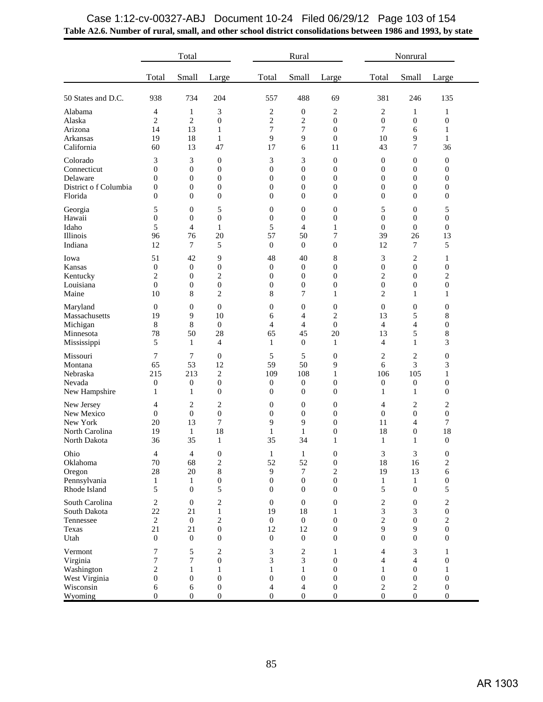|                                                                        |                                         | Total                                         |                                                    |                                                    | Rural                                                       |                                                                            |                                    | Nonrural                                        |                                                  |
|------------------------------------------------------------------------|-----------------------------------------|-----------------------------------------------|----------------------------------------------------|----------------------------------------------------|-------------------------------------------------------------|----------------------------------------------------------------------------|------------------------------------|-------------------------------------------------|--------------------------------------------------|
|                                                                        | Total                                   | Small                                         | Large                                              | Total                                              | Small                                                       | Large                                                                      | Total                              | Small                                           | Large                                            |
| 50 States and D.C.                                                     | 938                                     | 734                                           | 204                                                | 557                                                | 488                                                         | 69                                                                         | 381                                | 246                                             | 135                                              |
| Alabama                                                                | 4                                       | 1                                             | 3                                                  | $\overline{\mathbf{c}}$                            | $\boldsymbol{0}$                                            | $\overline{c}$                                                             | $\overline{c}$                     | 1                                               | 1                                                |
| Alaska                                                                 | 2                                       | 2                                             | $\mathbf{0}$                                       | $\overline{\mathbf{c}}$                            | $\overline{c}$                                              | $\boldsymbol{0}$                                                           | $\boldsymbol{0}$                   | $\boldsymbol{0}$                                | $\boldsymbol{0}$                                 |
| Arizona                                                                | 14                                      | 13                                            | $\mathbf{1}$                                       | 7                                                  | 7                                                           | $\boldsymbol{0}$                                                           | 7                                  | 6                                               | $\mathbf{1}$                                     |
| Arkansas                                                               | 19                                      | 18                                            | 1                                                  | 9                                                  | 9                                                           | $\boldsymbol{0}$                                                           | 10                                 | 9                                               | 1                                                |
| California                                                             | 60                                      | 13                                            | 47                                                 | 17                                                 | 6                                                           | 11                                                                         | 43                                 | 7                                               | 36                                               |
| Colorado                                                               | 3                                       | 3                                             | $\boldsymbol{0}$                                   | 3                                                  | 3                                                           | $\boldsymbol{0}$                                                           | $\boldsymbol{0}$                   | $\boldsymbol{0}$                                | $\boldsymbol{0}$                                 |
| Connecticut                                                            | 0                                       | $\mathbf{0}$                                  | $\boldsymbol{0}$                                   | $\overline{0}$                                     | $\boldsymbol{0}$                                            | $\boldsymbol{0}$                                                           | $\mathbf{0}$                       | $\boldsymbol{0}$                                | $\boldsymbol{0}$                                 |
| Delaware                                                               | 0                                       | $\boldsymbol{0}$                              | $\boldsymbol{0}$                                   | $\boldsymbol{0}$                                   | $\boldsymbol{0}$                                            | $\boldsymbol{0}$                                                           | $\mathbf{0}$                       | $\boldsymbol{0}$                                | $\boldsymbol{0}$                                 |
| District of Columbia                                                   | 0                                       | $\boldsymbol{0}$                              | $\mathbf{0}$                                       | $\boldsymbol{0}$                                   | $\boldsymbol{0}$                                            | $\boldsymbol{0}$                                                           | $\boldsymbol{0}$                   | $\mathbf{0}$                                    | $\boldsymbol{0}$                                 |
| Florida                                                                | $\boldsymbol{0}$                        | $\mathbf{0}$                                  | $\boldsymbol{0}$                                   | $\overline{0}$                                     | $\mathbf{0}$                                                | $\boldsymbol{0}$                                                           | $\mathbf{0}$                       | $\mathbf{0}$                                    | $\boldsymbol{0}$                                 |
| Georgia                                                                | 5                                       | $\boldsymbol{0}$                              | 5                                                  | $\boldsymbol{0}$                                   | $\boldsymbol{0}$                                            | $\boldsymbol{0}$                                                           | 5                                  | $\boldsymbol{0}$                                | 5                                                |
| Hawaii                                                                 | 0                                       | $\boldsymbol{0}$                              | $\boldsymbol{0}$                                   | $\mathbf{0}$                                       | $\boldsymbol{0}$                                            | $\boldsymbol{0}$                                                           | $\mathbf{0}$                       | $\boldsymbol{0}$                                | $\boldsymbol{0}$                                 |
| Idaho                                                                  | 5                                       | $\overline{4}$                                | $\mathbf{1}$                                       | 5                                                  | $\overline{4}$                                              | 1                                                                          | $\mathbf{0}$                       | $\mathbf{0}$                                    | $\boldsymbol{0}$                                 |
| Illinois                                                               | 96                                      | 76                                            | 20                                                 | 57                                                 | 50                                                          | 7                                                                          | 39                                 | 26                                              | 13                                               |
| Indiana                                                                | 12                                      | $\tau$                                        | 5                                                  | $\overline{0}$                                     | $\mathbf{0}$                                                | $\boldsymbol{0}$                                                           | 12                                 | 7                                               | 5                                                |
| Iowa                                                                   | 51                                      | 42                                            | 9                                                  | 48                                                 | 40                                                          | 8                                                                          | 3                                  | $\overline{\mathbf{c}}$                         | 1                                                |
| Kansas                                                                 | $\boldsymbol{0}$                        | $\mathbf{0}$                                  | $\boldsymbol{0}$                                   | $\mathbf{0}$                                       | $\boldsymbol{0}$                                            | $\boldsymbol{0}$                                                           | $\boldsymbol{0}$                   | $\boldsymbol{0}$                                | $\boldsymbol{0}$                                 |
| Kentucky                                                               | 2                                       | $\mathbf{0}$                                  | 2                                                  | $\overline{0}$                                     | $\mathbf{0}$                                                | $\boldsymbol{0}$                                                           | $\overline{c}$                     | $\overline{0}$                                  | $\overline{c}$                                   |
| Louisiana                                                              | 0                                       | $\boldsymbol{0}$                              | $\boldsymbol{0}$                                   | $\boldsymbol{0}$                                   | $\boldsymbol{0}$                                            | $\boldsymbol{0}$                                                           | $\boldsymbol{0}$                   | $\boldsymbol{0}$                                | $\boldsymbol{0}$                                 |
| Maine                                                                  | 10                                      | 8                                             | $\overline{c}$                                     | 8                                                  | 7                                                           | 1                                                                          | $\overline{c}$                     | 1                                               | $\mathbf{1}$                                     |
| Maryland                                                               | $\boldsymbol{0}$                        | $\boldsymbol{0}$                              | $\mathbf{0}$                                       | $\overline{0}$                                     | $\boldsymbol{0}$                                            | 0                                                                          | $\mathbf{0}$                       | $\mathbf{0}$                                    | 0                                                |
| Massachusetts                                                          | 19                                      | 9                                             | 10                                                 | 6                                                  | 4                                                           | $\overline{c}$                                                             | 13                                 | 5                                               | 8                                                |
| Michigan                                                               | 8                                       | 8                                             | $\boldsymbol{0}$                                   | 4                                                  | 4                                                           | $\boldsymbol{0}$                                                           | $\overline{4}$                     | 4                                               | $\boldsymbol{0}$                                 |
| Minnesota                                                              | 78                                      | 50                                            | 28                                                 | 65                                                 | 45                                                          | 20                                                                         | 13                                 | 5                                               | 8                                                |
| Mississippi                                                            | 5                                       | 1                                             | $\overline{4}$                                     | 1                                                  | $\boldsymbol{0}$                                            | $\mathbf{1}$                                                               | $\overline{4}$                     | 1                                               | 3                                                |
| Missouri                                                               | 7                                       | 7                                             | $\mathbf{0}$                                       | 5                                                  | 5                                                           | $\boldsymbol{0}$                                                           | $\overline{c}$                     | 2                                               | $\boldsymbol{0}$                                 |
| Montana                                                                | 65                                      | 53                                            | 12                                                 | 59                                                 | 50                                                          | 9                                                                          | 6                                  | 3                                               | 3                                                |
| Nebraska                                                               | 215                                     | 213                                           | 2                                                  | 109                                                | 108                                                         | $\mathbf{1}$                                                               | 106                                | 105                                             | $\mathbf{1}$                                     |
| Nevada                                                                 | $\boldsymbol{0}$                        | $\boldsymbol{0}$                              | $\boldsymbol{0}$                                   | $\mathbf{0}$                                       | $\boldsymbol{0}$                                            | $\boldsymbol{0}$                                                           | $\boldsymbol{0}$                   | $\boldsymbol{0}$                                | $\boldsymbol{0}$                                 |
| New Hampshire                                                          | 1                                       | 1                                             | $\boldsymbol{0}$                                   | $\mathbf{0}$                                       | $\mathbf{0}$                                                | $\boldsymbol{0}$                                                           | 1                                  | 1                                               | $\boldsymbol{0}$                                 |
| New Jersey<br>New Mexico<br>New York<br>North Carolina<br>North Dakota | 4<br>$\boldsymbol{0}$<br>20<br>19<br>36 | 2<br>$\mathbf{0}$<br>13<br>$\mathbf{1}$<br>35 | $\overline{c}$<br>$\boldsymbol{0}$<br>7<br>18<br>1 | $\boldsymbol{0}$<br>$\overline{0}$<br>9<br>1<br>35 | $\boldsymbol{0}$<br>$\mathbf{0}$<br>9<br>$\mathbf{1}$<br>34 | $\boldsymbol{0}$<br>$\overline{0}$<br>$\boldsymbol{0}$<br>$\boldsymbol{0}$ | 4<br>$\mathbf{0}$<br>11<br>18<br>1 | 2<br>$\mathbf{0}$<br>4<br>$\boldsymbol{0}$<br>1 | 2<br>$\boldsymbol{0}$<br>7<br>18<br>$\mathbf{0}$ |
| Ohio                                                                   | $\overline{4}$                          | $\overline{4}$                                | $\boldsymbol{0}$                                   | $\mathbf{1}$                                       | $\mathbf{1}$                                                | $\boldsymbol{0}$                                                           | 3                                  | 3                                               | $\boldsymbol{0}$                                 |
| Oklahoma                                                               | 70                                      | 68                                            | $\overline{c}$                                     | 52                                                 | 52                                                          | $\boldsymbol{0}$                                                           | 18                                 | 16                                              | $\boldsymbol{2}$                                 |
| Oregon                                                                 | 28                                      | 20                                            | $\,8\,$                                            | 9                                                  | $\tau$                                                      | $\overline{c}$                                                             | 19                                 | 13                                              | 6                                                |
| Pennsylvania                                                           | $\mathbf{1}$                            | $\mathbf{1}$                                  | $\boldsymbol{0}$                                   | $\overline{0}$                                     | $\mathbf{0}$                                                | $\overline{0}$                                                             | $\mathbf{1}$                       | 1                                               | $\boldsymbol{0}$                                 |
| Rhode Island                                                           | 5                                       | $\mathbf{0}$                                  | 5                                                  | $\overline{0}$                                     | $\boldsymbol{0}$                                            | $\boldsymbol{0}$                                                           | 5                                  | $\mathbf{0}$                                    | 5                                                |
| South Carolina                                                         | $\overline{2}$                          | $\boldsymbol{0}$                              | $\mathbf{2}$                                       | $\overline{0}$                                     | $\boldsymbol{0}$                                            | $\boldsymbol{0}$                                                           | $\boldsymbol{2}$                   | $\boldsymbol{0}$                                | $\boldsymbol{2}$                                 |
| South Dakota                                                           | 22                                      | 21                                            | $\mathbf{1}$                                       | 19                                                 | 18                                                          | $\mathbf{1}$                                                               | 3                                  | 3                                               | $\boldsymbol{0}$                                 |
| Tennessee                                                              | $\mathbf{2}$                            | $\mathbf{0}$                                  | 2                                                  | $\overline{0}$                                     | $\overline{0}$                                              | $\overline{0}$                                                             | $\overline{c}$                     | $\mathbf{0}$                                    | $\sqrt{2}$                                       |
| Texas                                                                  | 21                                      | 21                                            | $\boldsymbol{0}$                                   | 12                                                 | 12                                                          | $\boldsymbol{0}$                                                           | $\overline{9}$                     | $\overline{9}$                                  | $\boldsymbol{0}$                                 |
| Utah                                                                   | $\mathbf{0}$                            | $\mathbf{0}$                                  | $\boldsymbol{0}$                                   | $\overline{0}$                                     | $\boldsymbol{0}$                                            | $\overline{0}$                                                             | $\mathbf{0}$                       | $\boldsymbol{0}$                                | $\boldsymbol{0}$                                 |
| Vermont                                                                | 7                                       | 5                                             | $\overline{c}$                                     | 3                                                  | $\overline{c}$                                              | 1                                                                          | $\overline{4}$                     | 3                                               | 1                                                |
| Virginia                                                               | 7                                       | $\boldsymbol{7}$                              | $\boldsymbol{0}$                                   | 3                                                  | 3                                                           | $\boldsymbol{0}$                                                           | 4                                  | $\overline{4}$                                  | $\boldsymbol{0}$                                 |
| Washington                                                             | $\overline{2}$                          | $\mathbf{1}$                                  | 1                                                  | 1                                                  | $\mathbf{1}$                                                | $\overline{0}$                                                             | 1                                  | $\mathbf{0}$                                    | $\mathbf{1}$                                     |
| West Virginia                                                          | $\overline{0}$                          | $\mathbf{0}$                                  | $\mathbf{0}$                                       | $\mathbf{0}$                                       | $\mathbf{0}$                                                | $\mathbf{0}$                                                               | $\mathbf{0}$                       | $\mathbf{0}$                                    | $\boldsymbol{0}$                                 |
| Wisconsin                                                              | 6                                       | $\sqrt{6}$                                    | $\boldsymbol{0}$                                   | $\overline{4}$                                     | $\overline{4}$                                              | $\boldsymbol{0}$                                                           | $\overline{c}$                     | $\sqrt{2}$                                      | $\boldsymbol{0}$                                 |
| Wyoming                                                                | $\boldsymbol{0}$                        | $\boldsymbol{0}$                              | $\boldsymbol{0}$                                   | $\overline{0}$                                     | $\boldsymbol{0}$                                            | $\boldsymbol{0}$                                                           | $\mathbf{0}$                       | $\boldsymbol{0}$                                | $\boldsymbol{0}$                                 |

## **Table A2.6. Number of rural, small, and other school district consolidations between 1986 and 1993, by state** Case 1:12-cv-00327-ABJ Document 10-24 Filed 06/29/12 Page 103 of 154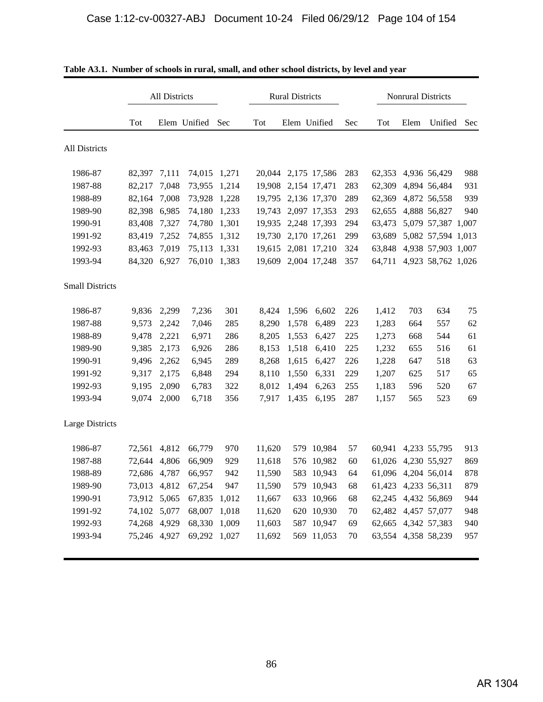|                        |              | All Districts |                  |       |        | <b>Rural Districts</b> |                     |     |        |      | Nonrural Districts  |     |
|------------------------|--------------|---------------|------------------|-------|--------|------------------------|---------------------|-----|--------|------|---------------------|-----|
|                        | Tot          |               | Elem Unified Sec |       | Tot    | Elem Unified           |                     | Sec | Tot    | Elem | Unified             | Sec |
| All Districts          |              |               |                  |       |        |                        |                     |     |        |      |                     |     |
| 1986-87                | 82,397 7,111 |               | 74,015 1,271     |       |        |                        | 20,044 2,175 17,586 | 283 |        |      | 62,353 4,936 56,429 | 988 |
| 1987-88                | 82,217       | 7,048         | 73,955           | 1,214 | 19,908 |                        | 2,154 17,471        | 283 | 62,309 |      | 4,894 56,484        | 931 |
| 1988-89                | 82,164       | 7,008         | 73,928           | 1,228 |        |                        | 19,795 2,136 17,370 | 289 | 62,369 |      | 4,872 56,558        | 939 |
| 1989-90                | 82,398 6,985 |               | 74,180           | 1,233 |        |                        | 19,743 2,097 17,353 | 293 |        |      | 62,655 4,888 56,827 | 940 |
| 1990-91                | 83,408       | 7,327         | 74,780           | 1,301 | 19,935 |                        | 2,248 17,393        | 294 | 63,473 |      | 5,079 57,387 1,007  |     |
| 1991-92                | 83,419       | 7,252         | 74,855           | 1,312 |        |                        | 19,730 2,170 17,261 | 299 | 63,689 |      | 5,082 57,594 1,013  |     |
| 1992-93                | 83,463       | 7,019         | 75,113 1,331     |       |        |                        | 19,615 2,081 17,210 | 324 | 63,848 |      | 4,938 57,903 1,007  |     |
| 1993-94                | 84,320       | 6,927         | 76,010 1,383     |       | 19,609 |                        | 2,004 17,248        | 357 | 64,711 |      | 4,923 58,762 1,026  |     |
| <b>Small Districts</b> |              |               |                  |       |        |                        |                     |     |        |      |                     |     |
| 1986-87                | 9,836        | 2,299         | 7,236            | 301   | 8,424  | 1,596                  | 6,602               | 226 | 1,412  | 703  | 634                 | 75  |
| 1987-88                | 9,573        | 2,242         | 7,046            | 285   | 8,290  | 1,578                  | 6,489               | 223 | 1,283  | 664  | 557                 | 62  |
| 1988-89                | 9,478        | 2,221         | 6,971            | 286   | 8,205  | 1,553                  | 6,427               | 225 | 1,273  | 668  | 544                 | 61  |
| 1989-90                | 9,385        | 2,173         | 6,926            | 286   | 8,153  | 1,518                  | 6,410               | 225 | 1,232  | 655  | 516                 | 61  |
| 1990-91                | 9,496        | 2,262         | 6,945            | 289   | 8,268  | 1,615                  | 6,427               | 226 | 1,228  | 647  | 518                 | 63  |
| 1991-92                | 9,317        | 2,175         | 6,848            | 294   | 8,110  | 1,550                  | 6,331               | 229 | 1,207  | 625  | 517                 | 65  |
| 1992-93                | 9,195        | 2,090         | 6,783            | 322   | 8,012  | 1,494                  | 6,263               | 255 | 1,183  | 596  | 520                 | 67  |
| 1993-94                | 9,074        | 2,000         | 6,718            | 356   | 7,917  | 1,435                  | 6,195               | 287 | 1,157  | 565  | 523                 | 69  |
| Large Districts        |              |               |                  |       |        |                        |                     |     |        |      |                     |     |
| 1986-87                | 72,561       | 4,812         | 66,779           | 970   | 11,620 |                        | 579 10,984          | 57  | 60,941 |      | 4,233 55,795        | 913 |
| 1987-88                | 72,644       | 4,806         | 66,909           | 929   | 11,618 | 576                    | 10,982              | 60  |        |      | 61,026 4,230 55,927 | 869 |
| 1988-89                | 72,686 4,787 |               | 66,957           | 942   | 11,590 | 583                    | 10,943              | 64  |        |      | 61,096 4,204 56,014 | 878 |
| 1989-90                | 73,013 4,812 |               | 67,254           | 947   | 11,590 |                        | 579 10,943          | 68  |        |      | 61,423 4,233 56,311 | 879 |
| 1990-91                | 73,912 5,065 |               | 67,835           | 1,012 | 11,667 |                        | 633 10,966          | 68  |        |      | 62,245 4,432 56,869 | 944 |
| 1991-92                | 74,102 5,077 |               | 68,007           | 1,018 | 11,620 |                        | 620 10,930          | 70  |        |      | 62,482 4,457 57,077 | 948 |
| 1992-93                | 74,268 4,929 |               | 68,330           | 1,009 | 11,603 |                        | 587 10,947          | 69  |        |      | 62,665 4,342 57,383 | 940 |
| 1993-94                | 75,246 4,927 |               | 69,292 1,027     |       | 11,692 |                        | 569 11,053          | 70  |        |      | 63,554 4,358 58,239 | 957 |

| Table A3.1. Number of schools in rural, small, and other school districts, by level and year |  |  |
|----------------------------------------------------------------------------------------------|--|--|
|                                                                                              |  |  |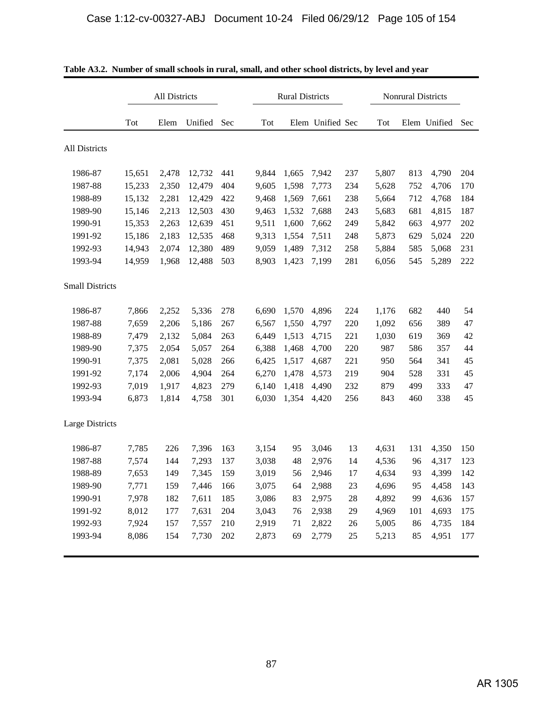|                        |        | All Districts |         |     |       | <b>Rural Districts</b> |                  |        |       | <b>Nonrural Districts</b> |              |     |
|------------------------|--------|---------------|---------|-----|-------|------------------------|------------------|--------|-------|---------------------------|--------------|-----|
|                        | Tot    | Elem          | Unified | Sec | Tot   |                        | Elem Unified Sec |        | Tot   |                           | Elem Unified | Sec |
| All Districts          |        |               |         |     |       |                        |                  |        |       |                           |              |     |
| 1986-87                | 15,651 | 2,478         | 12,732  | 441 | 9,844 | 1,665                  | 7,942            | 237    | 5,807 | 813                       | 4,790        | 204 |
| 1987-88                | 15,233 | 2,350         | 12,479  | 404 | 9,605 | 1,598                  | 7,773            | 234    | 5,628 | 752                       | 4,706        | 170 |
| 1988-89                | 15,132 | 2,281         | 12,429  | 422 | 9,468 | 1,569                  | 7,661            | 238    | 5,664 | 712                       | 4,768        | 184 |
| 1989-90                | 15,146 | 2,213         | 12,503  | 430 | 9,463 | 1,532                  | 7,688            | 243    | 5,683 | 681                       | 4,815        | 187 |
| 1990-91                | 15,353 | 2,263         | 12,639  | 451 | 9,511 | 1,600                  | 7,662            | 249    | 5,842 | 663                       | 4,977        | 202 |
| 1991-92                | 15,186 | 2,183         | 12,535  | 468 | 9,313 | 1,554                  | 7,511            | 248    | 5,873 | 629                       | 5,024        | 220 |
| 1992-93                | 14,943 | 2,074         | 12,380  | 489 | 9,059 | 1,489                  | 7,312            | 258    | 5,884 | 585                       | 5,068        | 231 |
| 1993-94                | 14,959 | 1,968         | 12,488  | 503 | 8,903 | 1,423                  | 7,199            | 281    | 6,056 | 545                       | 5,289        | 222 |
| <b>Small Districts</b> |        |               |         |     |       |                        |                  |        |       |                           |              |     |
| 1986-87                | 7,866  | 2,252         | 5,336   | 278 | 6,690 | 1,570                  | 4,896            | 224    | 1,176 | 682                       | 440          | 54  |
| 1987-88                | 7,659  | 2,206         | 5,186   | 267 | 6,567 | 1,550                  | 4,797            | 220    | 1,092 | 656                       | 389          | 47  |
| 1988-89                | 7,479  | 2,132         | 5,084   | 263 | 6,449 | 1,513                  | 4,715            | 221    | 1,030 | 619                       | 369          | 42  |
| 1989-90                | 7,375  | 2,054         | 5,057   | 264 | 6,388 | 1,468                  | 4,700            | 220    | 987   | 586                       | 357          | 44  |
| 1990-91                | 7,375  | 2,081         | 5,028   | 266 | 6,425 | 1,517                  | 4,687            | 221    | 950   | 564                       | 341          | 45  |
| 1991-92                | 7,174  | 2,006         | 4,904   | 264 | 6,270 | 1,478                  | 4,573            | 219    | 904   | 528                       | 331          | 45  |
| 1992-93                | 7,019  | 1,917         | 4,823   | 279 | 6,140 | 1,418                  | 4,490            | 232    | 879   | 499                       | 333          | 47  |
| 1993-94                | 6,873  | 1,814         | 4,758   | 301 | 6,030 | 1,354                  | 4,420            | 256    | 843   | 460                       | 338          | 45  |
| Large Districts        |        |               |         |     |       |                        |                  |        |       |                           |              |     |
| 1986-87                | 7,785  | 226           | 7,396   | 163 | 3,154 | 95                     | 3,046            | 13     | 4,631 | 131                       | 4,350        | 150 |
| 1987-88                | 7,574  | 144           | 7,293   | 137 | 3,038 | 48                     | 2,976            | 14     | 4,536 | 96                        | 4,317        | 123 |
| 1988-89                | 7,653  | 149           | 7,345   | 159 | 3,019 | 56                     | 2,946            | 17     | 4,634 | 93                        | 4,399        | 142 |
| 1989-90                | 7,771  | 159           | 7,446   | 166 | 3,075 | 64                     | 2,988            | 23     | 4,696 | 95                        | 4,458        | 143 |
| 1990-91                | 7,978  | 182           | 7,611   | 185 | 3,086 | 83                     | 2,975            | $28\,$ | 4,892 | 99                        | 4,636        | 157 |
| 1991-92                | 8,012  | 177           | 7,631   | 204 | 3,043 | 76                     | 2,938            | 29     | 4,969 | 101                       | 4,693        | 175 |
| 1992-93                | 7,924  | 157           | 7,557   | 210 | 2,919 | 71                     | 2,822            | 26     | 5,005 | 86                        | 4,735        | 184 |
| 1993-94                | 8,086  | 154           | 7,730   | 202 | 2,873 | 69                     | 2,779            | 25     | 5,213 | 85                        | 4,951        | 177 |

**Table A3.2. Number of small schools in rural, small, and other school districts, by level and year**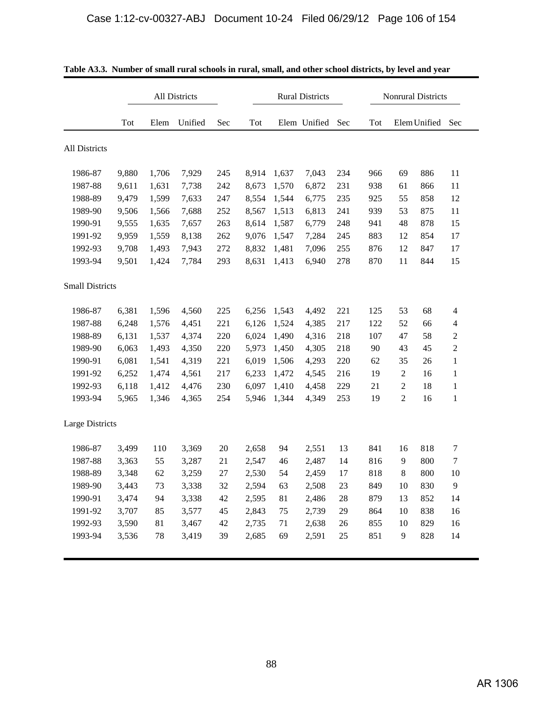|                        |       |       | All Districts |     |       |       | <b>Rural Districts</b> |        |     |                | <b>Nonrural Districts</b> |                |
|------------------------|-------|-------|---------------|-----|-------|-------|------------------------|--------|-----|----------------|---------------------------|----------------|
|                        | Tot   | Elem  | Unified       | Sec | Tot   |       | Elem Unified           | Sec    | Tot |                | Elem Unified              | Sec            |
| All Districts          |       |       |               |     |       |       |                        |        |     |                |                           |                |
| 1986-87                | 9,880 | 1,706 | 7,929         | 245 | 8,914 | 1,637 | 7,043                  | 234    | 966 | 69             | 886                       | 11             |
| 1987-88                | 9,611 | 1,631 | 7,738         | 242 | 8,673 | 1,570 | 6,872                  | 231    | 938 | 61             | 866                       | 11             |
| 1988-89                | 9,479 | 1,599 | 7,633         | 247 | 8,554 | 1,544 | 6,775                  | 235    | 925 | 55             | 858                       | 12             |
| 1989-90                | 9,506 | 1,566 | 7,688         | 252 | 8,567 | 1,513 | 6,813                  | 241    | 939 | 53             | 875                       | 11             |
| 1990-91                | 9,555 | 1,635 | 7,657         | 263 | 8,614 | 1,587 | 6,779                  | 248    | 941 | 48             | 878                       | 15             |
| 1991-92                | 9,959 | 1,559 | 8,138         | 262 | 9,076 | 1,547 | 7,284                  | 245    | 883 | 12             | 854                       | 17             |
| 1992-93                | 9,708 | 1,493 | 7,943         | 272 | 8,832 | 1,481 | 7,096                  | 255    | 876 | 12             | 847                       | 17             |
| 1993-94                | 9,501 | 1,424 | 7,784         | 293 | 8,631 | 1,413 | 6,940                  | 278    | 870 | 11             | 844                       | 15             |
| <b>Small Districts</b> |       |       |               |     |       |       |                        |        |     |                |                           |                |
| 1986-87                | 6,381 | 1,596 | 4,560         | 225 | 6,256 | 1,543 | 4,492                  | 221    | 125 | 53             | 68                        | $\overline{4}$ |
| 1987-88                | 6,248 | 1,576 | 4,451         | 221 | 6,126 | 1,524 | 4,385                  | 217    | 122 | 52             | 66                        | $\overline{4}$ |
| 1988-89                | 6,131 | 1,537 | 4,374         | 220 | 6,024 | 1,490 | 4,316                  | 218    | 107 | 47             | 58                        | $\overline{c}$ |
| 1989-90                | 6,063 | 1,493 | 4,350         | 220 | 5,973 | 1,450 | 4,305                  | 218    | 90  | 43             | 45                        | $\overline{c}$ |
| 1990-91                | 6,081 | 1,541 | 4,319         | 221 | 6,019 | 1,506 | 4,293                  | 220    | 62  | 35             | 26                        | $\mathbf{1}$   |
| 1991-92                | 6,252 | 1,474 | 4,561         | 217 | 6,233 | 1,472 | 4,545                  | 216    | 19  | $\mathbf{2}$   | 16                        | $\mathbf{1}$   |
| 1992-93                | 6,118 | 1,412 | 4,476         | 230 | 6,097 | 1,410 | 4,458                  | 229    | 21  | 2              | 18                        | $\mathbf{1}$   |
| 1993-94                | 5,965 | 1,346 | 4,365         | 254 | 5,946 | 1,344 | 4,349                  | 253    | 19  | $\overline{c}$ | 16                        | $\mathbf{1}$   |
| Large Districts        |       |       |               |     |       |       |                        |        |     |                |                           |                |
| 1986-87                | 3,499 | 110   | 3,369         | 20  | 2,658 | 94    | 2,551                  | 13     | 841 | 16             | 818                       | 7              |
| 1987-88                | 3,363 | 55    | 3,287         | 21  | 2,547 | 46    | 2,487                  | 14     | 816 | 9              | 800                       | 7              |
| 1988-89                | 3,348 | 62    | 3,259         | 27  | 2,530 | 54    | 2,459                  | 17     | 818 | 8              | 800                       | 10             |
| 1989-90                | 3,443 | 73    | 3,338         | 32  | 2,594 | 63    | 2,508                  | 23     | 849 | 10             | 830                       | 9              |
| 1990-91                | 3,474 | 94    | 3,338         | 42  | 2,595 | 81    | 2,486                  | 28     | 879 | 13             | 852                       | 14             |
| 1991-92                | 3,707 | 85    | 3,577         | 45  | 2,843 | 75    | 2,739                  | 29     | 864 | 10             | 838                       | 16             |
| 1992-93                | 3,590 | 81    | 3,467         | 42  | 2,735 | 71    | 2,638                  | 26     | 855 | 10             | 829                       | 16             |
| 1993-94                | 3,536 | 78    | 3,419         | 39  | 2,685 | 69    | 2,591                  | $25\,$ | 851 | 9              | 828                       | 14             |

| Table A3.3. Number of small rural schools in rural, small, and other school districts, by level and year |
|----------------------------------------------------------------------------------------------------------|
|----------------------------------------------------------------------------------------------------------|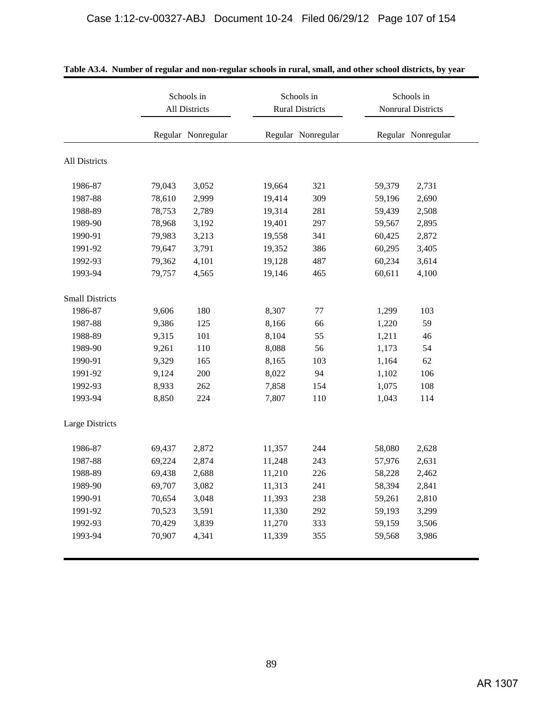|                        |        | Schools in<br>All Districts | Schools in<br><b>Rural Districts</b> |                    |        | Schools in<br><b>Nonrural Districts</b> |
|------------------------|--------|-----------------------------|--------------------------------------|--------------------|--------|-----------------------------------------|
|                        |        | Regular Nonregular          |                                      | Regular Nonregular |        | Regular Nonregular                      |
| All Districts          |        |                             |                                      |                    |        |                                         |
| 1986-87                | 79,043 | 3,052                       | 19,664                               | 321                | 59,379 | 2,731                                   |
| 1987-88                | 78,610 | 2,999                       | 19,414                               | 309                | 59,196 | 2,690                                   |
| 1988-89                | 78,753 | 2,789                       | 19,314                               | 281                | 59,439 | 2,508                                   |
| 1989-90                | 78,968 | 3,192                       | 19,401                               | 297                | 59,567 | 2,895                                   |
| 1990-91                | 79,983 | 3,213                       | 19,558                               | 341                | 60,425 | 2,872                                   |
| 1991-92                | 79,647 | 3,791                       | 19,352                               | 386                | 60,295 | 3,405                                   |
| 1992-93                | 79,362 | 4,101                       | 19,128                               | 487                | 60,234 | 3,614                                   |
| 1993-94                | 79,757 | 4,565                       | 19,146                               | 465                | 60,611 | 4,100                                   |
| <b>Small Districts</b> |        |                             |                                      |                    |        |                                         |
| 1986-87                | 9,606  | 180                         | 8,307                                | 77                 | 1,299  | 103                                     |
| 1987-88                | 9,386  | 125                         | 8,166                                | 66                 | 1,220  | 59                                      |
| 1988-89                | 9,315  | 101                         | 8,104                                | 55                 | 1,211  | 46                                      |
| 1989-90                | 9,261  | 110                         | 8,088                                | 56                 | 1,173  | 54                                      |
| 1990-91                | 9,329  | 165                         | 8,165                                | 103                | 1,164  | 62                                      |
| 1991-92                | 9,124  | 200                         | 8,022                                | 94                 | 1,102  | 106                                     |
| 1992-93                | 8,933  | 262                         | 7,858                                | 154                | 1,075  | 108                                     |
| 1993-94                | 8,850  | 224                         | 7,807                                | 110                | 1,043  | 114                                     |
| Large Districts        |        |                             |                                      |                    |        |                                         |
| 1986-87                | 69,437 | 2,872                       | 11,357                               | 244                | 58,080 | 2,628                                   |
| 1987-88                | 69,224 | 2,874                       | 11,248                               | 243                | 57,976 | 2,631                                   |
| 1988-89                | 69,438 | 2,688                       | 11,210                               | 226                | 58,228 | 2,462                                   |
| 1989-90                | 69,707 | 3,082                       | 11,313                               | 241                | 58,394 | 2,841                                   |
| 1990-91                | 70,654 | 3,048                       | 11,393                               | 238                | 59,261 | 2,810                                   |
| 1991-92                | 70,523 | 3,591                       | 11,330                               | 292                | 59,193 | 3,299                                   |
| 1992-93                | 70,429 | 3,839                       | 11,270                               | 333                | 59,159 | 3,506                                   |
| 1993-94                | 70,907 | 4,341                       | 11,339                               | 355                | 59,568 | 3,986                                   |

|  |  | Table A3.4. Number of regular and non-regular schools in rural, small, and other school districts, by year |  |  |
|--|--|------------------------------------------------------------------------------------------------------------|--|--|
|  |  |                                                                                                            |  |  |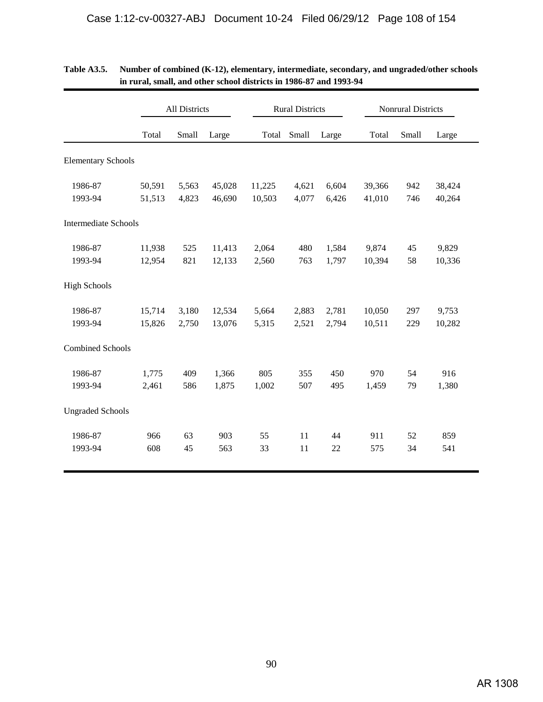|                             |        | All Districts |        |        | <b>Rural Districts</b> |       |        | <b>Nonrural Districts</b> |        |
|-----------------------------|--------|---------------|--------|--------|------------------------|-------|--------|---------------------------|--------|
|                             | Total  | Small         | Large  | Total  | Small                  | Large | Total  | Small                     | Large  |
| <b>Elementary Schools</b>   |        |               |        |        |                        |       |        |                           |        |
| 1986-87                     | 50,591 | 5,563         | 45,028 | 11,225 | 4,621                  | 6,604 | 39,366 | 942                       | 38,424 |
| 1993-94                     | 51,513 | 4,823         | 46,690 | 10,503 | 4,077                  | 6,426 | 41,010 | 746                       | 40,264 |
| <b>Intermediate Schools</b> |        |               |        |        |                        |       |        |                           |        |
| 1986-87                     | 11,938 | 525           | 11,413 | 2,064  | 480                    | 1,584 | 9,874  | 45                        | 9,829  |
| 1993-94                     | 12,954 | 821           | 12,133 | 2,560  | 763                    | 1,797 | 10,394 | 58                        | 10,336 |
| <b>High Schools</b>         |        |               |        |        |                        |       |        |                           |        |
| 1986-87                     | 15,714 | 3,180         | 12,534 | 5,664  | 2,883                  | 2,781 | 10,050 | 297                       | 9,753  |
| 1993-94                     | 15,826 | 2,750         | 13,076 | 5,315  | 2,521                  | 2,794 | 10,511 | 229                       | 10,282 |
| <b>Combined Schools</b>     |        |               |        |        |                        |       |        |                           |        |
| 1986-87                     | 1,775  | 409           | 1,366  | 805    | 355                    | 450   | 970    | 54                        | 916    |
| 1993-94                     | 2,461  | 586           | 1,875  | 1,002  | 507                    | 495   | 1,459  | 79                        | 1,380  |
| <b>Ungraded Schools</b>     |        |               |        |        |                        |       |        |                           |        |
| 1986-87                     | 966    | 63            | 903    | 55     | 11                     | 44    | 911    | 52                        | 859    |
| 1993-94                     | 608    | 45            | 563    | 33     | 11                     | 22    | 575    | 34                        | 541    |

| Table A3.5. | Number of combined (K-12), elementary, intermediate, secondary, and ungraded/other schools |
|-------------|--------------------------------------------------------------------------------------------|
|             | in rural, small, and other school districts in 1986-87 and 1993-94                         |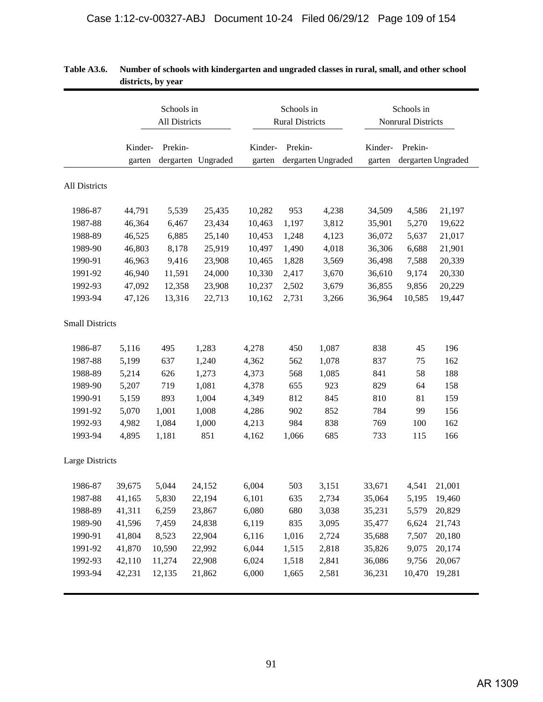|                        |                   | Schools in<br>All Districts |                    |                   | Schools in<br><b>Rural Districts</b> |                    | Schools in<br>Nonrural Districts |         |                    |  |
|------------------------|-------------------|-----------------------------|--------------------|-------------------|--------------------------------------|--------------------|----------------------------------|---------|--------------------|--|
|                        | Kinder-<br>garten | Prekin-                     | dergarten Ungraded | Kinder-<br>garten | Prekin-                              | dergarten Ungraded | Kinder-<br>garten                | Prekin- | dergarten Ungraded |  |
| All Districts          |                   |                             |                    |                   |                                      |                    |                                  |         |                    |  |
| 1986-87                | 44,791            | 5,539                       | 25,435             | 10,282            | 953                                  | 4,238              | 34,509                           | 4,586   | 21,197             |  |
| 1987-88                | 46,364            | 6,467                       | 23,434             | 10,463            | 1,197                                | 3,812              | 35,901                           | 5,270   | 19,622             |  |
| 1988-89                | 46,525            | 6,885                       | 25,140             | 10,453            | 1,248                                | 4,123              | 36,072                           | 5,637   | 21,017             |  |
| 1989-90                | 46,803            | 8,178                       | 25,919             | 10,497            | 1,490                                | 4,018              | 36,306                           | 6,688   | 21,901             |  |
| 1990-91                | 46,963            | 9,416                       | 23,908             | 10,465            | 1,828                                | 3,569              | 36,498                           | 7,588   | 20,339             |  |
| 1991-92                | 46,940            | 11,591                      | 24,000             | 10,330            | 2,417                                | 3,670              | 36,610                           | 9,174   | 20,330             |  |
| 1992-93                | 47,092            | 12,358                      | 23,908             | 10,237            | 2,502                                | 3,679              | 36,855                           | 9,856   | 20,229             |  |
| 1993-94                | 47,126            | 13,316                      | 22,713             | 10,162            | 2,731                                | 3,266              | 36,964                           | 10,585  | 19,447             |  |
| <b>Small Districts</b> |                   |                             |                    |                   |                                      |                    |                                  |         |                    |  |
| 1986-87                | 5,116             | 495                         | 1,283              | 4,278             | 450                                  | 1,087              | 838                              | 45      | 196                |  |
| 1987-88                | 5,199             | 637                         | 1,240              | 4,362             | 562                                  | 1,078              | 837                              | 75      | 162                |  |
| 1988-89                | 5,214             | 626                         | 1,273              | 4,373             | 568                                  | 1,085              | 841                              | 58      | 188                |  |
| 1989-90                | 5,207             | 719                         | 1,081              | 4,378             | 655                                  | 923                | 829                              | 64      | 158                |  |
| 1990-91                | 5,159             | 893                         | 1,004              | 4,349             | 812                                  | 845                | 810                              | 81      | 159                |  |
| 1991-92                | 5,070             | 1,001                       | 1,008              | 4,286             | 902                                  | 852                | 784                              | 99      | 156                |  |
| 1992-93                | 4,982             | 1,084                       | 1,000              | 4,213             | 984                                  | 838                | 769                              | 100     | 162                |  |
| 1993-94                | 4,895             | 1,181                       | 851                | 4,162             | 1,066                                | 685                | 733                              | 115     | 166                |  |
| Large Districts        |                   |                             |                    |                   |                                      |                    |                                  |         |                    |  |
| 1986-87                | 39,675            | 5,044                       | 24,152             | 6,004             | 503                                  | 3,151              | 33,671                           | 4,541   | 21,001             |  |
| 1987-88                | 41,165            | 5,830                       | 22,194             | 6,101             | 635                                  | 2,734              | 35,064                           | 5,195   | 19,460             |  |
| 1988-89                | 41,311            | 6,259                       | 23,867             | 6,080             | 680                                  | 3,038              | 35,231                           | 5,579   | 20,829             |  |
| 1989-90                | 41,596            | 7,459                       | 24,838             | 6,119             | 835                                  | 3,095              | 35,477                           | 6,624   | 21,743             |  |
| 1990-91                | 41,804            | 8,523                       | 22,904             | 6,116             | 1,016                                | 2,724              | 35,688                           | 7,507   | 20,180             |  |
| 1991-92                | 41,870            | 10,590                      | 22,992             | 6,044             | 1,515                                | 2,818              | 35,826                           | 9,075   | 20,174             |  |
| 1992-93                | 42,110            | 11,274                      | 22,908             | 6,024             | 1,518                                | 2,841              | 36,086                           | 9,756   | 20,067             |  |
| 1993-94                | 42,231            | 12,135                      | 21,862             | 6,000             | 1,665                                | 2,581              | 36,231                           | 10,470  | 19,281             |  |

| <b>Table A3.6.</b> | Number of schools with kindergarten and ungraded classes in rural, small, and other school |
|--------------------|--------------------------------------------------------------------------------------------|
|                    | districts, by year                                                                         |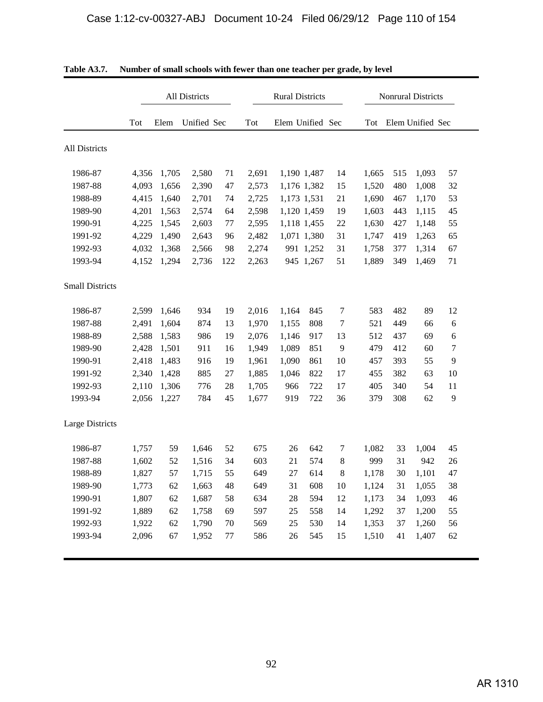|                        |       |       | All Districts |     |       | <b>Rural Districts</b> |             |         | <b>Nonrural Districts</b> |     |                  |    |  |
|------------------------|-------|-------|---------------|-----|-------|------------------------|-------------|---------|---------------------------|-----|------------------|----|--|
|                        | Tot   | Elem  | Unified Sec   |     | Tot   | Elem Unified Sec       |             |         | Tot                       |     | Elem Unified Sec |    |  |
| All Districts          |       |       |               |     |       |                        |             |         |                           |     |                  |    |  |
| 1986-87                | 4,356 | 1,705 | 2,580         | 71  | 2,691 | 1,190 1,487            |             | 14      | 1,665                     | 515 | 1,093            | 57 |  |
| 1987-88                | 4,093 | 1,656 | 2,390         | 47  | 2,573 | 1,176 1,382            |             | 15      | 1,520                     | 480 | 1,008            | 32 |  |
| 1988-89                | 4,415 | 1,640 | 2,701         | 74  | 2,725 | 1,173 1,531            |             | 21      | 1,690                     | 467 | 1,170            | 53 |  |
| 1989-90                | 4,201 | 1,563 | 2,574         | 64  | 2,598 |                        | 1,120 1,459 | 19      | 1,603                     | 443 | 1,115            | 45 |  |
| 1990-91                | 4,225 | 1,545 | 2,603         | 77  | 2,595 |                        | 1,118 1,455 | 22      | 1,630                     | 427 | 1,148            | 55 |  |
| 1991-92                | 4,229 | 1,490 | 2,643         | 96  | 2,482 |                        | 1,071 1,380 | 31      | 1,747                     | 419 | 1,263            | 65 |  |
| 1992-93                | 4,032 | 1,368 | 2,566         | 98  | 2,274 |                        | 991 1,252   | 31      | 1,758                     | 377 | 1,314            | 67 |  |
| 1993-94                | 4,152 | 1,294 | 2,736         | 122 | 2,263 |                        | 945 1,267   | 51      | 1,889                     | 349 | 1,469            | 71 |  |
| <b>Small Districts</b> |       |       |               |     |       |                        |             |         |                           |     |                  |    |  |
| 1986-87                | 2,599 | 1,646 | 934           | 19  | 2,016 | 1,164                  | 845         | 7       | 583                       | 482 | 89               | 12 |  |
| 1987-88                | 2,491 | 1,604 | 874           | 13  | 1,970 | 1,155                  | 808         | 7       | 521                       | 449 | 66               | 6  |  |
| 1988-89                | 2,588 | 1,583 | 986           | 19  | 2,076 | 1,146                  | 917         | 13      | 512                       | 437 | 69               | 6  |  |
| 1989-90                | 2,428 | 1,501 | 911           | 16  | 1,949 | 1,089                  | 851         | 9       | 479                       | 412 | 60               | 7  |  |
| 1990-91                | 2,418 | 1,483 | 916           | 19  | 1,961 | 1,090                  | 861         | 10      | 457                       | 393 | 55               | 9  |  |
| 1991-92                | 2,340 | 1,428 | 885           | 27  | 1,885 | 1,046                  | 822         | 17      | 455                       | 382 | 63               | 10 |  |
| 1992-93                | 2,110 | 1,306 | 776           | 28  | 1,705 | 966                    | 722         | 17      | 405                       | 340 | 54               | 11 |  |
| 1993-94                | 2,056 | 1,227 | 784           | 45  | 1,677 | 919                    | 722         | 36      | 379                       | 308 | 62               | 9  |  |
| Large Districts        |       |       |               |     |       |                        |             |         |                           |     |                  |    |  |
| 1986-87                | 1,757 | 59    | 1,646         | 52  | 675   | 26                     | 642         | 7       | 1,082                     | 33  | 1,004            | 45 |  |
| 1987-88                | 1,602 | 52    | 1,516         | 34  | 603   | 21                     | 574         | $\,8\,$ | 999                       | 31  | 942              | 26 |  |
| 1988-89                | 1,827 | 57    | 1,715         | 55  | 649   | 27                     | 614         | 8       | 1,178                     | 30  | 1,101            | 47 |  |
| 1989-90                | 1,773 | 62    | 1,663         | 48  | 649   | 31                     | 608         | 10      | 1,124                     | 31  | 1,055            | 38 |  |
| 1990-91                | 1,807 | 62    | 1,687         | 58  | 634   | 28                     | 594         | 12      | 1,173                     | 34  | 1,093            | 46 |  |
| 1991-92                | 1,889 | 62    | 1,758         | 69  | 597   | 25                     | 558         | 14      | 1,292                     | 37  | 1,200            | 55 |  |
| 1992-93                | 1,922 | 62    | 1,790         | 70  | 569   | 25                     | 530         | 14      | 1,353                     | 37  | 1,260            | 56 |  |
| 1993-94                | 2,096 | 67    | 1,952         | 77  | 586   | 26                     | 545         | 15      | 1,510                     | 41  | 1,407            | 62 |  |

**Table A3.7. Number of small schools with fewer than one teacher per grade, by level**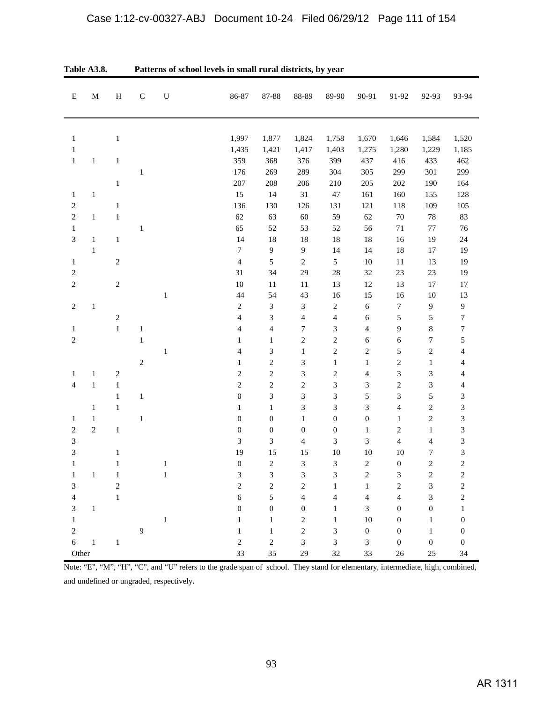| ${\bf E}$                   | $\mathbf M$  | $\, {\rm H}$   | $\mathbf C$    | ${\bf U}$    | 86-87                    | 87-88                   | 88-89                       | 89-90            | 90-91            | 91-92                    | 92-93            | 93-94                    |
|-----------------------------|--------------|----------------|----------------|--------------|--------------------------|-------------------------|-----------------------------|------------------|------------------|--------------------------|------------------|--------------------------|
|                             |              |                |                |              |                          |                         |                             |                  |                  |                          |                  |                          |
| $\mathbf{1}$                |              | $\mathbf{1}$   |                |              | 1,997                    | 1,877                   | 1,824                       | 1,758            | 1,670            | 1,646                    | 1,584            | 1,520                    |
| $\mathbf{1}$                |              |                |                |              | 1,435                    | 1,421                   | 1,417                       | 1,403            | 1,275            | 1,280                    | 1,229            | 1,185                    |
| $\,1\,$                     | $\mathbf{1}$ | $\mathbf{1}$   |                |              | 359                      | 368                     | 376                         | 399              | 437              | 416                      | 433              | 462                      |
|                             |              |                | $\mathbf{1}$   |              | 176                      | 269                     | 289                         | 304              | 305              | 299                      | 301              | 299                      |
|                             |              | 1              |                |              | 207                      | 208                     | 206                         | 210              | 205              | 202                      | 190              | 164                      |
| $\mathbf{1}$                | $\mathbf{1}$ |                |                |              | 15                       | 14                      | 31                          | $47\,$           | 161              | 160                      | 155              | 128                      |
| $\boldsymbol{2}$            |              | $\,1$          |                |              | 136                      | 130                     | 126                         | 131              | 121              | 118                      | 109              | 105                      |
| $\overline{c}$              | $\mathbf{1}$ | $\,1$          |                |              | 62                       | 63                      | 60                          | 59               | 62               | $70\,$                   | 78               | 83                       |
| $\mathbf{1}$                |              |                | $\mathbf{1}$   |              | 65                       | 52                      | 53                          | 52               | 56               | $71\,$                   | $77 \,$          | 76                       |
| $\ensuremath{\mathfrak{Z}}$ | $\mathbf{1}$ | $\mathbf{1}$   |                |              | 14                       | 18                      | 18                          | 18               | 18               | 16                       | 19               | 24                       |
|                             | $\mathbf{1}$ |                |                |              | $\boldsymbol{7}$         | $\mathbf{9}$            | $\overline{9}$              | 14               | 14               | 18                       | 17               | 19                       |
| $\mathbf{1}$                |              | $\overline{c}$ |                |              | $\overline{\mathcal{A}}$ | $\sqrt{5}$              | $\overline{2}$              | $\sqrt{5}$       | $10\,$           | 11                       | 13               | 19                       |
| $\overline{c}$              |              |                |                |              | 31                       | 34                      | 29                          | 28               | 32               | 23                       | 23               | 19                       |
| $\overline{c}$              |              | $\sqrt{2}$     |                |              | 10                       | $11\,$                  | $11\,$                      | 13               | 12               | 13                       | 17               | 17                       |
|                             |              |                |                | $\,1$        | 44                       | 54                      | 43                          | 16               | 15               | 16                       | 10               | 13                       |
| $\sqrt{2}$                  | $\,1\,$      |                |                |              | $\overline{c}$           | 3                       | $\ensuremath{\mathfrak{Z}}$ | $\sqrt{2}$       | $\sqrt{6}$       | 7                        | 9                | $\boldsymbol{9}$         |
|                             |              | $\overline{c}$ |                |              | $\overline{4}$           | 3                       | $\overline{4}$              | $\overline{4}$   | $\sqrt{6}$       | 5                        | 5                | $\boldsymbol{7}$         |
| $\mathbf{1}$                |              | $\,1$          | $\,1$          |              | 4                        | $\overline{\mathbf{4}}$ | $\boldsymbol{7}$            | $\mathfrak{Z}$   | 4                | 9                        | $\,8$            | $\boldsymbol{7}$         |
| $\overline{c}$              |              |                | $\,1$          |              | $\mathbf{1}$             | $\mathbf{1}$            | $\sqrt{2}$                  | $\sqrt{2}$       | 6                | $\sqrt{6}$               | $\boldsymbol{7}$ | 5                        |
|                             |              |                |                | $\mathbf{1}$ | 4                        | 3                       | $\mathbf{1}$                | $\sqrt{2}$       | $\sqrt{2}$       | 5                        | $\overline{2}$   | $\overline{\mathcal{A}}$ |
|                             |              |                | $\sqrt{2}$     |              | $\mathbf{1}$             | $\sqrt{2}$              | $\ensuremath{\mathfrak{Z}}$ | $\mathbf{1}$     | $\mathbf{1}$     | $\overline{c}$           | $\mathbf{1}$     | 4                        |
| $\mathbf{1}$                | $\mathbf{1}$ | $\sqrt{2}$     |                |              | $\overline{c}$           | $\mathbf{2}$            | $\ensuremath{\mathfrak{Z}}$ | $\sqrt{2}$       | 4                | 3                        | 3                | $\overline{\mathcal{A}}$ |
| $\overline{4}$              | $1\,$        | $\mathbf{1}$   |                |              | $\overline{c}$           | $\sqrt{2}$              | $\sqrt{2}$                  | 3                | 3                | $\overline{c}$           | 3                | $\overline{\mathcal{L}}$ |
|                             |              | $\mathbf{1}$   | $\,1$          |              | $\boldsymbol{0}$         | 3                       | $\mathfrak{Z}$              | 3                | 5                | 3                        | 5                | 3                        |
|                             | $\mathbf{1}$ | $\mathbf{1}$   |                |              | $\mathbf{1}$             | $\mathbf{1}$            | $\ensuremath{\mathfrak{Z}}$ | 3                | 3                | $\overline{\mathcal{L}}$ | $\overline{2}$   | 3                        |
| $\mathbf{1}$                | $\mathbf{1}$ |                | $\mathbf{1}$   |              | $\boldsymbol{0}$         | $\boldsymbol{0}$        | $\mathbf{1}$                | $\boldsymbol{0}$ | $\boldsymbol{0}$ | $\mathbf{1}$             | $\overline{2}$   | 3                        |
| $\overline{c}$              | $\sqrt{2}$   | $\mathbf{1}$   |                |              | $\boldsymbol{0}$         | $\boldsymbol{0}$        | $\boldsymbol{0}$            | $\boldsymbol{0}$ | $\mathbf{1}$     | $\overline{\mathbf{c}}$  | $\mathbf{1}$     | 3                        |
| $\ensuremath{\mathfrak{Z}}$ |              |                |                |              | 3                        | 3                       | $\overline{4}$              | 3                | 3                | $\overline{\mathcal{L}}$ | $\overline{4}$   | 3                        |
| $\overline{3}$              |              | 1              |                |              | 19                       | 15                      | 15                          | 10               | 10               | 10                       | 7                | 3                        |
| $\mathbf{1}$                |              | 1              |                | $\,1$        | $\boldsymbol{0}$         | $\sqrt{2}$              | $\mathfrak{Z}$              | 3                | $\sqrt{2}$       | $\boldsymbol{0}$         | $\overline{2}$   | $\overline{c}$           |
| $\mathbf{1}$                | $\mathbf{1}$ | $\mathbf{1}$   |                | $\,1$        | 3                        | $\mathfrak{Z}$          | $\ensuremath{\mathfrak{Z}}$ | 3                | $\boldsymbol{2}$ | 3                        | $\boldsymbol{2}$ | $\sqrt{2}$               |
| 3                           |              | $\overline{c}$ |                |              | $\boldsymbol{2}$         | $\sqrt{2}$              | $\sqrt{2}$                  | $\mathbf{1}$     | $\mathbf{1}$     | $\boldsymbol{2}$         | 3                | $\overline{c}$           |
| $\overline{4}$              |              | $\mathbf{1}$   |                |              | 6                        | $\sqrt{5}$              | $\sqrt{4}$                  | $\overline{4}$   | $\overline{4}$   | $\overline{\mathcal{L}}$ | 3                | $\overline{c}$           |
| 3                           | $\,1\,$      |                |                |              | $\boldsymbol{0}$         | $\boldsymbol{0}$        | $\boldsymbol{0}$            | $\mathbf{1}$     | $\mathfrak{Z}$   | $\boldsymbol{0}$         | $\boldsymbol{0}$ | $\mathbf{1}$             |
| $\mathbf 1$                 |              |                |                | $\,1\,$      | $\mathbf{1}$             | $\mathbf{1}$            | $\sqrt{2}$                  | $\mathbf{1}$     | $10\,$           | $\boldsymbol{0}$         | $\mathbf{1}$     | $\boldsymbol{0}$         |
| $\overline{c}$              |              |                | $\overline{9}$ |              | $\mathbf{1}$             | $\mathbf{1}$            | $\sqrt{2}$                  | 3                | $\boldsymbol{0}$ | $\boldsymbol{0}$         | $\mathbf{1}$     | $\boldsymbol{0}$         |
| $\sqrt{6}$                  | $\,1\,$      | $\mathbf{1}$   |                |              | $\sqrt{2}$               | $\sqrt{2}$              | $\mathfrak{Z}$              | $\mathfrak{Z}$   | $\mathfrak{Z}$   | $\boldsymbol{0}$         | 0                | $\boldsymbol{0}$         |
| Other                       |              |                |                |              | 33                       | 35                      | 29                          | 32               | 33               | $26\,$                   | 25               | 34                       |

Note: "E", "M", "H", "C", and "U" refers to the grade span of school. They stand for elementary, intermediate, high, combined, and undefined or ungraded, respectively.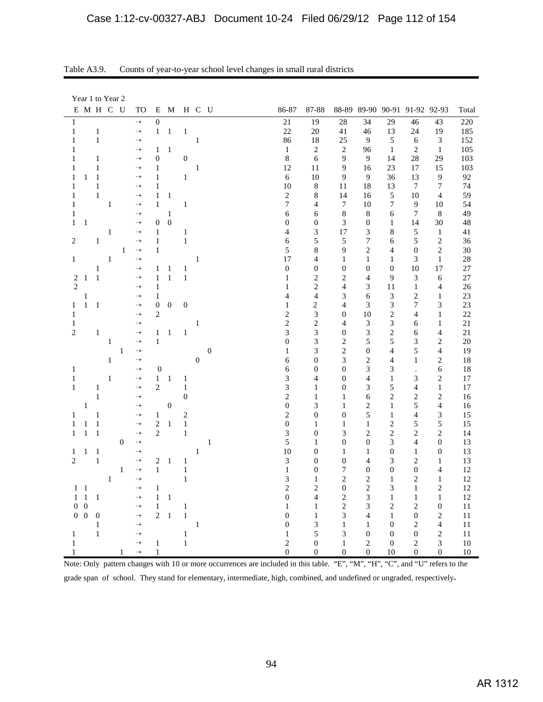| Year 1 to Year 2                                       |                                |                                      |                       |                  |                  |                             |                  |                          |                                |                                      |                                    |                                    |          |
|--------------------------------------------------------|--------------------------------|--------------------------------------|-----------------------|------------------|------------------|-----------------------------|------------------|--------------------------|--------------------------------|--------------------------------------|------------------------------------|------------------------------------|----------|
| E M H C U                                              | TO                             | E<br>M                               |                       | H C U            |                  | 86-87                       | 87-88            |                          |                                |                                      | 88-89 89-90 90-91 91-92 92-93      |                                    | Total    |
| $\mathbf{1}$                                           | $\rightarrow$                  | $\boldsymbol{0}$                     |                       |                  |                  | 21                          | 19               | 28                       | 34                             | 29                                   | 46                                 | 43                                 | 220      |
| $\mathbf{1}$<br>$\mathbf{1}$                           | $\rightarrow$                  | $\mathbf{1}$<br>$\mathbf{1}$         | $\,1\,$               |                  |                  | 22                          | 20               | 41                       | 46                             | 13                                   | 24                                 | 19                                 | 185      |
| $\mathbf 1$<br>1                                       | $\rightarrow$                  |                                      |                       | $\mathbf{1}$     |                  | 86                          | 18               | 25                       | 9                              | 5                                    | 6                                  | 3                                  | 152      |
| 1                                                      | $\rightarrow$                  | $\mathbf{1}$<br>1                    |                       |                  |                  | $\mathbf{1}$                | $\overline{c}$   | $\overline{c}$           | 96                             | $\mathbf{1}$                         | $\overline{2}$                     | $\mathbf{1}$                       | 105      |
| 1<br>1                                                 | $\rightarrow$                  | $\boldsymbol{0}$                     | $\mathbf{0}$          |                  |                  | $\,8\,$                     | 6                | 9                        | 9                              | 14                                   | 28                                 | 29                                 | 103      |
| $\,1\,$<br>1                                           | $\rightarrow$                  | $\mathbf{1}$                         |                       | $\,1\,$          |                  | 12                          | 11               | 9                        | 16                             | 23                                   | 17                                 | 15                                 | 103      |
| $\mathbf{1}$<br>1<br>1                                 | $\rightarrow$                  | $\mathbf{1}$                         | $\mathbf{1}$          |                  |                  | $\sqrt{6}$                  | 10               | 9                        | 9                              | 36                                   | 13                                 | 9                                  | 92       |
| $\mathbf{1}$<br>1                                      | $\rightarrow$                  | 1                                    |                       |                  |                  | 10                          | 8                | 11                       | 18                             | 13                                   | $\tau$                             | $\overline{7}$                     | 74       |
| $\mathbf{1}$<br>1                                      | $\rightarrow$                  | $\mathbf{1}$<br>$\mathbf{1}$         |                       |                  |                  | $\overline{c}$              | 8                | 14                       | 16                             | $\sqrt{5}$                           | 10                                 | $\overline{4}$                     | 59       |
| $\mathbf{1}$<br>1                                      | $\rightarrow$                  | $\mathbf{1}$                         | $\,1$                 |                  |                  | $\overline{7}$              | $\overline{4}$   | $\tau$                   | 10                             | $\overline{7}$                       | 9                                  | 10                                 | 54       |
| 1                                                      | $\rightarrow$                  | $\mathbf 1$                          |                       |                  |                  | 6                           | 6                | $\,8\,$                  | $\,8\,$                        | 6                                    | $\tau$                             | $\,8\,$                            | 49       |
| $\mathbf{1}$<br>$\mathbf{1}$                           | $\rightarrow$                  | $\boldsymbol{0}$<br>$\boldsymbol{0}$ |                       |                  |                  | $\boldsymbol{0}$            | $\boldsymbol{0}$ | 3                        | $\boldsymbol{0}$               | $\mathbf{1}$                         | 14                                 | 30                                 | 48       |
| $\mathbf{1}$                                           | $\rightarrow$                  | $\mathbf{1}$                         | 1                     |                  |                  | $\overline{4}$              | $\mathfrak{Z}$   | 17                       | $\mathfrak{Z}$                 | 8                                    | 5                                  | $\mathbf{1}$                       | 41       |
| $\overline{c}$<br>$\mathbf{1}$                         | $\rightarrow$                  | $\mathbf{1}$                         | 1                     |                  |                  | 6                           | 5                | 5                        | 7                              | 6                                    | 5                                  | $\sqrt{2}$                         | 36       |
| $\mathbf{1}$                                           | $\rightarrow$                  | 1                                    |                       |                  |                  | 5                           | $\,$ 8 $\,$      | 9                        | $\overline{2}$                 | $\overline{4}$                       | $\boldsymbol{0}$                   | $\overline{c}$                     | 30       |
| $\,1$<br>$\mathbf{1}$                                  | $\rightarrow$                  |                                      |                       | $\mathbf{1}$     |                  | 17                          | $\overline{4}$   | $\mathbf{1}$             | $\mathbf{1}$                   | $\mathbf{1}$                         | 3                                  | $\mathbf{1}$                       | 28       |
| $\mathbf{1}$                                           | $\rightarrow$                  | $\mathbf{1}$<br>$\mathbf{1}$         | $\mathbf{1}$          |                  |                  | $\boldsymbol{0}$            | $\boldsymbol{0}$ | $\boldsymbol{0}$         | $\boldsymbol{0}$               | $\boldsymbol{0}$                     | 10                                 | 17                                 | 27       |
| $\boldsymbol{2}$<br>$\mathbf{1}$<br>$\mathbf{1}$       | $\rightarrow$                  | $\mathbf{1}$<br>$\mathbf{1}$         | $\mathbf{1}$          |                  |                  | 1                           | $\overline{c}$   | $\overline{c}$           | 4                              | 9                                    | 3                                  | 6                                  | 27       |
| $\overline{c}$                                         | $\rightarrow$                  | $\mathbf{1}$                         |                       |                  |                  | 1                           | $\overline{c}$   | 4                        | 3                              | 11                                   | $\mathbf{1}$                       | $\overline{4}$                     | 26       |
| $\,1$                                                  | $\rightarrow$                  | 1                                    |                       |                  |                  | 4                           | $\overline{4}$   | 3                        | 6                              | $\ensuremath{\mathfrak{Z}}$          | $\mathbf{2}$                       | 1                                  | 23       |
| $\mathbf{1}$<br>$\mathbf{1}$<br>1                      | $\rightarrow$                  | $\boldsymbol{0}$<br>$\boldsymbol{0}$ | $\boldsymbol{0}$      |                  |                  | $\mathbf{1}$                | $\sqrt{2}$       | $\overline{\mathcal{L}}$ | 3                              | 3                                    | $\tau$                             | 3                                  | 23       |
| $\mathbf{1}$                                           | $\rightarrow$                  | $\overline{2}$                       |                       |                  |                  | $\sqrt{2}$                  | $\mathfrak{Z}$   | $\boldsymbol{0}$         | 10                             | $\sqrt{2}$                           | $\overline{4}$                     | $\mathbf{1}$                       | 22       |
| $\,1$                                                  | $\rightarrow$                  |                                      |                       | $\,1\,$          |                  | $\overline{c}$              | $\overline{c}$   | $\overline{4}$           | $\mathfrak{Z}$                 | 3                                    | 6                                  | $\mathbf{1}$                       | 21       |
| $\overline{c}$<br>$\mathbf{1}$                         | $\rightarrow$                  | $\mathbf{1}$<br>$\mathbf{1}$         | $\mathbf{1}$          |                  |                  | 3                           | 3                | $\overline{0}$           | $\ensuremath{\mathfrak{Z}}$    | $\overline{c}$                       | 6                                  | 4                                  | 21       |
| $\,1$                                                  | $\rightarrow$                  | $\,1$                                |                       |                  |                  | $\overline{0}$              | 3                | $\overline{c}$           | 5                              | 5                                    | 3                                  | $\mathbf{2}$                       | 20       |
| $\,1$                                                  | $\rightarrow$                  |                                      |                       |                  | $\boldsymbol{0}$ | $\mathbf{1}$                | 3                | $\overline{c}$           | $\boldsymbol{0}$               | $\overline{4}$                       | 5                                  | $\overline{4}$                     | 19       |
| $\mathbf{1}$                                           | $\rightarrow$                  |                                      |                       | $\boldsymbol{0}$ |                  | 6                           | $\boldsymbol{0}$ | 3                        | $\overline{c}$                 | $\overline{4}$                       | $\mathbf{1}$                       | $\overline{c}$                     | 18       |
| $\mathbf{1}$                                           | $\rightarrow$                  | $\boldsymbol{0}$                     |                       |                  |                  | 6                           | $\overline{0}$   | $\mathbf{0}$             | 3                              | 3                                    | $\cdot$                            | 6                                  | 18       |
| $\mathbf{1}$<br>$\mathbf{1}$                           | $\rightarrow$                  | $\mathbf{1}$<br>$\mathbf 1$          | 1                     |                  |                  | 3                           | 4                | $\boldsymbol{0}$         | $\overline{4}$                 | $\mathbf{1}$                         | 3                                  | $\mathbf{2}$                       | 17       |
| $\mathbf{1}$<br>$\mathbf{1}$                           | $\rightarrow$                  | $\mathbf{2}$                         | $\,1$                 |                  |                  | 3                           | $\mathbf{1}$     | $\boldsymbol{0}$         | 3                              | 5                                    | $\overline{4}$                     | $\mathbf{1}$                       | 17       |
| $\mathbf{1}$                                           | $\rightarrow$                  |                                      | $\boldsymbol{0}$      |                  |                  | $\overline{c}$              | $\mathbf{1}$     | $\mathbf{1}$             | 6                              | $\overline{c}$                       | $\mathbf{2}$                       | $\overline{c}$                     | 16       |
| $\mathbf{1}$                                           | $\rightarrow$                  | $\boldsymbol{0}$                     |                       |                  |                  | $\boldsymbol{0}$            | 3                | $\mathbf{1}$             | $\overline{c}$                 | $\mathbf{1}$                         | 5                                  | $\overline{4}$                     | 16       |
| 1<br>1                                                 | $\rightarrow$                  | $\mathbf{1}$                         | $\overline{c}$        |                  |                  | $\mathbf{2}$                | $\mathbf{0}$     | $\boldsymbol{0}$         | 5                              | $\mathbf{1}$                         | $\overline{4}$                     | 3                                  | 15       |
| $\mathbf{1}$<br>1<br>1                                 | $\rightarrow$                  | $\sqrt{2}$<br>$\mathbf{1}$           | $\,1$                 |                  |                  | $\boldsymbol{0}$            | $\mathbf{1}$     | $\mathbf{1}$             | $\mathbf{1}$                   | $\overline{c}$                       | 5                                  | 5                                  | 15       |
| $\,1$<br>$\mathbf{1}$<br>$\mathbf{1}$                  | $\rightarrow$                  | $\overline{2}$                       | $\,1$                 |                  |                  | $\ensuremath{\mathfrak{Z}}$ | $\boldsymbol{0}$ | 3                        | $\mathbf{2}$                   | $\sqrt{2}$                           | $\overline{2}$                     | $\mathbf{2}$                       | 14       |
| $\boldsymbol{0}$                                       | $\rightarrow$                  |                                      |                       |                  | 1                | 5                           | $\mathbf{1}$     | $\boldsymbol{0}$         | $\boldsymbol{0}$               | 3                                    | $\overline{4}$                     | $\boldsymbol{0}$                   | 13       |
| $\,1$<br>$\mathbf{1}$<br>1                             | $\rightarrow$                  |                                      |                       | $\mathbf{1}$     |                  | 10                          | $\boldsymbol{0}$ | $\mathbf{1}$             | $\,1\,$                        | $\boldsymbol{0}$                     | $\mathbf{1}$                       | $\boldsymbol{0}$                   | 13       |
| $\overline{c}$<br>$\,1\,$                              | $\rightarrow$                  | 2<br>$\mathbf{1}$                    | $\mathbf{1}$          |                  |                  | $\ensuremath{\mathfrak{Z}}$ | $\mathbf{0}$     | $\boldsymbol{0}$         | $\overline{4}$                 | 3                                    | $\overline{2}$                     | $\mathbf{1}$                       | 13       |
| $\mathbf{1}$                                           | $\rightarrow$                  | $\mathbf{1}$                         | $\,1$                 |                  |                  | $\mathbf{1}$                | $\mathbf{0}$     | 7                        | $\boldsymbol{0}$               | $\overline{0}$                       | $\overline{0}$                     | $\overline{4}$                     | 12       |
| $\,1$                                                  | $\rightarrow$                  |                                      | $\,1$                 |                  |                  | 3                           | $\mathbf{1}$     | $\overline{c}$           | $\mathbf{2}$                   | $\mathbf{1}$                         | $\overline{c}$                     | $\mathbf{1}$                       | 12       |
| $1\quad1$                                              | $\rightarrow$                  | $\mathbf{1}$                         |                       |                  |                  | $\overline{c}$              | $\mathbf{2}$     | $\boldsymbol{0}$         | $\sqrt{2}$                     | 3                                    | $\mathbf{1}$                       | $\mathbf{2}$                       | 12       |
| $\,1\,$<br>$\mathbf{1}$<br>$\mathbf{1}$                | $\rightarrow$                  | $\mathbf{1}$<br>$\mathbf{1}$         |                       |                  |                  | $\boldsymbol{0}$            | 4                | $\overline{c}$           | $\mathfrak{Z}$                 | $\mathbf{1}$                         | $\mathbf{1}$                       | $\mathbf{1}$                       | 12       |
| $\overline{0}$<br>$\overline{0}$                       | $\rightarrow$                  | $\mathbf{1}$<br>$\overline{2}$       | $\mathbf{1}$          |                  |                  | 1                           | 1                | $\overline{\mathbf{c}}$  | 3<br>$\overline{4}$            | $\overline{2}$                       | $\overline{c}$                     | $\boldsymbol{0}$<br>$\overline{c}$ | 11       |
| $\boldsymbol{0}$<br>$\overline{0}$<br>$\boldsymbol{0}$ | $\rightarrow$                  | $\mathbf{1}$                         | $\,1\,$               |                  |                  | $\boldsymbol{0}$            | $\mathbf{1}$     | 3                        |                                | $\mathbf{1}$                         | $\boldsymbol{0}$                   |                                    | 11       |
| $\mathbf{1}$<br>$\mathbf{1}$                           | $\rightarrow$<br>$\rightarrow$ |                                      |                       | $\mathbf{1}$     |                  | $\boldsymbol{0}$            | 3<br>5           | $\mathbf{1}$<br>3        | $\mathbf{1}$                   | $\boldsymbol{0}$<br>$\boldsymbol{0}$ | $\overline{c}$                     | $\overline{4}$<br>$\sqrt{2}$       | 11       |
| $\mathbf{1}$<br>$\mathbf{1}$                           | $\rightarrow$                  | $\mathbf{1}$                         | $\mathbf{1}$<br>$\,1$ |                  |                  | $\mathbf{1}$<br>$\sqrt{2}$  | $\boldsymbol{0}$ | $\mathbf{1}$             | $\boldsymbol{0}$<br>$\sqrt{2}$ | $\boldsymbol{0}$                     | $\boldsymbol{0}$<br>$\overline{c}$ | 3                                  | 11<br>10 |
| 1<br>1                                                 | $\rightarrow$                  | $\mathbf{1}$                         |                       |                  |                  | $\mathbf{0}$                | $\mathbf{0}$     | $\boldsymbol{0}$         | $\theta$                       | 10                                   | $\theta$                           | $\overline{0}$                     | 10       |
|                                                        |                                |                                      |                       |                  |                  |                             |                  |                          |                                |                                      |                                    |                                    |          |

Table A3.9. Counts of year-to-year school level changes in small rural districts

Note: Only pattern changes with 10 or more occurrences are included in this table. "E", "M", "H", "C", and "U" refers to the grade span of school. They stand for elementary, intermediate, high, combined, and undefined or ungraded, respectively.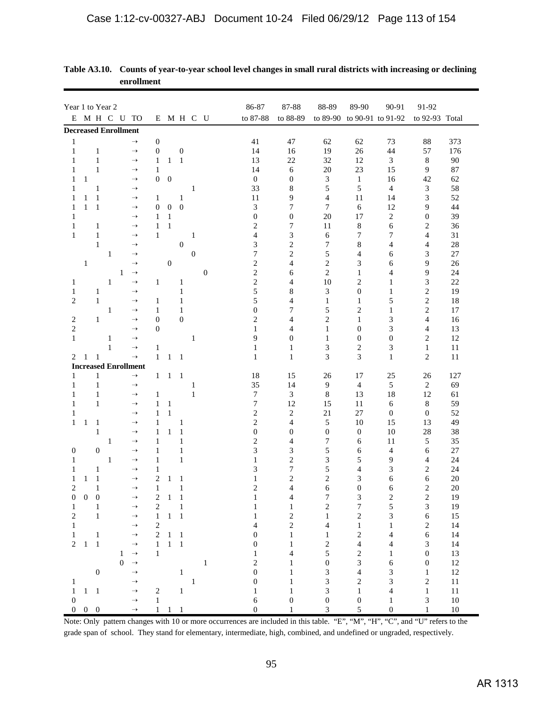|                                | Year 1 to Year 2  |                              |                             |                                |                                |                                            |                  |                |                  |                         |                     |                                       |                                  |                      |                  |              |
|--------------------------------|-------------------|------------------------------|-----------------------------|--------------------------------|--------------------------------|--------------------------------------------|------------------|----------------|------------------|-------------------------|---------------------|---------------------------------------|----------------------------------|----------------------|------------------|--------------|
|                                |                   |                              |                             |                                |                                |                                            |                  |                |                  | 86-87                   | 87-88               | 88-89                                 | 89-90                            | 90-91                | 91-92            |              |
|                                |                   |                              | E M H C U TO                |                                |                                | E M H C U                                  |                  |                |                  | to 87-88                | to 88-89            | to 89-90 to 90-91 to 91-92            |                                  |                      | to 92-93 Total   |              |
|                                |                   |                              | <b>Decreased Enrollment</b> |                                |                                |                                            |                  |                |                  |                         |                     |                                       |                                  |                      |                  |              |
| $\mathbf{1}$                   |                   |                              |                             | $\rightarrow$                  | 0                              |                                            |                  |                |                  | 41                      | 47                  | 62                                    | 62                               | 73                   | 88               | 373          |
| $\mathbf{1}$                   |                   | $\mathbf{1}$                 |                             | $\rightarrow$                  | $\boldsymbol{0}$               |                                            | $\boldsymbol{0}$ |                |                  | 14                      | 16                  | 19                                    | 26                               | 44                   | 57               | 176          |
| 1<br>1                         |                   | $\mathbf{1}$<br>$\mathbf{1}$ |                             | $\rightarrow$<br>$\rightarrow$ | $\mathbf{1}$<br>1              | 1                                          | $\mathbf{1}$     |                |                  | 13<br>14                | 22<br>6             | 32<br>20                              | 12<br>23                         | $\mathfrak{Z}$<br>15 | 8<br>9           | 90           |
| 1                              | $\mathbf{1}$      |                              |                             | $\rightarrow$                  | $\boldsymbol{0}$               | $\boldsymbol{0}$                           |                  |                |                  | $\boldsymbol{0}$        | $\boldsymbol{0}$    | $\sqrt{3}$                            | $\mathbf{1}$                     | 16                   | 42               | 87<br>62     |
| 1                              |                   | 1                            |                             | $\rightarrow$                  |                                |                                            |                  | 1              |                  | 33                      | 8                   | 5                                     | 5                                | $\overline{4}$       | 3                | 58           |
| 1                              | 1                 | 1                            |                             | $\rightarrow$                  | 1                              |                                            | 1                |                |                  | 11                      | 9                   | 4                                     | 11                               | 14                   | 3                | 52           |
| 1                              | 1                 | $\mathbf{1}$                 |                             | $\rightarrow$                  | $\boldsymbol{0}$               | $\boldsymbol{0}$                           | $\boldsymbol{0}$ |                |                  | 3                       | 7                   | 7                                     | 6                                | 12                   | 9                | 44           |
| 1                              |                   |                              |                             | $\rightarrow$                  | $\mathbf{1}$                   | $\mathbf{1}$                               |                  |                |                  | $\boldsymbol{0}$        | $\boldsymbol{0}$    | 20                                    | 17                               | $\overline{c}$       | $\boldsymbol{0}$ | 39           |
| $\mathbf{1}$                   |                   | 1                            |                             | $\rightarrow$                  | 1                              | $\mathbf{1}$                               |                  |                |                  | 2                       | 7                   | 11                                    | 8                                | 6                    | 2                | 36           |
| 1                              |                   | 1                            |                             | $\rightarrow$                  | 1                              |                                            |                  | 1              |                  | 4                       | 3                   | 6                                     | 7                                | 7                    | 4                | 31           |
|                                |                   | $\mathbf{1}$                 |                             | $\rightarrow$                  |                                |                                            | $\mathbf{0}$     |                |                  | 3                       | $\overline{c}$      | 7                                     | 8                                | 4                    | 4                | 28           |
|                                |                   |                              | 1                           | $\rightarrow$                  |                                |                                            |                  | $\overline{0}$ |                  | 7                       | $\mathfrak{2}$      | 5                                     | 4                                | 6                    | 3                | $27\,$       |
|                                | $\mathbf{1}$      |                              |                             | $\rightarrow$                  |                                | $\boldsymbol{0}$                           |                  |                |                  | $\overline{c}$          | $\overline{4}$      | $\overline{c}$                        | 3                                | 6                    | 9                | 26           |
|                                |                   |                              | $\mathbf{1}$                | $\rightarrow$                  |                                |                                            |                  |                | $\boldsymbol{0}$ | $\mathbf{2}$            | 6                   | $\overline{c}$                        | $\mathbf{1}$                     | $\overline{4}$       | 9                | 24           |
| 1                              |                   |                              | $\mathbf{1}$                | $\rightarrow$                  | $\mathbf{1}$                   |                                            | $\mathbf{1}$     |                |                  | $\overline{c}$          | $\overline{4}$      | 10                                    | $\overline{c}$                   | $\mathbf{1}$         | 3                | 22           |
| $\mathbf{1}$                   |                   | 1                            |                             | $\rightarrow$                  |                                |                                            | $\mathbf{1}$     |                |                  | 5                       | 8                   | 3                                     | $\boldsymbol{0}$                 | $\mathbf{1}$         | $\overline{c}$   | 19           |
| $\overline{c}$                 |                   | $\mathbf{1}$                 |                             | $\rightarrow$                  | 1                              |                                            | 1                |                |                  | 5                       | 4                   | $\mathbf{1}$                          | $\mathbf{1}$                     | 5                    | $\overline{c}$   | 18           |
|                                |                   |                              | 1                           | $\rightarrow$                  | 1                              |                                            | 1                |                |                  | $\overline{0}$          | 7                   | 5                                     | $\overline{c}$                   | $\mathbf{1}$         | 2                | 17           |
| 2                              |                   | $\mathbf{1}$                 |                             | $\rightarrow$<br>$\rightarrow$ | $\mathbf{0}$<br>$\mathbf{0}$   |                                            | $\theta$         |                |                  | $\overline{c}$<br>1     | $\overline{4}$<br>4 | $\mathbf{2}$<br>$\mathbf{1}$          | $\mathbf{1}$<br>$\boldsymbol{0}$ | 3<br>3               | 4<br>4           | 16<br>13     |
| $\overline{c}$<br>$\mathbf{1}$ |                   |                              | 1                           | $\rightarrow$                  |                                |                                            |                  | 1              |                  | 9                       | $\mathbf{0}$        | 1                                     | $\boldsymbol{0}$                 | $\mathbf{0}$         | 2                | 12           |
|                                |                   |                              | 1                           | $\rightarrow$                  | 1                              |                                            |                  |                |                  | 1                       | 1                   | 3                                     | $\overline{c}$                   | 3                    | $\mathbf{1}$     | 11           |
| 2                              | 1                 | 1                            |                             | $\rightarrow$                  | $\mathbf{1}$                   | 1                                          | 1                |                |                  | $\mathbf{1}$            | $\mathbf{1}$        | 3                                     | 3                                | $\mathbf{1}$         | 2                | 11           |
|                                |                   |                              | <b>Increased Enrollment</b> |                                |                                |                                            |                  |                |                  |                         |                     |                                       |                                  |                      |                  |              |
| 1                              |                   | $\mathbf{1}$                 |                             | $\rightarrow$                  | $\mathbf{1}$                   | $\mathbf{1}$                               | $\overline{1}$   |                |                  | 18                      | 15                  | 26                                    | 17                               | 25                   | 26               | 127          |
| 1                              |                   | $\mathbf{1}$                 |                             | $\rightarrow$                  |                                |                                            |                  | 1              |                  | 35                      | 14                  | $\overline{9}$                        | $\overline{4}$                   | 5                    | $\boldsymbol{2}$ | 69           |
| 1                              |                   | 1                            |                             | $\rightarrow$                  | 1                              |                                            |                  | $\mathbf{1}$   |                  | 7                       | 3                   | $\,8\,$                               | 13                               | 18                   | 12               | 61           |
| $\mathbf{1}$                   |                   | $\mathbf{1}$                 |                             | $\rightarrow$                  | $\mathbf{1}$                   | $\mathbf{1}$                               |                  |                |                  | 7                       | 12                  | 15                                    | 11                               | 6                    | 8                | 59           |
| 1                              |                   |                              |                             | $\rightarrow$                  | $\mathbf{1}$                   | $\mathbf{1}$                               |                  |                |                  | $\overline{2}$          | 2                   | 21                                    | 27                               | $\boldsymbol{0}$     | $\mathbf{0}$     | 52           |
| $\mathbf{1}$                   | 1                 | 1                            |                             | $\rightarrow$                  | 1                              |                                            | 1                |                |                  | $\overline{c}$          | $\overline{4}$      | 5                                     | 10                               | 15                   | 13               | 49           |
|                                |                   | $\mathbf{1}$                 |                             | $\rightarrow$                  | 1                              | 1                                          | 1                |                |                  | $\boldsymbol{0}$        | $\boldsymbol{0}$    | $\boldsymbol{0}$                      | $\mathbf{0}$                     | 10                   | 28               | 38           |
|                                |                   |                              | 1                           | $\rightarrow$                  | $\mathbf{1}$                   |                                            | 1                |                |                  | $\overline{\mathbf{c}}$ | 4                   | 7                                     | 6                                | 11                   | 5                | 35           |
| $\boldsymbol{0}$               |                   | $\boldsymbol{0}$             |                             | $\rightarrow$                  | 1                              |                                            | $\mathbf{1}$     |                |                  | 3                       | 3                   | 5                                     | 6                                | $\overline{4}$       | 6                | 27           |
| 1                              |                   |                              | 1                           | $\rightarrow$                  | $\mathbf{1}$                   |                                            | $\mathbf{1}$     |                |                  | 1                       | $\overline{c}$<br>7 | 3                                     | 5<br>$\overline{4}$              | 9                    | 4                | 24           |
| 1<br>$\mathbf{1}$              | $\mathbf{1}$      | 1<br>$\mathbf{1}$            |                             | $\rightarrow$<br>$\rightarrow$ | $\mathbf{1}$<br>$\overline{2}$ | 1                                          | $\mathbf{1}$     |                |                  | 3<br>1                  | $\overline{2}$      | 5<br>$\sqrt{2}$                       | 3                                | 3<br>6               | 2<br>6           | 24<br>$20\,$ |
| $\overline{c}$                 |                   | $\mathbf{1}$                 |                             | $\rightarrow$                  | $\,1$                          |                                            | $\mathbf{1}$     |                |                  | $\mathcal{D}$           | 4                   | $\sqrt{6}$                            | $\boldsymbol{0}$                 | $\sqrt{6}$           | $\sqrt{2}$       | $20\,$       |
| $\boldsymbol{0}$               | $0\quad 0$        |                              |                             | $\rightarrow$                  |                                | $2\quad 1\quad 1$                          |                  |                |                  | $\mathbf{1}$            | $\overline{4}$      | $\boldsymbol{7}$                      | $\sqrt{3}$                       | $\sqrt{2}$           | $\sqrt{2}$       | 19           |
| $1\,$                          |                   | $\mathbf{1}$                 |                             | $\rightarrow$                  | $\overline{2}$                 |                                            | $\overline{1}$   |                |                  | $\mathbf{1}$            | $\mathbf{1}$        | $\sqrt{2}$                            | $\boldsymbol{7}$                 | 5                    | $\mathfrak{Z}$   | 19           |
| $\sqrt{2}$                     |                   | $1\,$                        |                             | $\rightarrow$                  |                                | $\begin{array}{ccc} 1 & 1 & 1 \end{array}$ |                  |                |                  | $\mathbf{1}$            | $\sqrt{2}$          | $\,1\,$                               | $\sqrt{2}$                       | $\mathfrak{Z}$       | $\sqrt{6}$       | 15           |
| $\,1\,$                        |                   |                              |                             | $\rightarrow$                  | $\sqrt{2}$                     |                                            |                  |                |                  | $\overline{4}$          | $\sqrt{2}$          | $\overline{4}$                        | $\mathbf{1}$                     | $\mathbf{1}$         | $\sqrt{2}$       | 14           |
| $\,1\,$                        |                   | $\,1\,$                      |                             | $\rightarrow$                  |                                | $2 \quad 1 \quad 1$                        |                  |                |                  | $\mathbf{0}$            | $\mathbf{1}$        | $1\,$                                 | $\sqrt{2}$                       | $\overline{4}$       | $\sqrt{6}$       | 14           |
|                                | $2\quad 1\quad 1$ |                              |                             | $\rightarrow$                  |                                | $1\quad 1\quad 1$                          |                  |                |                  | $\mathbf{0}$            | $\mathbf{1}$        | $\begin{array}{c} 2 \\ 5 \end{array}$ | $\overline{4}$                   | $\overline{4}$       | $\mathfrak{Z}$   | 14           |
|                                |                   |                              | 1                           | $\rightarrow$                  | $\overline{1}$                 |                                            |                  |                |                  | $\mathbf{1}$            | $\overline{4}$      |                                       | $\sqrt{2}$                       | $\mathbf{1}$         | $\boldsymbol{0}$ | 13           |
|                                |                   |                              | $\mathbf{0}$                | $\rightarrow$                  |                                |                                            |                  |                | $\overline{1}$   | $\overline{c}$          | $\mathbf{1}$        | $\boldsymbol{0}$                      | $\mathfrak{Z}$                   | $6\,$                | $\boldsymbol{0}$ | 12           |
|                                |                   | $\boldsymbol{0}$             |                             | $\rightarrow$                  |                                |                                            | $\overline{1}$   |                |                  | $\boldsymbol{0}$        | $\mathbf{1}$        | $\sqrt{3}$                            | $\overline{4}$                   | $\mathfrak{Z}$       | $1\,$            | 12           |
| $\,1$                          |                   |                              |                             | $\rightarrow$                  |                                |                                            |                  | $\mathbf{1}$   |                  | $\boldsymbol{0}$        | $1\,$               | $\mathfrak{Z}$                        | $\sqrt{2}$                       | $\mathfrak{Z}$       | $\sqrt{2}$       | $11\,$       |
| $\mathbf{1}$                   | $1\quad 1$        |                              |                             | $\rightarrow$                  |                                | $2\qquad \quad 1$                          |                  |                |                  | $\mathbf{1}$            | $\mathbf{1}$        | $\mathfrak{Z}$                        | $\,1$                            | $\overline{4}$       | $\,1\,$          | $11\,$       |
| $\boldsymbol{0}$               |                   |                              |                             | $\rightarrow$                  | $\mathbf{1}$                   |                                            |                  |                |                  | 6                       | $\boldsymbol{0}$    | $\boldsymbol{0}$                      | $\boldsymbol{0}$                 | $\mathbf{1}$         | $\sqrt{3}$       | $10\,$       |
|                                | $0\quad 0\quad 0$ |                              |                             | $\rightarrow$                  |                                | $1\quad 1\quad 1$                          |                  |                |                  | $\boldsymbol{0}$        | $\mathbf{1}$        | $\mathfrak{Z}$                        | 5                                | $\boldsymbol{0}$     | $\,1\,$          | $10\,$       |

| Table A3.10. Counts of year-to-year school level changes in small rural districts with increasing or declining |
|----------------------------------------------------------------------------------------------------------------|
| enrollment                                                                                                     |

Note: Only pattern changes with 10 or more occurrences are included in this table. "E", "M", "H", "C", and "U" refers to the grade span of school. They stand for elementary, intermediate, high, combined, and undefined or ungraded, respectively.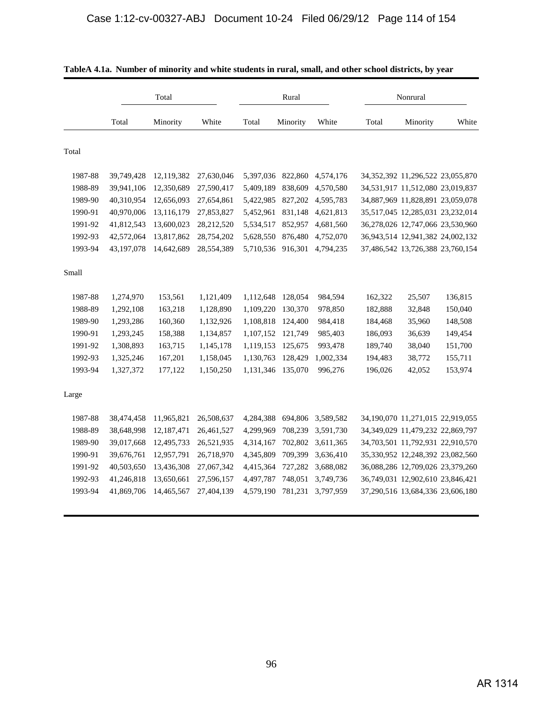|         |            | Total      |            |           | Rural    |           |         | Nonrural                               |         |
|---------|------------|------------|------------|-----------|----------|-----------|---------|----------------------------------------|---------|
|         | Total      | Minority   | White      | Total     | Minority | White     | Total   | Minority                               | White   |
| Total   |            |            |            |           |          |           |         |                                        |         |
| 1987-88 | 39,749,428 | 12,119,382 | 27,630,046 | 5,397,036 | 822,860  | 4,574,176 |         | 34, 352, 392 11, 296, 522 23, 055, 870 |         |
| 1988-89 | 39,941,106 | 12,350,689 | 27,590,417 | 5,409,189 | 838,609  | 4,570,580 |         | 34,531,917 11,512,080 23,019,837       |         |
| 1989-90 | 40,310,954 | 12,656,093 | 27,654,861 | 5,422,985 | 827,202  | 4,595,783 |         | 34,887,969 11,828,891 23,059,078       |         |
| 1990-91 | 40,970,006 | 13,116,179 | 27,853,827 | 5,452,961 | 831,148  | 4,621,813 |         | 35,517,045 12,285,031 23,232,014       |         |
| 1991-92 | 41,812,543 | 13,600,023 | 28,212,520 | 5,534,517 | 852,957  | 4,681,560 |         | 36,278,026 12,747,066 23,530,960       |         |
| 1992-93 | 42,572,064 | 13,817,862 | 28,754,202 | 5,628,550 | 876,480  | 4,752,070 |         | 36,943,514 12,941,382 24,002,132       |         |
| 1993-94 | 43,197,078 | 14,642,689 | 28,554,389 | 5,710,536 | 916,301  | 4,794,235 |         | 37,486,542 13,726,388 23,760,154       |         |
| Small   |            |            |            |           |          |           |         |                                        |         |
| 1987-88 | 1,274,970  | 153,561    | 1,121,409  | 1,112,648 | 128,054  | 984,594   | 162,322 | 25,507                                 | 136,815 |
| 1988-89 | 1,292,108  | 163,218    | 1,128,890  | 1,109,220 | 130,370  | 978,850   | 182,888 | 32,848                                 | 150,040 |
| 1989-90 | 1,293,286  | 160,360    | 1,132,926  | 1,108,818 | 124,400  | 984,418   | 184,468 | 35,960                                 | 148,508 |
| 1990-91 | 1,293,245  | 158,388    | 1,134,857  | 1,107,152 | 121,749  | 985,403   | 186,093 | 36,639                                 | 149,454 |
| 1991-92 | 1,308,893  | 163,715    | 1,145,178  | 1,119,153 | 125,675  | 993,478   | 189,740 | 38,040                                 | 151,700 |
| 1992-93 | 1,325,246  | 167,201    | 1,158,045  | 1,130,763 | 128,429  | 1,002,334 | 194,483 | 38,772                                 | 155,711 |
| 1993-94 | 1,327,372  | 177,122    | 1,150,250  | 1,131,346 | 135,070  | 996,276   | 196,026 | 42,052                                 | 153,974 |
| Large   |            |            |            |           |          |           |         |                                        |         |
| 1987-88 | 38,474,458 | 11,965,821 | 26,508,637 | 4,284,388 | 694,806  | 3,589,582 |         | 34,190,070 11,271,015 22,919,055       |         |
| 1988-89 | 38,648,998 | 12,187,471 | 26,461,527 | 4,299,969 | 708,239  | 3,591,730 |         | 34, 349, 029 11, 479, 232 22, 869, 797 |         |
| 1989-90 | 39,017,668 | 12,495,733 | 26,521,935 | 4,314,167 | 702,802  | 3,611,365 |         | 34,703,501 11,792,931 22,910,570       |         |
| 1990-91 | 39,676,761 | 12,957,791 | 26,718,970 | 4,345,809 | 709,399  | 3,636,410 |         | 35,330,952 12,248,392 23,082,560       |         |
| 1991-92 | 40,503,650 | 13,436,308 | 27,067,342 | 4,415,364 | 727,282  | 3,688,082 |         | 36,088,286 12,709,026 23,379,260       |         |
| 1992-93 | 41,246,818 | 13,650,661 | 27,596,157 | 4,497,787 | 748,051  | 3,749,736 |         | 36,749,031 12,902,610 23,846,421       |         |
| 1993-94 | 41,869,706 | 14,465,567 | 27,404,139 | 4,579,190 | 781,231  | 3,797,959 |         | 37,290,516 13,684,336 23,606,180       |         |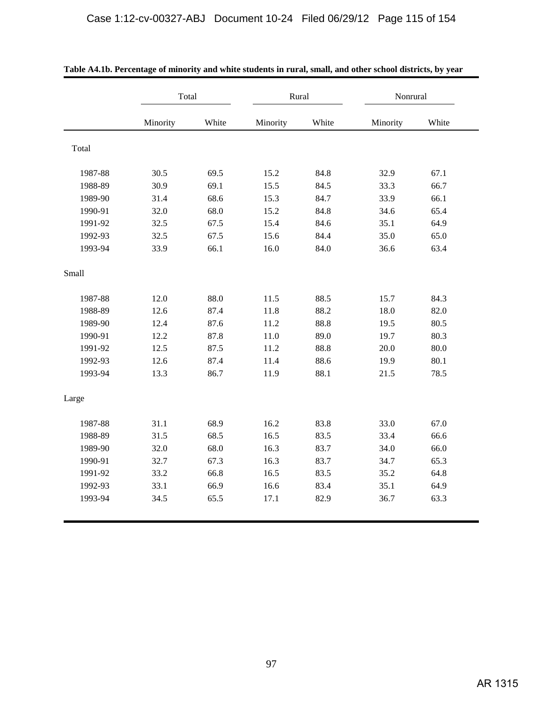|         | Total    |       |          | Rural | Nonrural |       |
|---------|----------|-------|----------|-------|----------|-------|
|         | Minority | White | Minority | White | Minority | White |
| Total   |          |       |          |       |          |       |
| 1987-88 | 30.5     | 69.5  | 15.2     | 84.8  | 32.9     | 67.1  |
| 1988-89 | 30.9     | 69.1  | 15.5     | 84.5  | 33.3     | 66.7  |
| 1989-90 | 31.4     | 68.6  | 15.3     | 84.7  | 33.9     | 66.1  |
| 1990-91 | 32.0     | 68.0  | 15.2     | 84.8  | 34.6     | 65.4  |
| 1991-92 | 32.5     | 67.5  | 15.4     | 84.6  | 35.1     | 64.9  |
| 1992-93 | 32.5     | 67.5  | 15.6     | 84.4  | 35.0     | 65.0  |
| 1993-94 | 33.9     | 66.1  | 16.0     | 84.0  | 36.6     | 63.4  |
| Small   |          |       |          |       |          |       |
| 1987-88 | 12.0     | 88.0  | 11.5     | 88.5  | 15.7     | 84.3  |
| 1988-89 | 12.6     | 87.4  | 11.8     | 88.2  | 18.0     | 82.0  |
| 1989-90 | 12.4     | 87.6  | 11.2     | 88.8  | 19.5     | 80.5  |
| 1990-91 | 12.2     | 87.8  | 11.0     | 89.0  | 19.7     | 80.3  |
| 1991-92 | 12.5     | 87.5  | 11.2     | 88.8  | 20.0     | 80.0  |
| 1992-93 | 12.6     | 87.4  | 11.4     | 88.6  | 19.9     | 80.1  |
| 1993-94 | 13.3     | 86.7  | 11.9     | 88.1  | 21.5     | 78.5  |
| Large   |          |       |          |       |          |       |
| 1987-88 | 31.1     | 68.9  | 16.2     | 83.8  | 33.0     | 67.0  |
| 1988-89 | 31.5     | 68.5  | 16.5     | 83.5  | 33.4     | 66.6  |
| 1989-90 | 32.0     | 68.0  | 16.3     | 83.7  | 34.0     | 66.0  |
| 1990-91 | 32.7     | 67.3  | 16.3     | 83.7  | 34.7     | 65.3  |
| 1991-92 | 33.2     | 66.8  | 16.5     | 83.5  | 35.2     | 64.8  |
| 1992-93 | 33.1     | 66.9  | 16.6     | 83.4  | 35.1     | 64.9  |
| 1993-94 | 34.5     | 65.5  | 17.1     | 82.9  | 36.7     | 63.3  |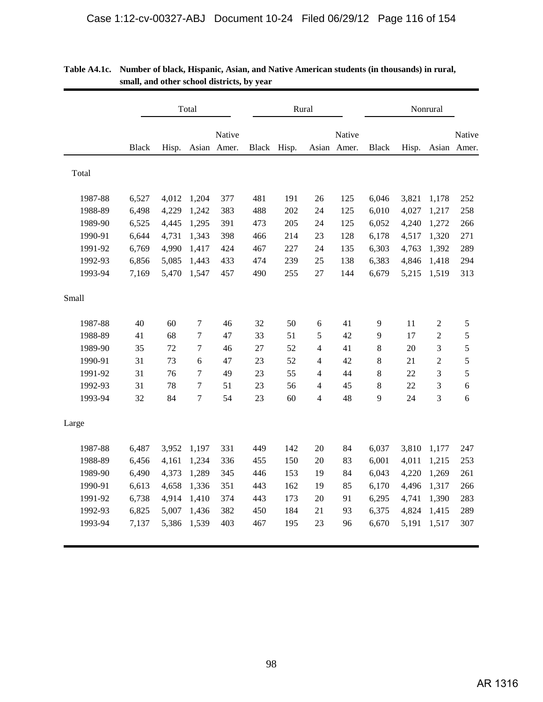|         |              |       | Total  |                       |              | Rural |    |                       | Nonrural     |       |                |                       |
|---------|--------------|-------|--------|-----------------------|--------------|-------|----|-----------------------|--------------|-------|----------------|-----------------------|
|         | <b>Black</b> | Hisp. |        | Native<br>Asian Amer. | <b>Black</b> | Hisp. |    | Native<br>Asian Amer. | <b>Black</b> | Hisp. |                | Native<br>Asian Amer. |
| Total   |              |       |        |                       |              |       |    |                       |              |       |                |                       |
| 1987-88 | 6,527        | 4,012 | 1,204  | 377                   | 481          | 191   | 26 | 125                   | 6,046        | 3,821 | 1,178          | 252                   |
| 1988-89 | 6,498        | 4,229 | 1,242  | 383                   | 488          | 202   | 24 | 125                   | 6,010        | 4,027 | 1,217          | 258                   |
| 1989-90 | 6,525        | 4,445 | 1,295  | 391                   | 473          | 205   | 24 | 125                   | 6,052        | 4,240 | 1,272          | 266                   |
| 1990-91 | 6,644        | 4,731 | 1,343  | 398                   | 466          | 214   | 23 | 128                   | 6,178        | 4,517 | 1,320          | 271                   |
| 1991-92 | 6,769        | 4,990 | 1,417  | 424                   | 467          | 227   | 24 | 135                   | 6,303        | 4,763 | 1,392          | 289                   |
| 1992-93 | 6,856        | 5,085 | 1,443  | 433                   | 474          | 239   | 25 | 138                   | 6,383        | 4,846 | 1,418          | 294                   |
| 1993-94 | 7,169        | 5,470 | 1,547  | 457                   | 490          | 255   | 27 | 144                   | 6,679        | 5,215 | 1,519          | 313                   |
| Small   |              |       |        |                       |              |       |    |                       |              |       |                |                       |
| 1987-88 | 40           | 60    | $\tau$ | 46                    | 32           | 50    | 6  | 41                    | 9            | 11    | $\overline{2}$ | 5                     |
| 1988-89 | 41           | 68    | 7      | 47                    | 33           | 51    | 5  | 42                    | 9            | 17    | $\overline{2}$ | 5                     |
| 1989-90 | 35           | 72    | 7      | 46                    | 27           | 52    | 4  | 41                    | 8            | 20    | 3              | 5                     |
| 1990-91 | 31           | 73    | 6      | 47                    | 23           | 52    | 4  | 42                    | 8            | 21    | $\overline{2}$ | 5                     |
| 1991-92 | 31           | 76    | 7      | 49                    | 23           | 55    | 4  | 44                    | 8            | 22    | 3              | 5                     |
| 1992-93 | 31           | 78    | $\tau$ | 51                    | 23           | 56    | 4  | 45                    | 8            | 22    | 3              | 6                     |
| 1993-94 | 32           | 84    | 7      | 54                    | 23           | 60    | 4  | 48                    | 9            | 24    | 3              | 6                     |
| Large   |              |       |        |                       |              |       |    |                       |              |       |                |                       |
| 1987-88 | 6,487        | 3,952 | 1,197  | 331                   | 449          | 142   | 20 | 84                    | 6,037        | 3,810 | 1,177          | 247                   |
| 1988-89 | 6,456        | 4,161 | 1,234  | 336                   | 455          | 150   | 20 | 83                    | 6,001        | 4,011 | 1,215          | 253                   |
| 1989-90 | 6,490        | 4,373 | 1,289  | 345                   | 446          | 153   | 19 | 84                    | 6,043        | 4,220 | 1,269          | 261                   |
| 1990-91 | 6,613        | 4,658 | 1,336  | 351                   | 443          | 162   | 19 | 85                    | 6,170        | 4,496 | 1,317          | 266                   |
| 1991-92 | 6,738        | 4,914 | 1,410  | 374                   | 443          | 173   | 20 | 91                    | 6,295        | 4,741 | 1,390          | 283                   |
| 1992-93 | 6,825        | 5,007 | 1,436  | 382                   | 450          | 184   | 21 | 93                    | 6,375        | 4,824 | 1,415          | 289                   |
| 1993-94 | 7,137        | 5,386 | 1,539  | 403                   | 467          | 195   | 23 | 96                    | 6,670        | 5,191 | 1,517          | 307                   |

| Table A4.1c. Number of black, Hispanic, Asian, and Native American students (in thousands) in rural, |
|------------------------------------------------------------------------------------------------------|
| small, and other school districts, by year                                                           |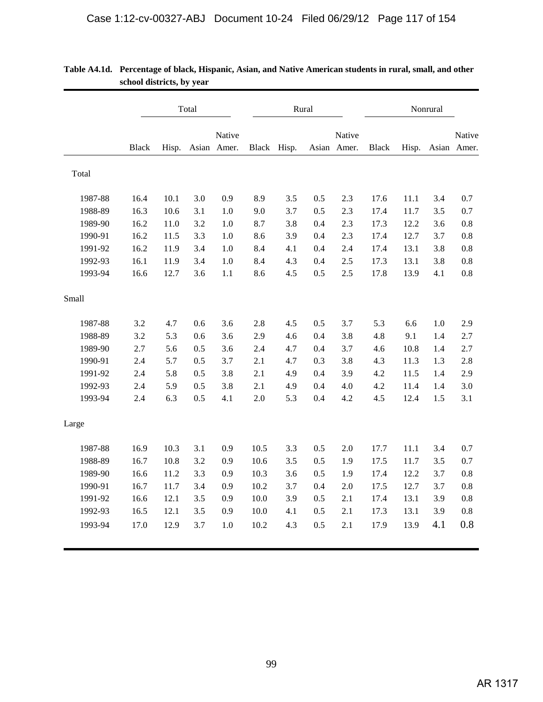|         |              |       | Total |                       |              |       | Rural |                       | Nonrural     |       |     |                       |
|---------|--------------|-------|-------|-----------------------|--------------|-------|-------|-----------------------|--------------|-------|-----|-----------------------|
|         | <b>Black</b> | Hisp. |       | Native<br>Asian Amer. | <b>Black</b> | Hisp. |       | Native<br>Asian Amer. | <b>Black</b> | Hisp. |     | Native<br>Asian Amer. |
| Total   |              |       |       |                       |              |       |       |                       |              |       |     |                       |
| 1987-88 | 16.4         | 10.1  | 3.0   | 0.9                   | 8.9          | 3.5   | 0.5   | 2.3                   | 17.6         | 11.1  | 3.4 | 0.7                   |
| 1988-89 | 16.3         | 10.6  | 3.1   | 1.0                   | 9.0          | 3.7   | 0.5   | 2.3                   | 17.4         | 11.7  | 3.5 | 0.7                   |
| 1989-90 | 16.2         | 11.0  | 3.2   | 1.0                   | 8.7          | 3.8   | 0.4   | 2.3                   | 17.3         | 12.2  | 3.6 | 0.8                   |
| 1990-91 | 16.2         | 11.5  | 3.3   | 1.0                   | 8.6          | 3.9   | 0.4   | 2.3                   | 17.4         | 12.7  | 3.7 | 0.8                   |
| 1991-92 | 16.2         | 11.9  | 3.4   | 1.0                   | 8.4          | 4.1   | 0.4   | 2.4                   | 17.4         | 13.1  | 3.8 | 0.8                   |
| 1992-93 | 16.1         | 11.9  | 3.4   | 1.0                   | 8.4          | 4.3   | 0.4   | 2.5                   | 17.3         | 13.1  | 3.8 | 0.8                   |
| 1993-94 | 16.6         | 12.7  | 3.6   | 1.1                   | 8.6          | 4.5   | 0.5   | 2.5                   | 17.8         | 13.9  | 4.1 | 0.8                   |
| Small   |              |       |       |                       |              |       |       |                       |              |       |     |                       |
| 1987-88 | 3.2          | 4.7   | 0.6   | 3.6                   | 2.8          | 4.5   | 0.5   | 3.7                   | 5.3          | 6.6   | 1.0 | 2.9                   |
| 1988-89 | 3.2          | 5.3   | 0.6   | 3.6                   | 2.9          | 4.6   | 0.4   | 3.8                   | 4.8          | 9.1   | 1.4 | 2.7                   |
| 1989-90 | 2.7          | 5.6   | 0.5   | 3.6                   | 2.4          | 4.7   | 0.4   | 3.7                   | 4.6          | 10.8  | 1.4 | 2.7                   |
| 1990-91 | 2.4          | 5.7   | 0.5   | 3.7                   | 2.1          | 4.7   | 0.3   | 3.8                   | 4.3          | 11.3  | 1.3 | 2.8                   |
| 1991-92 | 2.4          | 5.8   | 0.5   | 3.8                   | 2.1          | 4.9   | 0.4   | 3.9                   | 4.2          | 11.5  | 1.4 | 2.9                   |
| 1992-93 | 2.4          | 5.9   | 0.5   | 3.8                   | 2.1          | 4.9   | 0.4   | 4.0                   | 4.2          | 11.4  | 1.4 | 3.0                   |
| 1993-94 | 2.4          | 6.3   | 0.5   | 4.1                   | 2.0          | 5.3   | 0.4   | 4.2                   | 4.5          | 12.4  | 1.5 | 3.1                   |
| Large   |              |       |       |                       |              |       |       |                       |              |       |     |                       |
| 1987-88 | 16.9         | 10.3  | 3.1   | 0.9                   | 10.5         | 3.3   | 0.5   | 2.0                   | 17.7         | 11.1  | 3.4 | 0.7                   |
| 1988-89 | 16.7         | 10.8  | 3.2   | 0.9                   | 10.6         | 3.5   | 0.5   | 1.9                   | 17.5         | 11.7  | 3.5 | 0.7                   |
| 1989-90 | 16.6         | 11.2  | 3.3   | 0.9                   | 10.3         | 3.6   | 0.5   | 1.9                   | 17.4         | 12.2  | 3.7 | 0.8                   |
| 1990-91 | 16.7         | 11.7  | 3.4   | 0.9                   | 10.2         | 3.7   | 0.4   | 2.0                   | 17.5         | 12.7  | 3.7 | 0.8                   |
| 1991-92 | 16.6         | 12.1  | 3.5   | 0.9                   | 10.0         | 3.9   | 0.5   | 2.1                   | 17.4         | 13.1  | 3.9 | 0.8                   |
| 1992-93 | 16.5         | 12.1  | 3.5   | 0.9                   | 10.0         | 4.1   | 0.5   | 2.1                   | 17.3         | 13.1  | 3.9 | 0.8                   |
| 1993-94 | 17.0         | 12.9  | 3.7   | 1.0                   | 10.2         | 4.3   | 0.5   | 2.1                   | 17.9         | 13.9  | 4.1 | 0.8                   |

**Table A4.1d. Percentage of black, Hispanic, Asian, and Native American students in rural, small, and other school districts, by year**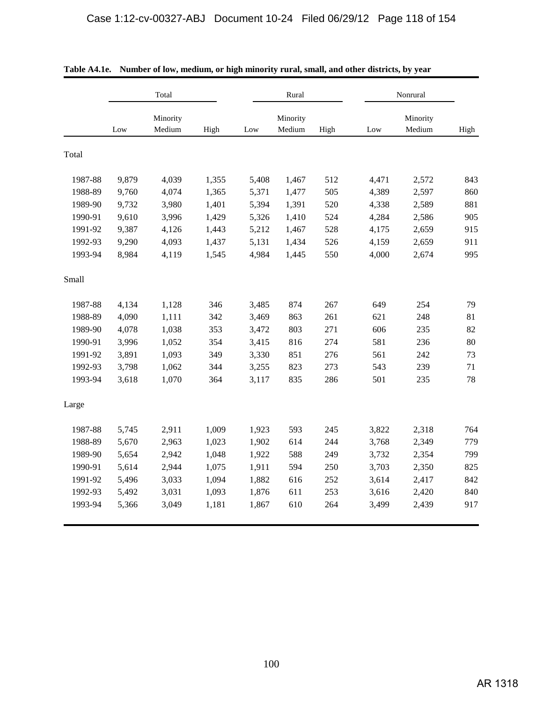|         |       | Total              |       |       | Rural              |      |       | Nonrural           |      |
|---------|-------|--------------------|-------|-------|--------------------|------|-------|--------------------|------|
|         | Low   | Minority<br>Medium | High  | Low   | Minority<br>Medium | High | Low   | Minority<br>Medium | High |
| Total   |       |                    |       |       |                    |      |       |                    |      |
| 1987-88 | 9,879 | 4,039              | 1,355 | 5,408 | 1,467              | 512  | 4,471 | 2,572              | 843  |
| 1988-89 | 9,760 | 4,074              | 1,365 | 5,371 | 1,477              | 505  | 4,389 | 2,597              | 860  |
| 1989-90 | 9,732 | 3,980              | 1,401 | 5,394 | 1,391              | 520  | 4,338 | 2,589              | 881  |
| 1990-91 | 9,610 | 3,996              | 1,429 | 5,326 | 1,410              | 524  | 4,284 | 2,586              | 905  |
| 1991-92 | 9,387 | 4,126              | 1,443 | 5,212 | 1,467              | 528  | 4,175 | 2,659              | 915  |
| 1992-93 | 9,290 | 4,093              | 1,437 | 5,131 | 1,434              | 526  | 4,159 | 2,659              | 911  |
| 1993-94 | 8,984 | 4,119              | 1,545 | 4,984 | 1,445              | 550  | 4,000 | 2,674              | 995  |
| Small   |       |                    |       |       |                    |      |       |                    |      |
| 1987-88 | 4,134 | 1,128              | 346   | 3,485 | 874                | 267  | 649   | 254                | 79   |
| 1988-89 | 4,090 | 1,111              | 342   | 3,469 | 863                | 261  | 621   | 248                | 81   |
| 1989-90 | 4,078 | 1,038              | 353   | 3,472 | 803                | 271  | 606   | 235                | 82   |
| 1990-91 | 3,996 | 1,052              | 354   | 3,415 | 816                | 274  | 581   | 236                | 80   |
| 1991-92 | 3,891 | 1,093              | 349   | 3,330 | 851                | 276  | 561   | 242                | 73   |
| 1992-93 | 3,798 | 1,062              | 344   | 3,255 | 823                | 273  | 543   | 239                | 71   |
| 1993-94 | 3,618 | 1,070              | 364   | 3,117 | 835                | 286  | 501   | 235                | 78   |
| Large   |       |                    |       |       |                    |      |       |                    |      |
| 1987-88 | 5,745 | 2,911              | 1,009 | 1,923 | 593                | 245  | 3,822 | 2,318              | 764  |
| 1988-89 | 5,670 | 2,963              | 1,023 | 1,902 | 614                | 244  | 3,768 | 2,349              | 779  |
| 1989-90 | 5,654 | 2,942              | 1,048 | 1,922 | 588                | 249  | 3,732 | 2,354              | 799  |
| 1990-91 | 5,614 | 2,944              | 1,075 | 1,911 | 594                | 250  | 3,703 | 2,350              | 825  |
| 1991-92 | 5,496 | 3,033              | 1,094 | 1,882 | 616                | 252  | 3,614 | 2,417              | 842  |
| 1992-93 | 5,492 | 3,031              | 1,093 | 1,876 | 611                | 253  | 3,616 | 2,420              | 840  |
| 1993-94 | 5,366 | 3,049              | 1,181 | 1,867 | 610                | 264  | 3,499 | 2,439              | 917  |

|  |  |  |  |  | Table A4.1e. Number of low, medium, or high minority rural, small, and other districts, by year |
|--|--|--|--|--|-------------------------------------------------------------------------------------------------|
|--|--|--|--|--|-------------------------------------------------------------------------------------------------|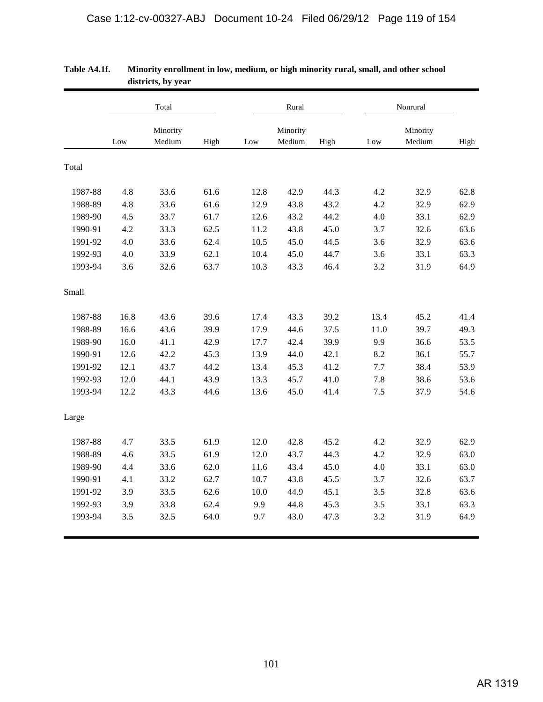|         |      | Total              |      |      | Rural              |      |      | Nonrural           |      |
|---------|------|--------------------|------|------|--------------------|------|------|--------------------|------|
|         | Low  | Minority<br>Medium | High | Low  | Minority<br>Medium | High | Low  | Minority<br>Medium | High |
|         |      |                    |      |      |                    |      |      |                    |      |
| Total   |      |                    |      |      |                    |      |      |                    |      |
| 1987-88 | 4.8  | 33.6               | 61.6 | 12.8 | 42.9               | 44.3 | 4.2  | 32.9               | 62.8 |
| 1988-89 | 4.8  | 33.6               | 61.6 | 12.9 | 43.8               | 43.2 | 4.2  | 32.9               | 62.9 |
| 1989-90 | 4.5  | 33.7               | 61.7 | 12.6 | 43.2               | 44.2 | 4.0  | 33.1               | 62.9 |
| 1990-91 | 4.2  | 33.3               | 62.5 | 11.2 | 43.8               | 45.0 | 3.7  | 32.6               | 63.6 |
| 1991-92 | 4.0  | 33.6               | 62.4 | 10.5 | 45.0               | 44.5 | 3.6  | 32.9               | 63.6 |
| 1992-93 | 4.0  | 33.9               | 62.1 | 10.4 | 45.0               | 44.7 | 3.6  | 33.1               | 63.3 |
| 1993-94 | 3.6  | 32.6               | 63.7 | 10.3 | 43.3               | 46.4 | 3.2  | 31.9               | 64.9 |
| Small   |      |                    |      |      |                    |      |      |                    |      |
| 1987-88 | 16.8 | 43.6               | 39.6 | 17.4 | 43.3               | 39.2 | 13.4 | 45.2               | 41.4 |
| 1988-89 | 16.6 | 43.6               | 39.9 | 17.9 | 44.6               | 37.5 | 11.0 | 39.7               | 49.3 |
| 1989-90 | 16.0 | 41.1               | 42.9 | 17.7 | 42.4               | 39.9 | 9.9  | 36.6               | 53.5 |
| 1990-91 | 12.6 | 42.2               | 45.3 | 13.9 | 44.0               | 42.1 | 8.2  | 36.1               | 55.7 |
| 1991-92 | 12.1 | 43.7               | 44.2 | 13.4 | 45.3               | 41.2 | 7.7  | 38.4               | 53.9 |
| 1992-93 | 12.0 | 44.1               | 43.9 | 13.3 | 45.7               | 41.0 | 7.8  | 38.6               | 53.6 |
| 1993-94 | 12.2 | 43.3               | 44.6 | 13.6 | 45.0               | 41.4 | 7.5  | 37.9               | 54.6 |
| Large   |      |                    |      |      |                    |      |      |                    |      |
| 1987-88 | 4.7  | 33.5               | 61.9 | 12.0 | 42.8               | 45.2 | 4.2  | 32.9               | 62.9 |
| 1988-89 | 4.6  | 33.5               | 61.9 | 12.0 | 43.7               | 44.3 | 4.2  | 32.9               | 63.0 |
| 1989-90 | 4.4  | 33.6               | 62.0 | 11.6 | 43.4               | 45.0 | 4.0  | 33.1               | 63.0 |
| 1990-91 | 4.1  | 33.2               | 62.7 | 10.7 | 43.8               | 45.5 | 3.7  | 32.6               | 63.7 |
| 1991-92 | 3.9  | 33.5               | 62.6 | 10.0 | 44.9               | 45.1 | 3.5  | 32.8               | 63.6 |
| 1992-93 | 3.9  | 33.8               | 62.4 | 9.9  | 44.8               | 45.3 | 3.5  | 33.1               | 63.3 |
| 1993-94 | 3.5  | 32.5               | 64.0 | 9.7  | 43.0               | 47.3 | 3.2  | 31.9               | 64.9 |

### **Table A4.1f. Minority enrollment in low, medium, or high minority rural, small, and other school districts, by year**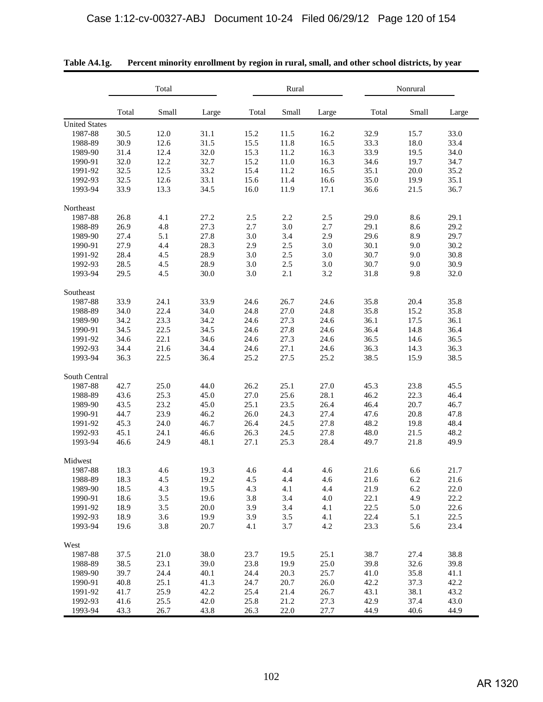|                                            |                      | Total                |                      |                      | Rural                |                      |                      | Nonrural             |                      |  |  |
|--------------------------------------------|----------------------|----------------------|----------------------|----------------------|----------------------|----------------------|----------------------|----------------------|----------------------|--|--|
|                                            | Total                | Small                | Large                | Total                | Small                | Large                | Total                | Small                | Large                |  |  |
| <b>United States</b><br>1987-88<br>1988-89 | 30.5<br>30.9         | 12.0<br>12.6         | 31.1<br>31.5         | 15.2<br>15.5         | 11.5<br>11.8         | 16.2<br>16.5         | 32.9<br>33.3         | 15.7<br>18.0         | 33.0<br>33.4         |  |  |
| 1989-90                                    | 31.4                 | 12.4                 | 32.0                 | 15.3                 | 11.2                 | 16.3                 | 33.9                 | 19.5                 | 34.0                 |  |  |
| 1990-91                                    | 32.0                 | 12.2                 | 32.7                 | 15.2                 | 11.0                 | 16.3                 | 34.6                 | 19.7                 | 34.7                 |  |  |
| 1991-92                                    | 32.5                 | 12.5                 | 33.2                 | 15.4                 | 11.2                 | 16.5                 | 35.1                 | 20.0                 | 35.2                 |  |  |
| 1992-93                                    | 32.5                 | 12.6                 | 33.1                 | 15.6                 | 11.4                 | 16.6                 | 35.0                 | 19.9                 | 35.1                 |  |  |
| 1993-94                                    | 33.9                 | 13.3                 | 34.5                 | 16.0                 | 11.9                 | 17.1                 | 36.6                 | 21.5                 | 36.7                 |  |  |
| Northeast                                  |                      |                      |                      |                      |                      |                      |                      |                      |                      |  |  |
| 1987-88                                    | 26.8                 | 4.1                  | 27.2                 | 2.5                  | 2.2                  | 2.5                  | 29.0                 | 8.6                  | 29.1                 |  |  |
| 1988-89                                    | 26.9                 | 4.8                  | 27.3                 | 2.7                  | 3.0                  | 2.7                  | 29.1                 | 8.6                  | 29.2                 |  |  |
| 1989-90                                    | 27.4                 | 5.1                  | 27.8                 | 3.0                  | 3.4                  | 2.9                  | 29.6                 | 8.9                  | 29.7                 |  |  |
| 1990-91                                    | 27.9                 | 4.4                  | 28.3                 | 2.9                  | 2.5                  | 3.0                  | 30.1                 | 9.0                  | 30.2                 |  |  |
| 1991-92                                    | 28.4                 | 4.5                  | 28.9                 | 3.0                  | 2.5                  | 3.0                  | 30.7                 | 9.0                  | 30.8                 |  |  |
| 1992-93                                    | 28.5                 | 4.5                  | 28.9                 | 3.0                  | 2.5                  | 3.0                  | 30.7                 | 9.0                  | 30.9                 |  |  |
| 1993-94                                    | 29.5                 | 4.5                  | 30.0                 | 3.0                  | 2.1                  | 3.2                  | 31.8                 | 9.8                  | 32.0                 |  |  |
| Southeast                                  |                      |                      |                      |                      |                      |                      |                      |                      |                      |  |  |
| 1987-88                                    | 33.9                 | 24.1                 | 33.9                 | 24.6                 | 26.7                 | 24.6                 | 35.8                 | 20.4                 | 35.8                 |  |  |
| 1988-89                                    | 34.0                 | 22.4                 | 34.0                 | 24.8                 | 27.0                 | 24.8                 | 35.8                 | 15.2                 | 35.8                 |  |  |
| 1989-90                                    | 34.2                 | 23.3                 | 34.2                 | 24.6                 | 27.3                 | 24.6                 | 36.1                 | 17.5                 | 36.1                 |  |  |
| 1990-91                                    | 34.5                 | 22.5                 | 34.5                 | 24.6                 | 27.8                 | 24.6                 | 36.4                 | 14.8                 | 36.4                 |  |  |
| 1991-92                                    | 34.6                 | 22.1                 | 34.6                 | 24.6                 | 27.3                 | 24.6                 | 36.5                 | 14.6                 | 36.5                 |  |  |
| 1992-93                                    | 34.4                 | 21.6                 | 34.4                 | 24.6                 | 27.1                 | 24.6                 | 36.3                 | 14.3                 | 36.3                 |  |  |
| 1993-94                                    | 36.3                 | 22.5                 | 36.4                 | 25.2                 | 27.5                 | 25.2                 | 38.5                 | 15.9                 | 38.5                 |  |  |
| South Central                              |                      |                      |                      |                      |                      |                      |                      |                      |                      |  |  |
| 1987-88                                    | 42.7                 | 25.0                 | 44.0                 | 26.2                 | 25.1                 | 27.0                 | 45.3                 | 23.8                 | 45.5                 |  |  |
| 1988-89                                    | 43.6                 | 25.3                 | 45.0                 | 27.0                 | 25.6                 | 28.1                 | 46.2                 | 22.3                 | 46.4                 |  |  |
| 1989-90                                    | 43.5                 | 23.2                 | 45.0                 | 25.1                 | 23.5                 | 26.4                 | 46.4                 | 20.7                 | 46.7                 |  |  |
| 1990-91                                    | 44.7                 | 23.9                 | 46.2                 | 26.0                 | 24.3                 | 27.4                 | 47.6                 | 20.8                 | 47.8                 |  |  |
| 1991-92                                    | 45.3                 | 24.0                 | 46.7                 | 26.4                 | 24.5                 | 27.8                 | 48.2                 | 19.8                 | 48.4                 |  |  |
| 1992-93                                    | 45.1                 | 24.1                 | 46.6                 | 26.3                 | 24.5                 | 27.8                 | 48.0                 | 21.5                 | 48.2                 |  |  |
| 1993-94                                    | 46.6                 | 24.9                 | 48.1                 | 27.1                 | 25.3                 | 28.4                 | 49.7                 | 21.8                 | 49.9                 |  |  |
| Midwest                                    |                      |                      |                      |                      |                      |                      |                      |                      |                      |  |  |
| 1987-88                                    | 18.3                 | 4.6                  | 19.3                 | 4.6                  | 4.4                  | 4.6                  | 21.6                 | 6.6                  | 21.7                 |  |  |
| 1988-89                                    | 18.3                 | 4.5                  | 19.2                 | 4.5                  | 4.4                  | 4.6                  | 21.6                 | 6.2                  | 21.6                 |  |  |
| 1989-90                                    | 18.5                 | 4.3                  | 19.5                 | 4.3                  | 4.1                  | 4.4                  | 21.9                 | 6.2                  | 22.0                 |  |  |
| 1990-91                                    | 18.6                 | 3.5                  | 19.6                 | 3.8                  | 3.4                  | 4.0                  | 22.1                 | 4.9                  | 22.2                 |  |  |
| 1991-92                                    | 18.9                 | 3.5                  | 20.0                 | 3.9                  | 3.4                  | 4.1                  | 22.5                 | 5.0                  | 22.6                 |  |  |
| 1992-93                                    | 18.9                 | 3.6                  | 19.9                 | 3.9                  | 3.5                  | 4.1                  | 22.4                 | 5.1                  | 22.5                 |  |  |
| 1993-94                                    | 19.6                 | 3.8                  | 20.7                 | 4.1                  | 3.7                  | 4.2                  | 23.3                 | 5.6                  | 23.4                 |  |  |
| West                                       |                      |                      |                      |                      |                      |                      |                      |                      |                      |  |  |
| 1987-88<br>1988-89<br>1989-90              | 37.5<br>38.5<br>39.7 | 21.0<br>23.1<br>24.4 | 38.0<br>39.0<br>40.1 | 23.7<br>23.8<br>24.4 | 19.5<br>19.9<br>20.3 | 25.1<br>25.0<br>25.7 | 38.7<br>39.8<br>41.0 | 27.4<br>32.6<br>35.8 | 38.8<br>39.8         |  |  |
| 1990-91<br>1991-92                         | 40.8<br>41.7         | 25.1<br>25.9         | 41.3<br>42.2         | 24.7<br>25.4         | 20.7<br>21.4         | 26.0<br>26.7         | 42.2<br>43.1         | 37.3<br>38.1         | 41.1<br>42.2<br>43.2 |  |  |
| 1992-93                                    | 41.6                 | 25.5                 | 42.0                 | 25.8                 | 21.2                 | 27.3                 | 42.9                 | 37.4                 | 43.0                 |  |  |
| 1993-94                                    | 43.3                 | 26.7                 | 43.8                 | 26.3                 | 22.0                 | 27.7                 | 44.9                 | 40.6                 | 44.9                 |  |  |

**Table A4.1g. Percent minority enrollment by region in rural, small, and other school districts, by year**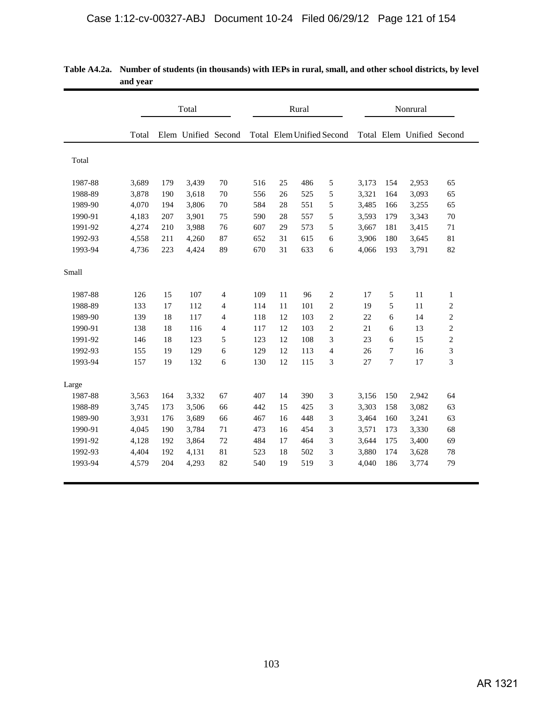|         |       |     | Total               |                |     |    | Rural |                                  | Nonrural |                |                           |                |
|---------|-------|-----|---------------------|----------------|-----|----|-------|----------------------------------|----------|----------------|---------------------------|----------------|
|         | Total |     | Elem Unified Second |                |     |    |       | <b>Total</b> Elem Unified Second |          |                | Total Elem Unified Second |                |
| Total   |       |     |                     |                |     |    |       |                                  |          |                |                           |                |
| 1987-88 | 3,689 | 179 | 3,439               | 70             | 516 | 25 | 486   | 5                                | 3,173    | 154            | 2,953                     | 65             |
| 1988-89 | 3,878 | 190 | 3,618               | 70             | 556 | 26 | 525   | 5                                | 3,321    | 164            | 3,093                     | 65             |
| 1989-90 | 4,070 | 194 | 3,806               | 70             | 584 | 28 | 551   | 5                                | 3,485    | 166            | 3,255                     | 65             |
| 1990-91 | 4,183 | 207 | 3,901               | 75             | 590 | 28 | 557   | 5                                | 3,593    | 179            | 3,343                     | 70             |
| 1991-92 | 4,274 | 210 | 3,988               | 76             | 607 | 29 | 573   | 5                                | 3,667    | 181            | 3,415                     | 71             |
| 1992-93 | 4,558 | 211 | 4,260               | 87             | 652 | 31 | 615   | 6                                | 3,906    | 180            | 3,645                     | 81             |
| 1993-94 | 4,736 | 223 | 4,424               | 89             | 670 | 31 | 633   | 6                                | 4,066    | 193            | 3,791                     | 82             |
| Small   |       |     |                     |                |     |    |       |                                  |          |                |                           |                |
| 1987-88 | 126   | 15  | 107                 | $\overline{4}$ | 109 | 11 | 96    | $\overline{c}$                   | 17       | 5              | 11                        | $\mathbf{1}$   |
| 1988-89 | 133   | 17  | 112                 | 4              | 114 | 11 | 101   | $\mathbf{2}$                     | 19       | 5              | 11                        | $\overline{c}$ |
| 1989-90 | 139   | 18  | 117                 | $\overline{4}$ | 118 | 12 | 103   | $\mathbf{2}$                     | 22       | 6              | 14                        | $\overline{c}$ |
| 1990-91 | 138   | 18  | 116                 | $\overline{4}$ | 117 | 12 | 103   | $\sqrt{2}$                       | 21       | 6              | 13                        | $\overline{c}$ |
| 1991-92 | 146   | 18  | 123                 | 5              | 123 | 12 | 108   | 3                                | 23       | 6              | 15                        | $\overline{c}$ |
| 1992-93 | 155   | 19  | 129                 | 6              | 129 | 12 | 113   | $\overline{\mathcal{L}}$         | 26       | $\overline{7}$ | 16                        | 3              |
| 1993-94 | 157   | 19  | 132                 | 6              | 130 | 12 | 115   | 3                                | 27       | $\overline{7}$ | 17                        | 3              |
| Large   |       |     |                     |                |     |    |       |                                  |          |                |                           |                |
| 1987-88 | 3,563 | 164 | 3,332               | 67             | 407 | 14 | 390   | 3                                | 3,156    | 150            | 2,942                     | 64             |
| 1988-89 | 3,745 | 173 | 3,506               | 66             | 442 | 15 | 425   | 3                                | 3,303    | 158            | 3,082                     | 63             |
| 1989-90 | 3,931 | 176 | 3,689               | 66             | 467 | 16 | 448   | 3                                | 3,464    | 160            | 3,241                     | 63             |
| 1990-91 | 4,045 | 190 | 3,784               | 71             | 473 | 16 | 454   | 3                                | 3,571    | 173            | 3,330                     | 68             |
| 1991-92 | 4,128 | 192 | 3,864               | 72             | 484 | 17 | 464   | 3                                | 3,644    | 175            | 3,400                     | 69             |
| 1992-93 | 4,404 | 192 | 4,131               | $81\,$         | 523 | 18 | 502   | 3                                | 3,880    | 174            | 3,628                     | $78\,$         |
| 1993-94 | 4,579 | 204 | 4,293               | 82             | 540 | 19 | 519   | 3                                | 4,040    | 186            | 3,774                     | 79             |

| Table A4.2a. Number of students (in thousands) with IEPs in rural, small, and other school districts, by level |
|----------------------------------------------------------------------------------------------------------------|
| and vear                                                                                                       |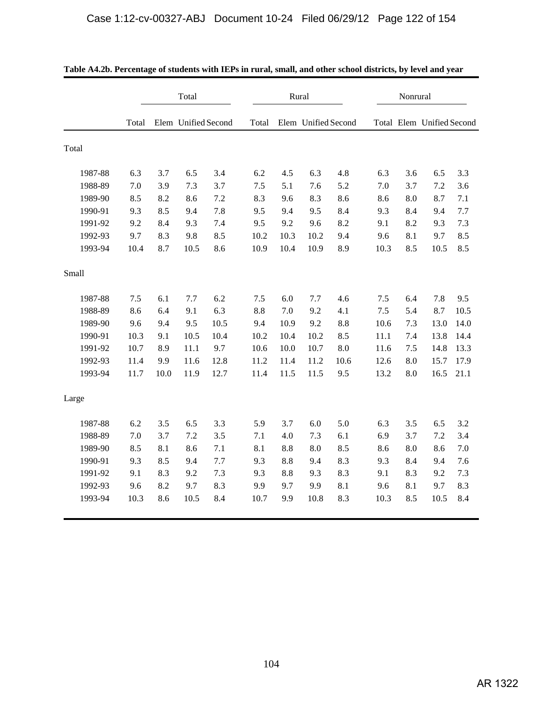|         |       |      | Total               |      |       |      | Rural               |      | Nonrural |     |                           |      |  |
|---------|-------|------|---------------------|------|-------|------|---------------------|------|----------|-----|---------------------------|------|--|
|         | Total |      | Elem Unified Second |      | Total |      | Elem Unified Second |      |          |     | Total Elem Unified Second |      |  |
| Total   |       |      |                     |      |       |      |                     |      |          |     |                           |      |  |
| 1987-88 | 6.3   | 3.7  | 6.5                 | 3.4  | 6.2   | 4.5  | 6.3                 | 4.8  | 6.3      | 3.6 | 6.5                       | 3.3  |  |
| 1988-89 | 7.0   | 3.9  | 7.3                 | 3.7  | 7.5   | 5.1  | 7.6                 | 5.2  | 7.0      | 3.7 | 7.2                       | 3.6  |  |
| 1989-90 | 8.5   | 8.2  | 8.6                 | 7.2  | 8.3   | 9.6  | 8.3                 | 8.6  | 8.6      | 8.0 | 8.7                       | 7.1  |  |
| 1990-91 | 9.3   | 8.5  | 9.4                 | 7.8  | 9.5   | 9.4  | 9.5                 | 8.4  | 9.3      | 8.4 | 9.4                       | 7.7  |  |
| 1991-92 | 9.2   | 8.4  | 9.3                 | 7.4  | 9.5   | 9.2  | 9.6                 | 8.2  | 9.1      | 8.2 | 9.3                       | 7.3  |  |
| 1992-93 | 9.7   | 8.3  | 9.8                 | 8.5  | 10.2  | 10.3 | 10.2                | 9.4  | 9.6      | 8.1 | 9.7                       | 8.5  |  |
| 1993-94 | 10.4  | 8.7  | 10.5                | 8.6  | 10.9  | 10.4 | 10.9                | 8.9  | 10.3     | 8.5 | 10.5                      | 8.5  |  |
| Small   |       |      |                     |      |       |      |                     |      |          |     |                           |      |  |
| 1987-88 | 7.5   | 6.1  | 7.7                 | 6.2  | 7.5   | 6.0  | 7.7                 | 4.6  | 7.5      | 6.4 | 7.8                       | 9.5  |  |
| 1988-89 | 8.6   | 6.4  | 9.1                 | 6.3  | 8.8   | 7.0  | 9.2                 | 4.1  | 7.5      | 5.4 | 8.7                       | 10.5 |  |
| 1989-90 | 9.6   | 9.4  | 9.5                 | 10.5 | 9.4   | 10.9 | 9.2                 | 8.8  | 10.6     | 7.3 | 13.0                      | 14.0 |  |
| 1990-91 | 10.3  | 9.1  | 10.5                | 10.4 | 10.2  | 10.4 | 10.2                | 8.5  | 11.1     | 7.4 | 13.8                      | 14.4 |  |
| 1991-92 | 10.7  | 8.9  | 11.1                | 9.7  | 10.6  | 10.0 | 10.7                | 8.0  | 11.6     | 7.5 | 14.8                      | 13.3 |  |
| 1992-93 | 11.4  | 9.9  | 11.6                | 12.8 | 11.2  | 11.4 | 11.2                | 10.6 | 12.6     | 8.0 | 15.7                      | 17.9 |  |
| 1993-94 | 11.7  | 10.0 | 11.9                | 12.7 | 11.4  | 11.5 | 11.5                | 9.5  | 13.2     | 8.0 | 16.5                      | 21.1 |  |
| Large   |       |      |                     |      |       |      |                     |      |          |     |                           |      |  |
| 1987-88 | 6.2   | 3.5  | 6.5                 | 3.3  | 5.9   | 3.7  | 6.0                 | 5.0  | 6.3      | 3.5 | 6.5                       | 3.2  |  |
| 1988-89 | 7.0   | 3.7  | 7.2                 | 3.5  | 7.1   | 4.0  | 7.3                 | 6.1  | 6.9      | 3.7 | 7.2                       | 3.4  |  |
| 1989-90 | 8.5   | 8.1  | 8.6                 | 7.1  | 8.1   | 8.8  | 8.0                 | 8.5  | 8.6      | 8.0 | 8.6                       | 7.0  |  |
| 1990-91 | 9.3   | 8.5  | 9.4                 | 7.7  | 9.3   | 8.8  | 9.4                 | 8.3  | 9.3      | 8.4 | 9.4                       | 7.6  |  |
| 1991-92 | 9.1   | 8.3  | 9.2                 | 7.3  | 9.3   | 8.8  | 9.3                 | 8.3  | 9.1      | 8.3 | 9.2                       | 7.3  |  |
| 1992-93 | 9.6   | 8.2  | 9.7                 | 8.3  | 9.9   | 9.7  | 9.9                 | 8.1  | 9.6      | 8.1 | 9.7                       | 8.3  |  |
| 1993-94 | 10.3  | 8.6  | 10.5                | 8.4  | 10.7  | 9.9  | 10.8                | 8.3  | 10.3     | 8.5 | 10.5                      | 8.4  |  |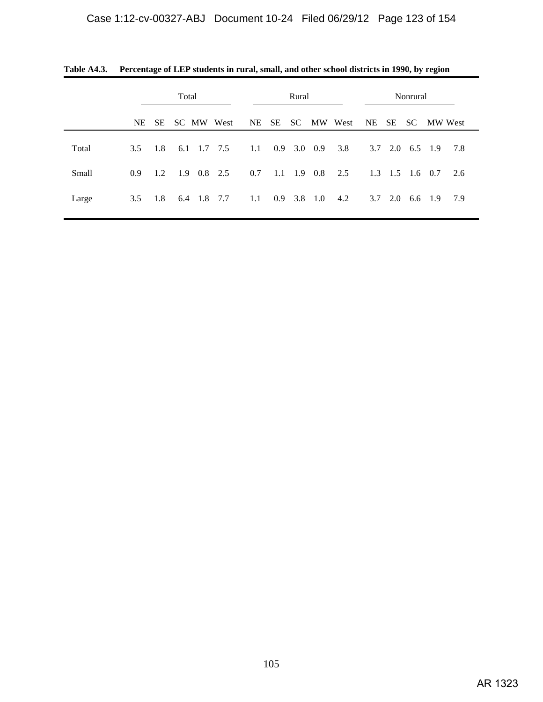|              | Total            |     |                   |  |     | Rural |               |                           |            |    | Nonrural       |                         |         |               |
|--------------|------------------|-----|-------------------|--|-----|-------|---------------|---------------------------|------------|----|----------------|-------------------------|---------|---------------|
|              | NE .             | SE  | SC MW West        |  |     | NE SE |               |                           | SC MW West | NE |                |                         |         | SE SC MW West |
| Total        | $3.5^{\circ}$    | 1.8 | 6.1 1.7 7.5       |  | 1.1 |       | $0.9$ 3.0 0.9 |                           | 3.8        |    |                | $3.7$ $2.0$ $6.5$ $1.9$ |         | 7.8           |
| <b>Small</b> | 0.9 <sup>°</sup> | 1.2 | $1.9 \t0.8 \t2.5$ |  | 0.7 |       |               | $1.1 \quad 1.9 \quad 0.8$ | 2.5        |    |                | $1.3$ $1.5$ $1.6$ $0.7$ |         | 2.6           |
| Large        | 3.5              | 1.8 | 6.4 1.8 7.7       |  | 1.1 |       |               | $0.9$ 3.8 1.0             | 4.2        |    | $3.7\quad 2.0$ |                         | 6.6 1.9 | 7.9           |

**Table A4.3. Percentage of LEP students in rural, small, and other school districts in 1990, by region**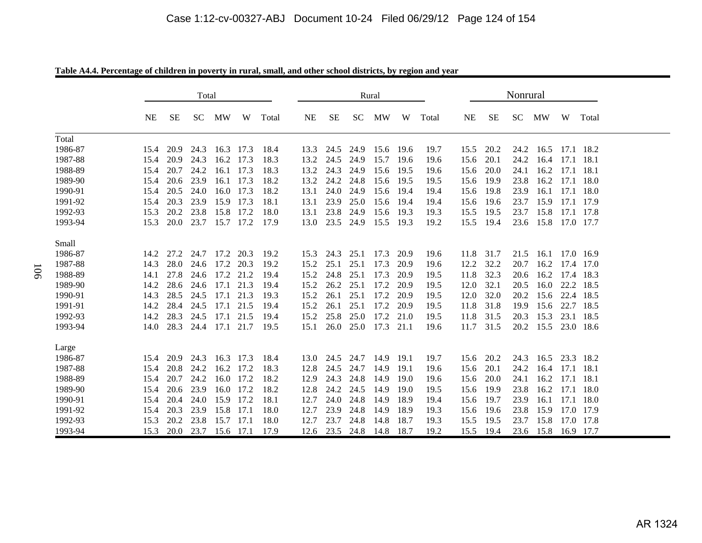|         |           |           | Total                         |                |      |       |      | Rural |           |                          |      |       | Nonrural  |             |      |                     |   |           |
|---------|-----------|-----------|-------------------------------|----------------|------|-------|------|-------|-----------|--------------------------|------|-------|-----------|-------------|------|---------------------|---|-----------|
|         | <b>NE</b> | <b>SE</b> | SC                            | MW             | W    | Total | NE   | SЕ    | <b>SC</b> | MW                       | W    | Total | NE        | SЕ          | SC   | MW                  | W | Total     |
| Total   |           |           |                               |                |      |       |      |       |           |                          |      |       |           |             |      |                     |   |           |
| 1986-87 | 15.4      | 20.9      | 24.3                          | 16.3 17.3      |      | 18.4  | 13.3 | 24.5  | 24.9      | 15.6 19.6                |      | 19.7  | 15.5      | 20.2        | 24.2 | 16.5                |   | 17.1 18.2 |
| 1987-88 | 15.4      | 20.9      | 24.3                          | 16.2 17.3      |      | 18.3  | 13.2 | 24.5  | 24.9      | 15.7                     | 19.6 | 19.6  | 15.6      | 20.1        | 24.2 | 16.4                |   | 17.1 18.1 |
| 1988-89 | 15.4      | 20.7      | 24.2                          | 16.1 17.3      |      | 18.3  | 13.2 | 24.3  | 24.9      | 15.6                     | 19.5 | 19.6  | 15.6      | 20.0        | 24.1 | 16.2                |   | 17.1 18.1 |
| 1989-90 | 15.4      | 20.6      | 23.9                          | 16.1 17.3      |      | 18.2  | 13.2 | 24.2  | 24.8      | 15.6 19.5                |      | 19.5  | 15.6      | 19.9        | 23.8 | 16.2                |   | 17.1 18.0 |
| 1990-91 | 15.4      | 20.5      | 24.0                          | 16.0 17.3      |      | 18.2  | 13.1 | 24.0  | 24.9      | 15.6                     | 19.4 | 19.4  | 15.6      | 19.8        | 23.9 | 16.1                |   | 17.1 18.0 |
| 1991-92 | 15.4      | 20.3      |                               | 23.9 15.9 17.3 |      | 18.1  | 13.1 | 23.9  | 25.0      | 15.6                     | 19.4 | 19.4  | 15.6      | 19.6        | 23.7 | 15.9                |   | 17.1 17.9 |
| 1992-93 | 15.3      | 20.2      | 23.8                          | 15.8 17.2      |      | 18.0  | 13.1 | 23.8  | 24.9      | 15.6                     | 19.3 | 19.3  | 15.5      | 19.5        | 23.7 | 15.8                |   | 17.1 17.8 |
| 1993-94 | 15.3      | 20.0      |                               | 23.7 15.7 17.2 |      | 17.9  | 13.0 |       | 23.5 24.9 | 15.5 19.3                |      | 19.2  | 15.5      | 19.4        |      | 23.6 15.8           |   | 17.0 17.7 |
| Small   |           |           |                               |                |      |       |      |       |           |                          |      |       |           |             |      |                     |   |           |
| 1986-87 | 14.2      | 27.2      | 24.7                          | 17.2           | 20.3 | 19.2  | 15.3 | 24.3  | 25.1      | 17.3                     | 20.9 | 19.6  | 11.8      | 31.7        | 21.5 | 16.1                |   | 17.0 16.9 |
| 1987-88 | 14.3      | 28.0      |                               | 24.6 17.2      | 20.3 | 19.2  | 15.2 | 25.1  | 25.1      | 17.3                     | 20.9 | 19.6  | 12.2      | 32.2        | 20.7 | 16.2                |   | 17.4 17.0 |
| 1988-89 | 14.1      | 27.8      |                               | 24.6 17.2 21.2 |      | 19.4  | 15.2 | 24.8  | 25.1      | 17.3                     | 20.9 | 19.5  | 11.8      | 32.3        | 20.6 | 16.2                |   | 17.4 18.3 |
| 1989-90 | 14.2      | 28.6      |                               | 24.6 17.1 21.3 |      | 19.4  | 15.2 | 26.2  | 25.1      | 17.2                     | 20.9 | 19.5  | 12.0      | 32.1        | 20.5 | 16.0                |   | 22.2 18.5 |
| 1990-91 | 14.3      | 28.5      | 24.5                          | 17.1 21.3      |      | 19.3  | 15.2 | 26.1  | 25.1      | 17.2                     | 20.9 | 19.5  | 12.0      | 32.0        | 20.2 | 15.6                |   | 22.4 18.5 |
| 1991-91 | 14.2      | 28.4      |                               | 24.5 17.1 21.5 |      | 19.4  | 15.2 | 26.1  | 25.1      | 17.2                     | 20.9 | 19.5  | 11.8      | 31.8        | 19.9 | 15.6                |   | 22.7 18.5 |
| 1992-93 | 14.2      | 28.3      | 24.5                          | 17.1 21.5      |      | 19.4  | 15.2 | 25.8  | 25.0      | 17.2                     | 21.0 | 19.5  | 11.8      | 31.5        | 20.3 | 15.3                |   | 23.1 18.5 |
| 1993-94 | 14.0      | 28.3      |                               | 24.4 17.1 21.7 |      | 19.5  | 15.1 | 26.0  | 25.0      | 17.3 21.1                |      | 19.6  | 11.7      | 31.5        |      | 20.2 15.5 23.0 18.6 |   |           |
| Large   |           |           |                               |                |      |       |      |       |           |                          |      |       |           |             |      |                     |   |           |
| 1986-87 |           | 15.4 20.9 | 24.3                          | 16.3 17.3      |      | 18.4  | 13.0 | 24.5  | 24.7      | 14.9                     | 19.1 | 19.7  | 15.6      | 20.2        | 24.3 | 16.5                |   | 23.3 18.2 |
| 1987-88 | 15.4      | 20.8      | 24.2                          | 16.2 17.2      |      | 18.3  | 12.8 | 24.5  | 24.7      | 14.9                     | 19.1 | 19.6  | 15.6      | 20.1        | 24.2 | 16.4                |   | 17.1 18.1 |
| 1988-89 | 15.4      | 20.7      | 24.2                          | 16.0 17.2      |      | 18.2  | 12.9 | 24.3  | 24.8      | 14.9                     | 19.0 | 19.6  | 15.6      | <b>20.0</b> | 24.1 | 16.2                |   | 17.1 18.1 |
| 1989-90 | 15.4      | 20.6      | 23.9                          | 16.0 17.2      |      | 18.2  | 12.8 | 24.2  | 24.5      | 14.9                     | 19.0 | 19.5  | 15.6      | 19.9        | 23.8 | 16.2                |   | 17.1 18.0 |
| 1990-91 | 15.4      |           | 20.4 24.0 15.9 17.2           |                |      | 18.1  | 12.7 | 24.0  | 24.8      | 14.9                     | 18.9 | 19.4  | 15.6 19.7 |             |      | 23.9 16.1           |   | 17.1 18.0 |
| 1991-92 |           |           | 15.4 20.3 23.9 15.8 17.1      |                |      | 18.0  | 12.7 |       | 23.9 24.8 | 14.9                     | 18.9 | 19.3  |           | 15.6 19.6   |      | 23.8 15.9 17.0 17.9 |   |           |
| 1992-93 |           |           | 15.3 20.2 23.8 15.7 17.1 18.0 |                |      |       |      |       |           | 12.7 23.7 24.8 14.8 18.7 |      | 19.3  | 15.5 19.5 |             |      | 23.7 15.8 17.0 17.8 |   |           |
| 1993-94 |           |           | 15.3 20.0 23.7 15.6 17.1 17.9 |                |      |       |      |       |           | 12.6 23.5 24.8 14.8 18.7 |      | 19.2  |           | 15.5 19.4   |      | 23.6 15.8 16.9 17.7 |   |           |

**Table A4.4. Percentage of children in poverty in rural, small, and other school districts, by region and year**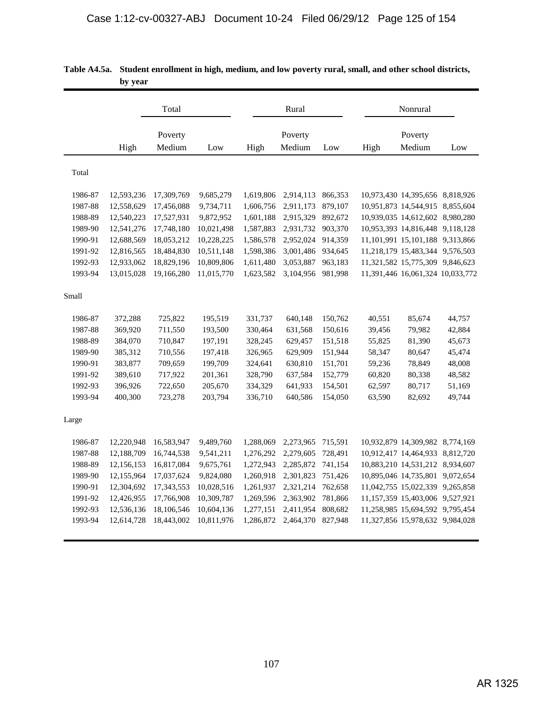|         | ру уеат    |            |            |           |           |         |        |                                       |        |
|---------|------------|------------|------------|-----------|-----------|---------|--------|---------------------------------------|--------|
|         |            | Total      |            |           | Rural     |         |        | Nonrural                              |        |
|         |            | Poverty    |            |           | Poverty   |         |        | Poverty                               |        |
|         | High       | Medium     | Low        | High      | Medium    | Low     | High   | Medium                                | Low    |
| Total   |            |            |            |           |           |         |        |                                       |        |
| 1986-87 | 12,593,236 | 17,309,769 | 9,685,279  | 1,619,806 | 2,914,113 | 866,353 |        | 10,973,430 14,395,656 8,818,926       |        |
| 1987-88 | 12,558,629 | 17,456,088 | 9,734,711  | 1,606,756 | 2,911,173 | 879,107 |        | 10,951,873 14,544,915 8,855,604       |        |
| 1988-89 | 12,540,223 | 17,527,931 | 9,872,952  | 1,601,188 | 2,915,329 | 892,672 |        | 10,939,035 14,612,602 8,980,280       |        |
| 1989-90 | 12,541,276 | 17,748,180 | 10,021,498 | 1,587,883 | 2,931,732 | 903,370 |        | 10,953,393 14,816,448 9,118,128       |        |
| 1990-91 | 12,688,569 | 18,053,212 | 10,228,225 | 1,586,578 | 2,952,024 | 914,359 |        | 11, 101, 991 15, 101, 188 9, 313, 866 |        |
| 1991-92 | 12,816,565 | 18,484,830 | 10,511,148 | 1,598,386 | 3,001,486 | 934,645 |        | 11,218,179 15,483,344 9,576,503       |        |
| 1992-93 | 12,933,062 | 18,829,196 | 10,809,806 | 1,611,480 | 3,053,887 | 963,183 |        | 11,321,582 15,775,309 9,846,623       |        |
| 1993-94 | 13,015,028 | 19,166,280 | 11,015,770 | 1,623,582 | 3,104,956 | 981,998 |        | 11,391,446 16,061,324 10,033,772      |        |
| Small   |            |            |            |           |           |         |        |                                       |        |
| 1986-87 | 372,288    | 725,822    | 195,519    | 331,737   | 640,148   | 150,762 | 40,551 | 85,674                                | 44,757 |
| 1987-88 | 369,920    | 711,550    | 193,500    | 330,464   | 631,568   | 150,616 | 39,456 | 79,982                                | 42,884 |
| 1988-89 | 384,070    | 710,847    | 197,191    | 328,245   | 629,457   | 151,518 | 55,825 | 81,390                                | 45,673 |
| 1989-90 | 385,312    | 710,556    | 197,418    | 326,965   | 629,909   | 151,944 | 58,347 | 80,647                                | 45,474 |
| 1990-91 | 383,877    | 709,659    | 199,709    | 324,641   | 630,810   | 151,701 | 59,236 | 78,849                                | 48,008 |
| 1991-92 | 389,610    | 717,922    | 201,361    | 328,790   | 637,584   | 152,779 | 60,820 | 80,338                                | 48,582 |
| 1992-93 | 396,926    | 722,650    | 205,670    | 334,329   | 641,933   | 154,501 | 62,597 | 80,717                                | 51,169 |
| 1993-94 | 400,300    | 723,278    | 203,794    | 336,710   | 640,586   | 154,050 | 63,590 | 82,692                                | 49,744 |
| Large   |            |            |            |           |           |         |        |                                       |        |
| 1986-87 | 12,220,948 | 16,583,947 | 9,489,760  | 1,288,069 | 2,273,965 | 715,591 |        | 10,932,879 14,309,982 8,774,169       |        |
| 1987-88 | 12,188,709 | 16,744,538 | 9,541,211  | 1,276,292 | 2,279,605 | 728,491 |        | 10,912,417 14,464,933 8,812,720       |        |
| 1988-89 | 12,156,153 | 16,817,084 | 9,675,761  | 1,272,943 | 2,285,872 | 741,154 |        | 10,883,210 14,531,212 8,934,607       |        |
| 1989-90 | 12,155,964 | 17,037,624 | 9,824,080  | 1,260,918 | 2,301,823 | 751,426 |        | 10,895,046 14,735,801 9,072,654       |        |
| 1990-91 | 12,304,692 | 17,343,553 | 10,028,516 | 1,261,937 | 2,321,214 | 762,658 |        | 11,042,755 15,022,339 9,265,858       |        |
| 1991-92 | 12,426,955 | 17,766,908 | 10,309,787 | 1,269,596 | 2,363,902 | 781,866 |        | 11, 157, 359 15, 403, 006 9, 527, 921 |        |
| 1992-93 | 12,536,136 | 18,106,546 | 10,604,136 | 1,277,151 | 2,411,954 | 808,682 |        | 11,258,985 15,694,592 9,795,454       |        |
| 1993-94 | 12,614,728 | 18,443,002 | 10,811,976 | 1,286,872 | 2,464,370 | 827,948 |        | 11,327,856 15,978,632 9,984,028       |        |
|         |            |            |            |           |           |         |        |                                       |        |

| Table A4.5a. Student enrollment in high, medium, and low poverty rural, small, and other school districts, |
|------------------------------------------------------------------------------------------------------------|
| by year                                                                                                    |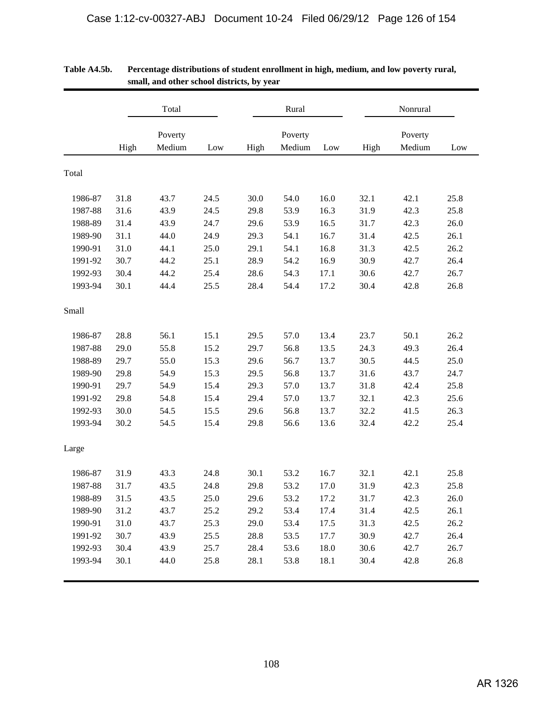|         |      | Total   |      |      | Rural   |      |      | Nonrural |      |  |  |
|---------|------|---------|------|------|---------|------|------|----------|------|--|--|
|         |      | Poverty |      |      | Poverty |      |      | Poverty  |      |  |  |
|         | High | Medium  | Low  | High | Medium  | Low  | High | Medium   | Low  |  |  |
| Total   |      |         |      |      |         |      |      |          |      |  |  |
| 1986-87 | 31.8 | 43.7    | 24.5 | 30.0 | 54.0    | 16.0 | 32.1 | 42.1     | 25.8 |  |  |
| 1987-88 | 31.6 | 43.9    | 24.5 | 29.8 | 53.9    | 16.3 | 31.9 | 42.3     | 25.8 |  |  |
| 1988-89 | 31.4 | 43.9    | 24.7 | 29.6 | 53.9    | 16.5 | 31.7 | 42.3     | 26.0 |  |  |
| 1989-90 | 31.1 | 44.0    | 24.9 | 29.3 | 54.1    | 16.7 | 31.4 | 42.5     | 26.1 |  |  |
| 1990-91 | 31.0 | 44.1    | 25.0 | 29.1 | 54.1    | 16.8 | 31.3 | 42.5     | 26.2 |  |  |
| 1991-92 | 30.7 | 44.2    | 25.1 | 28.9 | 54.2    | 16.9 | 30.9 | 42.7     | 26.4 |  |  |
| 1992-93 | 30.4 | 44.2    | 25.4 | 28.6 | 54.3    | 17.1 | 30.6 | 42.7     | 26.7 |  |  |
| 1993-94 | 30.1 | 44.4    | 25.5 | 28.4 | 54.4    | 17.2 | 30.4 | 42.8     | 26.8 |  |  |
| Small   |      |         |      |      |         |      |      |          |      |  |  |
| 1986-87 | 28.8 | 56.1    | 15.1 | 29.5 | 57.0    | 13.4 | 23.7 | 50.1     | 26.2 |  |  |
| 1987-88 | 29.0 | 55.8    | 15.2 | 29.7 | 56.8    | 13.5 | 24.3 | 49.3     | 26.4 |  |  |
| 1988-89 | 29.7 | 55.0    | 15.3 | 29.6 | 56.7    | 13.7 | 30.5 | 44.5     | 25.0 |  |  |
| 1989-90 | 29.8 | 54.9    | 15.3 | 29.5 | 56.8    | 13.7 | 31.6 | 43.7     | 24.7 |  |  |
| 1990-91 | 29.7 | 54.9    | 15.4 | 29.3 | 57.0    | 13.7 | 31.8 | 42.4     | 25.8 |  |  |
| 1991-92 | 29.8 | 54.8    | 15.4 | 29.4 | 57.0    | 13.7 | 32.1 | 42.3     | 25.6 |  |  |
| 1992-93 | 30.0 | 54.5    | 15.5 | 29.6 | 56.8    | 13.7 | 32.2 | 41.5     | 26.3 |  |  |
| 1993-94 | 30.2 | 54.5    | 15.4 | 29.8 | 56.6    | 13.6 | 32.4 | 42.2     | 25.4 |  |  |
| Large   |      |         |      |      |         |      |      |          |      |  |  |
| 1986-87 | 31.9 | 43.3    | 24.8 | 30.1 | 53.2    | 16.7 | 32.1 | 42.1     | 25.8 |  |  |
| 1987-88 | 31.7 | 43.5    | 24.8 | 29.8 | 53.2    | 17.0 | 31.9 | 42.3     | 25.8 |  |  |
| 1988-89 | 31.5 | 43.5    | 25.0 | 29.6 | 53.2    | 17.2 | 31.7 | 42.3     | 26.0 |  |  |
| 1989-90 | 31.2 | 43.7    | 25.2 | 29.2 | 53.4    | 17.4 | 31.4 | 42.5     | 26.1 |  |  |
| 1990-91 | 31.0 | 43.7    | 25.3 | 29.0 | 53.4    | 17.5 | 31.3 | 42.5     | 26.2 |  |  |
| 1991-92 | 30.7 | 43.9    | 25.5 | 28.8 | 53.5    | 17.7 | 30.9 | 42.7     | 26.4 |  |  |
| 1992-93 | 30.4 | 43.9    | 25.7 | 28.4 | 53.6    | 18.0 | 30.6 | 42.7     | 26.7 |  |  |
| 1993-94 | 30.1 | 44.0    | 25.8 | 28.1 | 53.8    | 18.1 | 30.4 | 42.8     | 26.8 |  |  |

## **Table A4.5b. Percentage distributions of student enrollment in high, medium, and low poverty rural, small, and other school districts, by year**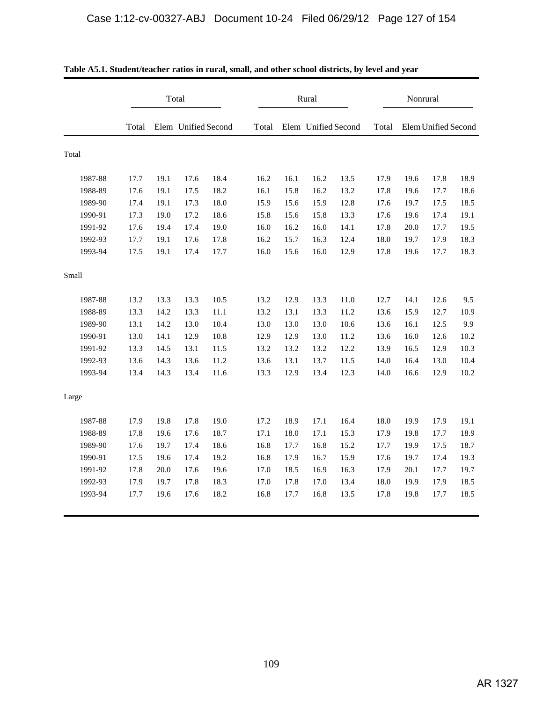|         |       | Total |                     |      |       |      | Rural               |      | Nonrural |      |                     |      |
|---------|-------|-------|---------------------|------|-------|------|---------------------|------|----------|------|---------------------|------|
|         | Total |       | Elem Unified Second |      | Total |      | Elem Unified Second |      | Total    |      | Elem Unified Second |      |
| Total   |       |       |                     |      |       |      |                     |      |          |      |                     |      |
| 1987-88 | 17.7  | 19.1  | 17.6                | 18.4 | 16.2  | 16.1 | 16.2                | 13.5 | 17.9     | 19.6 | 17.8                | 18.9 |
| 1988-89 | 17.6  | 19.1  | 17.5                | 18.2 | 16.1  | 15.8 | 16.2                | 13.2 | 17.8     | 19.6 | 17.7                | 18.6 |
| 1989-90 | 17.4  | 19.1  | 17.3                | 18.0 | 15.9  | 15.6 | 15.9                | 12.8 | 17.6     | 19.7 | 17.5                | 18.5 |
| 1990-91 | 17.3  | 19.0  | 17.2                | 18.6 | 15.8  | 15.6 | 15.8                | 13.3 | 17.6     | 19.6 | 17.4                | 19.1 |
| 1991-92 | 17.6  | 19.4  | 17.4                | 19.0 | 16.0  | 16.2 | 16.0                | 14.1 | 17.8     | 20.0 | 17.7                | 19.5 |
| 1992-93 | 17.7  | 19.1  | 17.6                | 17.8 | 16.2  | 15.7 | 16.3                | 12.4 | 18.0     | 19.7 | 17.9                | 18.3 |
| 1993-94 | 17.5  | 19.1  | 17.4                | 17.7 | 16.0  | 15.6 | 16.0                | 12.9 | 17.8     | 19.6 | 17.7                | 18.3 |
| Small   |       |       |                     |      |       |      |                     |      |          |      |                     |      |
| 1987-88 | 13.2  | 13.3  | 13.3                | 10.5 | 13.2  | 12.9 | 13.3                | 11.0 | 12.7     | 14.1 | 12.6                | 9.5  |
| 1988-89 | 13.3  | 14.2  | 13.3                | 11.1 | 13.2  | 13.1 | 13.3                | 11.2 | 13.6     | 15.9 | 12.7                | 10.9 |
| 1989-90 | 13.1  | 14.2  | 13.0                | 10.4 | 13.0  | 13.0 | 13.0                | 10.6 | 13.6     | 16.1 | 12.5                | 9.9  |
| 1990-91 | 13.0  | 14.1  | 12.9                | 10.8 | 12.9  | 12.9 | 13.0                | 11.2 | 13.6     | 16.0 | 12.6                | 10.2 |
| 1991-92 | 13.3  | 14.5  | 13.1                | 11.5 | 13.2  | 13.2 | 13.2                | 12.2 | 13.9     | 16.5 | 12.9                | 10.3 |
| 1992-93 | 13.6  | 14.3  | 13.6                | 11.2 | 13.6  | 13.1 | 13.7                | 11.5 | 14.0     | 16.4 | 13.0                | 10.4 |
| 1993-94 | 13.4  | 14.3  | 13.4                | 11.6 | 13.3  | 12.9 | 13.4                | 12.3 | 14.0     | 16.6 | 12.9                | 10.2 |
| Large   |       |       |                     |      |       |      |                     |      |          |      |                     |      |
| 1987-88 | 17.9  | 19.8  | 17.8                | 19.0 | 17.2  | 18.9 | 17.1                | 16.4 | 18.0     | 19.9 | 17.9                | 19.1 |
| 1988-89 | 17.8  | 19.6  | 17.6                | 18.7 | 17.1  | 18.0 | 17.1                | 15.3 | 17.9     | 19.8 | 17.7                | 18.9 |
| 1989-90 | 17.6  | 19.7  | 17.4                | 18.6 | 16.8  | 17.7 | 16.8                | 15.2 | 17.7     | 19.9 | 17.5                | 18.7 |
| 1990-91 | 17.5  | 19.6  | 17.4                | 19.2 | 16.8  | 17.9 | 16.7                | 15.9 | 17.6     | 19.7 | 17.4                | 19.3 |
| 1991-92 | 17.8  | 20.0  | 17.6                | 19.6 | 17.0  | 18.5 | 16.9                | 16.3 | 17.9     | 20.1 | 17.7                | 19.7 |
| 1992-93 | 17.9  | 19.7  | 17.8                | 18.3 | 17.0  | 17.8 | 17.0                | 13.4 | 18.0     | 19.9 | 17.9                | 18.5 |
| 1993-94 | 17.7  | 19.6  | 17.6                | 18.2 | 16.8  | 17.7 | 16.8                | 13.5 | 17.8     | 19.8 | 17.7                | 18.5 |

| Table A5.1. Student/teacher ratios in rural, small, and other school districts, by level and year |
|---------------------------------------------------------------------------------------------------|
|---------------------------------------------------------------------------------------------------|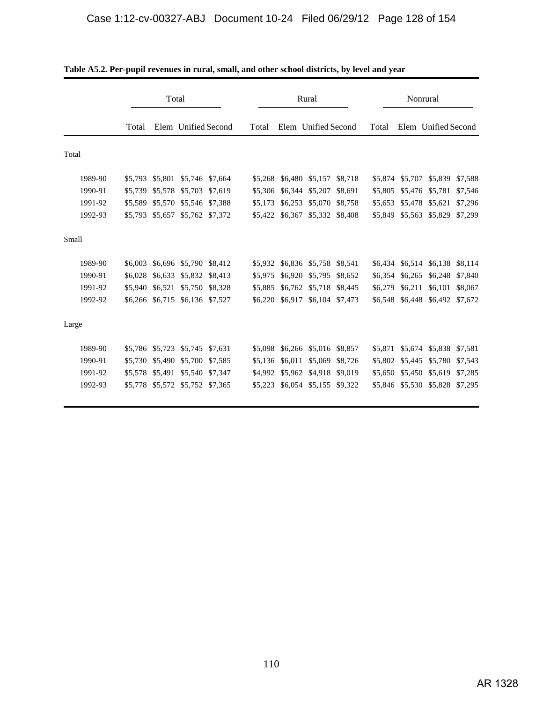|         |         | Total           |                         |         |         |         | Rural                   |                 | Nonrural |         |                         |         |
|---------|---------|-----------------|-------------------------|---------|---------|---------|-------------------------|-----------------|----------|---------|-------------------------|---------|
|         | Total   |                 | Elem Unified Second     |         | Total   |         | Elem Unified Second     |                 | Total    |         | Elem Unified Second     |         |
| Total   |         |                 |                         |         |         |         |                         |                 |          |         |                         |         |
| 1989-90 | \$5,793 | \$5,801         | \$5,746 \$7,664         |         | \$5,268 |         | \$6,480 \$5,157         | \$8,718         | \$5,874  |         | \$5,707 \$5,839         | \$7,588 |
| 1990-91 | \$5,739 | \$5,578         | \$5,703                 | \$7,619 | \$5,306 | \$6,344 | \$5,207                 | \$8,691         | \$5,805  |         | \$5,476 \$5,781         | \$7,546 |
| 1991-92 | \$5,589 | \$5,570         | \$5,546 \$7,388         |         | \$5,173 | \$6,253 | \$5,070                 | \$8,758         | \$5,653  |         | \$5,478 \$5,621         | \$7,296 |
| 1992-93 | \$5,793 | \$5,657         | \$5,762 \$7,372         |         | \$5,422 | \$6,367 | \$5,332                 | \$8,408         | \$5,849  |         | \$5,563 \$5,829         | \$7,299 |
| Small   |         |                 |                         |         |         |         |                         |                 |          |         |                         |         |
| 1989-90 | \$6,003 |                 | \$6,696 \$5,790 \$8,412 |         | \$5,932 |         | \$6,836 \$5,758 \$8,541 |                 | \$6,434  |         | \$6,514 \$6,138 \$8,114 |         |
| 1990-91 | \$6,028 | \$6,633         | \$5,832                 | \$8,413 | \$5,975 | \$6,920 | \$5,795                 | \$8,652         | \$6.354  |         | \$6,265 \$6,248         | \$7,840 |
| 1991-92 | \$5,940 | \$6,521         | \$5,750                 | \$8,328 | \$5,885 |         | \$6,762 \$5,718         | \$8,445         | \$6,279  | \$6,211 | \$6,101                 | \$8,067 |
| 1992-92 | \$6,266 |                 | \$6,715 \$6,136 \$7,527 |         | \$6,220 | \$6,917 |                         | \$6,104 \$7,473 | \$6.548  |         | \$6,448 \$6,492 \$7,672 |         |
| Large   |         |                 |                         |         |         |         |                         |                 |          |         |                         |         |
| 1989-90 | \$5,786 | \$5,723         | \$5,745                 | \$7,631 | \$5,098 |         | \$6,266 \$5,016 \$8,857 |                 | \$5,871  |         | \$5,674 \$5,838         | \$7,581 |
| 1990-91 | \$5,730 | \$5,490         | \$5,700                 | \$7,585 | \$5,136 | \$6,011 | \$5,069                 | \$8,726         | \$5,802  | \$5,445 | \$5,780                 | \$7,543 |
| 1991-92 |         | \$5,578 \$5,491 | \$5,540 \$7,347         |         | \$4,992 |         | \$5,962 \$4,918 \$9,019 |                 |          |         | \$5,650 \$5,450 \$5,619 | \$7,285 |
| 1992-93 | \$5,778 |                 | \$5,572 \$5,752 \$7,365 |         | \$5,223 |         | \$6,054 \$5,155         | \$9,322         | \$5,846  |         | \$5,530 \$5,828         | \$7,295 |

| Table A5.2. Per-pupil revenues in rural, small, and other school districts, by level and year |  |
|-----------------------------------------------------------------------------------------------|--|
|-----------------------------------------------------------------------------------------------|--|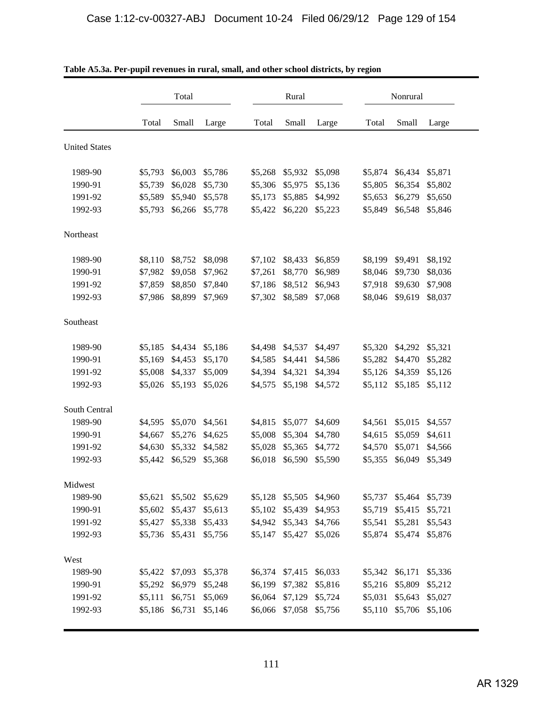|                      |         | Total   |         |         | Rural   |         |         | Nonrural |         |
|----------------------|---------|---------|---------|---------|---------|---------|---------|----------|---------|
|                      | Total   | Small   | Large   | Total   | Small   | Large   | Total   | Small    | Large   |
| <b>United States</b> |         |         |         |         |         |         |         |          |         |
| 1989-90              | \$5,793 | \$6,003 | \$5,786 | \$5,268 | \$5,932 | \$5,098 | \$5,874 | \$6,434  | \$5,871 |
| 1990-91              | \$5,739 | \$6,028 | \$5,730 | \$5,306 | \$5,975 | \$5,136 | \$5,805 | \$6,354  | \$5,802 |
| 1991-92              | \$5,589 | \$5,940 | \$5,578 | \$5,173 | \$5,885 | \$4,992 | \$5,653 | \$6,279  | \$5,650 |
| 1992-93              | \$5,793 | \$6,266 | \$5,778 | \$5,422 | \$6,220 | \$5,223 | \$5,849 | \$6,548  | \$5,846 |
| Northeast            |         |         |         |         |         |         |         |          |         |
| 1989-90              | \$8,110 | \$8,752 | \$8,098 | \$7,102 | \$8,433 | \$6,859 | \$8,199 | \$9,491  | \$8,192 |
| 1990-91              | \$7,982 | \$9,058 | \$7,962 | \$7,261 | \$8,770 | \$6,989 | \$8,046 | \$9,730  | \$8,036 |
| 1991-92              | \$7,859 | \$8,850 | \$7,840 | \$7,186 | \$8,512 | \$6,943 | \$7,918 | \$9,630  | \$7,908 |
| 1992-93              | \$7,986 | \$8,899 | \$7,969 | \$7,302 | \$8,589 | \$7,068 | \$8,046 | \$9,619  | \$8,037 |
| Southeast            |         |         |         |         |         |         |         |          |         |
| 1989-90              | \$5,185 | \$4,434 | \$5,186 | \$4,498 | \$4,537 | \$4,497 | \$5,320 | \$4,292  | \$5,321 |
| 1990-91              | \$5,169 | \$4,453 | \$5,170 | \$4,585 | \$4,441 | \$4,586 | \$5,282 | \$4,470  | \$5,282 |
| 1991-92              | \$5,008 | \$4,337 | \$5,009 | \$4,394 | \$4,321 | \$4,394 | \$5,126 | \$4,359  | \$5,126 |
| 1992-93              | \$5,026 | \$5,193 | \$5,026 | \$4,575 | \$5,198 | \$4,572 | \$5,112 | \$5,185  | \$5,112 |
| South Central        |         |         |         |         |         |         |         |          |         |
| 1989-90              | \$4,595 | \$5,070 | \$4,561 | \$4,815 | \$5,077 | \$4,609 | \$4,561 | \$5,015  | \$4,557 |
| 1990-91              | \$4,667 | \$5,276 | \$4,625 | \$5,008 | \$5,304 | \$4,780 | \$4,615 | \$5,059  | \$4,611 |
| 1991-92              | \$4,630 | \$5,332 | \$4,582 | \$5,028 | \$5,365 | \$4,772 | \$4,570 | \$5,071  | \$4,566 |
| 1992-93              | \$5,442 | \$6,529 | \$5,368 | \$6,018 | \$6,590 | \$5,590 | \$5,355 | \$6,049  | \$5,349 |
| Midwest              |         |         |         |         |         |         |         |          |         |
| 1989-90              | \$5,621 | \$5,502 | \$5,629 | \$5,128 | \$5,505 | \$4,960 | \$5,737 | \$5,464  | \$5,739 |
| 1990-91              | \$5,602 | \$5,437 | \$5,613 | \$5,102 | \$5,439 | \$4,953 | \$5,719 | \$5,415  | \$5,721 |
| 1991-92              | \$5,427 | \$5,338 | \$5,433 | \$4,942 | \$5,343 | \$4,766 | \$5,541 | \$5,281  | \$5,543 |
| 1992-93              | \$5,736 | \$5,431 | \$5,756 | \$5,147 | \$5,427 | \$5,026 | \$5,874 | \$5,474  | \$5,876 |
| West                 |         |         |         |         |         |         |         |          |         |
| 1989-90              | \$5,422 | \$7,093 | \$5,378 | \$6,374 | \$7,415 | \$6,033 | \$5,342 | \$6,171  | \$5,336 |
| 1990-91              | \$5,292 | \$6,979 | \$5,248 | \$6,199 | \$7,382 | \$5,816 | \$5,216 | \$5,809  | \$5,212 |
| 1991-92              | \$5,111 | \$6,751 | \$5,069 | \$6,064 | \$7,129 | \$5,724 | \$5,031 | \$5,643  | \$5,027 |
| 1992-93              | \$5,186 | \$6,731 | \$5,146 | \$6,066 | \$7,058 | \$5,756 | \$5,110 | \$5,706  | \$5,106 |

| Table A5.3a. Per-pupil revenues in rural, small, and other school districts, by region |  |  |  |  |
|----------------------------------------------------------------------------------------|--|--|--|--|
|----------------------------------------------------------------------------------------|--|--|--|--|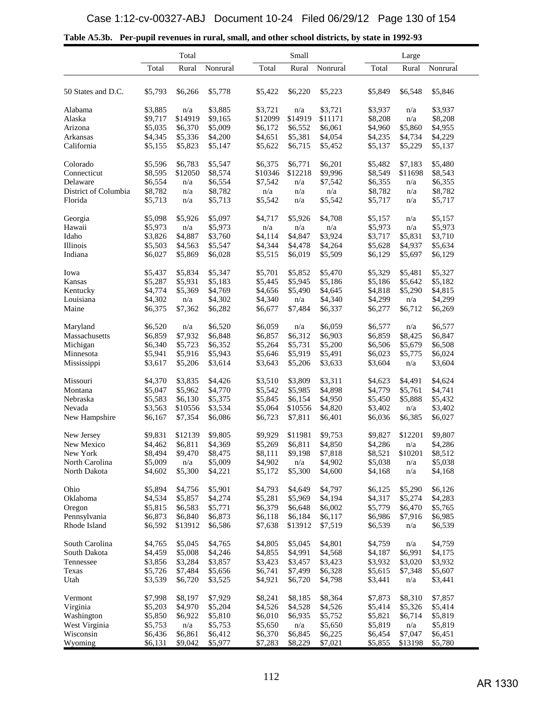|                      | Total   |         |          |         | Small   |          |         | Large   |          |
|----------------------|---------|---------|----------|---------|---------|----------|---------|---------|----------|
|                      | Total   | Rural   | Nonrural | Total   | Rural   | Nonrural | Total   | Rural   | Nonrural |
|                      |         |         |          |         |         |          |         |         |          |
| 50 States and D.C.   | \$5,793 | \$6,266 | \$5,778  | \$5,422 | \$6,220 | \$5,223  | \$5,849 | \$6,548 | \$5,846  |
| Alabama              | \$3,885 | n/a     | \$3,885  | \$3,721 | n/a     | \$3,721  | \$3,937 | n/a     | \$3,937  |
| Alaska               | \$9,717 | \$14919 | \$9,165  | \$12099 | \$14919 | \$11171  | \$8,208 | n/a     | \$8,208  |
| Arizona              | \$5,035 | \$6,370 | \$5,009  | \$6,172 | \$6,552 | \$6,061  | \$4,960 | \$5,860 | \$4,955  |
| Arkansas             | \$4,345 | \$5,336 | \$4,200  | \$4,651 | \$5,381 | \$4,054  | \$4,235 | \$4,734 | \$4,229  |
| California           | \$5,155 | \$5,823 | \$5,147  | \$5,622 | \$6,715 | \$5,452  | \$5,137 | \$5,229 | \$5,137  |
| Colorado             | \$5,596 | \$6,783 | \$5,547  | \$6,375 | \$6,771 | \$6,201  | \$5,482 | \$7,183 | \$5,480  |
| Connecticut          | \$8,595 | \$12050 | \$8,574  | \$10346 | \$12218 | \$9,996  | \$8,549 | \$11698 | \$8,543  |
| Delaware             | \$6,554 | n/a     | \$6,554  | \$7,542 | n/a     | \$7,542  | \$6,355 | n/a     | \$6,355  |
| District of Columbia | \$8,782 | n/a     | \$8,782  | n/a     | n/a     | n/a      | \$8,782 | n/a     | \$8,782  |
| Florida              | \$5,713 | n/a     | \$5,713  | \$5,542 | n/a     | \$5,542  | \$5,717 | n/a     | \$5,717  |
| Georgia              | \$5,098 | \$5,926 | \$5,097  | \$4,717 | \$5,926 | \$4,708  | \$5,157 | n/a     | \$5,157  |
| Hawaii               | \$5,973 | n/a     | \$5,973  | n/a     | n/a     | n/a      | \$5,973 | n/a     | \$5,973  |
| Idaho                | \$3,826 | \$4,887 | \$3,760  | \$4,114 | \$4,847 | \$3,924  | \$3,717 | \$5,831 | \$3,710  |
| Illinois             | \$5,503 | \$4,563 | \$5,547  | \$4,344 | \$4,478 | \$4,264  | \$5,628 | \$4,937 | \$5,634  |
| Indiana              | \$6,027 | \$5,869 | \$6,028  | \$5,515 | \$6,019 | \$5,509  | \$6,129 | \$5,697 | \$6,129  |
| Iowa                 | \$5,437 | \$5,834 | \$5,347  | \$5,701 | \$5,852 | \$5,470  | \$5,329 | \$5,481 | \$5,327  |
| Kansas               | \$5,287 | \$5,931 | \$5,183  | \$5,445 | \$5,945 | \$5,186  | \$5,186 | \$5,642 | \$5,182  |
| Kentucky             | \$4,774 | \$5,369 | \$4,769  | \$4,656 | \$5,490 | \$4,645  | \$4,818 | \$5,290 | \$4,815  |
| Louisiana            | \$4,302 | n/a     | \$4,302  | \$4,340 | n/a     | \$4,340  | \$4,299 | n/a     | \$4,299  |
| Maine                | \$6,375 | \$7,362 | \$6,282  | \$6,677 | \$7,484 | \$6,337  | \$6,277 | \$6,712 | \$6,269  |
| Maryland             | \$6,520 | n/a     | \$6,520  | \$6,059 | n/a     | \$6,059  | \$6,577 | n/a     | \$6,577  |
| Massachusetts        | \$6,859 | \$7,932 | \$6,848  | \$6,857 | \$6,312 | \$6,903  | \$6,859 | \$8,425 | \$6,847  |
| Michigan             | \$6,340 | \$5,723 | \$6,352  | \$5,264 | \$5,731 | \$5,200  | \$6,506 | \$5,679 | \$6,508  |
| Minnesota            | \$5,941 | \$5,916 | \$5,943  | \$5,646 | \$5,919 | \$5,491  | \$6,023 | \$5,775 | \$6,024  |
| Mississippi          | \$3,617 | \$5,206 | \$3,614  | \$3,643 | \$5,206 | \$3,633  | \$3,604 | n/a     | \$3,604  |
| Missouri             | \$4,370 | \$3,835 | \$4,426  | \$3,510 | \$3,809 | \$3,311  | \$4,623 | \$4,491 | \$4,624  |
| Montana              | \$5,047 | \$5,962 | \$4,770  | \$5,542 | \$5,985 | \$4,898  | \$4,779 | \$5,761 | \$4,741  |
| Nebraska             | \$5,583 | \$6,130 | \$5,375  | \$5,845 | \$6,154 | \$4,950  | \$5,450 | \$5,888 | \$5,432  |
| Nevada               | \$3,563 | \$10556 | \$3,534  | \$5,064 | \$10556 | \$4,820  | \$3,402 | n/a     | \$3,402  |
| New Hampshire        | \$6,167 | \$7,354 | \$6,086  | \$6,723 | \$7,811 | \$6,401  | \$6,036 | \$6,385 | \$6,027  |
| New Jersey           | \$9,831 | \$12139 | \$9,805  | \$9,929 | \$11981 | \$9,753  | \$9,827 | \$12201 | \$9,807  |
| New Mexico           | \$4,462 | \$6,811 | \$4,369  | \$5,269 | \$6,811 | \$4,850  | \$4,286 | n/a     | \$4,286  |
| New York             | \$8,494 | \$9,470 | \$8,475  | \$8,111 | \$9,198 | \$7,818  | \$8,521 | \$10201 | \$8,512  |
| North Carolina       | \$5,009 | n/a     | \$5,009  | \$4,902 | n/a     | \$4,902  | \$5,038 | n/a     | \$5,038  |
| North Dakota         | \$4,602 | \$5,300 | \$4,221  | \$5,172 | \$5,300 | \$4,600  | \$4,168 | n/a     | \$4,168  |
| Ohio                 | \$5,894 | \$4,756 | \$5,901  | \$4,793 | \$4,649 | \$4,797  | \$6,125 | \$5,290 | \$6,126  |
| Oklahoma             | \$4,534 | \$5,857 | \$4,274  | \$5,281 | \$5,969 | \$4,194  | \$4,317 | \$5,274 | \$4,283  |
| Oregon               | \$5,815 | \$6,583 | \$5,771  | \$6,379 | \$6,648 | \$6,002  | \$5,779 | \$6,470 | \$5,765  |
| Pennsylvania         | \$6,873 | \$6,840 | \$6,873  | \$6,118 | \$6,184 | \$6,117  | \$6,986 | \$7,916 | \$6,985  |
| Rhode Island         | \$6,592 | \$13912 | \$6,586  | \$7,638 | \$13912 | \$7,519  | \$6,539 | n/a     | \$6,539  |
| South Carolina       | \$4,765 | \$5,045 | \$4,765  | \$4,805 | \$5,045 | \$4,801  | \$4,759 | n/a     | \$4,759  |
| South Dakota         | \$4,459 | \$5,008 | \$4,246  | \$4,855 | \$4,991 | \$4,568  | \$4,187 | \$6,991 | \$4,175  |
| Tennessee            | \$3,856 | \$3,284 | \$3,857  | \$3,423 | \$3,457 | \$3,423  | \$3,932 | \$3,020 | \$3,932  |
| Texas                | \$5,726 | \$7,484 | \$5,656  | \$6,741 | \$7,499 | \$6,328  | \$5,615 | \$7,348 | \$5,607  |
| Utah                 | \$3,539 | \$6,720 | \$3,525  | \$4,921 | \$6,720 | \$4,798  | \$3,441 | n/a     | \$3,441  |
| Vermont              | \$7,998 | \$8,197 | \$7,929  | \$8,241 | \$8,185 | \$8,364  | \$7,873 | \$8,310 | \$7,857  |
| Virginia             | \$5,203 | \$4,970 | \$5,204  | \$4,526 | \$4,528 | \$4,526  | \$5,414 | \$5,326 | \$5,414  |
| Washington           | \$5,850 | \$6,922 | \$5,810  | \$6,010 | \$6,935 | \$5,752  | \$5,821 | \$6,714 | \$5,819  |
| West Virginia        | \$5,753 | n/a     | \$5,753  | \$5,650 | n/a     | \$5,650  | \$5,819 | n/a     | \$5,819  |
| Wisconsin            | \$6,436 | \$6,861 | \$6,412  | \$6,370 | \$6,845 | \$6,225  | \$6,454 | \$7,047 | \$6,451  |
| Wyoming              | \$6,131 | \$9,042 | \$5,977  | \$7,283 | \$8,229 | \$7,021  | \$5,855 | \$13198 | \$5,780  |

|  |  |  | Table A5.3b. Per-pupil revenues in rural, small, and other school districts, by state in 1992-93 |
|--|--|--|--------------------------------------------------------------------------------------------------|
|  |  |  |                                                                                                  |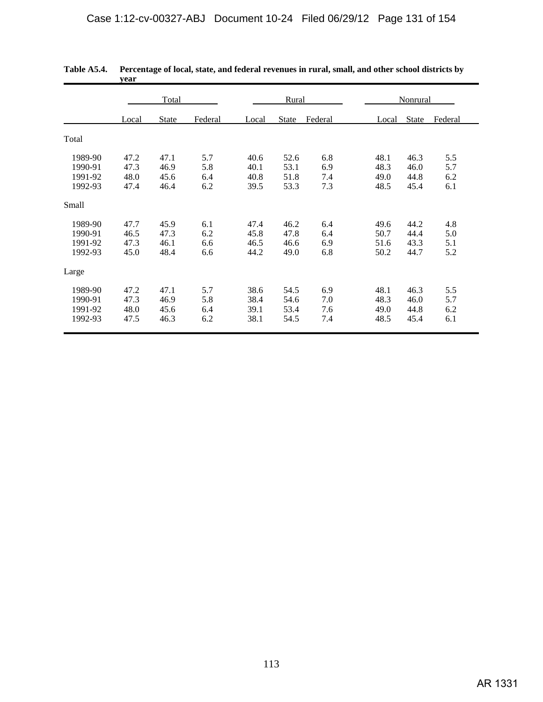|         | Total |              |         |       | Rural        |         | <b>Nonrural</b> |       |         |  |
|---------|-------|--------------|---------|-------|--------------|---------|-----------------|-------|---------|--|
|         | Local | <b>State</b> | Federal | Local | <b>State</b> | Federal | Local           | State | Federal |  |
| Total   |       |              |         |       |              |         |                 |       |         |  |
| 1989-90 | 47.2  | 47.1         | 5.7     | 40.6  | 52.6         | 6.8     | 48.1            | 46.3  | 5.5     |  |
| 1990-91 | 47.3  | 46.9         | 5.8     | 40.1  | 53.1         | 6.9     | 48.3            | 46.0  | 5.7     |  |
| 1991-92 | 48.0  | 45.6         | 6.4     | 40.8  | 51.8         | 7.4     | 49.0            | 44.8  | 6.2     |  |
| 1992-93 | 47.4  | 46.4         | 6.2     | 39.5  | 53.3         | 7.3     | 48.5            | 45.4  | 6.1     |  |
| Small   |       |              |         |       |              |         |                 |       |         |  |
| 1989-90 | 47.7  | 45.9         | 6.1     | 47.4  | 46.2         | 6.4     | 49.6            | 44.2  | 4.8     |  |
| 1990-91 | 46.5  | 47.3         | 6.2     | 45.8  | 47.8         | 6.4     | 50.7            | 44.4  | 5.0     |  |
| 1991-92 | 47.3  | 46.1         | 6.6     | 46.5  | 46.6         | 6.9     | 51.6            | 43.3  | 5.1     |  |
| 1992-93 | 45.0  | 48.4         | 6.6     | 44.2  | 49.0         | 6.8     | 50.2            | 44.7  | 5.2     |  |
| Large   |       |              |         |       |              |         |                 |       |         |  |
| 1989-90 | 47.2  | 47.1         | 5.7     | 38.6  | 54.5         | 6.9     | 48.1            | 46.3  | 5.5     |  |
| 1990-91 | 47.3  | 46.9         | 5.8     | 38.4  | 54.6         | 7.0     | 48.3            | 46.0  | 5.7     |  |
| 1991-92 | 48.0  | 45.6         | 6.4     | 39.1  | 53.4         | 7.6     | 49.0            | 44.8  | 6.2     |  |
| 1992-93 | 47.5  | 46.3         | 6.2     | 38.1  | 54.5         | 7.4     | 48.5            | 45.4  | 6.1     |  |

| Table A5.4. Percentage of local, state, and federal revenues in rural, small, and other school districts by |
|-------------------------------------------------------------------------------------------------------------|
| vear                                                                                                        |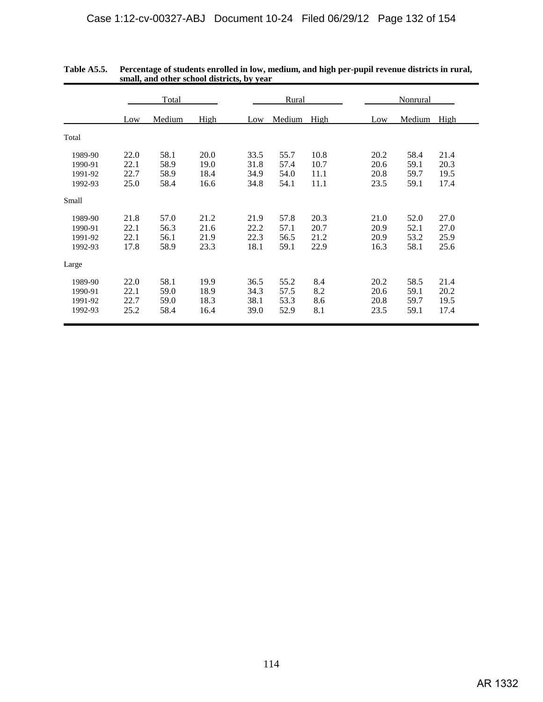|                                          | Total                        |                              |                              |                              | Rural                        |                              |  |                              | Nonrural                     |                              |  |  |
|------------------------------------------|------------------------------|------------------------------|------------------------------|------------------------------|------------------------------|------------------------------|--|------------------------------|------------------------------|------------------------------|--|--|
|                                          | Low                          | Medium                       | High                         | Low                          | Medium                       | High                         |  | Low                          | Medium                       | High                         |  |  |
| Total                                    |                              |                              |                              |                              |                              |                              |  |                              |                              |                              |  |  |
| 1989-90<br>1990-91<br>1991-92<br>1992-93 | 22.0<br>22.1<br>22.7<br>25.0 | 58.1<br>58.9<br>58.9<br>58.4 | 20.0<br>19.0<br>18.4<br>16.6 | 33.5<br>31.8<br>34.9<br>34.8 | 55.7<br>57.4<br>54.0<br>54.1 | 10.8<br>10.7<br>11.1<br>11.1 |  | 20.2<br>20.6<br>20.8<br>23.5 | 58.4<br>59.1<br>59.7<br>59.1 | 21.4<br>20.3<br>19.5<br>17.4 |  |  |
| Small                                    |                              |                              |                              |                              |                              |                              |  |                              |                              |                              |  |  |
| 1989-90<br>1990-91<br>1991-92<br>1992-93 | 21.8<br>22.1<br>22.1<br>17.8 | 57.0<br>56.3<br>56.1<br>58.9 | 21.2<br>21.6<br>21.9<br>23.3 | 21.9<br>22.2<br>22.3<br>18.1 | 57.8<br>57.1<br>56.5<br>59.1 | 20.3<br>20.7<br>21.2<br>22.9 |  | 21.0<br>20.9<br>20.9<br>16.3 | 52.0<br>52.1<br>53.2<br>58.1 | 27.0<br>27.0<br>25.9<br>25.6 |  |  |
| Large                                    |                              |                              |                              |                              |                              |                              |  |                              |                              |                              |  |  |
| 1989-90<br>1990-91<br>1991-92<br>1992-93 | 22.0<br>22.1<br>22.7<br>25.2 | 58.1<br>59.0<br>59.0<br>58.4 | 19.9<br>18.9<br>18.3<br>16.4 | 36.5<br>34.3<br>38.1<br>39.0 | 55.2<br>57.5<br>53.3<br>52.9 | 8.4<br>8.2<br>8.6<br>8.1     |  | 20.2<br>20.6<br>20.8<br>23.5 | 58.5<br>59.1<br>59.7<br>59.1 | 21.4<br>20.2<br>19.5<br>17.4 |  |  |

| <b>Table A5.5.</b> | Percentage of students enrolled in low, medium, and high per-pupil revenue districts in rural, |
|--------------------|------------------------------------------------------------------------------------------------|
|                    | small, and other school districts, by year                                                     |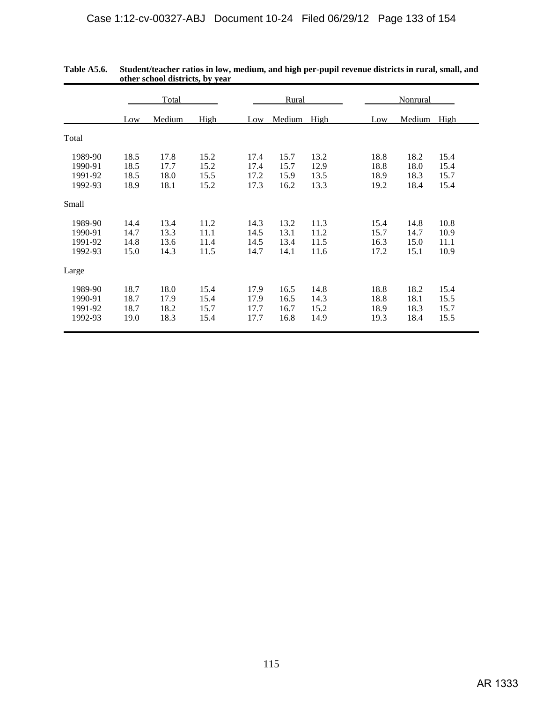|                                          | Total                        |                              |                              |                              | Rural                        |                              |                              | Nonrural                     |                              |  |  |
|------------------------------------------|------------------------------|------------------------------|------------------------------|------------------------------|------------------------------|------------------------------|------------------------------|------------------------------|------------------------------|--|--|
|                                          | Low                          | Medium                       | High                         | Low                          | Medium                       | High                         | Low                          | Medium                       | High                         |  |  |
| Total                                    |                              |                              |                              |                              |                              |                              |                              |                              |                              |  |  |
| 1989-90<br>1990-91<br>1991-92<br>1992-93 | 18.5<br>18.5<br>18.5<br>18.9 | 17.8<br>17.7<br>18.0<br>18.1 | 15.2<br>15.2<br>15.5<br>15.2 | 17.4<br>17.4<br>17.2<br>17.3 | 15.7<br>15.7<br>15.9<br>16.2 | 13.2<br>12.9<br>13.5<br>13.3 | 18.8<br>18.8<br>18.9<br>19.2 | 18.2<br>18.0<br>18.3<br>18.4 | 15.4<br>15.4<br>15.7<br>15.4 |  |  |
| Small                                    |                              |                              |                              |                              |                              |                              |                              |                              |                              |  |  |
| 1989-90<br>1990-91<br>1991-92<br>1992-93 | 14.4<br>14.7<br>14.8<br>15.0 | 13.4<br>13.3<br>13.6<br>14.3 | 11.2<br>11.1<br>11.4<br>11.5 | 14.3<br>14.5<br>14.5<br>14.7 | 13.2<br>13.1<br>13.4<br>14.1 | 11.3<br>11.2<br>11.5<br>11.6 | 15.4<br>15.7<br>16.3<br>17.2 | 14.8<br>14.7<br>15.0<br>15.1 | 10.8<br>10.9<br>11.1<br>10.9 |  |  |
| Large                                    |                              |                              |                              |                              |                              |                              |                              |                              |                              |  |  |
| 1989-90<br>1990-91<br>1991-92<br>1992-93 | 18.7<br>18.7<br>18.7<br>19.0 | 18.0<br>17.9<br>18.2<br>18.3 | 15.4<br>15.4<br>15.7<br>15.4 | 17.9<br>17.9<br>17.7<br>17.7 | 16.5<br>16.5<br>16.7<br>16.8 | 14.8<br>14.3<br>15.2<br>14.9 | 18.8<br>18.8<br>18.9<br>19.3 | 18.2<br>18.1<br>18.3<br>18.4 | 15.4<br>15.5<br>15.7<br>15.5 |  |  |

| Table A5.6. | Student/teacher ratios in low, medium, and high per-pupil revenue districts in rural, small, and |
|-------------|--------------------------------------------------------------------------------------------------|
|             | other school districts, by year                                                                  |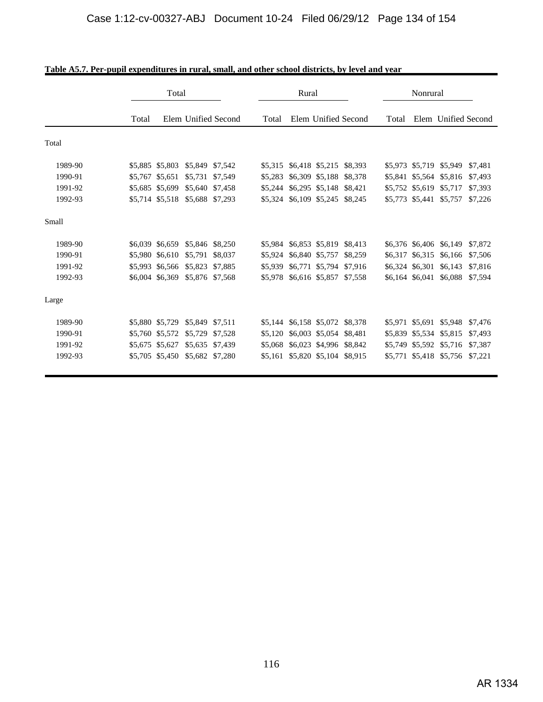|         | Total           |                                 |         |         | Rural |                                 |  |         | Nonrural                |                         |         |  |
|---------|-----------------|---------------------------------|---------|---------|-------|---------------------------------|--|---------|-------------------------|-------------------------|---------|--|
|         | Total           | Elem Unified Second             |         | Total   |       | Elem Unified Second             |  | Total   |                         | Elem Unified Second     |         |  |
| Total   |                 |                                 |         |         |       |                                 |  |         |                         |                         |         |  |
| 1989-90 | \$5,885 \$5,803 | \$5,849 \$7,542                 |         | \$5,315 |       | \$6,418 \$5,215 \$8,393         |  |         |                         | \$5,973 \$5,719 \$5,949 | \$7,481 |  |
| 1990-91 | \$5,767 \$5,651 | \$5,731 \$7,549                 |         | \$5,283 |       | \$6,309 \$5,188 \$8,378         |  |         |                         | \$5,841 \$5,564 \$5,816 | \$7,493 |  |
| 1991-92 | \$5,685 \$5,699 | \$5,640 \$7,458                 |         |         |       | \$5,244 \$6,295 \$5,148 \$8,421 |  |         | \$5,752 \$5,619 \$5,717 |                         | \$7,393 |  |
| 1992-93 |                 | \$5,714 \$5,518 \$5,688 \$7,293 |         |         |       | \$5,324 \$6,109 \$5,245 \$8,245 |  |         | \$5,773 \$5,441 \$5,757 |                         | \$7,226 |  |
| Small   |                 |                                 |         |         |       |                                 |  |         |                         |                         |         |  |
| 1989-90 |                 | \$6,039 \$6,659 \$5,846 \$8,250 |         |         |       | \$5,984 \$6,853 \$5,819 \$8,413 |  |         |                         | \$6,376 \$6,406 \$6,149 | \$7,872 |  |
| 1990-91 | \$5,980 \$6,610 | \$5,791 \$8,037                 |         |         |       | \$5,924 \$6,840 \$5,757 \$8,259 |  |         |                         | \$6,317 \$6,315 \$6,166 | \$7,506 |  |
| 1991-92 | \$5,993 \$6,566 | \$5,823 \$7,885                 |         | \$5,939 |       | \$6,771 \$5,794 \$7,916         |  |         |                         | \$6,324 \$6,301 \$6,143 | \$7,816 |  |
| 1992-93 |                 | \$6,004 \$6,369 \$5,876 \$7,568 |         |         |       | \$5,978 \$6,616 \$5,857 \$7,558 |  |         |                         | \$6,164 \$6,041 \$6,088 | \$7,594 |  |
| Large   |                 |                                 |         |         |       |                                 |  |         |                         |                         |         |  |
| 1989-90 | \$5,880 \$5,729 | \$5,849 \$7,511                 |         | \$5,144 |       | \$6,158 \$5,072 \$8,378         |  | \$5,971 |                         | \$5,691 \$5,948         | \$7,476 |  |
| 1990-91 | \$5,760 \$5,572 | \$5,729                         | \$7,528 | \$5,120 |       | \$6,003 \$5,054 \$8,481         |  | \$5,839 | \$5,534 \$5,815         |                         | \$7,493 |  |
| 1991-92 | \$5,675 \$5,627 | \$5,635 \$7,439                 |         |         |       | \$5,068 \$6,023 \$4,996 \$8,842 |  |         |                         | \$5,749 \$5,592 \$5,716 | \$7,387 |  |
| 1992-93 | \$5,705 \$5,450 | \$5,682 \$7,280                 |         | \$5,161 |       | \$5,820 \$5,104 \$8,915         |  |         |                         | \$5,771 \$5,418 \$5,756 | \$7,221 |  |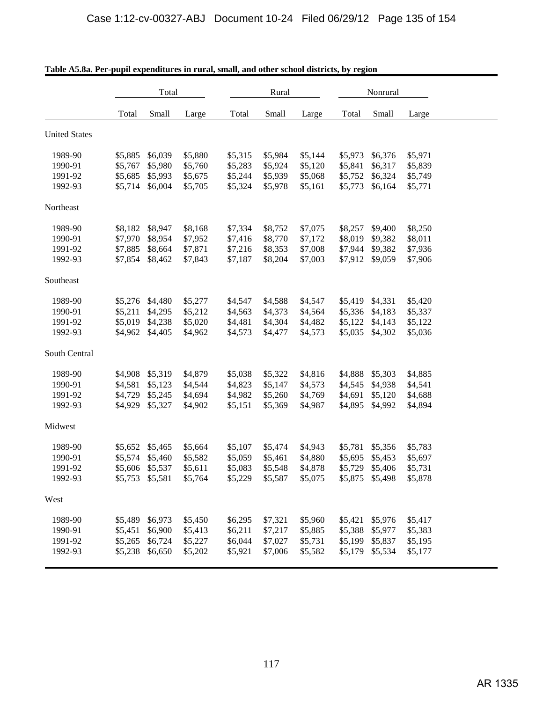|                      | Total   |         |         |         | Rural   |         |         | Nonrural        |         |
|----------------------|---------|---------|---------|---------|---------|---------|---------|-----------------|---------|
|                      | Total   | Small   | Large   | Total   | Small   | Large   | Total   | Small           | Large   |
| <b>United States</b> |         |         |         |         |         |         |         |                 |         |
| 1989-90              | \$5,885 | \$6,039 | \$5,880 | \$5,315 | \$5,984 | \$5,144 | \$5,973 | \$6,376         | \$5,971 |
| 1990-91              | \$5,767 | \$5,980 | \$5,760 | \$5,283 | \$5,924 | \$5,120 | \$5,841 | \$6,317         | \$5,839 |
| 1991-92              | \$5,685 | \$5,993 | \$5,675 | \$5,244 | \$5,939 | \$5,068 | \$5,752 | \$6,324         | \$5,749 |
| 1992-93              | \$5,714 | \$6,004 | \$5,705 | \$5,324 | \$5,978 | \$5,161 | \$5,773 | \$6,164         | \$5,771 |
| Northeast            |         |         |         |         |         |         |         |                 |         |
| 1989-90              | \$8,182 | \$8,947 | \$8,168 | \$7,334 | \$8,752 | \$7,075 | \$8,257 | \$9,400         | \$8,250 |
| 1990-91              | \$7,970 | \$8,954 | \$7,952 | \$7,416 | \$8,770 | \$7,172 | \$8,019 | \$9,382         | \$8,011 |
| 1991-92              | \$7,885 | \$8,664 | \$7,871 | \$7,216 | \$8,353 | \$7,008 | \$7,944 | \$9,382         | \$7,936 |
| 1992-93              | \$7,854 | \$8,462 | \$7,843 | \$7,187 | \$8,204 | \$7,003 | \$7,912 | \$9,059         | \$7,906 |
| Southeast            |         |         |         |         |         |         |         |                 |         |
| 1989-90              | \$5,276 | \$4,480 | \$5,277 | \$4,547 | \$4,588 | \$4,547 | \$5,419 | \$4,331         | \$5,420 |
| 1990-91              | \$5,211 | \$4,295 | \$5,212 | \$4,563 | \$4,373 | \$4,564 | \$5,336 | \$4,183         | \$5,337 |
| 1991-92              | \$5,019 | \$4,238 | \$5,020 | \$4,481 | \$4,304 | \$4,482 | \$5,122 | \$4,143         | \$5,122 |
| 1992-93              | \$4,962 | \$4,405 | \$4,962 | \$4,573 | \$4,477 | \$4,573 | \$5,035 | \$4,302         | \$5,036 |
| South Central        |         |         |         |         |         |         |         |                 |         |
| 1989-90              | \$4,908 | \$5,319 | \$4,879 | \$5,038 | \$5,322 | \$4,816 | \$4,888 | \$5,303         | \$4,885 |
| 1990-91              | \$4,581 | \$5,123 | \$4,544 | \$4,823 | \$5,147 | \$4,573 | \$4,545 | \$4,938         | \$4,541 |
| 1991-92              | \$4,729 | \$5,245 | \$4,694 | \$4,982 | \$5,260 | \$4,769 | \$4,691 | \$5,120         | \$4,688 |
| 1992-93              | \$4,929 | \$5,327 | \$4,902 | \$5,151 | \$5,369 | \$4,987 | \$4,895 | \$4,992         | \$4,894 |
| Midwest              |         |         |         |         |         |         |         |                 |         |
| 1989-90              | \$5,652 | \$5,465 | \$5,664 | \$5,107 | \$5,474 | \$4,943 | \$5,781 | \$5,356         | \$5,783 |
| 1990-91              | \$5,574 | \$5,460 | \$5,582 | \$5,059 | \$5,461 | \$4,880 | \$5,695 | \$5,453         | \$5,697 |
| 1991-92              | \$5,606 | \$5,537 | \$5,611 | \$5,083 | \$5,548 | \$4,878 | \$5,729 | \$5,406         | \$5,731 |
| 1992-93              | \$5,753 | \$5,581 | \$5,764 | \$5,229 | \$5,587 | \$5,075 |         | \$5,875 \$5,498 | \$5,878 |
| West                 |         |         |         |         |         |         |         |                 |         |
| 1989-90              | \$5,489 | \$6,973 | \$5,450 | \$6,295 | \$7,321 | \$5,960 | \$5,421 | \$5,976         | \$5,417 |
| 1990-91              | \$5,451 | \$6,900 | \$5,413 | \$6,211 | \$7,217 | \$5,885 | \$5,388 | \$5,977         | \$5,383 |
| 1991-92              | \$5,265 | \$6,724 | \$5,227 | \$6,044 | \$7,027 | \$5,731 | \$5,199 | \$5,837         | \$5,195 |
| 1992-93              | \$5,238 | \$6,650 | \$5,202 | \$5,921 | \$7,006 | \$5,582 | \$5,179 | \$5,534         | \$5,177 |

|  |  |  |  |  | Table A5.8a. Per-pupil expenditures in rural, small, and other school districts, by region |
|--|--|--|--|--|--------------------------------------------------------------------------------------------|
|--|--|--|--|--|--------------------------------------------------------------------------------------------|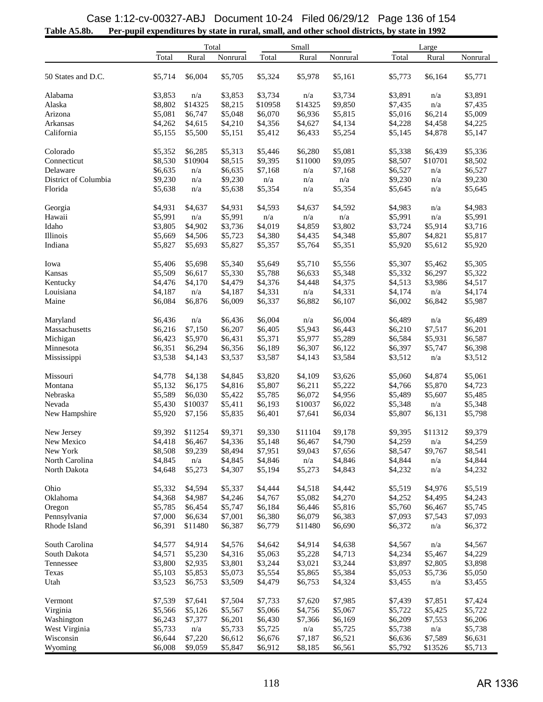## **Table A5.8b. Per-pupil expenditures by state in rural, small, and other school districts, by state in 1992** Case 1:12-cv-00327-ABJ Document 10-24 Filed 06/29/12 Page 136 of 154

| Total<br>Rural<br>Rural<br>Rural<br>Nonrural<br>Total<br>Nonrural<br>Total<br>Nonrural<br>\$5,714<br>\$6,004<br>\$5,705<br>\$5,324<br>\$5,978<br>\$5,161<br>\$5,773<br>\$6,164<br>\$5,771<br>50 States and D.C.<br>\$3,853<br>n/a<br>\$3,853<br>\$3,734<br>n/a<br>\$3,734<br>\$3,891<br>\$3,891<br>Alabama<br>n/a<br>\$8,802<br>Alaska<br>\$14325<br>\$8,215<br>\$10958<br>\$14325<br>\$9,850<br>\$7,435<br>n/a<br>\$7,435<br>\$5,081<br>\$6,747<br>\$5,048<br>\$6,070<br>\$6,936<br>\$5,815<br>\$5,016<br>\$5,009<br>Arizona<br>\$6,214<br>\$4,262<br>Arkansas<br>\$4,615<br>\$4,210<br>\$4,356<br>\$4,627<br>\$4,134<br>\$4,228<br>\$4,225<br>\$4,458<br>California<br>\$5,155<br>\$5,500<br>\$5,412<br>\$6,433<br>\$5,254<br>\$5,145<br>\$4,878<br>\$5,147<br>\$5,151<br>\$5,352<br>\$6,285<br>\$5,313<br>\$5,446<br>\$6,280<br>\$5,081<br>\$5,338<br>\$5,336<br>Colorado<br>\$6,439<br>Connecticut<br>\$8,530<br>\$10904<br>\$8,515<br>\$9,395<br>\$11000<br>\$9,095<br>\$8,507<br>\$10701<br>\$8,502<br>\$6,635<br>\$6,527<br>Delaware<br>\$6,635<br>\$7,168<br>$\mathrm{n}/\mathrm{a}$<br>\$7,168<br>\$6,527<br>n/a<br>n/a<br>\$9,230<br>\$9,230<br>\$9,230<br>District of Columbia<br>n/a<br>n/a<br>\$9,230<br>n/a<br>n/a<br>n/a<br>Florida<br>\$5,638<br>\$5,354<br>\$5,354<br>\$5,645<br>n/a<br>\$5,638<br>n/a<br>\$5,645<br>n/a<br>\$4,931<br>\$4,593<br>\$4,637<br>\$4,592<br>\$4,983<br>\$4,983<br>Georgia<br>\$4,637<br>\$4,931<br>n/a<br>\$5,991<br>\$5,991<br>\$5,991<br>\$5,991<br>Hawaii<br>n/a<br>n/a<br>n/a<br>n/a<br>n/a<br>Idaho<br>\$3,805<br>\$4,902<br>\$3,736<br>\$4,019<br>\$4,859<br>\$3,802<br>\$3,724<br>\$5,914<br>\$3,716<br>\$5,817<br>Illinois<br>\$5,669<br>\$4,506<br>\$5,723<br>\$4,380<br>\$4,435<br>\$4,348<br>\$5,807<br>\$4,821<br>Indiana<br>\$5,827<br>\$5,693<br>\$5,827<br>\$5,357<br>\$5,764<br>\$5,351<br>\$5,920<br>\$5,612<br>\$5,920<br>\$5,406<br>\$5,698<br>\$5,340<br>\$5,649<br>\$5,710<br>\$5,556<br>\$5,307<br>\$5,462<br>\$5,305<br>Iowa<br>Kansas<br>\$5,509<br>\$6,617<br>\$5,330<br>\$5,788<br>\$6,633<br>\$5,348<br>\$5,332<br>\$6,297<br>\$5,322<br>\$4,375<br>\$4,476<br>\$4,170<br>\$4,479<br>\$4,376<br>\$4,448<br>\$4,513<br>\$3,986<br>\$4,517<br>Kentucky<br>\$4,187<br>\$4,331<br>\$4,174<br>Louisiana<br>n/a<br>\$4,187<br>\$4,331<br>n/a<br>\$4,174<br>n/a<br>Maine<br>\$6,084<br>\$6,876<br>\$6,009<br>\$6,337<br>\$6,882<br>\$6,107<br>\$6,002<br>\$6,842<br>\$5,987<br>\$6,436<br>\$6,004<br>\$6,004<br>\$6,489<br>\$6,489<br>Maryland<br>n/a<br>\$6,436<br>n/a<br>n/a<br>\$6,216<br>Massachusetts<br>\$7,150<br>\$6,207<br>\$6,405<br>\$5,943<br>\$6,443<br>\$6,210<br>\$7,517<br>\$6,201<br>\$6,423<br>\$5,970<br>\$5,289<br>\$6,587<br>Michigan<br>\$6,431<br>\$5,371<br>\$5,977<br>\$6,584<br>\$5,931<br>Minnesota<br>\$6,351<br>\$6,294<br>\$6,356<br>\$6,189<br>\$6,307<br>\$6,122<br>\$6,397<br>\$5,747<br>\$6,398<br>\$3,538<br>\$3,587<br>\$4,143<br>\$3,584<br>$\mathrm{n}/\mathrm{a}$<br>Mississippi<br>\$4,143<br>\$3,537<br>\$3,512<br>\$3,512<br>Missouri<br>\$4,778<br>\$4,138<br>\$4,845<br>\$3,820<br>\$4,109<br>\$3,626<br>\$5,060<br>\$4,874<br>\$5,061<br>\$5,132<br>\$6,175<br>\$4,816<br>\$6,211<br>\$5,222<br>\$4,766<br>\$5,870<br>\$4,723<br>Montana<br>\$5,807<br>\$5,589<br>\$6,072<br>Nebraska<br>\$6,030<br>\$5,422<br>\$5,785<br>\$4,956<br>\$5,489<br>\$5,607<br>\$5,485<br>Nevada<br>\$5,430<br>\$10037<br>\$5,411<br>\$6,193<br>\$10037<br>\$6,022<br>\$5,348<br>n/a<br>\$5,348<br>New Hampshire<br>\$5,920<br>\$7,156<br>\$5,835<br>\$6,401<br>\$7,641<br>\$6,034<br>\$5,807<br>\$6,131<br>\$5,798<br>\$9.392<br>\$11254<br>\$9,371<br>\$9,330<br>\$11104<br>\$9,178<br>\$9,395<br>\$11312<br>\$9,379<br>New Jersey<br>New Mexico<br>\$4,418<br>\$6,467<br>\$4,336<br>\$5,148<br>\$6,467<br>\$4,790<br>\$4,259<br>n/a<br>\$4,259<br>\$8,508<br>\$8,547<br>\$8,541<br>New York<br>\$9,239<br>\$8,494<br>\$7,951<br>\$9,043<br>\$7,656<br>\$9,767<br>\$4,844<br>North Carolina<br>\$4,845<br>\$4,845<br>\$4,846<br>n/a<br>\$4,846<br>\$4,844<br>n/a<br>n/a<br>North Dakota<br>\$4,648<br>\$5,273<br>\$4,307<br>\$5,194<br>\$5,273<br>\$4,843<br>\$4,232<br>\$4,232<br>n/a<br>\$5,519<br>Ohio<br>\$5,332<br>\$4,594<br>\$5,337<br>\$4,444<br>\$4,518<br>\$4,442<br>\$4,976<br>\$5,519<br>Oklahoma<br>\$4,368<br>\$4,987<br>\$4,246<br>\$4,767<br>\$5,082<br>\$4,270<br>\$4,495<br>\$4,243<br>\$4,252<br>\$5,785<br>\$6,446<br>\$5,816<br>\$5,760<br>\$5,745<br>Oregon<br>\$6,454<br>\$5,747<br>\$6,184<br>\$6,467<br>\$6,079<br>Pennsylvania<br>\$7,000<br>\$6,634<br>\$7,001<br>\$6,380<br>\$6,383<br>\$7,093<br>\$7,543<br>\$7,093<br>Rhode Island<br>\$6,391<br>\$11480<br>\$6,387<br>\$6,779<br>\$11480<br>\$6,690<br>\$6,372<br>\$6,372<br>n/a<br>South Carolina<br>\$4,577<br>\$4,914<br>\$4,576<br>\$4,642<br>\$4,914<br>\$4,638<br>\$4,567<br>\$4,567<br>n/a<br>South Dakota<br>\$4,571<br>\$5,230<br>\$4,316<br>\$5,063<br>\$4,713<br>\$4,234<br>\$5,467<br>\$4,229<br>\$5,228<br>\$3,244<br>\$3,898<br>\$3,800<br>\$2,935<br>\$3,801<br>\$3,244<br>\$3,021<br>\$3,897<br>\$2,805<br>Tennessee<br>\$5,103<br>\$5,853<br>\$5,073<br>\$5,554<br>\$5,384<br>\$5,053<br>\$5,736<br>\$5,050<br>Texas<br>\$5,865<br>Utah<br>\$3,523<br>\$3,509<br>\$4,479<br>\$6,753<br>\$4,324<br>\$3,455<br>\$6,753<br>\$3,455<br>n/a<br>\$7,539<br>\$7,641<br>\$7,733<br>\$7,620<br>\$7,985<br>\$7,439<br>\$7,851<br>Vermont<br>\$7,504<br>\$7,424<br>Virginia<br>\$5,566<br>\$5,126<br>\$5,567<br>\$5,066<br>\$4,756<br>\$5,067<br>\$5,722<br>\$5,425<br>\$5,722<br>Washington<br>\$6,243<br>\$7,377<br>\$6,430<br>\$6,169<br>\$6,209<br>\$6,206<br>\$6,201<br>\$7,366<br>\$7,553<br>West Virginia<br>\$5,733<br>$\mathrm{n}/\mathrm{a}$<br>\$5,725<br>n/a<br>\$5,733<br>\$5,725<br>\$5,738<br>n/a<br>\$5,738<br>Wisconsin<br>\$6,644<br>\$7,220<br>\$6,612<br>\$6,676<br>\$7,187<br>\$6,521<br>\$6,636<br>\$7,589<br>\$6,631<br>\$9,059<br>\$5,713<br>Wyoming<br>\$6,008<br>\$5,847<br>\$6,912<br>\$8,185<br>\$6,561<br>\$5,792<br>\$13526 | Total |  |  | Small | Large |  |  |
|--------------------------------------------------------------------------------------------------------------------------------------------------------------------------------------------------------------------------------------------------------------------------------------------------------------------------------------------------------------------------------------------------------------------------------------------------------------------------------------------------------------------------------------------------------------------------------------------------------------------------------------------------------------------------------------------------------------------------------------------------------------------------------------------------------------------------------------------------------------------------------------------------------------------------------------------------------------------------------------------------------------------------------------------------------------------------------------------------------------------------------------------------------------------------------------------------------------------------------------------------------------------------------------------------------------------------------------------------------------------------------------------------------------------------------------------------------------------------------------------------------------------------------------------------------------------------------------------------------------------------------------------------------------------------------------------------------------------------------------------------------------------------------------------------------------------------------------------------------------------------------------------------------------------------------------------------------------------------------------------------------------------------------------------------------------------------------------------------------------------------------------------------------------------------------------------------------------------------------------------------------------------------------------------------------------------------------------------------------------------------------------------------------------------------------------------------------------------------------------------------------------------------------------------------------------------------------------------------------------------------------------------------------------------------------------------------------------------------------------------------------------------------------------------------------------------------------------------------------------------------------------------------------------------------------------------------------------------------------------------------------------------------------------------------------------------------------------------------------------------------------------------------------------------------------------------------------------------------------------------------------------------------------------------------------------------------------------------------------------------------------------------------------------------------------------------------------------------------------------------------------------------------------------------------------------------------------------------------------------------------------------------------------------------------------------------------------------------------------------------------------------------------------------------------------------------------------------------------------------------------------------------------------------------------------------------------------------------------------------------------------------------------------------------------------------------------------------------------------------------------------------------------------------------------------------------------------------------------------------------------------------------------------------------------------------------------------------------------------------------------------------------------------------------------------------------------------------------------------------------------------------------------------------------------------------------------------------------------------------------------------------------------------------------------------------------------------------------------------------------------------------------------------------------------------------------------------------------------------------------------------------------------------------------------------------------------------------------------------------------------------------------------------------------------------------------------------------------------------------------------------------------------------------------------------------------------------------------------------------------------------------------------------------------------------------------------------------------------------------------------------------------------------------------------------------------------------------------------------------------------------------------------------------------------------------------------------------------------------------------------------------------------------------------------------------------------------------------------------------------------------------------------------------------------------------------------------------------------------------------------------------------------------------------------------------------------------------------------------------------------------------------------------------------|-------|--|--|-------|-------|--|--|
|                                                                                                                                                                                                                                                                                                                                                                                                                                                                                                                                                                                                                                                                                                                                                                                                                                                                                                                                                                                                                                                                                                                                                                                                                                                                                                                                                                                                                                                                                                                                                                                                                                                                                                                                                                                                                                                                                                                                                                                                                                                                                                                                                                                                                                                                                                                                                                                                                                                                                                                                                                                                                                                                                                                                                                                                                                                                                                                                                                                                                                                                                                                                                                                                                                                                                                                                                                                                                                                                                                                                                                                                                                                                                                                                                                                                                                                                                                                                                                                                                                                                                                                                                                                                                                                                                                                                                                                                                                                                                                                                                                                                                                                                                                                                                                                                                                                                                                                                                                                                                                                                                                                                                                                                                                                                                                                                                                                                                                                                                                                                                                                                                                                                                                                                                                                                                                                                                                                                                                                                                                            |       |  |  |       |       |  |  |
|                                                                                                                                                                                                                                                                                                                                                                                                                                                                                                                                                                                                                                                                                                                                                                                                                                                                                                                                                                                                                                                                                                                                                                                                                                                                                                                                                                                                                                                                                                                                                                                                                                                                                                                                                                                                                                                                                                                                                                                                                                                                                                                                                                                                                                                                                                                                                                                                                                                                                                                                                                                                                                                                                                                                                                                                                                                                                                                                                                                                                                                                                                                                                                                                                                                                                                                                                                                                                                                                                                                                                                                                                                                                                                                                                                                                                                                                                                                                                                                                                                                                                                                                                                                                                                                                                                                                                                                                                                                                                                                                                                                                                                                                                                                                                                                                                                                                                                                                                                                                                                                                                                                                                                                                                                                                                                                                                                                                                                                                                                                                                                                                                                                                                                                                                                                                                                                                                                                                                                                                                                            |       |  |  |       |       |  |  |
|                                                                                                                                                                                                                                                                                                                                                                                                                                                                                                                                                                                                                                                                                                                                                                                                                                                                                                                                                                                                                                                                                                                                                                                                                                                                                                                                                                                                                                                                                                                                                                                                                                                                                                                                                                                                                                                                                                                                                                                                                                                                                                                                                                                                                                                                                                                                                                                                                                                                                                                                                                                                                                                                                                                                                                                                                                                                                                                                                                                                                                                                                                                                                                                                                                                                                                                                                                                                                                                                                                                                                                                                                                                                                                                                                                                                                                                                                                                                                                                                                                                                                                                                                                                                                                                                                                                                                                                                                                                                                                                                                                                                                                                                                                                                                                                                                                                                                                                                                                                                                                                                                                                                                                                                                                                                                                                                                                                                                                                                                                                                                                                                                                                                                                                                                                                                                                                                                                                                                                                                                                            |       |  |  |       |       |  |  |
|                                                                                                                                                                                                                                                                                                                                                                                                                                                                                                                                                                                                                                                                                                                                                                                                                                                                                                                                                                                                                                                                                                                                                                                                                                                                                                                                                                                                                                                                                                                                                                                                                                                                                                                                                                                                                                                                                                                                                                                                                                                                                                                                                                                                                                                                                                                                                                                                                                                                                                                                                                                                                                                                                                                                                                                                                                                                                                                                                                                                                                                                                                                                                                                                                                                                                                                                                                                                                                                                                                                                                                                                                                                                                                                                                                                                                                                                                                                                                                                                                                                                                                                                                                                                                                                                                                                                                                                                                                                                                                                                                                                                                                                                                                                                                                                                                                                                                                                                                                                                                                                                                                                                                                                                                                                                                                                                                                                                                                                                                                                                                                                                                                                                                                                                                                                                                                                                                                                                                                                                                                            |       |  |  |       |       |  |  |
|                                                                                                                                                                                                                                                                                                                                                                                                                                                                                                                                                                                                                                                                                                                                                                                                                                                                                                                                                                                                                                                                                                                                                                                                                                                                                                                                                                                                                                                                                                                                                                                                                                                                                                                                                                                                                                                                                                                                                                                                                                                                                                                                                                                                                                                                                                                                                                                                                                                                                                                                                                                                                                                                                                                                                                                                                                                                                                                                                                                                                                                                                                                                                                                                                                                                                                                                                                                                                                                                                                                                                                                                                                                                                                                                                                                                                                                                                                                                                                                                                                                                                                                                                                                                                                                                                                                                                                                                                                                                                                                                                                                                                                                                                                                                                                                                                                                                                                                                                                                                                                                                                                                                                                                                                                                                                                                                                                                                                                                                                                                                                                                                                                                                                                                                                                                                                                                                                                                                                                                                                                            |       |  |  |       |       |  |  |
|                                                                                                                                                                                                                                                                                                                                                                                                                                                                                                                                                                                                                                                                                                                                                                                                                                                                                                                                                                                                                                                                                                                                                                                                                                                                                                                                                                                                                                                                                                                                                                                                                                                                                                                                                                                                                                                                                                                                                                                                                                                                                                                                                                                                                                                                                                                                                                                                                                                                                                                                                                                                                                                                                                                                                                                                                                                                                                                                                                                                                                                                                                                                                                                                                                                                                                                                                                                                                                                                                                                                                                                                                                                                                                                                                                                                                                                                                                                                                                                                                                                                                                                                                                                                                                                                                                                                                                                                                                                                                                                                                                                                                                                                                                                                                                                                                                                                                                                                                                                                                                                                                                                                                                                                                                                                                                                                                                                                                                                                                                                                                                                                                                                                                                                                                                                                                                                                                                                                                                                                                                            |       |  |  |       |       |  |  |
|                                                                                                                                                                                                                                                                                                                                                                                                                                                                                                                                                                                                                                                                                                                                                                                                                                                                                                                                                                                                                                                                                                                                                                                                                                                                                                                                                                                                                                                                                                                                                                                                                                                                                                                                                                                                                                                                                                                                                                                                                                                                                                                                                                                                                                                                                                                                                                                                                                                                                                                                                                                                                                                                                                                                                                                                                                                                                                                                                                                                                                                                                                                                                                                                                                                                                                                                                                                                                                                                                                                                                                                                                                                                                                                                                                                                                                                                                                                                                                                                                                                                                                                                                                                                                                                                                                                                                                                                                                                                                                                                                                                                                                                                                                                                                                                                                                                                                                                                                                                                                                                                                                                                                                                                                                                                                                                                                                                                                                                                                                                                                                                                                                                                                                                                                                                                                                                                                                                                                                                                                                            |       |  |  |       |       |  |  |
|                                                                                                                                                                                                                                                                                                                                                                                                                                                                                                                                                                                                                                                                                                                                                                                                                                                                                                                                                                                                                                                                                                                                                                                                                                                                                                                                                                                                                                                                                                                                                                                                                                                                                                                                                                                                                                                                                                                                                                                                                                                                                                                                                                                                                                                                                                                                                                                                                                                                                                                                                                                                                                                                                                                                                                                                                                                                                                                                                                                                                                                                                                                                                                                                                                                                                                                                                                                                                                                                                                                                                                                                                                                                                                                                                                                                                                                                                                                                                                                                                                                                                                                                                                                                                                                                                                                                                                                                                                                                                                                                                                                                                                                                                                                                                                                                                                                                                                                                                                                                                                                                                                                                                                                                                                                                                                                                                                                                                                                                                                                                                                                                                                                                                                                                                                                                                                                                                                                                                                                                                                            |       |  |  |       |       |  |  |
|                                                                                                                                                                                                                                                                                                                                                                                                                                                                                                                                                                                                                                                                                                                                                                                                                                                                                                                                                                                                                                                                                                                                                                                                                                                                                                                                                                                                                                                                                                                                                                                                                                                                                                                                                                                                                                                                                                                                                                                                                                                                                                                                                                                                                                                                                                                                                                                                                                                                                                                                                                                                                                                                                                                                                                                                                                                                                                                                                                                                                                                                                                                                                                                                                                                                                                                                                                                                                                                                                                                                                                                                                                                                                                                                                                                                                                                                                                                                                                                                                                                                                                                                                                                                                                                                                                                                                                                                                                                                                                                                                                                                                                                                                                                                                                                                                                                                                                                                                                                                                                                                                                                                                                                                                                                                                                                                                                                                                                                                                                                                                                                                                                                                                                                                                                                                                                                                                                                                                                                                                                            |       |  |  |       |       |  |  |
|                                                                                                                                                                                                                                                                                                                                                                                                                                                                                                                                                                                                                                                                                                                                                                                                                                                                                                                                                                                                                                                                                                                                                                                                                                                                                                                                                                                                                                                                                                                                                                                                                                                                                                                                                                                                                                                                                                                                                                                                                                                                                                                                                                                                                                                                                                                                                                                                                                                                                                                                                                                                                                                                                                                                                                                                                                                                                                                                                                                                                                                                                                                                                                                                                                                                                                                                                                                                                                                                                                                                                                                                                                                                                                                                                                                                                                                                                                                                                                                                                                                                                                                                                                                                                                                                                                                                                                                                                                                                                                                                                                                                                                                                                                                                                                                                                                                                                                                                                                                                                                                                                                                                                                                                                                                                                                                                                                                                                                                                                                                                                                                                                                                                                                                                                                                                                                                                                                                                                                                                                                            |       |  |  |       |       |  |  |
|                                                                                                                                                                                                                                                                                                                                                                                                                                                                                                                                                                                                                                                                                                                                                                                                                                                                                                                                                                                                                                                                                                                                                                                                                                                                                                                                                                                                                                                                                                                                                                                                                                                                                                                                                                                                                                                                                                                                                                                                                                                                                                                                                                                                                                                                                                                                                                                                                                                                                                                                                                                                                                                                                                                                                                                                                                                                                                                                                                                                                                                                                                                                                                                                                                                                                                                                                                                                                                                                                                                                                                                                                                                                                                                                                                                                                                                                                                                                                                                                                                                                                                                                                                                                                                                                                                                                                                                                                                                                                                                                                                                                                                                                                                                                                                                                                                                                                                                                                                                                                                                                                                                                                                                                                                                                                                                                                                                                                                                                                                                                                                                                                                                                                                                                                                                                                                                                                                                                                                                                                                            |       |  |  |       |       |  |  |
|                                                                                                                                                                                                                                                                                                                                                                                                                                                                                                                                                                                                                                                                                                                                                                                                                                                                                                                                                                                                                                                                                                                                                                                                                                                                                                                                                                                                                                                                                                                                                                                                                                                                                                                                                                                                                                                                                                                                                                                                                                                                                                                                                                                                                                                                                                                                                                                                                                                                                                                                                                                                                                                                                                                                                                                                                                                                                                                                                                                                                                                                                                                                                                                                                                                                                                                                                                                                                                                                                                                                                                                                                                                                                                                                                                                                                                                                                                                                                                                                                                                                                                                                                                                                                                                                                                                                                                                                                                                                                                                                                                                                                                                                                                                                                                                                                                                                                                                                                                                                                                                                                                                                                                                                                                                                                                                                                                                                                                                                                                                                                                                                                                                                                                                                                                                                                                                                                                                                                                                                                                            |       |  |  |       |       |  |  |
|                                                                                                                                                                                                                                                                                                                                                                                                                                                                                                                                                                                                                                                                                                                                                                                                                                                                                                                                                                                                                                                                                                                                                                                                                                                                                                                                                                                                                                                                                                                                                                                                                                                                                                                                                                                                                                                                                                                                                                                                                                                                                                                                                                                                                                                                                                                                                                                                                                                                                                                                                                                                                                                                                                                                                                                                                                                                                                                                                                                                                                                                                                                                                                                                                                                                                                                                                                                                                                                                                                                                                                                                                                                                                                                                                                                                                                                                                                                                                                                                                                                                                                                                                                                                                                                                                                                                                                                                                                                                                                                                                                                                                                                                                                                                                                                                                                                                                                                                                                                                                                                                                                                                                                                                                                                                                                                                                                                                                                                                                                                                                                                                                                                                                                                                                                                                                                                                                                                                                                                                                                            |       |  |  |       |       |  |  |
|                                                                                                                                                                                                                                                                                                                                                                                                                                                                                                                                                                                                                                                                                                                                                                                                                                                                                                                                                                                                                                                                                                                                                                                                                                                                                                                                                                                                                                                                                                                                                                                                                                                                                                                                                                                                                                                                                                                                                                                                                                                                                                                                                                                                                                                                                                                                                                                                                                                                                                                                                                                                                                                                                                                                                                                                                                                                                                                                                                                                                                                                                                                                                                                                                                                                                                                                                                                                                                                                                                                                                                                                                                                                                                                                                                                                                                                                                                                                                                                                                                                                                                                                                                                                                                                                                                                                                                                                                                                                                                                                                                                                                                                                                                                                                                                                                                                                                                                                                                                                                                                                                                                                                                                                                                                                                                                                                                                                                                                                                                                                                                                                                                                                                                                                                                                                                                                                                                                                                                                                                                            |       |  |  |       |       |  |  |
|                                                                                                                                                                                                                                                                                                                                                                                                                                                                                                                                                                                                                                                                                                                                                                                                                                                                                                                                                                                                                                                                                                                                                                                                                                                                                                                                                                                                                                                                                                                                                                                                                                                                                                                                                                                                                                                                                                                                                                                                                                                                                                                                                                                                                                                                                                                                                                                                                                                                                                                                                                                                                                                                                                                                                                                                                                                                                                                                                                                                                                                                                                                                                                                                                                                                                                                                                                                                                                                                                                                                                                                                                                                                                                                                                                                                                                                                                                                                                                                                                                                                                                                                                                                                                                                                                                                                                                                                                                                                                                                                                                                                                                                                                                                                                                                                                                                                                                                                                                                                                                                                                                                                                                                                                                                                                                                                                                                                                                                                                                                                                                                                                                                                                                                                                                                                                                                                                                                                                                                                                                            |       |  |  |       |       |  |  |
|                                                                                                                                                                                                                                                                                                                                                                                                                                                                                                                                                                                                                                                                                                                                                                                                                                                                                                                                                                                                                                                                                                                                                                                                                                                                                                                                                                                                                                                                                                                                                                                                                                                                                                                                                                                                                                                                                                                                                                                                                                                                                                                                                                                                                                                                                                                                                                                                                                                                                                                                                                                                                                                                                                                                                                                                                                                                                                                                                                                                                                                                                                                                                                                                                                                                                                                                                                                                                                                                                                                                                                                                                                                                                                                                                                                                                                                                                                                                                                                                                                                                                                                                                                                                                                                                                                                                                                                                                                                                                                                                                                                                                                                                                                                                                                                                                                                                                                                                                                                                                                                                                                                                                                                                                                                                                                                                                                                                                                                                                                                                                                                                                                                                                                                                                                                                                                                                                                                                                                                                                                            |       |  |  |       |       |  |  |
|                                                                                                                                                                                                                                                                                                                                                                                                                                                                                                                                                                                                                                                                                                                                                                                                                                                                                                                                                                                                                                                                                                                                                                                                                                                                                                                                                                                                                                                                                                                                                                                                                                                                                                                                                                                                                                                                                                                                                                                                                                                                                                                                                                                                                                                                                                                                                                                                                                                                                                                                                                                                                                                                                                                                                                                                                                                                                                                                                                                                                                                                                                                                                                                                                                                                                                                                                                                                                                                                                                                                                                                                                                                                                                                                                                                                                                                                                                                                                                                                                                                                                                                                                                                                                                                                                                                                                                                                                                                                                                                                                                                                                                                                                                                                                                                                                                                                                                                                                                                                                                                                                                                                                                                                                                                                                                                                                                                                                                                                                                                                                                                                                                                                                                                                                                                                                                                                                                                                                                                                                                            |       |  |  |       |       |  |  |
|                                                                                                                                                                                                                                                                                                                                                                                                                                                                                                                                                                                                                                                                                                                                                                                                                                                                                                                                                                                                                                                                                                                                                                                                                                                                                                                                                                                                                                                                                                                                                                                                                                                                                                                                                                                                                                                                                                                                                                                                                                                                                                                                                                                                                                                                                                                                                                                                                                                                                                                                                                                                                                                                                                                                                                                                                                                                                                                                                                                                                                                                                                                                                                                                                                                                                                                                                                                                                                                                                                                                                                                                                                                                                                                                                                                                                                                                                                                                                                                                                                                                                                                                                                                                                                                                                                                                                                                                                                                                                                                                                                                                                                                                                                                                                                                                                                                                                                                                                                                                                                                                                                                                                                                                                                                                                                                                                                                                                                                                                                                                                                                                                                                                                                                                                                                                                                                                                                                                                                                                                                            |       |  |  |       |       |  |  |
|                                                                                                                                                                                                                                                                                                                                                                                                                                                                                                                                                                                                                                                                                                                                                                                                                                                                                                                                                                                                                                                                                                                                                                                                                                                                                                                                                                                                                                                                                                                                                                                                                                                                                                                                                                                                                                                                                                                                                                                                                                                                                                                                                                                                                                                                                                                                                                                                                                                                                                                                                                                                                                                                                                                                                                                                                                                                                                                                                                                                                                                                                                                                                                                                                                                                                                                                                                                                                                                                                                                                                                                                                                                                                                                                                                                                                                                                                                                                                                                                                                                                                                                                                                                                                                                                                                                                                                                                                                                                                                                                                                                                                                                                                                                                                                                                                                                                                                                                                                                                                                                                                                                                                                                                                                                                                                                                                                                                                                                                                                                                                                                                                                                                                                                                                                                                                                                                                                                                                                                                                                            |       |  |  |       |       |  |  |
|                                                                                                                                                                                                                                                                                                                                                                                                                                                                                                                                                                                                                                                                                                                                                                                                                                                                                                                                                                                                                                                                                                                                                                                                                                                                                                                                                                                                                                                                                                                                                                                                                                                                                                                                                                                                                                                                                                                                                                                                                                                                                                                                                                                                                                                                                                                                                                                                                                                                                                                                                                                                                                                                                                                                                                                                                                                                                                                                                                                                                                                                                                                                                                                                                                                                                                                                                                                                                                                                                                                                                                                                                                                                                                                                                                                                                                                                                                                                                                                                                                                                                                                                                                                                                                                                                                                                                                                                                                                                                                                                                                                                                                                                                                                                                                                                                                                                                                                                                                                                                                                                                                                                                                                                                                                                                                                                                                                                                                                                                                                                                                                                                                                                                                                                                                                                                                                                                                                                                                                                                                            |       |  |  |       |       |  |  |
|                                                                                                                                                                                                                                                                                                                                                                                                                                                                                                                                                                                                                                                                                                                                                                                                                                                                                                                                                                                                                                                                                                                                                                                                                                                                                                                                                                                                                                                                                                                                                                                                                                                                                                                                                                                                                                                                                                                                                                                                                                                                                                                                                                                                                                                                                                                                                                                                                                                                                                                                                                                                                                                                                                                                                                                                                                                                                                                                                                                                                                                                                                                                                                                                                                                                                                                                                                                                                                                                                                                                                                                                                                                                                                                                                                                                                                                                                                                                                                                                                                                                                                                                                                                                                                                                                                                                                                                                                                                                                                                                                                                                                                                                                                                                                                                                                                                                                                                                                                                                                                                                                                                                                                                                                                                                                                                                                                                                                                                                                                                                                                                                                                                                                                                                                                                                                                                                                                                                                                                                                                            |       |  |  |       |       |  |  |
|                                                                                                                                                                                                                                                                                                                                                                                                                                                                                                                                                                                                                                                                                                                                                                                                                                                                                                                                                                                                                                                                                                                                                                                                                                                                                                                                                                                                                                                                                                                                                                                                                                                                                                                                                                                                                                                                                                                                                                                                                                                                                                                                                                                                                                                                                                                                                                                                                                                                                                                                                                                                                                                                                                                                                                                                                                                                                                                                                                                                                                                                                                                                                                                                                                                                                                                                                                                                                                                                                                                                                                                                                                                                                                                                                                                                                                                                                                                                                                                                                                                                                                                                                                                                                                                                                                                                                                                                                                                                                                                                                                                                                                                                                                                                                                                                                                                                                                                                                                                                                                                                                                                                                                                                                                                                                                                                                                                                                                                                                                                                                                                                                                                                                                                                                                                                                                                                                                                                                                                                                                            |       |  |  |       |       |  |  |
|                                                                                                                                                                                                                                                                                                                                                                                                                                                                                                                                                                                                                                                                                                                                                                                                                                                                                                                                                                                                                                                                                                                                                                                                                                                                                                                                                                                                                                                                                                                                                                                                                                                                                                                                                                                                                                                                                                                                                                                                                                                                                                                                                                                                                                                                                                                                                                                                                                                                                                                                                                                                                                                                                                                                                                                                                                                                                                                                                                                                                                                                                                                                                                                                                                                                                                                                                                                                                                                                                                                                                                                                                                                                                                                                                                                                                                                                                                                                                                                                                                                                                                                                                                                                                                                                                                                                                                                                                                                                                                                                                                                                                                                                                                                                                                                                                                                                                                                                                                                                                                                                                                                                                                                                                                                                                                                                                                                                                                                                                                                                                                                                                                                                                                                                                                                                                                                                                                                                                                                                                                            |       |  |  |       |       |  |  |
|                                                                                                                                                                                                                                                                                                                                                                                                                                                                                                                                                                                                                                                                                                                                                                                                                                                                                                                                                                                                                                                                                                                                                                                                                                                                                                                                                                                                                                                                                                                                                                                                                                                                                                                                                                                                                                                                                                                                                                                                                                                                                                                                                                                                                                                                                                                                                                                                                                                                                                                                                                                                                                                                                                                                                                                                                                                                                                                                                                                                                                                                                                                                                                                                                                                                                                                                                                                                                                                                                                                                                                                                                                                                                                                                                                                                                                                                                                                                                                                                                                                                                                                                                                                                                                                                                                                                                                                                                                                                                                                                                                                                                                                                                                                                                                                                                                                                                                                                                                                                                                                                                                                                                                                                                                                                                                                                                                                                                                                                                                                                                                                                                                                                                                                                                                                                                                                                                                                                                                                                                                            |       |  |  |       |       |  |  |
|                                                                                                                                                                                                                                                                                                                                                                                                                                                                                                                                                                                                                                                                                                                                                                                                                                                                                                                                                                                                                                                                                                                                                                                                                                                                                                                                                                                                                                                                                                                                                                                                                                                                                                                                                                                                                                                                                                                                                                                                                                                                                                                                                                                                                                                                                                                                                                                                                                                                                                                                                                                                                                                                                                                                                                                                                                                                                                                                                                                                                                                                                                                                                                                                                                                                                                                                                                                                                                                                                                                                                                                                                                                                                                                                                                                                                                                                                                                                                                                                                                                                                                                                                                                                                                                                                                                                                                                                                                                                                                                                                                                                                                                                                                                                                                                                                                                                                                                                                                                                                                                                                                                                                                                                                                                                                                                                                                                                                                                                                                                                                                                                                                                                                                                                                                                                                                                                                                                                                                                                                                            |       |  |  |       |       |  |  |
|                                                                                                                                                                                                                                                                                                                                                                                                                                                                                                                                                                                                                                                                                                                                                                                                                                                                                                                                                                                                                                                                                                                                                                                                                                                                                                                                                                                                                                                                                                                                                                                                                                                                                                                                                                                                                                                                                                                                                                                                                                                                                                                                                                                                                                                                                                                                                                                                                                                                                                                                                                                                                                                                                                                                                                                                                                                                                                                                                                                                                                                                                                                                                                                                                                                                                                                                                                                                                                                                                                                                                                                                                                                                                                                                                                                                                                                                                                                                                                                                                                                                                                                                                                                                                                                                                                                                                                                                                                                                                                                                                                                                                                                                                                                                                                                                                                                                                                                                                                                                                                                                                                                                                                                                                                                                                                                                                                                                                                                                                                                                                                                                                                                                                                                                                                                                                                                                                                                                                                                                                                            |       |  |  |       |       |  |  |
|                                                                                                                                                                                                                                                                                                                                                                                                                                                                                                                                                                                                                                                                                                                                                                                                                                                                                                                                                                                                                                                                                                                                                                                                                                                                                                                                                                                                                                                                                                                                                                                                                                                                                                                                                                                                                                                                                                                                                                                                                                                                                                                                                                                                                                                                                                                                                                                                                                                                                                                                                                                                                                                                                                                                                                                                                                                                                                                                                                                                                                                                                                                                                                                                                                                                                                                                                                                                                                                                                                                                                                                                                                                                                                                                                                                                                                                                                                                                                                                                                                                                                                                                                                                                                                                                                                                                                                                                                                                                                                                                                                                                                                                                                                                                                                                                                                                                                                                                                                                                                                                                                                                                                                                                                                                                                                                                                                                                                                                                                                                                                                                                                                                                                                                                                                                                                                                                                                                                                                                                                                            |       |  |  |       |       |  |  |
|                                                                                                                                                                                                                                                                                                                                                                                                                                                                                                                                                                                                                                                                                                                                                                                                                                                                                                                                                                                                                                                                                                                                                                                                                                                                                                                                                                                                                                                                                                                                                                                                                                                                                                                                                                                                                                                                                                                                                                                                                                                                                                                                                                                                                                                                                                                                                                                                                                                                                                                                                                                                                                                                                                                                                                                                                                                                                                                                                                                                                                                                                                                                                                                                                                                                                                                                                                                                                                                                                                                                                                                                                                                                                                                                                                                                                                                                                                                                                                                                                                                                                                                                                                                                                                                                                                                                                                                                                                                                                                                                                                                                                                                                                                                                                                                                                                                                                                                                                                                                                                                                                                                                                                                                                                                                                                                                                                                                                                                                                                                                                                                                                                                                                                                                                                                                                                                                                                                                                                                                                                            |       |  |  |       |       |  |  |
|                                                                                                                                                                                                                                                                                                                                                                                                                                                                                                                                                                                                                                                                                                                                                                                                                                                                                                                                                                                                                                                                                                                                                                                                                                                                                                                                                                                                                                                                                                                                                                                                                                                                                                                                                                                                                                                                                                                                                                                                                                                                                                                                                                                                                                                                                                                                                                                                                                                                                                                                                                                                                                                                                                                                                                                                                                                                                                                                                                                                                                                                                                                                                                                                                                                                                                                                                                                                                                                                                                                                                                                                                                                                                                                                                                                                                                                                                                                                                                                                                                                                                                                                                                                                                                                                                                                                                                                                                                                                                                                                                                                                                                                                                                                                                                                                                                                                                                                                                                                                                                                                                                                                                                                                                                                                                                                                                                                                                                                                                                                                                                                                                                                                                                                                                                                                                                                                                                                                                                                                                                            |       |  |  |       |       |  |  |
|                                                                                                                                                                                                                                                                                                                                                                                                                                                                                                                                                                                                                                                                                                                                                                                                                                                                                                                                                                                                                                                                                                                                                                                                                                                                                                                                                                                                                                                                                                                                                                                                                                                                                                                                                                                                                                                                                                                                                                                                                                                                                                                                                                                                                                                                                                                                                                                                                                                                                                                                                                                                                                                                                                                                                                                                                                                                                                                                                                                                                                                                                                                                                                                                                                                                                                                                                                                                                                                                                                                                                                                                                                                                                                                                                                                                                                                                                                                                                                                                                                                                                                                                                                                                                                                                                                                                                                                                                                                                                                                                                                                                                                                                                                                                                                                                                                                                                                                                                                                                                                                                                                                                                                                                                                                                                                                                                                                                                                                                                                                                                                                                                                                                                                                                                                                                                                                                                                                                                                                                                                            |       |  |  |       |       |  |  |
|                                                                                                                                                                                                                                                                                                                                                                                                                                                                                                                                                                                                                                                                                                                                                                                                                                                                                                                                                                                                                                                                                                                                                                                                                                                                                                                                                                                                                                                                                                                                                                                                                                                                                                                                                                                                                                                                                                                                                                                                                                                                                                                                                                                                                                                                                                                                                                                                                                                                                                                                                                                                                                                                                                                                                                                                                                                                                                                                                                                                                                                                                                                                                                                                                                                                                                                                                                                                                                                                                                                                                                                                                                                                                                                                                                                                                                                                                                                                                                                                                                                                                                                                                                                                                                                                                                                                                                                                                                                                                                                                                                                                                                                                                                                                                                                                                                                                                                                                                                                                                                                                                                                                                                                                                                                                                                                                                                                                                                                                                                                                                                                                                                                                                                                                                                                                                                                                                                                                                                                                                                            |       |  |  |       |       |  |  |
|                                                                                                                                                                                                                                                                                                                                                                                                                                                                                                                                                                                                                                                                                                                                                                                                                                                                                                                                                                                                                                                                                                                                                                                                                                                                                                                                                                                                                                                                                                                                                                                                                                                                                                                                                                                                                                                                                                                                                                                                                                                                                                                                                                                                                                                                                                                                                                                                                                                                                                                                                                                                                                                                                                                                                                                                                                                                                                                                                                                                                                                                                                                                                                                                                                                                                                                                                                                                                                                                                                                                                                                                                                                                                                                                                                                                                                                                                                                                                                                                                                                                                                                                                                                                                                                                                                                                                                                                                                                                                                                                                                                                                                                                                                                                                                                                                                                                                                                                                                                                                                                                                                                                                                                                                                                                                                                                                                                                                                                                                                                                                                                                                                                                                                                                                                                                                                                                                                                                                                                                                                            |       |  |  |       |       |  |  |
|                                                                                                                                                                                                                                                                                                                                                                                                                                                                                                                                                                                                                                                                                                                                                                                                                                                                                                                                                                                                                                                                                                                                                                                                                                                                                                                                                                                                                                                                                                                                                                                                                                                                                                                                                                                                                                                                                                                                                                                                                                                                                                                                                                                                                                                                                                                                                                                                                                                                                                                                                                                                                                                                                                                                                                                                                                                                                                                                                                                                                                                                                                                                                                                                                                                                                                                                                                                                                                                                                                                                                                                                                                                                                                                                                                                                                                                                                                                                                                                                                                                                                                                                                                                                                                                                                                                                                                                                                                                                                                                                                                                                                                                                                                                                                                                                                                                                                                                                                                                                                                                                                                                                                                                                                                                                                                                                                                                                                                                                                                                                                                                                                                                                                                                                                                                                                                                                                                                                                                                                                                            |       |  |  |       |       |  |  |
|                                                                                                                                                                                                                                                                                                                                                                                                                                                                                                                                                                                                                                                                                                                                                                                                                                                                                                                                                                                                                                                                                                                                                                                                                                                                                                                                                                                                                                                                                                                                                                                                                                                                                                                                                                                                                                                                                                                                                                                                                                                                                                                                                                                                                                                                                                                                                                                                                                                                                                                                                                                                                                                                                                                                                                                                                                                                                                                                                                                                                                                                                                                                                                                                                                                                                                                                                                                                                                                                                                                                                                                                                                                                                                                                                                                                                                                                                                                                                                                                                                                                                                                                                                                                                                                                                                                                                                                                                                                                                                                                                                                                                                                                                                                                                                                                                                                                                                                                                                                                                                                                                                                                                                                                                                                                                                                                                                                                                                                                                                                                                                                                                                                                                                                                                                                                                                                                                                                                                                                                                                            |       |  |  |       |       |  |  |
|                                                                                                                                                                                                                                                                                                                                                                                                                                                                                                                                                                                                                                                                                                                                                                                                                                                                                                                                                                                                                                                                                                                                                                                                                                                                                                                                                                                                                                                                                                                                                                                                                                                                                                                                                                                                                                                                                                                                                                                                                                                                                                                                                                                                                                                                                                                                                                                                                                                                                                                                                                                                                                                                                                                                                                                                                                                                                                                                                                                                                                                                                                                                                                                                                                                                                                                                                                                                                                                                                                                                                                                                                                                                                                                                                                                                                                                                                                                                                                                                                                                                                                                                                                                                                                                                                                                                                                                                                                                                                                                                                                                                                                                                                                                                                                                                                                                                                                                                                                                                                                                                                                                                                                                                                                                                                                                                                                                                                                                                                                                                                                                                                                                                                                                                                                                                                                                                                                                                                                                                                                            |       |  |  |       |       |  |  |
|                                                                                                                                                                                                                                                                                                                                                                                                                                                                                                                                                                                                                                                                                                                                                                                                                                                                                                                                                                                                                                                                                                                                                                                                                                                                                                                                                                                                                                                                                                                                                                                                                                                                                                                                                                                                                                                                                                                                                                                                                                                                                                                                                                                                                                                                                                                                                                                                                                                                                                                                                                                                                                                                                                                                                                                                                                                                                                                                                                                                                                                                                                                                                                                                                                                                                                                                                                                                                                                                                                                                                                                                                                                                                                                                                                                                                                                                                                                                                                                                                                                                                                                                                                                                                                                                                                                                                                                                                                                                                                                                                                                                                                                                                                                                                                                                                                                                                                                                                                                                                                                                                                                                                                                                                                                                                                                                                                                                                                                                                                                                                                                                                                                                                                                                                                                                                                                                                                                                                                                                                                            |       |  |  |       |       |  |  |
|                                                                                                                                                                                                                                                                                                                                                                                                                                                                                                                                                                                                                                                                                                                                                                                                                                                                                                                                                                                                                                                                                                                                                                                                                                                                                                                                                                                                                                                                                                                                                                                                                                                                                                                                                                                                                                                                                                                                                                                                                                                                                                                                                                                                                                                                                                                                                                                                                                                                                                                                                                                                                                                                                                                                                                                                                                                                                                                                                                                                                                                                                                                                                                                                                                                                                                                                                                                                                                                                                                                                                                                                                                                                                                                                                                                                                                                                                                                                                                                                                                                                                                                                                                                                                                                                                                                                                                                                                                                                                                                                                                                                                                                                                                                                                                                                                                                                                                                                                                                                                                                                                                                                                                                                                                                                                                                                                                                                                                                                                                                                                                                                                                                                                                                                                                                                                                                                                                                                                                                                                                            |       |  |  |       |       |  |  |
|                                                                                                                                                                                                                                                                                                                                                                                                                                                                                                                                                                                                                                                                                                                                                                                                                                                                                                                                                                                                                                                                                                                                                                                                                                                                                                                                                                                                                                                                                                                                                                                                                                                                                                                                                                                                                                                                                                                                                                                                                                                                                                                                                                                                                                                                                                                                                                                                                                                                                                                                                                                                                                                                                                                                                                                                                                                                                                                                                                                                                                                                                                                                                                                                                                                                                                                                                                                                                                                                                                                                                                                                                                                                                                                                                                                                                                                                                                                                                                                                                                                                                                                                                                                                                                                                                                                                                                                                                                                                                                                                                                                                                                                                                                                                                                                                                                                                                                                                                                                                                                                                                                                                                                                                                                                                                                                                                                                                                                                                                                                                                                                                                                                                                                                                                                                                                                                                                                                                                                                                                                            |       |  |  |       |       |  |  |
|                                                                                                                                                                                                                                                                                                                                                                                                                                                                                                                                                                                                                                                                                                                                                                                                                                                                                                                                                                                                                                                                                                                                                                                                                                                                                                                                                                                                                                                                                                                                                                                                                                                                                                                                                                                                                                                                                                                                                                                                                                                                                                                                                                                                                                                                                                                                                                                                                                                                                                                                                                                                                                                                                                                                                                                                                                                                                                                                                                                                                                                                                                                                                                                                                                                                                                                                                                                                                                                                                                                                                                                                                                                                                                                                                                                                                                                                                                                                                                                                                                                                                                                                                                                                                                                                                                                                                                                                                                                                                                                                                                                                                                                                                                                                                                                                                                                                                                                                                                                                                                                                                                                                                                                                                                                                                                                                                                                                                                                                                                                                                                                                                                                                                                                                                                                                                                                                                                                                                                                                                                            |       |  |  |       |       |  |  |
|                                                                                                                                                                                                                                                                                                                                                                                                                                                                                                                                                                                                                                                                                                                                                                                                                                                                                                                                                                                                                                                                                                                                                                                                                                                                                                                                                                                                                                                                                                                                                                                                                                                                                                                                                                                                                                                                                                                                                                                                                                                                                                                                                                                                                                                                                                                                                                                                                                                                                                                                                                                                                                                                                                                                                                                                                                                                                                                                                                                                                                                                                                                                                                                                                                                                                                                                                                                                                                                                                                                                                                                                                                                                                                                                                                                                                                                                                                                                                                                                                                                                                                                                                                                                                                                                                                                                                                                                                                                                                                                                                                                                                                                                                                                                                                                                                                                                                                                                                                                                                                                                                                                                                                                                                                                                                                                                                                                                                                                                                                                                                                                                                                                                                                                                                                                                                                                                                                                                                                                                                                            |       |  |  |       |       |  |  |
|                                                                                                                                                                                                                                                                                                                                                                                                                                                                                                                                                                                                                                                                                                                                                                                                                                                                                                                                                                                                                                                                                                                                                                                                                                                                                                                                                                                                                                                                                                                                                                                                                                                                                                                                                                                                                                                                                                                                                                                                                                                                                                                                                                                                                                                                                                                                                                                                                                                                                                                                                                                                                                                                                                                                                                                                                                                                                                                                                                                                                                                                                                                                                                                                                                                                                                                                                                                                                                                                                                                                                                                                                                                                                                                                                                                                                                                                                                                                                                                                                                                                                                                                                                                                                                                                                                                                                                                                                                                                                                                                                                                                                                                                                                                                                                                                                                                                                                                                                                                                                                                                                                                                                                                                                                                                                                                                                                                                                                                                                                                                                                                                                                                                                                                                                                                                                                                                                                                                                                                                                                            |       |  |  |       |       |  |  |
|                                                                                                                                                                                                                                                                                                                                                                                                                                                                                                                                                                                                                                                                                                                                                                                                                                                                                                                                                                                                                                                                                                                                                                                                                                                                                                                                                                                                                                                                                                                                                                                                                                                                                                                                                                                                                                                                                                                                                                                                                                                                                                                                                                                                                                                                                                                                                                                                                                                                                                                                                                                                                                                                                                                                                                                                                                                                                                                                                                                                                                                                                                                                                                                                                                                                                                                                                                                                                                                                                                                                                                                                                                                                                                                                                                                                                                                                                                                                                                                                                                                                                                                                                                                                                                                                                                                                                                                                                                                                                                                                                                                                                                                                                                                                                                                                                                                                                                                                                                                                                                                                                                                                                                                                                                                                                                                                                                                                                                                                                                                                                                                                                                                                                                                                                                                                                                                                                                                                                                                                                                            |       |  |  |       |       |  |  |
|                                                                                                                                                                                                                                                                                                                                                                                                                                                                                                                                                                                                                                                                                                                                                                                                                                                                                                                                                                                                                                                                                                                                                                                                                                                                                                                                                                                                                                                                                                                                                                                                                                                                                                                                                                                                                                                                                                                                                                                                                                                                                                                                                                                                                                                                                                                                                                                                                                                                                                                                                                                                                                                                                                                                                                                                                                                                                                                                                                                                                                                                                                                                                                                                                                                                                                                                                                                                                                                                                                                                                                                                                                                                                                                                                                                                                                                                                                                                                                                                                                                                                                                                                                                                                                                                                                                                                                                                                                                                                                                                                                                                                                                                                                                                                                                                                                                                                                                                                                                                                                                                                                                                                                                                                                                                                                                                                                                                                                                                                                                                                                                                                                                                                                                                                                                                                                                                                                                                                                                                                                            |       |  |  |       |       |  |  |
|                                                                                                                                                                                                                                                                                                                                                                                                                                                                                                                                                                                                                                                                                                                                                                                                                                                                                                                                                                                                                                                                                                                                                                                                                                                                                                                                                                                                                                                                                                                                                                                                                                                                                                                                                                                                                                                                                                                                                                                                                                                                                                                                                                                                                                                                                                                                                                                                                                                                                                                                                                                                                                                                                                                                                                                                                                                                                                                                                                                                                                                                                                                                                                                                                                                                                                                                                                                                                                                                                                                                                                                                                                                                                                                                                                                                                                                                                                                                                                                                                                                                                                                                                                                                                                                                                                                                                                                                                                                                                                                                                                                                                                                                                                                                                                                                                                                                                                                                                                                                                                                                                                                                                                                                                                                                                                                                                                                                                                                                                                                                                                                                                                                                                                                                                                                                                                                                                                                                                                                                                                            |       |  |  |       |       |  |  |
|                                                                                                                                                                                                                                                                                                                                                                                                                                                                                                                                                                                                                                                                                                                                                                                                                                                                                                                                                                                                                                                                                                                                                                                                                                                                                                                                                                                                                                                                                                                                                                                                                                                                                                                                                                                                                                                                                                                                                                                                                                                                                                                                                                                                                                                                                                                                                                                                                                                                                                                                                                                                                                                                                                                                                                                                                                                                                                                                                                                                                                                                                                                                                                                                                                                                                                                                                                                                                                                                                                                                                                                                                                                                                                                                                                                                                                                                                                                                                                                                                                                                                                                                                                                                                                                                                                                                                                                                                                                                                                                                                                                                                                                                                                                                                                                                                                                                                                                                                                                                                                                                                                                                                                                                                                                                                                                                                                                                                                                                                                                                                                                                                                                                                                                                                                                                                                                                                                                                                                                                                                            |       |  |  |       |       |  |  |
|                                                                                                                                                                                                                                                                                                                                                                                                                                                                                                                                                                                                                                                                                                                                                                                                                                                                                                                                                                                                                                                                                                                                                                                                                                                                                                                                                                                                                                                                                                                                                                                                                                                                                                                                                                                                                                                                                                                                                                                                                                                                                                                                                                                                                                                                                                                                                                                                                                                                                                                                                                                                                                                                                                                                                                                                                                                                                                                                                                                                                                                                                                                                                                                                                                                                                                                                                                                                                                                                                                                                                                                                                                                                                                                                                                                                                                                                                                                                                                                                                                                                                                                                                                                                                                                                                                                                                                                                                                                                                                                                                                                                                                                                                                                                                                                                                                                                                                                                                                                                                                                                                                                                                                                                                                                                                                                                                                                                                                                                                                                                                                                                                                                                                                                                                                                                                                                                                                                                                                                                                                            |       |  |  |       |       |  |  |
|                                                                                                                                                                                                                                                                                                                                                                                                                                                                                                                                                                                                                                                                                                                                                                                                                                                                                                                                                                                                                                                                                                                                                                                                                                                                                                                                                                                                                                                                                                                                                                                                                                                                                                                                                                                                                                                                                                                                                                                                                                                                                                                                                                                                                                                                                                                                                                                                                                                                                                                                                                                                                                                                                                                                                                                                                                                                                                                                                                                                                                                                                                                                                                                                                                                                                                                                                                                                                                                                                                                                                                                                                                                                                                                                                                                                                                                                                                                                                                                                                                                                                                                                                                                                                                                                                                                                                                                                                                                                                                                                                                                                                                                                                                                                                                                                                                                                                                                                                                                                                                                                                                                                                                                                                                                                                                                                                                                                                                                                                                                                                                                                                                                                                                                                                                                                                                                                                                                                                                                                                                            |       |  |  |       |       |  |  |
|                                                                                                                                                                                                                                                                                                                                                                                                                                                                                                                                                                                                                                                                                                                                                                                                                                                                                                                                                                                                                                                                                                                                                                                                                                                                                                                                                                                                                                                                                                                                                                                                                                                                                                                                                                                                                                                                                                                                                                                                                                                                                                                                                                                                                                                                                                                                                                                                                                                                                                                                                                                                                                                                                                                                                                                                                                                                                                                                                                                                                                                                                                                                                                                                                                                                                                                                                                                                                                                                                                                                                                                                                                                                                                                                                                                                                                                                                                                                                                                                                                                                                                                                                                                                                                                                                                                                                                                                                                                                                                                                                                                                                                                                                                                                                                                                                                                                                                                                                                                                                                                                                                                                                                                                                                                                                                                                                                                                                                                                                                                                                                                                                                                                                                                                                                                                                                                                                                                                                                                                                                            |       |  |  |       |       |  |  |
|                                                                                                                                                                                                                                                                                                                                                                                                                                                                                                                                                                                                                                                                                                                                                                                                                                                                                                                                                                                                                                                                                                                                                                                                                                                                                                                                                                                                                                                                                                                                                                                                                                                                                                                                                                                                                                                                                                                                                                                                                                                                                                                                                                                                                                                                                                                                                                                                                                                                                                                                                                                                                                                                                                                                                                                                                                                                                                                                                                                                                                                                                                                                                                                                                                                                                                                                                                                                                                                                                                                                                                                                                                                                                                                                                                                                                                                                                                                                                                                                                                                                                                                                                                                                                                                                                                                                                                                                                                                                                                                                                                                                                                                                                                                                                                                                                                                                                                                                                                                                                                                                                                                                                                                                                                                                                                                                                                                                                                                                                                                                                                                                                                                                                                                                                                                                                                                                                                                                                                                                                                            |       |  |  |       |       |  |  |
|                                                                                                                                                                                                                                                                                                                                                                                                                                                                                                                                                                                                                                                                                                                                                                                                                                                                                                                                                                                                                                                                                                                                                                                                                                                                                                                                                                                                                                                                                                                                                                                                                                                                                                                                                                                                                                                                                                                                                                                                                                                                                                                                                                                                                                                                                                                                                                                                                                                                                                                                                                                                                                                                                                                                                                                                                                                                                                                                                                                                                                                                                                                                                                                                                                                                                                                                                                                                                                                                                                                                                                                                                                                                                                                                                                                                                                                                                                                                                                                                                                                                                                                                                                                                                                                                                                                                                                                                                                                                                                                                                                                                                                                                                                                                                                                                                                                                                                                                                                                                                                                                                                                                                                                                                                                                                                                                                                                                                                                                                                                                                                                                                                                                                                                                                                                                                                                                                                                                                                                                                                            |       |  |  |       |       |  |  |
|                                                                                                                                                                                                                                                                                                                                                                                                                                                                                                                                                                                                                                                                                                                                                                                                                                                                                                                                                                                                                                                                                                                                                                                                                                                                                                                                                                                                                                                                                                                                                                                                                                                                                                                                                                                                                                                                                                                                                                                                                                                                                                                                                                                                                                                                                                                                                                                                                                                                                                                                                                                                                                                                                                                                                                                                                                                                                                                                                                                                                                                                                                                                                                                                                                                                                                                                                                                                                                                                                                                                                                                                                                                                                                                                                                                                                                                                                                                                                                                                                                                                                                                                                                                                                                                                                                                                                                                                                                                                                                                                                                                                                                                                                                                                                                                                                                                                                                                                                                                                                                                                                                                                                                                                                                                                                                                                                                                                                                                                                                                                                                                                                                                                                                                                                                                                                                                                                                                                                                                                                                            |       |  |  |       |       |  |  |
|                                                                                                                                                                                                                                                                                                                                                                                                                                                                                                                                                                                                                                                                                                                                                                                                                                                                                                                                                                                                                                                                                                                                                                                                                                                                                                                                                                                                                                                                                                                                                                                                                                                                                                                                                                                                                                                                                                                                                                                                                                                                                                                                                                                                                                                                                                                                                                                                                                                                                                                                                                                                                                                                                                                                                                                                                                                                                                                                                                                                                                                                                                                                                                                                                                                                                                                                                                                                                                                                                                                                                                                                                                                                                                                                                                                                                                                                                                                                                                                                                                                                                                                                                                                                                                                                                                                                                                                                                                                                                                                                                                                                                                                                                                                                                                                                                                                                                                                                                                                                                                                                                                                                                                                                                                                                                                                                                                                                                                                                                                                                                                                                                                                                                                                                                                                                                                                                                                                                                                                                                                            |       |  |  |       |       |  |  |
|                                                                                                                                                                                                                                                                                                                                                                                                                                                                                                                                                                                                                                                                                                                                                                                                                                                                                                                                                                                                                                                                                                                                                                                                                                                                                                                                                                                                                                                                                                                                                                                                                                                                                                                                                                                                                                                                                                                                                                                                                                                                                                                                                                                                                                                                                                                                                                                                                                                                                                                                                                                                                                                                                                                                                                                                                                                                                                                                                                                                                                                                                                                                                                                                                                                                                                                                                                                                                                                                                                                                                                                                                                                                                                                                                                                                                                                                                                                                                                                                                                                                                                                                                                                                                                                                                                                                                                                                                                                                                                                                                                                                                                                                                                                                                                                                                                                                                                                                                                                                                                                                                                                                                                                                                                                                                                                                                                                                                                                                                                                                                                                                                                                                                                                                                                                                                                                                                                                                                                                                                                            |       |  |  |       |       |  |  |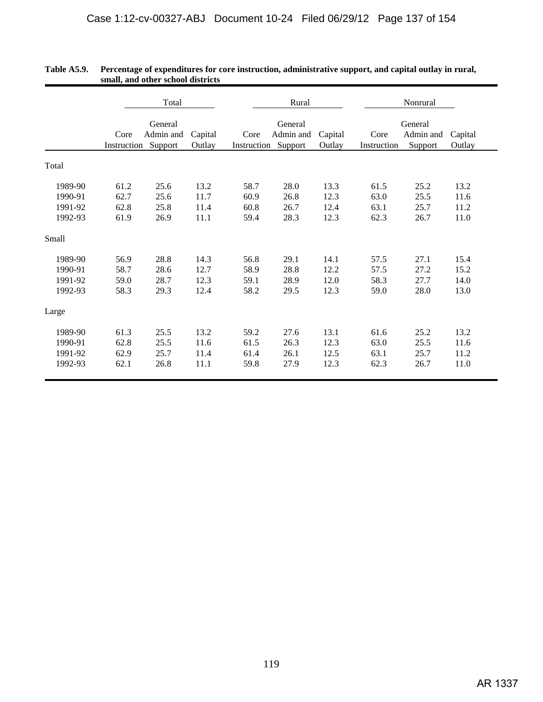|                                          |                              | Total                        |                              |                              | Rural                                       |                              | Nonrural                     |                                 |                              |  |
|------------------------------------------|------------------------------|------------------------------|------------------------------|------------------------------|---------------------------------------------|------------------------------|------------------------------|---------------------------------|------------------------------|--|
|                                          | Core<br>Instruction Support  | General<br>Admin and         | Capital<br>Outlay            | Core                         | General<br>Admin and<br>Instruction Support | Capital<br>Outlay            | Core<br>Instruction          | General<br>Admin and<br>Support | Capital<br>Outlay            |  |
| Total                                    |                              |                              |                              |                              |                                             |                              |                              |                                 |                              |  |
| 1989-90<br>1990-91<br>1991-92<br>1992-93 | 61.2<br>62.7<br>62.8<br>61.9 | 25.6<br>25.6<br>25.8<br>26.9 | 13.2<br>11.7<br>11.4<br>11.1 | 58.7<br>60.9<br>60.8<br>59.4 | 28.0<br>26.8<br>26.7<br>28.3                | 13.3<br>12.3<br>12.4<br>12.3 | 61.5<br>63.0<br>63.1<br>62.3 | 25.2<br>25.5<br>25.7<br>26.7    | 13.2<br>11.6<br>11.2<br>11.0 |  |
| Small                                    |                              |                              |                              |                              |                                             |                              |                              |                                 |                              |  |
| 1989-90<br>1990-91<br>1991-92<br>1992-93 | 56.9<br>58.7<br>59.0<br>58.3 | 28.8<br>28.6<br>28.7<br>29.3 | 14.3<br>12.7<br>12.3<br>12.4 | 56.8<br>58.9<br>59.1<br>58.2 | 29.1<br>28.8<br>28.9<br>29.5                | 14.1<br>12.2<br>12.0<br>12.3 | 57.5<br>57.5<br>58.3<br>59.0 | 27.1<br>27.2<br>27.7<br>28.0    | 15.4<br>15.2<br>14.0<br>13.0 |  |
| Large                                    |                              |                              |                              |                              |                                             |                              |                              |                                 |                              |  |
| 1989-90<br>1990-91<br>1991-92<br>1992-93 | 61.3<br>62.8<br>62.9<br>62.1 | 25.5<br>25.5<br>25.7<br>26.8 | 13.2<br>11.6<br>11.4<br>11.1 | 59.2<br>61.5<br>61.4<br>59.8 | 27.6<br>26.3<br>26.1<br>27.9                | 13.1<br>12.3<br>12.5<br>12.3 | 61.6<br>63.0<br>63.1<br>62.3 | 25.2<br>25.5<br>25.7<br>26.7    | 13.2<br>11.6<br>11.2<br>11.0 |  |

| <b>Table A5.9.</b> | Percentage of expenditures for core instruction, administrative support, and capital outlay in rural, |
|--------------------|-------------------------------------------------------------------------------------------------------|
|                    | small, and other school districts                                                                     |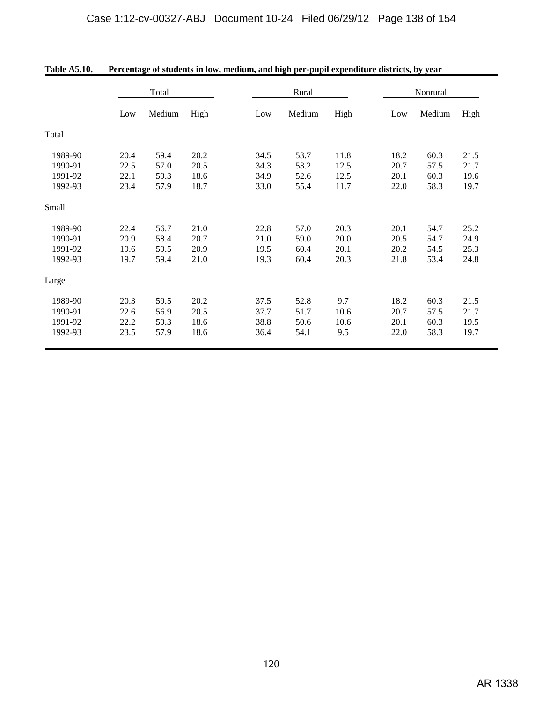|         | Total |        |      |      | Rural  |      |      | Nonrural |      |  |  |
|---------|-------|--------|------|------|--------|------|------|----------|------|--|--|
|         | Low   | Medium | High | Low  | Medium | High | Low  | Medium   | High |  |  |
| Total   |       |        |      |      |        |      |      |          |      |  |  |
| 1989-90 | 20.4  | 59.4   | 20.2 | 34.5 | 53.7   | 11.8 | 18.2 | 60.3     | 21.5 |  |  |
| 1990-91 | 22.5  | 57.0   | 20.5 | 34.3 | 53.2   | 12.5 | 20.7 | 57.5     | 21.7 |  |  |
| 1991-92 | 22.1  | 59.3   | 18.6 | 34.9 | 52.6   | 12.5 | 20.1 | 60.3     | 19.6 |  |  |
| 1992-93 | 23.4  | 57.9   | 18.7 | 33.0 | 55.4   | 11.7 | 22.0 | 58.3     | 19.7 |  |  |
| Small   |       |        |      |      |        |      |      |          |      |  |  |
| 1989-90 | 22.4  | 56.7   | 21.0 | 22.8 | 57.0   | 20.3 | 20.1 | 54.7     | 25.2 |  |  |
| 1990-91 | 20.9  | 58.4   | 20.7 | 21.0 | 59.0   | 20.0 | 20.5 | 54.7     | 24.9 |  |  |
| 1991-92 | 19.6  | 59.5   | 20.9 | 19.5 | 60.4   | 20.1 | 20.2 | 54.5     | 25.3 |  |  |
| 1992-93 | 19.7  | 59.4   | 21.0 | 19.3 | 60.4   | 20.3 | 21.8 | 53.4     | 24.8 |  |  |
| Large   |       |        |      |      |        |      |      |          |      |  |  |
| 1989-90 | 20.3  | 59.5   | 20.2 | 37.5 | 52.8   | 9.7  | 18.2 | 60.3     | 21.5 |  |  |
| 1990-91 | 22.6  | 56.9   | 20.5 | 37.7 | 51.7   | 10.6 | 20.7 | 57.5     | 21.7 |  |  |
| 1991-92 | 22.2  | 59.3   | 18.6 | 38.8 | 50.6   | 10.6 | 20.1 | 60.3     | 19.5 |  |  |
| 1992-93 | 23.5  | 57.9   | 18.6 | 36.4 | 54.1   | 9.5  | 22.0 | 58.3     | 19.7 |  |  |

| <b>Table A5.10.</b> | Percentage of students in low, medium, and high per-pupil expenditure districts, by year |
|---------------------|------------------------------------------------------------------------------------------|
|                     |                                                                                          |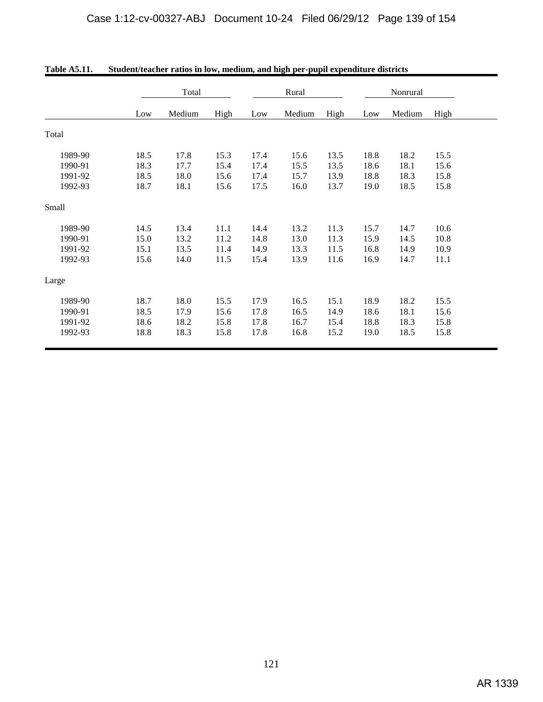|         | Total |        |      | Rural |        |      | Nonrural |        |      |
|---------|-------|--------|------|-------|--------|------|----------|--------|------|
|         | Low   | Medium | High | Low   | Medium | High | Low      | Medium | High |
| Total   |       |        |      |       |        |      |          |        |      |
| 1989-90 | 18.5  | 17.8   | 15.3 | 17.4  | 15.6   | 13.5 | 18.8     | 18.2   | 15.5 |
| 1990-91 | 18.3  | 17.7   | 15.4 | 17.4  | 15.5   | 13.5 | 18.6     | 18.1   | 15.6 |
| 1991-92 | 18.5  | 18.0   | 15.6 | 17.4  | 15.7   | 13.9 | 18.8     | 18.3   | 15.8 |
| 1992-93 | 18.7  | 18.1   | 15.6 | 17.5  | 16.0   | 13.7 | 19.0     | 18.5   | 15.8 |
| Small   |       |        |      |       |        |      |          |        |      |
| 1989-90 | 14.5  | 13.4   | 11.1 | 14.4  | 13.2   | 11.3 | 15.7     | 14.7   | 10.6 |
| 1990-91 | 15.0  | 13.2   | 11.2 | 14.8  | 13.0   | 11.3 | 15.9     | 14.5   | 10.8 |
| 1991-92 | 15.1  | 13.5   | 11.4 | 14.9  | 13.3   | 11.5 | 16.8     | 14.9   | 10.9 |
| 1992-93 | 15.6  | 14.0   | 11.5 | 15.4  | 13.9   | 11.6 | 16.9     | 14.7   | 11.1 |
| Large   |       |        |      |       |        |      |          |        |      |
| 1989-90 | 18.7  | 18.0   | 15.5 | 17.9  | 16.5   | 15.1 | 18.9     | 18.2   | 15.5 |
| 1990-91 | 18.5  | 17.9   | 15.6 | 17.8  | 16.5   | 14.9 | 18.6     | 18.1   | 15.6 |
| 1991-92 | 18.6  | 18.2   | 15.8 | 17.8  | 16.7   | 15.4 | 18.8     | 18.3   | 15.8 |
| 1992-93 | 18.8  | 18.3   | 15.8 | 17.8  | 16.8   | 15.2 | 19.0     | 18.5   | 15.8 |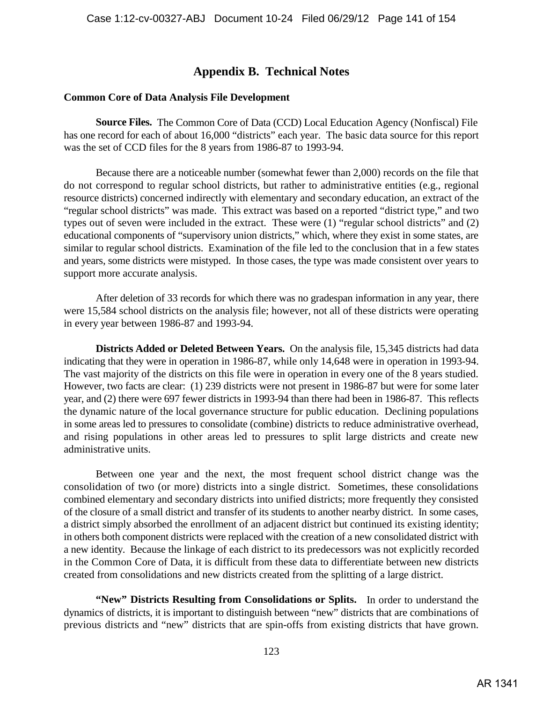# **Appendix B. Technical Notes**

### **Common Core of Data Analysis File Development**

**Source Files.** The Common Core of Data (CCD) Local Education Agency (Nonfiscal) File has one record for each of about 16,000 "districts" each year. The basic data source for this report was the set of CCD files for the 8 years from 1986-87 to 1993-94.

Because there are a noticeable number (somewhat fewer than 2,000) records on the file that do not correspond to regular school districts, but rather to administrative entities (e.g., regional resource districts) concerned indirectly with elementary and secondary education, an extract of the "regular school districts" was made. This extract was based on a reported "district type," and two types out of seven were included in the extract. These were (1) "regular school districts" and (2) educational components of "supervisory union districts," which, where they exist in some states, are similar to regular school districts. Examination of the file led to the conclusion that in a few states and years, some districts were mistyped. In those cases, the type was made consistent over years to support more accurate analysis.

After deletion of 33 records for which there was no gradespan information in any year, there were 15,584 school districts on the analysis file; however, not all of these districts were operating in every year between 1986-87 and 1993-94.

**Districts Added or Deleted Between Years.** On the analysis file, 15,345 districts had data indicating that they were in operation in 1986-87, while only 14,648 were in operation in 1993-94. The vast majority of the districts on this file were in operation in every one of the 8 years studied. However, two facts are clear: (1) 239 districts were not present in 1986-87 but were for some later year, and (2) there were 697 fewer districts in 1993-94 than there had been in 1986-87. This reflects the dynamic nature of the local governance structure for public education. Declining populations in some areas led to pressures to consolidate (combine) districts to reduce administrative overhead, and rising populations in other areas led to pressures to split large districts and create new administrative units.

Between one year and the next, the most frequent school district change was the consolidation of two (or more) districts into a single district. Sometimes, these consolidations combined elementary and secondary districts into unified districts; more frequently they consisted of the closure of a small district and transfer of its students to another nearby district. In some cases, a district simply absorbed the enrollment of an adjacent district but continued its existing identity; in others both component districts were replaced with the creation of a new consolidated district with a new identity. Because the linkage of each district to its predecessors was not explicitly recorded in the Common Core of Data, it is difficult from these data to differentiate between new districts created from consolidations and new districts created from the splitting of a large district.

**"New" Districts Resulting from Consolidations or Splits.** In order to understand the dynamics of districts, it is important to distinguish between "new" districts that are combinations of previous districts and "new" districts that are spin-offs from existing districts that have grown.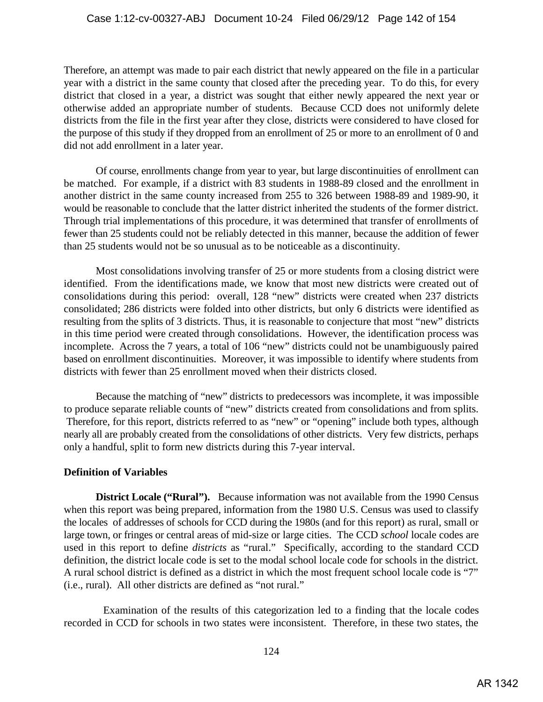Therefore, an attempt was made to pair each district that newly appeared on the file in a particular year with a district in the same county that closed after the preceding year. To do this, for every district that closed in a year, a district was sought that either newly appeared the next year or otherwise added an appropriate number of students. Because CCD does not uniformly delete districts from the file in the first year after they close, districts were considered to have closed for the purpose of this study if they dropped from an enrollment of 25 or more to an enrollment of 0 and did not add enrollment in a later year.

Of course, enrollments change from year to year, but large discontinuities of enrollment can be matched. For example, if a district with 83 students in 1988-89 closed and the enrollment in another district in the same county increased from 255 to 326 between 1988-89 and 1989-90, it would be reasonable to conclude that the latter district inherited the students of the former district. Through trial implementations of this procedure, it was determined that transfer of enrollments of fewer than 25 students could not be reliably detected in this manner, because the addition of fewer than 25 students would not be so unusual as to be noticeable as a discontinuity.

Most consolidations involving transfer of 25 or more students from a closing district were identified. From the identifications made, we know that most new districts were created out of consolidations during this period: overall, 128 "new" districts were created when 237 districts consolidated; 286 districts were folded into other districts, but only 6 districts were identified as resulting from the splits of 3 districts. Thus, it is reasonable to conjecture that most "new" districts in this time period were created through consolidations. However, the identification process was incomplete. Across the 7 years, a total of 106 "new" districts could not be unambiguously paired based on enrollment discontinuities. Moreover, it was impossible to identify where students from districts with fewer than 25 enrollment moved when their districts closed.

Because the matching of "new" districts to predecessors was incomplete, it was impossible to produce separate reliable counts of "new" districts created from consolidations and from splits. Therefore, for this report, districts referred to as "new" or "opening" include both types, although nearly all are probably created from the consolidations of other districts. Very few districts, perhaps only a handful, split to form new districts during this 7-year interval.

# **Definition of Variables**

**District Locale ("Rural").** Because information was not available from the 1990 Census when this report was being prepared, information from the 1980 U.S. Census was used to classify the locales of addresses of schools for CCD during the 1980s (and for this report) as rural, small or large town, or fringes or central areas of mid-size or large cities. The CCD *school* locale codes are used in this report to define *districts* as "rural." Specifically, according to the standard CCD definition, the district locale code is set to the modal school locale code for schools in the district. A rural school district is defined as a district in which the most frequent school locale code is "7" (i.e., rural). All other districts are defined as "not rural."

 Examination of the results of this categorization led to a finding that the locale codes recorded in CCD for schools in two states were inconsistent. Therefore, in these two states, the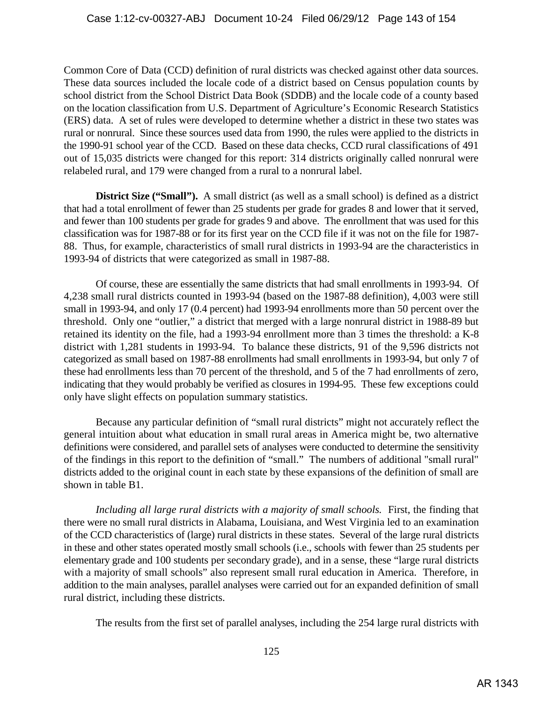Common Core of Data (CCD) definition of rural districts was checked against other data sources. These data sources included the locale code of a district based on Census population counts by school district from the School District Data Book (SDDB) and the locale code of a county based on the location classification from U.S. Department of Agriculture's Economic Research Statistics (ERS) data. A set of rules were developed to determine whether a district in these two states was rural or nonrural. Since these sources used data from 1990, the rules were applied to the districts in the 1990-91 school year of the CCD. Based on these data checks, CCD rural classifications of 491 out of 15,035 districts were changed for this report: 314 districts originally called nonrural were relabeled rural, and 179 were changed from a rural to a nonrural label.

**District Size ("Small").** A small district (as well as a small school) is defined as a district that had a total enrollment of fewer than 25 students per grade for grades 8 and lower that it served, and fewer than 100 students per grade for grades 9 and above. The enrollment that was used for this classification was for 1987-88 or for its first year on the CCD file if it was not on the file for 1987- 88. Thus, for example, characteristics of small rural districts in 1993-94 are the characteristics in 1993-94 of districts that were categorized as small in 1987-88.

Of course, these are essentially the same districts that had small enrollments in 1993-94. Of 4,238 small rural districts counted in 1993-94 (based on the 1987-88 definition), 4,003 were still small in 1993-94, and only 17 (0.4 percent) had 1993-94 enrollments more than 50 percent over the threshold. Only one "outlier," a district that merged with a large nonrural district in 1988-89 but retained its identity on the file, had a 1993-94 enrollment more than 3 times the threshold: a K-8 district with 1,281 students in 1993-94. To balance these districts, 91 of the 9,596 districts not categorized as small based on 1987-88 enrollments had small enrollments in 1993-94, but only 7 of these had enrollments less than 70 percent of the threshold, and 5 of the 7 had enrollments of zero, indicating that they would probably be verified as closures in 1994-95. These few exceptions could only have slight effects on population summary statistics.

Because any particular definition of "small rural districts" might not accurately reflect the general intuition about what education in small rural areas in America might be, two alternative definitions were considered, and parallel sets of analyses were conducted to determine the sensitivity of the findings in this report to the definition of "small." The numbers of additional "small rural" districts added to the original count in each state by these expansions of the definition of small are shown in table B1.

*Including all large rural districts with a majority of small schools.* First, the finding that there were no small rural districts in Alabama, Louisiana, and West Virginia led to an examination of the CCD characteristics of (large) rural districts in these states. Several of the large rural districts in these and other states operated mostly small schools (i.e., schools with fewer than 25 students per elementary grade and 100 students per secondary grade), and in a sense, these "large rural districts with a majority of small schools" also represent small rural education in America. Therefore, in addition to the main analyses, parallel analyses were carried out for an expanded definition of small rural district, including these districts.

The results from the first set of parallel analyses, including the 254 large rural districts with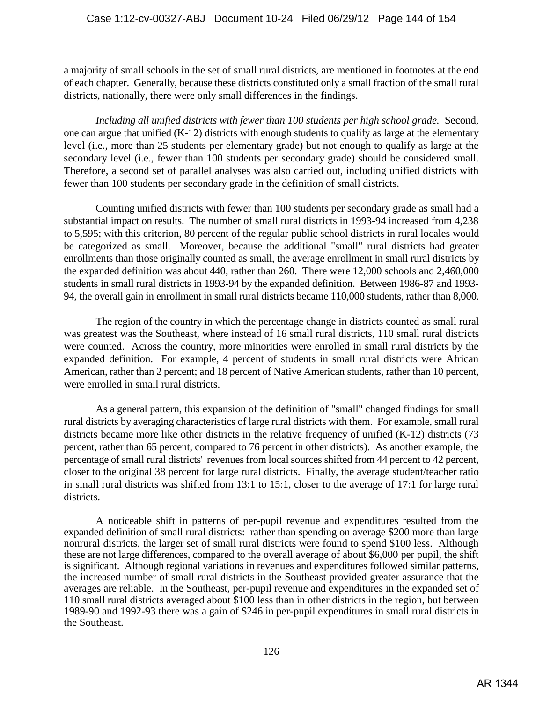a majority of small schools in the set of small rural districts, are mentioned in footnotes at the end of each chapter. Generally, because these districts constituted only a small fraction of the small rural districts, nationally, there were only small differences in the findings.

*Including all unified districts with fewer than 100 students per high school grade.* Second, one can argue that unified (K-12) districts with enough students to qualify as large at the elementary level (i.e., more than 25 students per elementary grade) but not enough to qualify as large at the secondary level (i.e., fewer than 100 students per secondary grade) should be considered small. Therefore, a second set of parallel analyses was also carried out, including unified districts with fewer than 100 students per secondary grade in the definition of small districts.

Counting unified districts with fewer than 100 students per secondary grade as small had a substantial impact on results. The number of small rural districts in 1993-94 increased from 4,238 to 5,595; with this criterion, 80 percent of the regular public school districts in rural locales would be categorized as small. Moreover, because the additional "small" rural districts had greater enrollments than those originally counted as small, the average enrollment in small rural districts by the expanded definition was about 440, rather than 260. There were 12,000 schools and 2,460,000 students in small rural districts in 1993-94 by the expanded definition. Between 1986-87 and 1993- 94, the overall gain in enrollment in small rural districts became 110,000 students, rather than 8,000.

The region of the country in which the percentage change in districts counted as small rural was greatest was the Southeast, where instead of 16 small rural districts, 110 small rural districts were counted. Across the country, more minorities were enrolled in small rural districts by the expanded definition. For example, 4 percent of students in small rural districts were African American, rather than 2 percent; and 18 percent of Native American students, rather than 10 percent, were enrolled in small rural districts.

As a general pattern, this expansion of the definition of "small" changed findings for small rural districts by averaging characteristics of large rural districts with them. For example, small rural districts became more like other districts in the relative frequency of unified (K-12) districts (73 percent, rather than 65 percent, compared to 76 percent in other districts). As another example, the percentage of small rural districts' revenues from local sources shifted from 44 percent to 42 percent, closer to the original 38 percent for large rural districts. Finally, the average student/teacher ratio in small rural districts was shifted from 13:1 to 15:1, closer to the average of 17:1 for large rural districts.

A noticeable shift in patterns of per-pupil revenue and expenditures resulted from the expanded definition of small rural districts: rather than spending on average \$200 more than large nonrural districts, the larger set of small rural districts were found to spend \$100 less. Although these are not large differences, compared to the overall average of about \$6,000 per pupil, the shift is significant. Although regional variations in revenues and expenditures followed similar patterns, the increased number of small rural districts in the Southeast provided greater assurance that the averages are reliable. In the Southeast, per-pupil revenue and expenditures in the expanded set of 110 small rural districts averaged about \$100 less than in other districts in the region, but between 1989-90 and 1992-93 there was a gain of \$246 in per-pupil expenditures in small rural districts in the Southeast.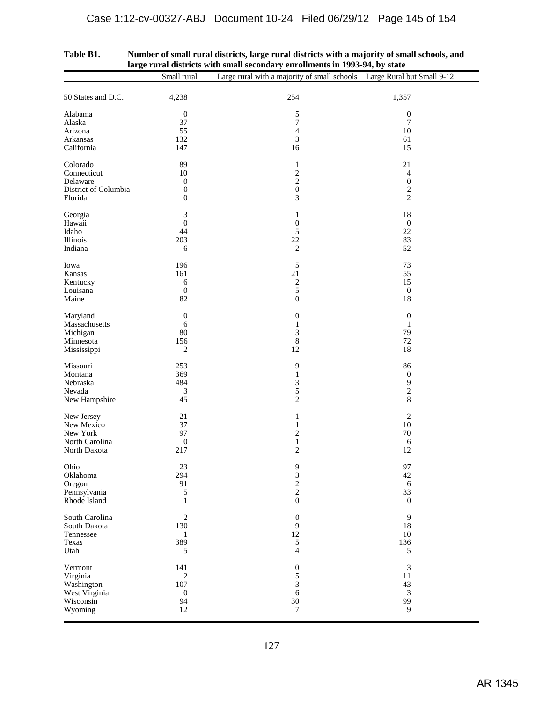|                                | Small rural                | iai go furar uistricts with sinah secondary em omnems in 1999-94, by state<br>Large rural with a majority of small schools Large Rural but Small 9-12 |                       |
|--------------------------------|----------------------------|-------------------------------------------------------------------------------------------------------------------------------------------------------|-----------------------|
|                                |                            |                                                                                                                                                       |                       |
| 50 States and D.C.             | 4,238                      | 254                                                                                                                                                   | 1,357                 |
| Alabama                        | $\boldsymbol{0}$<br>37     | 5                                                                                                                                                     | $\boldsymbol{0}$      |
| Alaska<br>Arizona              | 55                         | 7<br>$\overline{4}$                                                                                                                                   | $\tau$<br>$10\,$      |
| Arkansas                       | 132                        | $\mathfrak{Z}$                                                                                                                                        | 61                    |
| California                     | 147                        | 16                                                                                                                                                    | 15                    |
| Colorado                       | 89                         | $\mathbf{1}$                                                                                                                                          | 21                    |
| Connecticut                    | 10                         | $\sqrt{2}$                                                                                                                                            | $\overline{4}$        |
| Delaware                       | $\mathbf{0}$               | $\mathbf{2}$                                                                                                                                          | $\boldsymbol{0}$      |
| District of Columbia           | $\boldsymbol{0}$           | $\boldsymbol{0}$                                                                                                                                      | $\sqrt{2}$            |
| Florida                        | $\boldsymbol{0}$           | 3                                                                                                                                                     | $\mathfrak{2}$        |
| Georgia                        | 3                          | $\mathbf{1}$                                                                                                                                          | 18                    |
| Hawaii                         | $\boldsymbol{0}$           | $\boldsymbol{0}$                                                                                                                                      | $\mathbf{0}$          |
| Idaho<br>Illinois              | 44<br>203                  | 5                                                                                                                                                     | 22<br>83              |
| Indiana                        | 6                          | $22\,$<br>$\sqrt{2}$                                                                                                                                  | 52                    |
|                                |                            |                                                                                                                                                       |                       |
| Iowa                           | 196                        | 5                                                                                                                                                     | 73                    |
| Kansas                         | 161                        | 21                                                                                                                                                    | 55<br>15              |
| Kentucky<br>Louisana           | 6<br>$\boldsymbol{0}$      | $\overline{\mathbf{c}}$<br>5                                                                                                                          | $\boldsymbol{0}$      |
| Maine                          | 82                         | $\boldsymbol{0}$                                                                                                                                      | 18                    |
|                                |                            |                                                                                                                                                       |                       |
| Maryland<br>Massachusetts      | $\boldsymbol{0}$<br>6      | $\boldsymbol{0}$<br>$\mathbf{1}$                                                                                                                      | $\boldsymbol{0}$<br>1 |
| Michigan                       | 80                         | 3                                                                                                                                                     | 79                    |
| Minnesota                      | 156                        | $\,$ 8 $\,$                                                                                                                                           | $72\,$                |
| Mississippi                    | 2                          | 12                                                                                                                                                    | 18                    |
| Missouri                       | 253                        | 9                                                                                                                                                     | 86                    |
| Montana                        | 369                        | $\mathbf{1}$                                                                                                                                          | $\boldsymbol{0}$      |
| Nebraska                       | 484                        | 3                                                                                                                                                     | 9                     |
| Nevada                         | $\mathfrak{Z}$             | 5                                                                                                                                                     | $\sqrt{2}$            |
| New Hampshire                  | 45                         | $\overline{c}$                                                                                                                                        | 8                     |
| New Jersey                     | 21                         | $\mathbf{1}$                                                                                                                                          | $\overline{2}$        |
| New Mexico                     | 37                         | $\mathbf{1}$                                                                                                                                          | 10                    |
| New York                       | 97                         | $\sqrt{2}$                                                                                                                                            | $70\,$                |
| North Carolina<br>North Dakota | $\boldsymbol{0}$<br>217    | $\mathbf{1}$<br>$\overline{c}$                                                                                                                        | $\sqrt{6}$<br>12      |
|                                |                            |                                                                                                                                                       |                       |
| Ohio                           | 23                         | 9                                                                                                                                                     | 97                    |
| Oklahoma                       | 294                        | $\frac{3}{2}$                                                                                                                                         | 42                    |
| Oregon                         | 91                         | $\overline{c}$                                                                                                                                        | 6<br>33               |
| Pennsylvania<br>Rhode Island   | $\sqrt{5}$<br>$\mathbf{1}$ | $\boldsymbol{0}$                                                                                                                                      | $\mathbf{0}$          |
|                                |                            |                                                                                                                                                       |                       |
| South Carolina                 | $\sqrt{2}$                 | $\boldsymbol{0}$                                                                                                                                      | 9                     |
| South Dakota                   | 130                        | 9<br>$12\,$                                                                                                                                           | 18                    |
| Tennessee<br>Texas             | $\mathbf{1}$<br>389        | 5                                                                                                                                                     | $10\,$<br>136         |
| Utah                           | 5                          | $\overline{4}$                                                                                                                                        | 5                     |
| Vermont                        | 141                        | $\boldsymbol{0}$                                                                                                                                      | $\sqrt{3}$            |
| Virginia                       | $\sqrt{2}$                 | 5                                                                                                                                                     | 11                    |
| Washington                     | 107                        | 3                                                                                                                                                     | 43                    |
| West Virginia                  | $\boldsymbol{0}$           | $\sqrt{6}$                                                                                                                                            | $\mathfrak{Z}$        |
| Wisconsin                      | 94                         | $30\,$                                                                                                                                                | 99                    |
| Wyoming                        | $12\,$                     | $\tau$                                                                                                                                                | 9                     |
|                                |                            |                                                                                                                                                       |                       |

| Table B1. | Number of small rural districts, large rural districts with a majority of small schools, and |
|-----------|----------------------------------------------------------------------------------------------|
|           | large rural districts with small secondary enrollments in 1993-94, by state                  |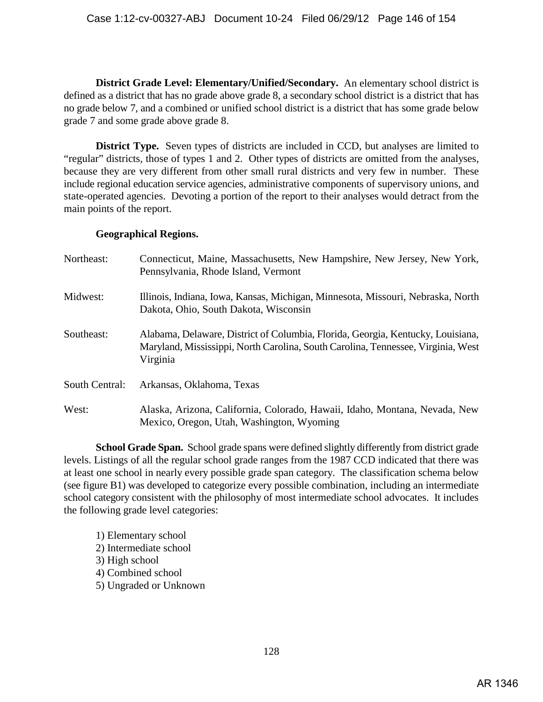**District Grade Level: Elementary/Unified/Secondary.** An elementary school district is defined as a district that has no grade above grade 8, a secondary school district is a district that has no grade below 7, and a combined or unified school district is a district that has some grade below grade 7 and some grade above grade 8.

**District Type.** Seven types of districts are included in CCD, but analyses are limited to "regular" districts, those of types 1 and 2. Other types of districts are omitted from the analyses, because they are very different from other small rural districts and very few in number. These include regional education service agencies, administrative components of supervisory unions, and state-operated agencies. Devoting a portion of the report to their analyses would detract from the main points of the report.

## **Geographical Regions.**

| Northeast:     | Connecticut, Maine, Massachusetts, New Hampshire, New Jersey, New York,<br>Pennsylvania, Rhode Island, Vermont                                                                  |
|----------------|---------------------------------------------------------------------------------------------------------------------------------------------------------------------------------|
| Midwest:       | Illinois, Indiana, Iowa, Kansas, Michigan, Minnesota, Missouri, Nebraska, North<br>Dakota, Ohio, South Dakota, Wisconsin                                                        |
| Southeast:     | Alabama, Delaware, District of Columbia, Florida, Georgia, Kentucky, Louisiana,<br>Maryland, Mississippi, North Carolina, South Carolina, Tennessee, Virginia, West<br>Virginia |
| South Central: | Arkansas, Oklahoma, Texas                                                                                                                                                       |
| West:          | Alaska, Arizona, California, Colorado, Hawaii, Idaho, Montana, Nevada, New<br>Mexico, Oregon, Utah, Washington, Wyoming                                                         |

**School Grade Span.** School grade spans were defined slightly differently from district grade levels. Listings of all the regular school grade ranges from the 1987 CCD indicated that there was at least one school in nearly every possible grade span category. The classification schema below (see figure B1) was developed to categorize every possible combination, including an intermediate school category consistent with the philosophy of most intermediate school advocates. It includes the following grade level categories:

1) Elementary school 2) Intermediate school 3) High school 4) Combined school 5) Ungraded or Unknown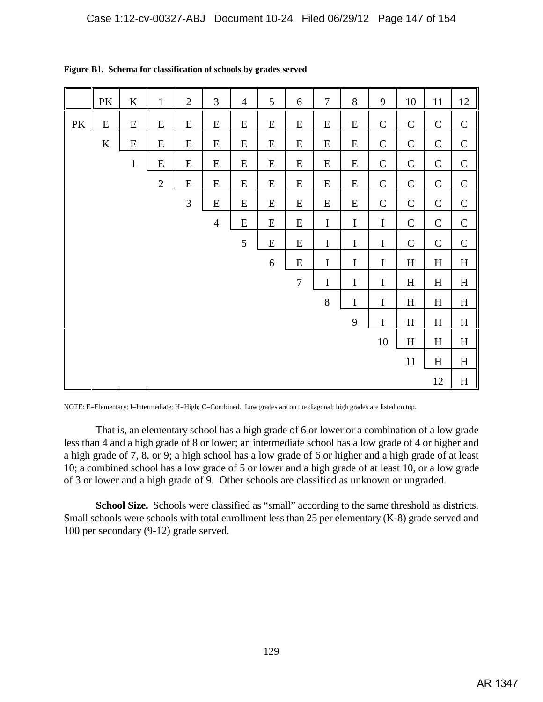|    | $\rm PK$  | $\bf K$      | $\mathbf{1}$   | $\overline{2}$ | 3              | $\overline{4}$ | 5                | 6                | $\tau$    | $8\,$       | 9            | 10                        | 11           | 12                        |
|----|-----------|--------------|----------------|----------------|----------------|----------------|------------------|------------------|-----------|-------------|--------------|---------------------------|--------------|---------------------------|
| PK | ${\bf E}$ | ${\bf E}$    | ${\bf E}$      | ${\bf E}$      | ${\bf E}$      | ${\bf E}$      | ${\bf E}$        | ${\bf E}$        | ${\bf E}$ | ${\bf E}$   | $\mathbf C$  | $\mathbf C$               | $\mathsf C$  | $\mathcal{C}$             |
|    | $\bf K$   | E            | ${\bf E}$      | ${\bf E}$      | ${\bf E}$      | ${\bf E}$      | ${\bf E}$        | ${\bf E}$        | ${\bf E}$ | E           | $\mathbf C$  | $\mathbf C$               | $\mathbf C$  | $\mathbf C$               |
|    |           | $\mathbf{1}$ | ${\bf E}$      | ${\bf E}$      | ${\bf E}$      | ${\bf E}$      | ${\bf E}$        | ${\bf E}$        | ${\bf E}$ | $E_{\rm}$   | $\mathbf C$  | $\mathbf C$               | $\mathsf{C}$ | $\mathbf C$               |
|    |           |              | $\overline{2}$ | ${\bf E}$      | ${\bf E}$      | E              | ${\bf E}$        | ${\bf E}$        | ${\bf E}$ | E           | $\mathbf C$  | $\mathbf C$               | $\mathbf C$  | $\mathsf{C}$              |
|    |           |              |                | 3              | ${\bf E}$      | E              | ${\bf E}$        | ${\bf E}$        | ${\bf E}$ | E           | $\mathsf{C}$ | $\mathbf C$               | $\mathsf{C}$ | $\mathsf{C}$              |
|    |           |              |                |                | $\overline{4}$ | ${\bf E}$      | ${\bf E}$        | ${\bf E}$        | $\bf I$   | $\bf I$     | $\bf I$      | $\mathcal{C}$             | $\mathsf{C}$ | $\mathsf C$               |
|    |           |              |                |                |                | 5              | ${\bf E}$        | ${\bf E}$        | $\bf I$   | $\bf I$     | $\bf I$      | $\mathbf C$               | $\mathsf C$  | $\mathbf C$               |
|    |           |              |                |                |                |                | $\boldsymbol{6}$ | ${\bf E}$        | $\bf I$   | $\bf I$     | $\bf I$      | $\, {\rm H}$              | $H_{\rm}$    | $\mathbf H$               |
|    |           |              |                |                |                |                |                  | $\boldsymbol{7}$ | I         | $\mathbf I$ | $\bf I$      | H                         | H            | $\boldsymbol{\mathrm{H}}$ |
|    |           |              |                |                |                |                |                  |                  | $8\,$     | $\bf I$     | $\bf I$      | $\, {\rm H}$              | $H_{\rm}$    | $\boldsymbol{\mathrm{H}}$ |
|    |           |              |                |                |                |                |                  |                  |           | 9           | $\bf I$      | H                         | $H_{\rm}$    | $H_{\rm}$                 |
|    |           |              |                |                |                |                |                  |                  |           |             | $10\,$       | $\boldsymbol{\mathrm{H}}$ | $\rm H$      | $\boldsymbol{\mathrm{H}}$ |
|    |           |              |                |                |                |                |                  |                  |           |             |              | 11                        | $\rm H$      | $\boldsymbol{\mathrm{H}}$ |
|    |           |              |                |                |                |                |                  |                  |           |             |              |                           | 12           | $\boldsymbol{\mathrm{H}}$ |

**Figure B1. Schema for classification of schools by grades served**

NOTE: E=Elementary; I=Intermediate; H=High; C=Combined. Low grades are on the diagonal; high grades are listed on top.

That is, an elementary school has a high grade of 6 or lower or a combination of a low grade less than 4 and a high grade of 8 or lower; an intermediate school has a low grade of 4 or higher and a high grade of 7, 8, or 9; a high school has a low grade of 6 or higher and a high grade of at least 10; a combined school has a low grade of 5 or lower and a high grade of at least 10, or a low grade of 3 or lower and a high grade of 9. Other schools are classified as unknown or ungraded.

**School Size.** Schools were classified as "small" according to the same threshold as districts. Small schools were schools with total enrollment less than 25 per elementary (K-8) grade served and 100 per secondary (9-12) grade served.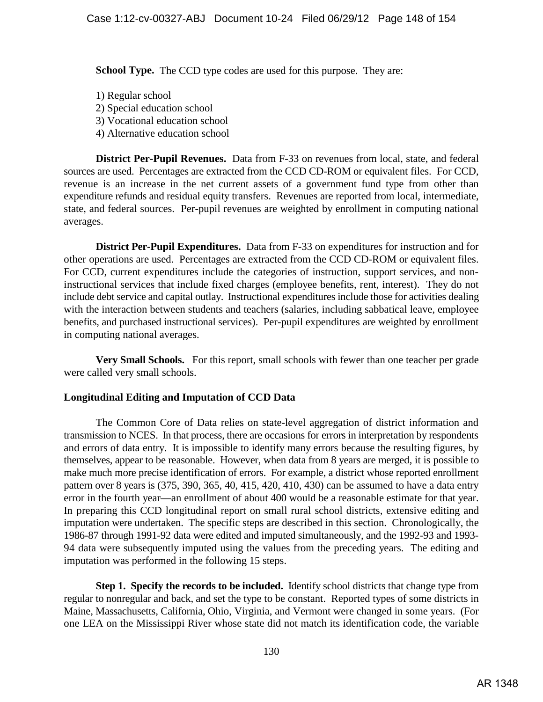**School Type.** The CCD type codes are used for this purpose. They are:

- 1) Regular school 2) Special education school 3) Vocational education school 4) Alternative education school
- **District Per-Pupil Revenues.** Data from F-33 on revenues from local, state, and federal sources are used. Percentages are extracted from the CCD CD-ROM or equivalent files. For CCD, revenue is an increase in the net current assets of a government fund type from other than expenditure refunds and residual equity transfers. Revenues are reported from local, intermediate, state, and federal sources. Per-pupil revenues are weighted by enrollment in computing national averages.

**District Per-Pupil Expenditures.** Data from F-33 on expenditures for instruction and for other operations are used. Percentages are extracted from the CCD CD-ROM or equivalent files. For CCD, current expenditures include the categories of instruction, support services, and noninstructional services that include fixed charges (employee benefits, rent, interest). They do not include debt service and capital outlay. Instructional expenditures include those for activities dealing with the interaction between students and teachers (salaries, including sabbatical leave, employee benefits, and purchased instructional services). Per-pupil expenditures are weighted by enrollment in computing national averages.

**Very Small Schools.** For this report, small schools with fewer than one teacher per grade were called very small schools.

## **Longitudinal Editing and Imputation of CCD Data**

The Common Core of Data relies on state-level aggregation of district information and transmission to NCES. In that process, there are occasions for errors in interpretation by respondents and errors of data entry. It is impossible to identify many errors because the resulting figures, by themselves, appear to be reasonable. However, when data from 8 years are merged, it is possible to make much more precise identification of errors. For example, a district whose reported enrollment pattern over 8 years is (375, 390, 365, 40, 415, 420, 410, 430) can be assumed to have a data entry error in the fourth year—an enrollment of about 400 would be a reasonable estimate for that year. In preparing this CCD longitudinal report on small rural school districts, extensive editing and imputation were undertaken. The specific steps are described in this section. Chronologically, the 1986-87 through 1991-92 data were edited and imputed simultaneously, and the 1992-93 and 1993- 94 data were subsequently imputed using the values from the preceding years. The editing and imputation was performed in the following 15 steps.

**Step 1. Specify the records to be included.** Identify school districts that change type from regular to nonregular and back, and set the type to be constant. Reported types of some districts in Maine, Massachusetts, California, Ohio, Virginia, and Vermont were changed in some years. (For one LEA on the Mississippi River whose state did not match its identification code, the variable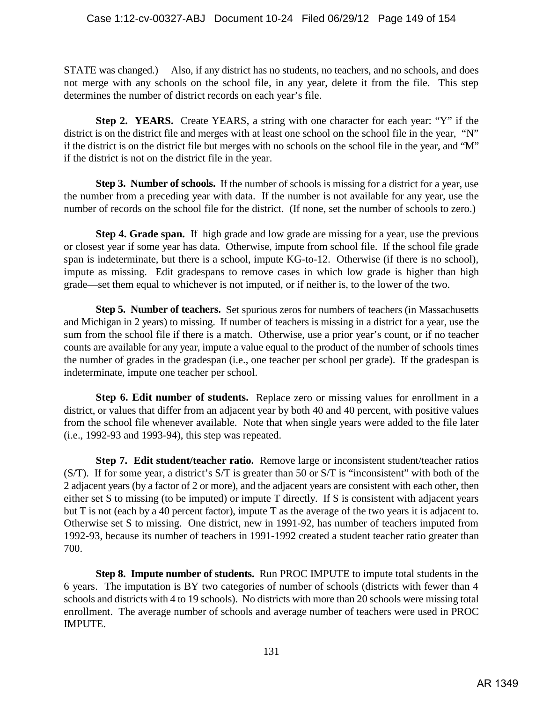STATE was changed.) Also, if any district has no students, no teachers, and no schools, and does not merge with any schools on the school file, in any year, delete it from the file. This step determines the number of district records on each year's file.

**Step 2. YEARS.** Create YEARS, a string with one character for each year: "Y" if the district is on the district file and merges with at least one school on the school file in the year, "N" if the district is on the district file but merges with no schools on the school file in the year, and "M" if the district is not on the district file in the year.

**Step 3. Number of schools.** If the number of schools is missing for a district for a year, use the number from a preceding year with data. If the number is not available for any year, use the number of records on the school file for the district. (If none, set the number of schools to zero.)

**Step 4. Grade span.** If high grade and low grade are missing for a year, use the previous or closest year if some year has data. Otherwise, impute from school file. If the school file grade span is indeterminate, but there is a school, impute KG-to-12. Otherwise (if there is no school), impute as missing. Edit gradespans to remove cases in which low grade is higher than high grade—set them equal to whichever is not imputed, or if neither is, to the lower of the two.

**Step 5. Number of teachers.** Set spurious zeros for numbers of teachers (in Massachusetts and Michigan in 2 years) to missing. If number of teachers is missing in a district for a year, use the sum from the school file if there is a match. Otherwise, use a prior year's count, or if no teacher counts are available for any year, impute a value equal to the product of the number of schools times the number of grades in the gradespan (i.e., one teacher per school per grade). If the gradespan is indeterminate, impute one teacher per school.

**Step 6. Edit number of students.** Replace zero or missing values for enrollment in a district, or values that differ from an adjacent year by both 40 and 40 percent, with positive values from the school file whenever available. Note that when single years were added to the file later (i.e., 1992-93 and 1993-94), this step was repeated.

**Step 7. Edit student/teacher ratio.** Remove large or inconsistent student/teacher ratios (S/T). If for some year, a district's S/T is greater than 50 or S/T is "inconsistent" with both of the 2 adjacent years (by a factor of 2 or more), and the adjacent years are consistent with each other, then either set S to missing (to be imputed) or impute T directly. If S is consistent with adjacent years but T is not (each by a 40 percent factor), impute T as the average of the two years it is adjacent to. Otherwise set S to missing. One district, new in 1991-92, has number of teachers imputed from 1992-93, because its number of teachers in 1991-1992 created a student teacher ratio greater than 700.

**Step 8. Impute number of students.** Run PROC IMPUTE to impute total students in the 6 years. The imputation is BY two categories of number of schools (districts with fewer than 4 schools and districts with 4 to 19 schools). No districts with more than 20 schools were missing total enrollment. The average number of schools and average number of teachers were used in PROC IMPUTE.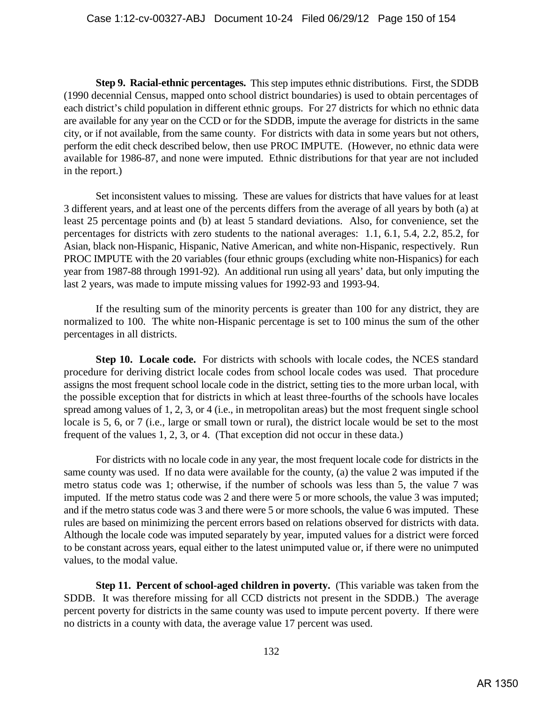**Step 9. Racial-ethnic percentages.** This step imputes ethnic distributions. First, the SDDB (1990 decennial Census, mapped onto school district boundaries) is used to obtain percentages of each district's child population in different ethnic groups. For 27 districts for which no ethnic data are available for any year on the CCD or for the SDDB, impute the average for districts in the same city, or if not available, from the same county. For districts with data in some years but not others, perform the edit check described below, then use PROC IMPUTE. (However, no ethnic data were available for 1986-87, and none were imputed. Ethnic distributions for that year are not included in the report.)

Set inconsistent values to missing. These are values for districts that have values for at least 3 different years, and at least one of the percents differs from the average of all years by both (a) at least 25 percentage points and (b) at least 5 standard deviations. Also, for convenience, set the percentages for districts with zero students to the national averages: 1.1, 6.1, 5.4, 2.2, 85.2, for Asian, black non-Hispanic, Hispanic, Native American, and white non-Hispanic, respectively. Run PROC IMPUTE with the 20 variables (four ethnic groups (excluding white non-Hispanics) for each year from 1987-88 through 1991-92). An additional run using all years' data, but only imputing the last 2 years, was made to impute missing values for 1992-93 and 1993-94.

If the resulting sum of the minority percents is greater than 100 for any district, they are normalized to 100. The white non-Hispanic percentage is set to 100 minus the sum of the other percentages in all districts.

**Step 10. Locale code.** For districts with schools with locale codes, the NCES standard procedure for deriving district locale codes from school locale codes was used. That procedure assigns the most frequent school locale code in the district, setting ties to the more urban local, with the possible exception that for districts in which at least three-fourths of the schools have locales spread among values of 1, 2, 3, or 4 (i.e., in metropolitan areas) but the most frequent single school locale is 5, 6, or 7 (i.e., large or small town or rural), the district locale would be set to the most frequent of the values 1, 2, 3, or 4. (That exception did not occur in these data.)

For districts with no locale code in any year, the most frequent locale code for districts in the same county was used. If no data were available for the county, (a) the value 2 was imputed if the metro status code was 1; otherwise, if the number of schools was less than 5, the value 7 was imputed. If the metro status code was 2 and there were 5 or more schools, the value 3 was imputed; and if the metro status code was 3 and there were 5 or more schools, the value 6 was imputed. These rules are based on minimizing the percent errors based on relations observed for districts with data. Although the locale code was imputed separately by year, imputed values for a district were forced to be constant across years, equal either to the latest unimputed value or, if there were no unimputed values, to the modal value.

**Step 11. Percent of school-aged children in poverty.** (This variable was taken from the SDDB. It was therefore missing for all CCD districts not present in the SDDB.) The average percent poverty for districts in the same county was used to impute percent poverty. If there were no districts in a county with data, the average value 17 percent was used.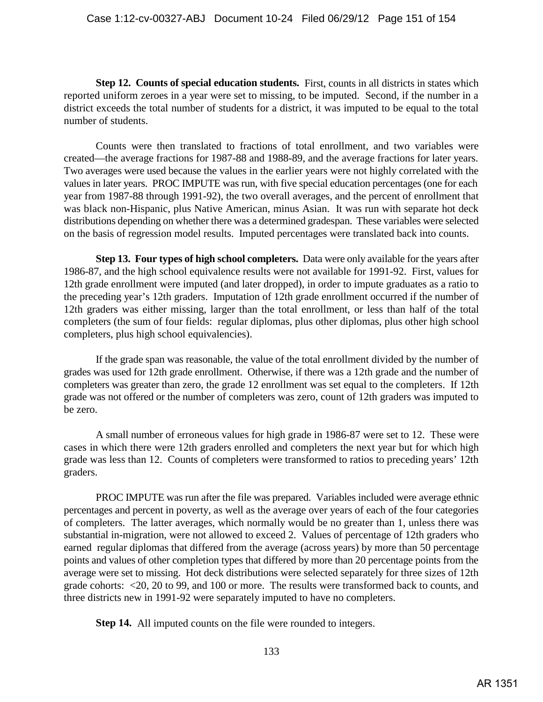**Step 12. Counts of special education students.** First, counts in all districts in states which reported uniform zeroes in a year were set to missing, to be imputed. Second, if the number in a district exceeds the total number of students for a district, it was imputed to be equal to the total number of students.

Counts were then translated to fractions of total enrollment, and two variables were created—the average fractions for 1987-88 and 1988-89, and the average fractions for later years. Two averages were used because the values in the earlier years were not highly correlated with the values in later years. PROC IMPUTE was run, with five special education percentages (one for each year from 1987-88 through 1991-92), the two overall averages, and the percent of enrollment that was black non-Hispanic, plus Native American, minus Asian. It was run with separate hot deck distributions depending on whether there was a determined gradespan. These variables were selected on the basis of regression model results. Imputed percentages were translated back into counts.

**Step 13. Four types of high school completers.** Data were only available for the years after 1986-87, and the high school equivalence results were not available for 1991-92. First, values for 12th grade enrollment were imputed (and later dropped), in order to impute graduates as a ratio to the preceding year's 12th graders. Imputation of 12th grade enrollment occurred if the number of 12th graders was either missing, larger than the total enrollment, or less than half of the total completers (the sum of four fields: regular diplomas, plus other diplomas, plus other high school completers, plus high school equivalencies).

If the grade span was reasonable, the value of the total enrollment divided by the number of grades was used for 12th grade enrollment. Otherwise, if there was a 12th grade and the number of completers was greater than zero, the grade 12 enrollment was set equal to the completers. If 12th grade was not offered or the number of completers was zero, count of 12th graders was imputed to be zero.

A small number of erroneous values for high grade in 1986-87 were set to 12. These were cases in which there were 12th graders enrolled and completers the next year but for which high grade was less than 12. Counts of completers were transformed to ratios to preceding years' 12th graders.

PROC IMPUTE was run after the file was prepared. Variables included were average ethnic percentages and percent in poverty, as well as the average over years of each of the four categories of completers. The latter averages, which normally would be no greater than 1, unless there was substantial in-migration, were not allowed to exceed 2. Values of percentage of 12th graders who earned regular diplomas that differed from the average (across years) by more than 50 percentage points and values of other completion types that differed by more than 20 percentage points from the average were set to missing. Hot deck distributions were selected separately for three sizes of 12th grade cohorts: <20, 20 to 99, and 100 or more. The results were transformed back to counts, and three districts new in 1991-92 were separately imputed to have no completers.

**Step 14.** All imputed counts on the file were rounded to integers.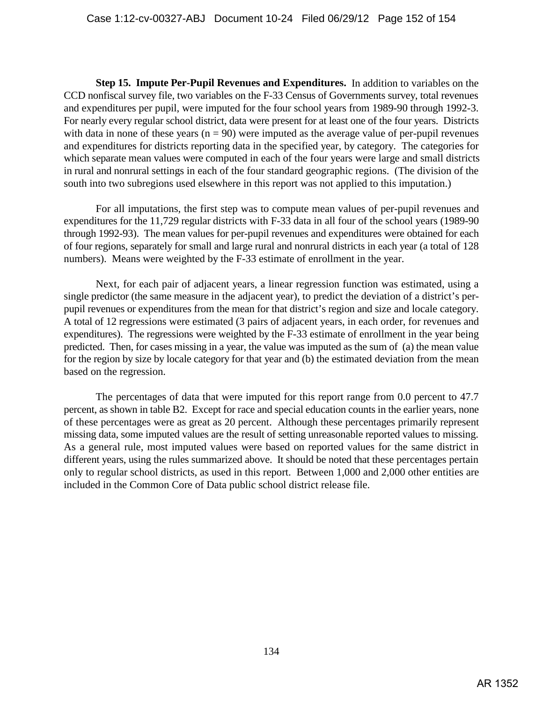**Step 15. Impute Per-Pupil Revenues and Expenditures.** In addition to variables on the CCD nonfiscal survey file, two variables on the F-33 Census of Governments survey, total revenues and expenditures per pupil, were imputed for the four school years from 1989-90 through 1992-3. For nearly every regular school district, data were present for at least one of the four years. Districts with data in none of these years ( $n = 90$ ) were imputed as the average value of per-pupil revenues and expenditures for districts reporting data in the specified year, by category. The categories for which separate mean values were computed in each of the four years were large and small districts in rural and nonrural settings in each of the four standard geographic regions. (The division of the south into two subregions used elsewhere in this report was not applied to this imputation.)

For all imputations, the first step was to compute mean values of per-pupil revenues and expenditures for the 11,729 regular districts with F-33 data in all four of the school years (1989-90 through 1992-93). The mean values for per-pupil revenues and expenditures were obtained for each of four regions, separately for small and large rural and nonrural districts in each year (a total of 128 numbers). Means were weighted by the F-33 estimate of enrollment in the year.

 Next, for each pair of adjacent years, a linear regression function was estimated, using a single predictor (the same measure in the adjacent year), to predict the deviation of a district's perpupil revenues or expenditures from the mean for that district's region and size and locale category. A total of 12 regressions were estimated (3 pairs of adjacent years, in each order, for revenues and expenditures). The regressions were weighted by the F-33 estimate of enrollment in the year being predicted. Then, for cases missing in a year, the value was imputed as the sum of (a) the mean value for the region by size by locale category for that year and (b) the estimated deviation from the mean based on the regression.

The percentages of data that were imputed for this report range from 0.0 percent to 47.7 percent, as shown in table B2. Except for race and special education counts in the earlier years, none of these percentages were as great as 20 percent. Although these percentages primarily represent missing data, some imputed values are the result of setting unreasonable reported values to missing. As a general rule, most imputed values were based on reported values for the same district in different years, using the rules summarized above. It should be noted that these percentages pertain only to regular school districts, as used in this report. Between 1,000 and 2,000 other entities are included in the Common Core of Data public school district release file.